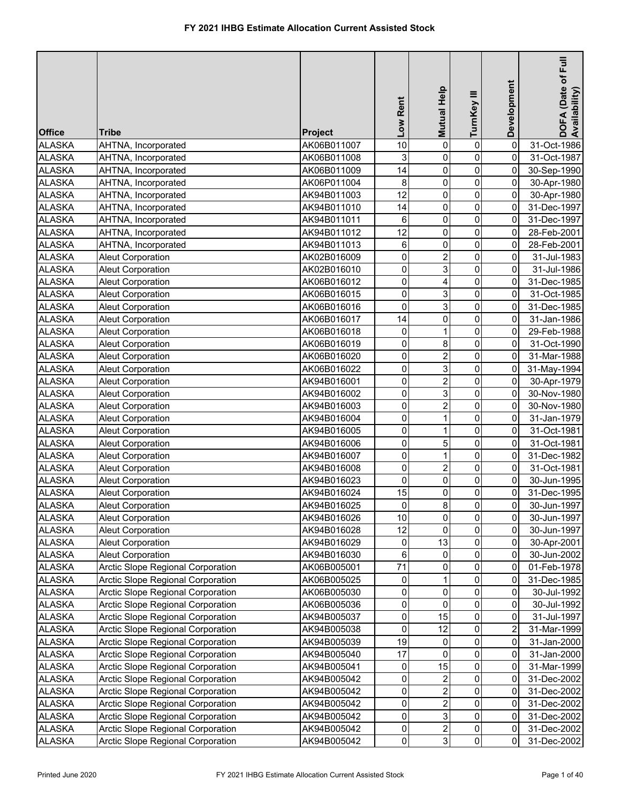| <b>Office</b> | <b>Tribe</b>                      | Project     | Low Rent    | Mutual Help             | TurnKey III    | Development    | DOFA (Date of Full<br>Availability) |
|---------------|-----------------------------------|-------------|-------------|-------------------------|----------------|----------------|-------------------------------------|
| <b>ALASKA</b> | AHTNA, Incorporated               | AK06B011007 | 10          | 0                       | $\mathbf 0$    | 0              | 31-Oct-1986                         |
| <b>ALASKA</b> | AHTNA, Incorporated               | AK06B011008 | 3           | $\mathsf 0$             | $\pmb{0}$      | 0              | 31-Oct-1987                         |
| <b>ALASKA</b> | AHTNA, Incorporated               | AK06B011009 | 14          | 0                       | $\pmb{0}$      | 0              | 30-Sep-1990                         |
| <b>ALASKA</b> | AHTNA, Incorporated               | AK06P011004 | 8           | $\mathsf 0$             | 0              | 0              | 30-Apr-1980                         |
| <b>ALASKA</b> | AHTNA, Incorporated               | AK94B011003 | 12          | $\mathbf 0$             | 0              | 0              | 30-Apr-1980                         |
| <b>ALASKA</b> | AHTNA, Incorporated               | AK94B011010 | 14          | 0                       | $\pmb{0}$      | 0              | 31-Dec-1997                         |
| <b>ALASKA</b> | AHTNA, Incorporated               | AK94B011011 | 6           | 0                       | 0              | 0              | 31-Dec-1997                         |
| <b>ALASKA</b> | AHTNA, Incorporated               | AK94B011012 | 12          | $\mathsf 0$             | $\pmb{0}$      | 0              | 28-Feb-2001                         |
| <b>ALASKA</b> | AHTNA, Incorporated               | AK94B011013 | 6           | 0                       | $\pmb{0}$      | 0              | 28-Feb-2001                         |
| <b>ALASKA</b> | <b>Aleut Corporation</b>          | AK02B016009 | 0           | $\overline{2}$          | 0              | 0              | 31-Jul-1983                         |
| <b>ALASKA</b> | <b>Aleut Corporation</b>          | AK02B016010 | 0           | 3                       | 0              | 0              | 31-Jul-1986                         |
| <b>ALASKA</b> | Aleut Corporation                 | AK06B016012 | 0           | 4                       | 0              | 0              | 31-Dec-1985                         |
| <b>ALASKA</b> | Aleut Corporation                 | AK06B016015 | 0           | 3                       | $\mathbf 0$    | 0              | 31-Oct-1985                         |
| <b>ALASKA</b> | <b>Aleut Corporation</b>          | AK06B016016 | 0           | 3                       | $\mathbf 0$    | 0              | 31-Dec-1985                         |
| <b>ALASKA</b> | <b>Aleut Corporation</b>          | AK06B016017 | 14          | $\mathsf 0$             | $\mathbf 0$    | 0              | 31-Jan-1986                         |
| <b>ALASKA</b> | <b>Aleut Corporation</b>          | AK06B016018 | 0           | 1                       | $\mathbf 0$    | 0              | 29-Feb-1988                         |
| <b>ALASKA</b> | <b>Aleut Corporation</b>          | AK06B016019 | 0           | 8                       | 0              | 0              | 31-Oct-1990                         |
| <b>ALASKA</b> | <b>Aleut Corporation</b>          | AK06B016020 | 0           | $\overline{2}$          | $\mathbf 0$    | 0              | 31-Mar-1988                         |
| <b>ALASKA</b> | <b>Aleut Corporation</b>          | AK06B016022 | 0           | 3                       | 0              | 0              | 31-May-1994                         |
| <b>ALASKA</b> | <b>Aleut Corporation</b>          | AK94B016001 | 0           | $\overline{c}$          | 0              | 0              | 30-Apr-1979                         |
| <b>ALASKA</b> | <b>Aleut Corporation</b>          | AK94B016002 | 0           | 3                       | $\mathbf 0$    | 0              | 30-Nov-1980                         |
| <b>ALASKA</b> | <b>Aleut Corporation</b>          | AK94B016003 | 0           | $\overline{c}$          | 0              | 0              | 30-Nov-1980                         |
| <b>ALASKA</b> | <b>Aleut Corporation</b>          | AK94B016004 | 0           | $\mathbf{1}$            | 0              | 0              | 31-Jan-1979                         |
| <b>ALASKA</b> | <b>Aleut Corporation</b>          | AK94B016005 | 0           | $\mathbf{1}$            | 0              | 0              | 31-Oct-1981                         |
| <b>ALASKA</b> | <b>Aleut Corporation</b>          | AK94B016006 | 0           | 5                       | 0              | 0              | 31-Oct-1981                         |
| <b>ALASKA</b> | <b>Aleut Corporation</b>          | AK94B016007 | 0           | 1                       | 0              | 0              | 31-Dec-1982                         |
| <b>ALASKA</b> | <b>Aleut Corporation</b>          | AK94B016008 | 0           | $\boldsymbol{2}$        | $\pmb{0}$      | 0              | 31-Oct-1981                         |
| <b>ALASKA</b> | <b>Aleut Corporation</b>          | AK94B016023 | 0           | 0                       | $\pmb{0}$      | 0              | 30-Jun-1995                         |
| <b>ALASKA</b> | <b>Aleut Corporation</b>          | AK94B016024 | 15          | 0                       | $\pmb{0}$      | 0              | 31-Dec-1995                         |
| <b>ALASKA</b> | Aleut Corporation                 | AK94B016025 | $\mathbf 0$ | $\boldsymbol{8}$        | $\overline{0}$ | $\overline{0}$ | 30-Jun-1997                         |
| <b>ALASKA</b> | <b>Aleut Corporation</b>          | AK94B016026 | 10          | 0                       | 0              | 0              | 30-Jun-1997                         |
| <b>ALASKA</b> | Aleut Corporation                 | AK94B016028 | 12          | 0                       | 0              | 0              | 30-Jun-1997                         |
| <b>ALASKA</b> | <b>Aleut Corporation</b>          | AK94B016029 | 0           | 13                      | $\pmb{0}$      | 0              | 30-Apr-2001                         |
| <b>ALASKA</b> | <b>Aleut Corporation</b>          | AK94B016030 | 6           | 0                       | $\pmb{0}$      | 0              | 30-Jun-2002                         |
| <b>ALASKA</b> | Arctic Slope Regional Corporation | AK06B005001 | 71          | 0                       | 0              | 0              | 01-Feb-1978                         |
| <b>ALASKA</b> | Arctic Slope Regional Corporation | AK06B005025 | 0           | 1                       | 0              | 0              | 31-Dec-1985                         |
| <b>ALASKA</b> | Arctic Slope Regional Corporation | AK06B005030 | 0           | 0                       | 0              | 0              | 30-Jul-1992                         |
| <b>ALASKA</b> | Arctic Slope Regional Corporation | AK06B005036 | 0           | 0                       | $\mathbf 0$    | 0              | 30-Jul-1992                         |
| <b>ALASKA</b> | Arctic Slope Regional Corporation | AK94B005037 | 0           | 15                      | 0              | 0              | 31-Jul-1997                         |
| <b>ALASKA</b> | Arctic Slope Regional Corporation | AK94B005038 | 0           | 12                      | 0              | 2              | 31-Mar-1999                         |
| <b>ALASKA</b> | Arctic Slope Regional Corporation | AK94B005039 | 19          | 0                       | 0              | 0              | 31-Jan-2000                         |
| <b>ALASKA</b> | Arctic Slope Regional Corporation | AK94B005040 | 17          | 0                       | 0              | 0              | 31-Jan-2000                         |
| <b>ALASKA</b> | Arctic Slope Regional Corporation | AK94B005041 | 0           | 15                      | 0              | 0              | 31-Mar-1999                         |
| <b>ALASKA</b> | Arctic Slope Regional Corporation | AK94B005042 | 0           | $\overline{\mathbf{c}}$ | 0              | 0              | 31-Dec-2002                         |
| <b>ALASKA</b> | Arctic Slope Regional Corporation | AK94B005042 | 0           | $\overline{\mathbf{c}}$ | 0              | 0              | 31-Dec-2002                         |
| <b>ALASKA</b> | Arctic Slope Regional Corporation | AK94B005042 | 0           | $\overline{\mathbf{c}}$ | 0              | 0              | 31-Dec-2002                         |
| <b>ALASKA</b> | Arctic Slope Regional Corporation | AK94B005042 | 0           | 3                       | $\pmb{0}$      | 0              | 31-Dec-2002                         |
| <b>ALASKA</b> | Arctic Slope Regional Corporation | AK94B005042 | 0           | $\overline{c}$          | $\pmb{0}$      | $\pmb{0}$      | 31-Dec-2002                         |
| <b>ALASKA</b> | Arctic Slope Regional Corporation | AK94B005042 | 0           | 3 <sup>1</sup>          | $\overline{0}$ | $\overline{0}$ | 31-Dec-2002                         |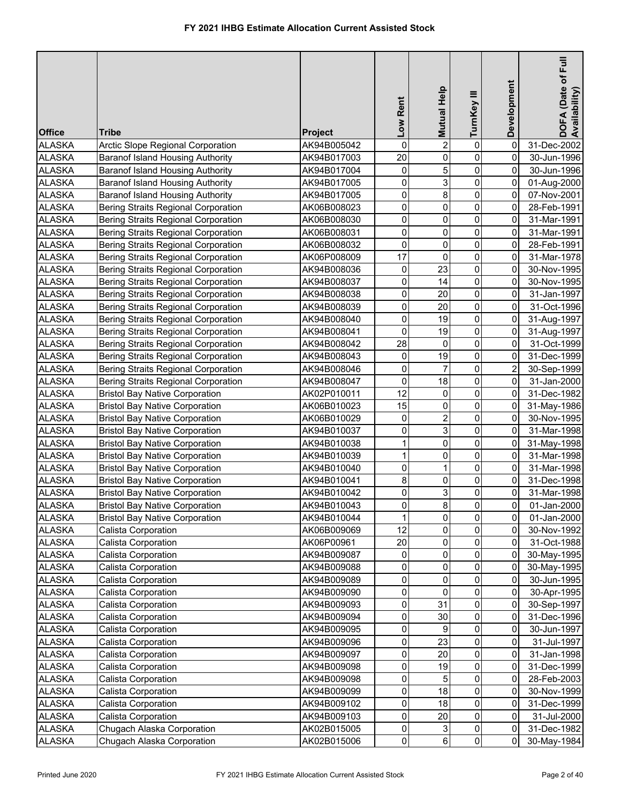| <b>Office</b> | Tribe                                                                                    | <b>Project</b> | Low Rent            | <b>Mutual Help</b> | TurnKey III             | Development             | DOFA (Date of Full<br>Availability) |
|---------------|------------------------------------------------------------------------------------------|----------------|---------------------|--------------------|-------------------------|-------------------------|-------------------------------------|
| <b>ALASKA</b> | Arctic Slope Regional Corporation                                                        | AK94B005042    | 0                   | $\overline{2}$     | $\pmb{0}$               | 0                       | 31-Dec-2002                         |
| <b>ALASKA</b> | Baranof Island Housing Authority                                                         | AK94B017003    | 20                  | 0                  | $\pmb{0}$               | 0                       | 30-Jun-1996                         |
| <b>ALASKA</b> | <b>Baranof Island Housing Authority</b>                                                  | AK94B017004    | 0                   | 5                  | $\mathbf 0$             | 0                       | 30-Jun-1996                         |
| <b>ALASKA</b> | <b>Baranof Island Housing Authority</b>                                                  | AK94B017005    | 0                   | 3                  | $\pmb{0}$               | 0                       | 01-Aug-2000                         |
| <b>ALASKA</b> | Baranof Island Housing Authority                                                         | AK94B017005    | 0                   | 8                  | $\mathsf{O}\xspace$     | 0                       | 07-Nov-2001                         |
| <b>ALASKA</b> | <b>Bering Straits Regional Corporation</b>                                               | AK06B008023    | 0                   | 0                  | $\mathbf 0$             | 0                       | 28-Feb-1991                         |
| <b>ALASKA</b> | <b>Bering Straits Regional Corporation</b>                                               | AK06B008030    | 0                   | 0                  | $\mathsf{O}\xspace$     | 0                       | 31-Mar-1991                         |
| <b>ALASKA</b> | <b>Bering Straits Regional Corporation</b>                                               | AK06B008031    | 0                   | 0                  | $\mathbf 0$             | 0                       | 31-Mar-1991                         |
| <b>ALASKA</b> | <b>Bering Straits Regional Corporation</b>                                               | AK06B008032    | 0                   | 0                  | $\pmb{0}$               | 0                       | 28-Feb-1991                         |
| <b>ALASKA</b> | <b>Bering Straits Regional Corporation</b>                                               | AK06P008009    | $\overline{17}$     | $\mathbf 0$        | $\mathbf 0$             | 0                       | 31-Mar-1978                         |
| <b>ALASKA</b> | <b>Bering Straits Regional Corporation</b>                                               | AK94B008036    | 0                   | 23                 | $\pmb{0}$               | 0                       | 30-Nov-1995                         |
| <b>ALASKA</b> | <b>Bering Straits Regional Corporation</b>                                               | AK94B008037    | 0                   | 14                 | $\mathsf{O}\xspace$     | 0                       | 30-Nov-1995                         |
| <b>ALASKA</b> | <b>Bering Straits Regional Corporation</b>                                               | AK94B008038    | 0                   | 20                 | $\mathbf 0$             | 0                       | 31-Jan-1997                         |
| <b>ALASKA</b> | Bering Straits Regional Corporation                                                      | AK94B008039    | 0                   | 20                 | $\mathbf 0$             | 0                       | 31-Oct-1996                         |
| <b>ALASKA</b> | <b>Bering Straits Regional Corporation</b>                                               | AK94B008040    | 0                   | 19                 | $\mathbf 0$             | 0                       | 31-Aug-1997                         |
|               |                                                                                          |                | 0                   |                    | $\mathbf 0$             | 0                       |                                     |
| <b>ALASKA</b> | <b>Bering Straits Regional Corporation</b><br><b>Bering Straits Regional Corporation</b> | AK94B008041    | 28                  | 19<br>0            | $\mathsf{O}\xspace$     | 0                       | 31-Aug-1997                         |
| <b>ALASKA</b> |                                                                                          | AK94B008042    |                     | 19                 | $\mathbf 0$             |                         | 31-Oct-1999                         |
| <b>ALASKA</b> | <b>Bering Straits Regional Corporation</b>                                               | AK94B008043    | $\mathbf 0$         |                    |                         | 0                       | 31-Dec-1999                         |
| <b>ALASKA</b> | <b>Bering Straits Regional Corporation</b>                                               | AK94B008046    | 0                   | 7                  | $\mathbf 0$<br>0        | $\overline{\mathbf{c}}$ | 30-Sep-1999                         |
| <b>ALASKA</b> | <b>Bering Straits Regional Corporation</b>                                               | AK94B008047    | 0                   | 18                 |                         | 0                       | 31-Jan-2000                         |
| <b>ALASKA</b> | <b>Bristol Bay Native Corporation</b>                                                    | AK02P010011    | 12                  | 0                  | 0                       | 0                       | 31-Dec-1982                         |
| <b>ALASKA</b> | <b>Bristol Bay Native Corporation</b>                                                    | AK06B010023    | 15                  | 0                  | 0                       | 0                       | 31-May-1986                         |
| <b>ALASKA</b> | <b>Bristol Bay Native Corporation</b>                                                    | AK06B010029    | 0                   | $\overline{2}$     | 0                       | 0                       | 30-Nov-1995                         |
| <b>ALASKA</b> | <b>Bristol Bay Native Corporation</b>                                                    | AK94B010037    | 0                   | 3                  | $\mathsf{O}\xspace$     | $\overline{0}$          | 31-Mar-1998                         |
| <b>ALASKA</b> | <b>Bristol Bay Native Corporation</b>                                                    | AK94B010038    | $\mathbf{1}$        | 0                  | $\pmb{0}$               | $\overline{0}$          | 31-May-1998                         |
| <b>ALASKA</b> | <b>Bristol Bay Native Corporation</b>                                                    | AK94B010039    | 1                   | 0                  | $\pmb{0}$               | $\overline{0}$          | 31-Mar-1998                         |
| <b>ALASKA</b> | <b>Bristol Bay Native Corporation</b>                                                    | AK94B010040    | 0                   | 1                  | $\pmb{0}$               | $\overline{0}$          | 31-Mar-1998                         |
| <b>ALASKA</b> | <b>Bristol Bay Native Corporation</b>                                                    | AK94B010041    | 8                   | 0                  | $\pmb{0}$               | $\overline{0}$          | 31-Dec-1998                         |
| <b>ALASKA</b> | <b>Bristol Bay Native Corporation</b>                                                    | AK94B010042    | 0                   | 3                  | $\pmb{0}$               | $\overline{0}$          | 31-Mar-1998                         |
| <b>ALASKA</b> | <b>Bristol Bay Native Corporation</b>                                                    | AK94B010043    | $\mathsf{O}\xspace$ | $\infty$           | $\overline{\mathbf{0}}$ | $\overline{0}$          | 01-Jan-2000                         |
| <b>ALASKA</b> | <b>Bristol Bay Native Corporation</b>                                                    | AK94B010044    | $\overline{1}$      | $\overline{0}$     | $\overline{0}$          | 0                       | 01-Jan-2000                         |
| <b>ALASKA</b> | Calista Corporation                                                                      | AK06B009069    | 12                  | 0                  | 0                       | 0                       | 30-Nov-1992                         |
| <b>ALASKA</b> | Calista Corporation                                                                      | AK06P00961     | 20                  | 0                  | 0                       | 0                       | 31-Oct-1988                         |
| <b>ALASKA</b> | Calista Corporation                                                                      | AK94B009087    | 0                   | 0                  | 0                       | 0                       | 30-May-1995                         |
| <b>ALASKA</b> | Calista Corporation                                                                      | AK94B009088    | 0                   | 0                  | 0                       | 0                       | 30-May-1995                         |
| <b>ALASKA</b> | Calista Corporation                                                                      | AK94B009089    | 0                   | 0                  | 0                       | 0                       | 30-Jun-1995                         |
| <b>ALASKA</b> | Calista Corporation                                                                      | AK94B009090    | 0                   | 0                  | $\pmb{0}$               | 0                       | 30-Apr-1995                         |
| <b>ALASKA</b> | Calista Corporation                                                                      | AK94B009093    | 0                   | 31                 | 0                       | 0                       | 30-Sep-1997                         |
| <b>ALASKA</b> | Calista Corporation                                                                      | AK94B009094    | 0                   | 30                 | 0                       | 0                       | 31-Dec-1996                         |
| <b>ALASKA</b> | Calista Corporation                                                                      | AK94B009095    | 0                   | 9                  | 0                       | 0                       | 30-Jun-1997                         |
| <b>ALASKA</b> | Calista Corporation                                                                      | AK94B009096    | 0                   | 23                 | $\overline{0}$          | 0                       | 31-Jul-1997                         |
| <b>ALASKA</b> | Calista Corporation                                                                      | AK94B009097    | 0                   | 20                 | 0                       | 0                       | 31-Jan-1998                         |
| <b>ALASKA</b> | Calista Corporation                                                                      | AK94B009098    | 0                   | 19                 | 0                       | 0                       | 31-Dec-1999                         |
| <b>ALASKA</b> | Calista Corporation                                                                      | AK94B009098    | 0                   | 5                  | $\mathbf 0$             | 0                       | 28-Feb-2003                         |
| <b>ALASKA</b> | Calista Corporation                                                                      | AK94B009099    | 0                   | 18                 | 0                       | 0                       | 30-Nov-1999                         |
| <b>ALASKA</b> | Calista Corporation                                                                      | AK94B009102    | 0                   | 18                 | 0                       | 0                       | 31-Dec-1999                         |
| <b>ALASKA</b> | Calista Corporation                                                                      | AK94B009103    | 0                   | 20                 | $\mathsf{O}\xspace$     | 0                       | 31-Jul-2000                         |
| <b>ALASKA</b> | Chugach Alaska Corporation                                                               | AK02B015005    | $\mathsf{O}\xspace$ | 3                  | $\overline{0}$          | 0                       | 31-Dec-1982                         |
| <b>ALASKA</b> | Chugach Alaska Corporation                                                               | AK02B015006    | $\overline{0}$      | 6 <sup>1</sup>     | $\overline{0}$          | $\overline{0}$          | 30-May-1984                         |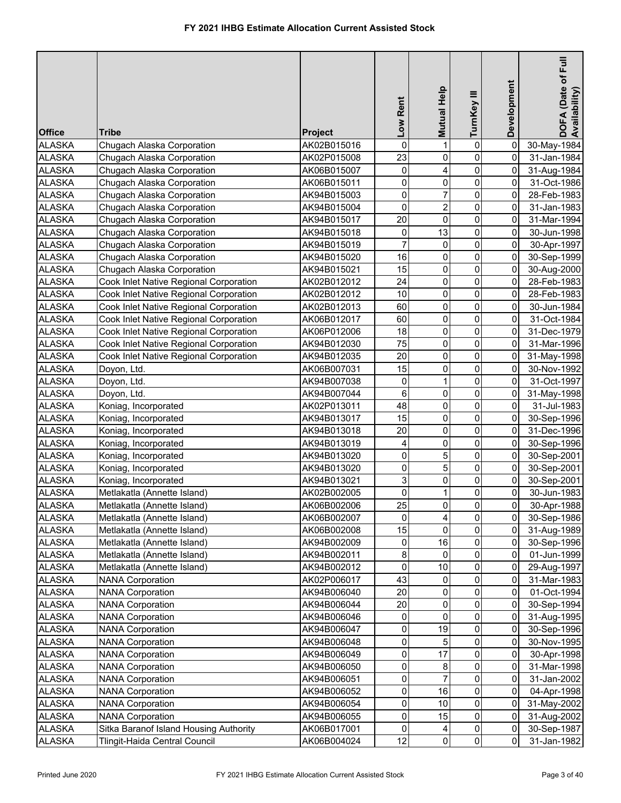| <b>Office</b>                  | Tribe                                  | <b>Project</b>             | Low Rent       | <b>Mutual Help</b> | TurnKey III         | Development    | DOFA (Date of Full<br>Availability) |
|--------------------------------|----------------------------------------|----------------------------|----------------|--------------------|---------------------|----------------|-------------------------------------|
| <b>ALASKA</b>                  | Chugach Alaska Corporation             | AK02B015016                | 0              | 1                  | $\pmb{0}$           | 0              | 30-May-1984                         |
| <b>ALASKA</b>                  | Chugach Alaska Corporation             | AK02P015008                | 23             | 0                  | $\pmb{0}$           | 0              | 31-Jan-1984                         |
| <b>ALASKA</b>                  | Chugach Alaska Corporation             | AK06B015007                | 0              | 4                  | $\mathbf 0$         | 0              | 31-Aug-1984                         |
| <b>ALASKA</b>                  | Chugach Alaska Corporation             | AK06B015011                | 0              | 0                  | $\pmb{0}$           | 0              | 31-Oct-1986                         |
| <b>ALASKA</b>                  | Chugach Alaska Corporation             | AK94B015003                | 0              | $\overline{7}$     | $\mathsf{O}\xspace$ | 0              | 28-Feb-1983                         |
| <b>ALASKA</b>                  | Chugach Alaska Corporation             | AK94B015004                | 0              | $\overline{c}$     | $\mathbf 0$         | 0              | 31-Jan-1983                         |
| <b>ALASKA</b>                  | Chugach Alaska Corporation             | AK94B015017                | 20             | 0                  | $\mathsf{O}\xspace$ | 0              | 31-Mar-1994                         |
| <b>ALASKA</b>                  | Chugach Alaska Corporation             | AK94B015018                | 0              | 13                 | $\mathbf 0$         | 0              | 30-Jun-1998                         |
| <b>ALASKA</b>                  | Chugach Alaska Corporation             | AK94B015019                | $\overline{7}$ | 0                  | $\mathsf{O}\xspace$ | 0              | 30-Apr-1997                         |
| <b>ALASKA</b>                  | Chugach Alaska Corporation             | AK94B015020                | 16             | 0                  | $\mathbf 0$         | 0              | 30-Sep-1999                         |
| <b>ALASKA</b>                  | Chugach Alaska Corporation             | AK94B015021                | 15             | 0                  | $\pmb{0}$           | $\overline{0}$ | 30-Aug-2000                         |
| <b>ALASKA</b>                  | Cook Inlet Native Regional Corporation | AK02B012012                | 24             | 0                  | $\mathsf{O}\xspace$ | 0              | 28-Feb-1983                         |
| <b>ALASKA</b>                  | Cook Inlet Native Regional Corporation | AK02B012012                | 10             | 0                  | $\mathbf 0$         | 0              | 28-Feb-1983                         |
| <b>ALASKA</b>                  | Cook Inlet Native Regional Corporation | AK02B012013                | 60             | 0                  | $\mathbf 0$         | 0              | 30-Jun-1984                         |
| <b>ALASKA</b>                  | Cook Inlet Native Regional Corporation | AK06B012017                | 60             | 0                  | $\mathbf 0$         | 0              | 31-Oct-1984                         |
| <b>ALASKA</b>                  | Cook Inlet Native Regional Corporation | AK06P012006                | 18             | 0                  | $\mathbf 0$         | 0              | 31-Dec-1979                         |
| <b>ALASKA</b>                  | Cook Inlet Native Regional Corporation | AK94B012030                | 75             | 0                  | $\mathbf 0$         | 0              | 31-Mar-1996                         |
| <b>ALASKA</b>                  | Cook Inlet Native Regional Corporation | AK94B012035                | 20             | 0                  | $\mathbf 0$         | 0              | 31-May-1998                         |
| <b>ALASKA</b>                  | Doyon, Ltd.                            | AK06B007031                | 15             | 0                  | $\mathbf 0$         | 0              | 30-Nov-1992                         |
| <b>ALASKA</b>                  | Doyon, Ltd.                            | AK94B007038                | $\mathbf 0$    | 1                  | 0                   | 0              | 31-Oct-1997                         |
| <b>ALASKA</b>                  | Doyon, Ltd.                            | AK94B007044                | 6              | 0                  | 0                   | 0              | 31-May-1998                         |
| <b>ALASKA</b>                  | Koniag, Incorporated                   | AK02P013011                | 48             | 0                  | $\mathbf 0$         | 0              | 31-Jul-1983                         |
| <b>ALASKA</b>                  | Koniag, Incorporated                   | AK94B013017                | 15             | 0                  | 0                   | 0              | 30-Sep-1996                         |
| <b>ALASKA</b>                  | Koniag, Incorporated                   | AK94B013018                | 20             | 0                  | $\mathsf{O}\xspace$ | $\overline{0}$ | 31-Dec-1996                         |
| <b>ALASKA</b>                  | Koniag, Incorporated                   | AK94B013019                | 4              | 0                  | $\pmb{0}$           | 0              | 30-Sep-1996                         |
| <b>ALASKA</b>                  | Koniag, Incorporated                   | AK94B013020                | 0              | 5                  | $\mathbf 0$         | $\overline{0}$ | 30-Sep-2001                         |
| <b>ALASKA</b>                  | Koniag, Incorporated                   | AK94B013020                | 0              | 5                  | $\pmb{0}$           | $\overline{0}$ | 30-Sep-2001                         |
| <b>ALASKA</b>                  | Koniag, Incorporated                   | AK94B013021                | 3              | 0                  | $\mathbf 0$         | 0              | 30-Sep-2001                         |
| <b>ALASKA</b>                  | Metlakatla (Annette Island)            | AK02B002005                | 0              | 1                  | $\pmb{0}$           | 0              | 30-Jun-1983                         |
| <b>ALASKA</b>                  | Metlakatla (Annette Island)            | AK06B002006                | 25             | $\overline{0}$     | $\overline{0}$      | $\overline{0}$ | 30-Apr-1988                         |
| <b>ALASKA</b>                  | Metlakatla (Annette Island)            | AK06B002007                | 0              | $\overline{4}$     | $\overline{0}$      | 0              | 30-Sep-1986                         |
| <b>ALASKA</b>                  | Metlakatla (Annette Island)            |                            | 15             | 0                  | $\overline{0}$      | $\overline{0}$ |                                     |
| <b>ALASKA</b>                  | Metlakatla (Annette Island)            | AK06B002008                | 0              | 16                 | 0                   | 0              | 31-Aug-1989                         |
| <b>ALASKA</b>                  | Metlakatla (Annette Island)            | AK94B002009<br>AK94B002011 | 8              | 0                  | 0                   | 0              | 30-Sep-1996<br>01-Jun-1999          |
| <b>ALASKA</b>                  | Metlakatla (Annette Island)            | AK94B002012                | 0              | 10                 | 0                   | 0              | 29-Aug-1997                         |
| <b>ALASKA</b>                  | <b>NANA Corporation</b>                | AK02P006017                | 43             | 0                  | $\mathbf{0}$        | 0              | 31-Mar-1983                         |
| <b>ALASKA</b>                  | <b>NANA Corporation</b>                | AK94B006040                | 20             | 0                  | $\pmb{0}$           | 0              | 01-Oct-1994                         |
| <b>ALASKA</b>                  | <b>NANA Corporation</b>                |                            | 20             | 0                  | 0                   | 0              |                                     |
| <b>ALASKA</b>                  | <b>NANA Corporation</b>                | AK94B006044<br>AK94B006046 | 0              | 0                  | 0                   | 0              | 30-Sep-1994<br>31-Aug-1995          |
| <b>ALASKA</b>                  | <b>NANA Corporation</b>                |                            | 0              | 19                 | $\overline{0}$      | 0              |                                     |
|                                | <b>NANA Corporation</b>                | AK94B006047                | 0              | 5                  | 0                   | 0              | 30-Sep-1996                         |
| <b>ALASKA</b><br><b>ALASKA</b> | <b>NANA Corporation</b>                | AK94B006048<br>AK94B006049 | 0              | 17                 | 0                   | 0              | 30-Nov-1995                         |
|                                | <b>NANA Corporation</b>                |                            | 0              | 8                  | 0                   | 0              | 30-Apr-1998                         |
| <b>ALASKA</b>                  |                                        | AK94B006050                |                | 7                  |                     |                | 31-Mar-1998                         |
| <b>ALASKA</b><br><b>ALASKA</b> | <b>NANA Corporation</b>                | AK94B006051                | 0<br>0         | 16                 | 0<br>$\mathbf 0$    | 0<br>0         | 31-Jan-2002                         |
|                                | <b>NANA Corporation</b>                | AK94B006052                |                |                    | 0                   |                | 04-Apr-1998                         |
| <b>ALASKA</b>                  | <b>NANA Corporation</b>                | AK94B006054                | 0<br>0         | 10<br>15           | $\mathsf{O}\xspace$ | 0<br>0         | 31-May-2002                         |
| <b>ALASKA</b><br><b>ALASKA</b> | <b>NANA Corporation</b>                | AK94B006055                | 0              |                    | $\overline{0}$      | 0              | 31-Aug-2002                         |
|                                | Sitka Baranof Island Housing Authority | AK06B017001                |                | 4                  |                     | $\overline{0}$ | 30-Sep-1987                         |
| <b>ALASKA</b>                  | Tlingit-Haida Central Council          | AK06B004024                | 12             | $\overline{0}$     | $\overline{0}$      |                | 31-Jan-1982                         |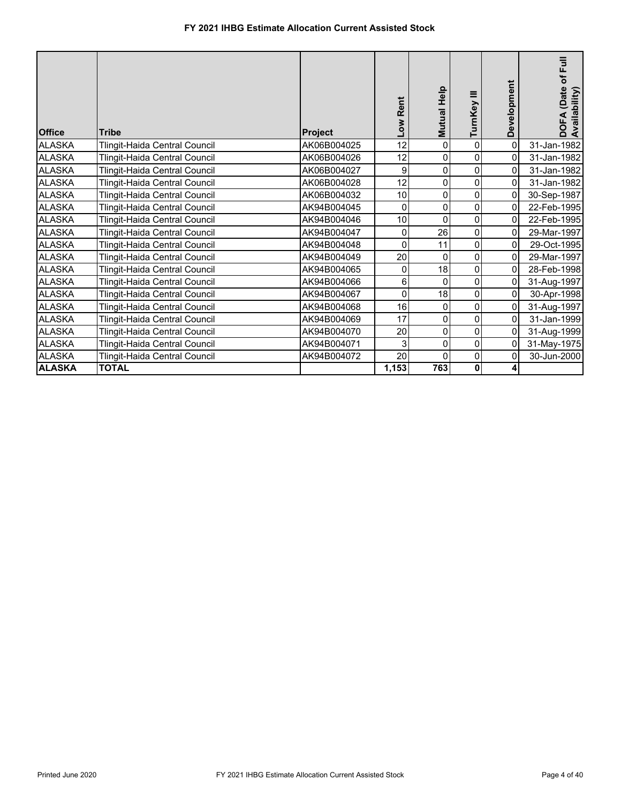| <b>Office</b> | <b>Tribe</b>                  | <b>Project</b> | Rent<br>Mo7 | Help<br><b>Mutual</b> | ≡<br>TurnKey   | Development    | of Full<br>(Date<br>vailability)<br>DOFA<br>Availal |
|---------------|-------------------------------|----------------|-------------|-----------------------|----------------|----------------|-----------------------------------------------------|
| <b>ALASKA</b> | Tlingit-Haida Central Council | AK06B004025    | 12          | $\mathbf{0}$          | $\mathbf 0$    | $\overline{0}$ | 31-Jan-1982                                         |
| <b>ALASKA</b> | Tlingit-Haida Central Council | AK06B004026    | 12          | 0                     | 0              | 0              | 31-Jan-1982                                         |
| <b>ALASKA</b> | Tlingit-Haida Central Council | AK06B004027    | 9           | 0                     | 0              | $\overline{0}$ | 31-Jan-1982                                         |
| <b>ALASKA</b> | Tlingit-Haida Central Council | AK06B004028    | 12          | 0                     | 0              | $\overline{0}$ | 31-Jan-1982                                         |
| <b>ALASKA</b> | Tlingit-Haida Central Council | AK06B004032    | 10          | 0                     | 0              | 0              | 30-Sep-1987                                         |
| <b>ALASKA</b> | Tlingit-Haida Central Council | AK94B004045    | 0           | $\Omega$              | $\Omega$       | 0              | 22-Feb-1995                                         |
| <b>ALASKA</b> | Tlingit-Haida Central Council | AK94B004046    | 10          | $\mathbf 0$           | $\overline{0}$ | 0              | 22-Feb-1995                                         |
| <b>ALASKA</b> | Tlingit-Haida Central Council | AK94B004047    | 0           | 26                    | 0              | $\mathbf 0$    | 29-Mar-1997                                         |
| <b>ALASKA</b> | Tlingit-Haida Central Council | AK94B004048    | 0           | 11                    | $\Omega$       | $\Omega$       | 29-Oct-1995                                         |
| <b>ALASKA</b> | Tlingit-Haida Central Council | AK94B004049    | 20          | $\Omega$              | 0              | $\Omega$       | 29-Mar-1997                                         |
| <b>ALASKA</b> | Tlingit-Haida Central Council | AK94B004065    | 0           | 18                    | 0              | 0              | 28-Feb-1998                                         |
| <b>ALASKA</b> | Tlingit-Haida Central Council | AK94B004066    | 6           | 0                     | $\Omega$       | 0              | 31-Aug-1997                                         |
| <b>ALASKA</b> | Tlingit-Haida Central Council | AK94B004067    | 0           | 18                    | 0              | 0              | 30-Apr-1998                                         |
| <b>ALASKA</b> | Tlingit-Haida Central Council | AK94B004068    | 16          | $\mathbf 0$           | $\mathbf 0$    | 0              | 31-Aug-1997                                         |
| <b>ALASKA</b> | Tlingit-Haida Central Council | AK94B004069    | 17          | 0                     | 0              | 0              | 31-Jan-1999                                         |
| <b>ALASKA</b> | Tlingit-Haida Central Council | AK94B004070    | 20          | 0                     | 0              | 0              | 31-Aug-1999                                         |
| <b>ALASKA</b> | Tlingit-Haida Central Council | AK94B004071    | 3           | $\mathbf 0$           | 0              | $\Omega$       | 31-May-1975                                         |
| <b>ALASKA</b> | Tlingit-Haida Central Council | AK94B004072    | 20          | 0                     | 0              | 0              | 30-Jun-2000                                         |
| <b>ALASKA</b> | <b>TOTAL</b>                  |                | 1,153       | 763                   | $\mathbf{0}$   | 4              |                                                     |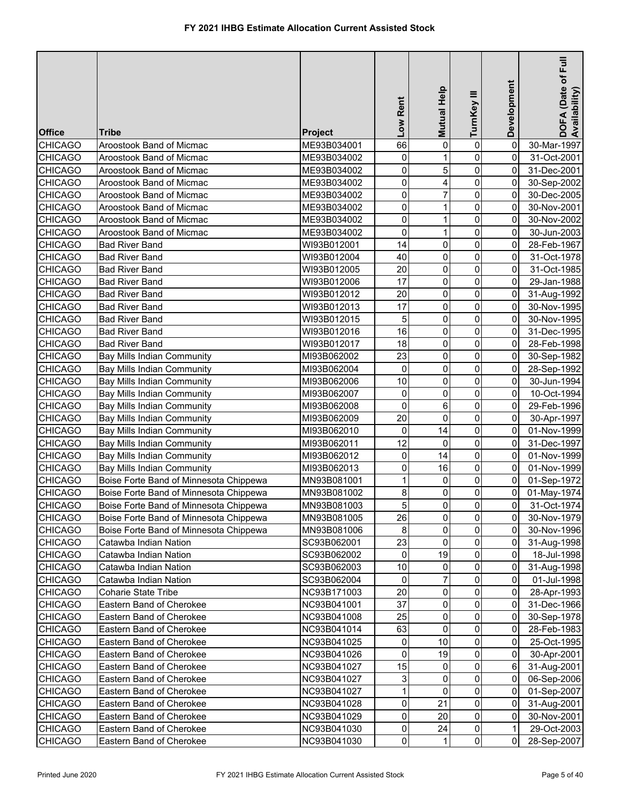| Mutual Help<br>TurnKey III<br>Low Rent<br><b>Office</b><br>Tribe<br>Project                                                        | DOFA (Date of F<br>Availability)<br>Development |
|------------------------------------------------------------------------------------------------------------------------------------|-------------------------------------------------|
| $\pmb{0}$<br><b>CHICAGO</b><br>66<br>0<br>Aroostook Band of Micmac<br>ME93B034001                                                  | 0<br>30-Mar-1997                                |
| 0<br><b>CHICAGO</b><br>0<br>Aroostook Band of Micmac<br>ME93B034002<br>1                                                           | 0<br>31-Oct-2001                                |
| 0<br>5<br>0<br><b>CHICAGO</b><br>Aroostook Band of Micmac<br>ME93B034002                                                           | 0<br>31-Dec-2001                                |
| 0<br>0<br><b>CHICAGO</b><br>Aroostook Band of Micmac<br>ME93B034002<br>4                                                           | 0<br>30-Sep-2002                                |
| 0<br>7<br>0<br><b>CHICAGO</b><br>Aroostook Band of Micmac<br>ME93B034002                                                           | 0<br>30-Dec-2005                                |
| $\mathbf 0$<br>0<br><b>CHICAGO</b><br>1<br>Aroostook Band of Micmac<br>ME93B034002                                                 | 0<br>30-Nov-2001                                |
| 0<br>0<br><b>CHICAGO</b><br>Aroostook Band of Micmac<br>ME93B034002<br>1                                                           | 0<br>30-Nov-2002                                |
| 0<br>0<br><b>CHICAGO</b><br>Aroostook Band of Micmac<br>ME93B034002                                                                | 30-Jun-2003<br>0                                |
| 0<br><b>CHICAGO</b><br>14<br>0<br><b>Bad River Band</b><br>WI93B012001                                                             | 0<br>28-Feb-1967                                |
| 40<br>0<br><b>CHICAGO</b><br>0<br><b>Bad River Band</b><br>WI93B012004                                                             | 0<br>31-Oct-1978                                |
| 20<br>$\mathbf 0$<br><b>CHICAGO</b><br>0<br><b>Bad River Band</b><br>WI93B012005                                                   | 0<br>31-Oct-1985                                |
| 17<br>0<br>0<br><b>CHICAGO</b><br><b>Bad River Band</b><br>WI93B012006                                                             | 29-Jan-1988<br>0                                |
| 20<br>0<br>0<br><b>CHICAGO</b><br><b>Bad River Band</b><br>WI93B012012                                                             | 0<br>31-Aug-1992                                |
| 17<br>0<br>0<br><b>CHICAGO</b><br><b>Bad River Band</b><br>WI93B012013                                                             | 0<br>30-Nov-1995                                |
| 5<br>0<br>0<br><b>CHICAGO</b><br><b>Bad River Band</b><br>WI93B012015                                                              | 0<br>30-Nov-1995                                |
| 16<br>$\pmb{0}$<br>0<br><b>CHICAGO</b><br><b>Bad River Band</b><br>WI93B012016                                                     | 0<br>31-Dec-1995                                |
| 0<br>18<br>0<br><b>CHICAGO</b><br><b>Bad River Band</b><br>WI93B012017                                                             | 0<br>28-Feb-1998                                |
| 23<br>0<br><b>CHICAGO</b><br>Bay Mills Indian Community<br>MI93B062002<br>0                                                        | 0<br>30-Sep-1982                                |
| 0<br><b>CHICAGO</b><br><b>Bay Mills Indian Community</b><br>0<br>0<br>MI93B062004                                                  | 0<br>28-Sep-1992                                |
| 10<br>0<br><b>CHICAGO</b><br><b>Bay Mills Indian Community</b><br>MI93B062006<br>0                                                 | 0<br>30-Jun-1994                                |
| 0<br><b>CHICAGO</b><br><b>Bay Mills Indian Community</b><br>MI93B062007<br>0<br>0                                                  | 0<br>10-Oct-1994                                |
| 0<br>0<br><b>CHICAGO</b><br>6<br><b>Bay Mills Indian Community</b><br>MI93B062008                                                  | 0<br>29-Feb-1996                                |
| $\mathbf 0$<br>20<br>0<br><b>CHICAGO</b><br><b>Bay Mills Indian Community</b><br>MI93B062009                                       | 0<br>30-Apr-1997                                |
| 0<br><b>CHICAGO</b><br><b>Bay Mills Indian Community</b><br>0<br>MI93B062010<br>14                                                 | 0<br>01-Nov-1999                                |
| 12<br>0<br><b>CHICAGO</b><br><b>Bay Mills Indian Community</b><br>MI93B062011<br>0                                                 | 0<br>31-Dec-1997                                |
| 0<br><b>CHICAGO</b><br><b>Bay Mills Indian Community</b><br>0<br>14<br>MI93B062012                                                 | 0<br>01-Nov-1999                                |
| 0<br>0<br><b>CHICAGO</b><br><b>Bay Mills Indian Community</b><br>MI93B062013<br>16                                                 | 0<br>01-Nov-1999                                |
| $\mathbf{1}$<br>0<br>Boise Forte Band of Minnesota Chippewa<br><b>CHICAGO</b><br>MN93B081001<br>0                                  | 0<br>01-Sep-1972                                |
| $\bf 8$<br>0<br><b>CHICAGO</b><br>0<br>Boise Forte Band of Minnesota Chippewa<br>MN93B081002                                       | $\overline{0}$<br>01-May-1974                   |
| $\overline{5}$<br><b>CHICAGO</b><br>$\overline{0}$<br>$\mathsf{O}\xspace$<br>Boise Forte Band of Minnesota Chippewa<br>MN93B081003 | $\overline{\mathbf{0}}$<br>31-Oct-1974          |
| $\overline{0}$<br>0<br>26<br><b>CHICAGO</b><br>Boise Forte Band of Minnesota Chippewa<br>MN93B081005                               | 0<br>30-Nov-1979                                |
| $\bf 8$<br>$\overline{0}$<br><b>CHICAGO</b><br>Boise Forte Band of Minnesota Chippewa<br>0<br>MN93B081006                          | 0<br>30-Nov-1996                                |
| 23<br>$\overline{0}$<br>0<br><b>CHICAGO</b><br>Catawba Indian Nation<br>SC93B062001                                                | 0<br>31-Aug-1998                                |
| 19<br>$\overline{0}$<br><b>CHICAGO</b><br>0<br>Catawba Indian Nation<br>SC93B062002                                                | 0<br>18-Jul-1998                                |
| 10<br>$\overline{0}$<br><b>CHICAGO</b><br>Catawba Indian Nation<br>SC93B062003<br>0                                                | 0<br>31-Aug-1998                                |
| 0<br>0<br><b>CHICAGO</b><br>Catawba Indian Nation<br>SC93B062004                                                                   | 0<br>01-Jul-1998                                |
| 20<br><b>CHICAGO</b><br>Coharie State Tribe<br>0<br>0<br>NC93B171003                                                               | 0<br>28-Apr-1993                                |
| 37<br>0<br><b>CHICAGO</b><br>Eastern Band of Cherokee<br>0<br>NC93B041001                                                          | 0<br>31-Dec-1966                                |
| 25<br>0<br><b>CHICAGO</b><br>0<br>Eastern Band of Cherokee<br>NC93B041008                                                          | 0<br>30-Sep-1978                                |
| 63<br>0<br>0<br><b>CHICAGO</b><br>Eastern Band of Cherokee<br>NC93B041014                                                          | 0<br>28-Feb-1983                                |
| 0<br>0<br>10<br><b>CHICAGO</b><br>Eastern Band of Cherokee<br>NC93B041025                                                          | 0<br>25-Oct-1995                                |
| 0<br>0<br>19<br><b>CHICAGO</b><br>Eastern Band of Cherokee<br>NC93B041026                                                          | 0<br>30-Apr-2001                                |
| 15<br>0<br><b>CHICAGO</b><br>Eastern Band of Cherokee<br>NC93B041027<br>0                                                          | 6<br>31-Aug-2001                                |
| 3<br>0<br><b>CHICAGO</b><br>Eastern Band of Cherokee<br>NC93B041027<br>0                                                           | 0<br>06-Sep-2006                                |
| 1<br>0<br><b>CHICAGO</b><br>0<br>Eastern Band of Cherokee<br>NC93B041027                                                           | 0<br>01-Sep-2007                                |
| 0<br>0<br>21<br><b>CHICAGO</b><br>Eastern Band of Cherokee<br>NC93B041028                                                          | 0<br>31-Aug-2001                                |
| $\mathsf{o}$<br>$\overline{0}$<br>20<br><b>CHICAGO</b><br>Eastern Band of Cherokee<br>NC93B041029                                  | $\mathbf 0$<br>30-Nov-2001                      |
| $\mathsf{O}\xspace$<br>$\overline{0}$<br>24<br><b>CHICAGO</b><br>Eastern Band of Cherokee<br>NC93B041030                           | 1<br>29-Oct-2003                                |
| $\overline{0}$<br>$\overline{0}$<br><b>CHICAGO</b><br>Eastern Band of Cherokee<br>NC93B041030<br>1                                 | $\mathbf 0$<br>28-Sep-2007                      |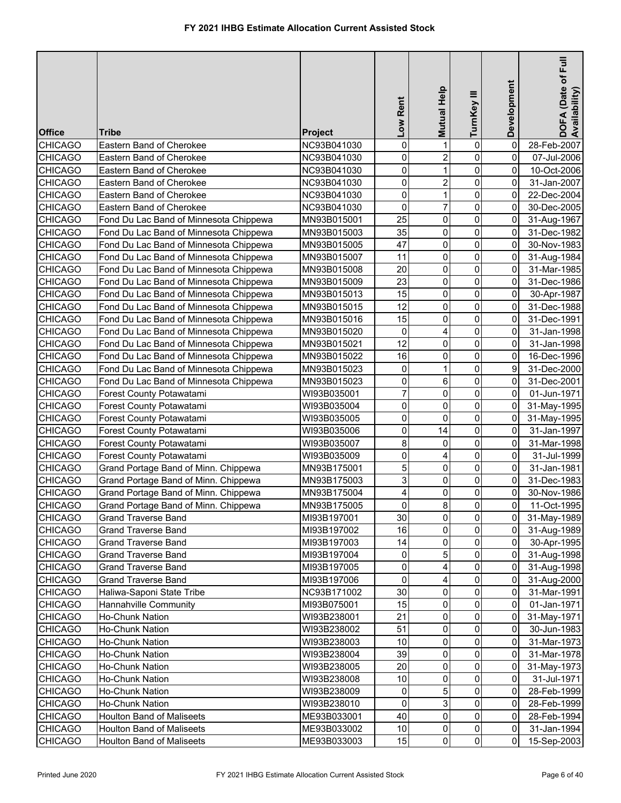| <b>Office</b>  | Tribe                                  | <b>Project</b> | Low Rent                | Mutual Help    | TurnKey III             | Development    | DOFA (Date of Full<br>Availability) |
|----------------|----------------------------------------|----------------|-------------------------|----------------|-------------------------|----------------|-------------------------------------|
| <b>CHICAGO</b> | Eastern Band of Cherokee               | NC93B041030    | 0                       | 1              | 0                       | 0              | 28-Feb-2007                         |
| <b>CHICAGO</b> | Eastern Band of Cherokee               | NC93B041030    | 0                       | $\overline{2}$ | $\mathbf 0$             | 0              | 07-Jul-2006                         |
| <b>CHICAGO</b> | Eastern Band of Cherokee               | NC93B041030    | 0                       | 1              | $\mathbf 0$             | 0              | 10-Oct-2006                         |
| <b>CHICAGO</b> | Eastern Band of Cherokee               | NC93B041030    | 0                       | $\overline{2}$ | $\pmb{0}$               | 0              | 31-Jan-2007                         |
| <b>CHICAGO</b> | Eastern Band of Cherokee               | NC93B041030    | 0                       | $\mathbf{1}$   | $\mathsf{O}\xspace$     | 0              | 22-Dec-2004                         |
| <b>CHICAGO</b> | Eastern Band of Cherokee               | NC93B041030    | 0                       | $\overline{7}$ | $\mathbf 0$             | 0              | 30-Dec-2005                         |
| <b>CHICAGO</b> | Fond Du Lac Band of Minnesota Chippewa | MN93B015001    | 25                      | 0              | $\mathsf{O}\xspace$     | 0              | 31-Aug-1967                         |
| <b>CHICAGO</b> | Fond Du Lac Band of Minnesota Chippewa | MN93B015003    | 35                      | 0              | $\mathbf 0$             | 0              | 31-Dec-1982                         |
| <b>CHICAGO</b> | Fond Du Lac Band of Minnesota Chippewa | MN93B015005    | 47                      | 0              | $\mathsf{O}\xspace$     | 0              | 30-Nov-1983                         |
| <b>CHICAGO</b> | Fond Du Lac Band of Minnesota Chippewa | MN93B015007    | 11                      | 0              | $\mathbf 0$             | 0              | 31-Aug-1984                         |
| <b>CHICAGO</b> | Fond Du Lac Band of Minnesota Chippewa | MN93B015008    | 20                      | 0              | $\pmb{0}$               | 0              | 31-Mar-1985                         |
| <b>CHICAGO</b> | Fond Du Lac Band of Minnesota Chippewa | MN93B015009    | 23                      | 0              | $\mathsf{O}\xspace$     | 0              | 31-Dec-1986                         |
| <b>CHICAGO</b> | Fond Du Lac Band of Minnesota Chippewa | MN93B015013    | 15                      | 0              | $\mathbf 0$             | 0              | 30-Apr-1987                         |
| <b>CHICAGO</b> | Fond Du Lac Band of Minnesota Chippewa | MN93B015015    | 12                      | 0              | $\mathbf 0$             | 0              | 31-Dec-1988                         |
| <b>CHICAGO</b> | Fond Du Lac Band of Minnesota Chippewa | MN93B015016    | 15                      | 0              | $\mathbf 0$             | 0              | 31-Dec-1991                         |
|                |                                        |                | 0                       |                | $\mathbf 0$             |                |                                     |
| <b>CHICAGO</b> | Fond Du Lac Band of Minnesota Chippewa | MN93B015020    | 12                      | 4<br>0         | 0                       | 0<br>0         | 31-Jan-1998<br>31-Jan-1998          |
| <b>CHICAGO</b> | Fond Du Lac Band of Minnesota Chippewa | MN93B015021    | 16                      |                | $\mathbf 0$             |                |                                     |
| <b>CHICAGO</b> | Fond Du Lac Band of Minnesota Chippewa | MN93B015022    |                         | 0              |                         | 0              | 16-Dec-1996                         |
| <b>CHICAGO</b> | Fond Du Lac Band of Minnesota Chippewa | MN93B015023    | $\mathbf 0$             | 1              | 0                       | 9              | 31-Dec-2000                         |
| <b>CHICAGO</b> | Fond Du Lac Band of Minnesota Chippewa | MN93B015023    | 0<br>$\overline{7}$     | 6              | 0                       | 0              | 31-Dec-2001                         |
| <b>CHICAGO</b> | Forest County Potawatami               | WI93B035001    |                         | 0              | 0                       | 0              | 01-Jun-1971                         |
| <b>CHICAGO</b> | Forest County Potawatami               | WI93B035004    | 0                       | 0              | 0                       | 0              | 31-May-1995                         |
| <b>CHICAGO</b> | Forest County Potawatami               | WI93B035005    | 0                       | 0              | 0                       | 0              | 31-May-1995                         |
| <b>CHICAGO</b> | Forest County Potawatami               | WI93B035006    | 0                       | 14             | $\mathsf{O}\xspace$     | $\overline{0}$ | 31-Jan-1997                         |
| <b>CHICAGO</b> | Forest County Potawatami               | WI93B035007    | 8                       | 0              | $\mathbf 0$             | 0              | 31-Mar-1998                         |
| <b>CHICAGO</b> | Forest County Potawatami               | WI93B035009    | 0                       | 4              | $\mathbf 0$             | 0              | 31-Jul-1999                         |
| <b>CHICAGO</b> | Grand Portage Band of Minn. Chippewa   | MN93B175001    | 5                       | 0              | $\pmb{0}$               | 0              | 31-Jan-1981                         |
| <b>CHICAGO</b> | Grand Portage Band of Minn. Chippewa   | MN93B175003    | 3                       | 0              | $\mathbf 0$             | 0              | 31-Dec-1983                         |
| <b>CHICAGO</b> | Grand Portage Band of Minn. Chippewa   | MN93B175004    | $\overline{\mathbf{r}}$ | 0              | $\pmb{0}$               | $\overline{0}$ | 30-Nov-1986                         |
| <b>CHICAGO</b> | Grand Portage Band of Minn. Chippewa   | MN93B175005    | $\overline{0}$          | $\infty$       | $\overline{\mathbf{0}}$ | $\overline{0}$ | 11-Oct-1995                         |
| <b>CHICAGO</b> | Grand Traverse Band                    | MI93B197001    | 30                      | $\overline{0}$ | $\overline{0}$          | $\overline{0}$ | 31-May-1989                         |
| <b>CHICAGO</b> | <b>Grand Traverse Band</b>             | MI93B197002    | 16                      | 0              | $\overline{0}$          | $\overline{0}$ | 31-Aug-1989                         |
| <b>CHICAGO</b> | <b>Grand Traverse Band</b>             | MI93B197003    | 14                      | 0              | $\overline{0}$          | 0              | 30-Apr-1995                         |
| <b>CHICAGO</b> | <b>Grand Traverse Band</b>             | MI93B197004    | 0                       | 5              | $\mathbf 0$             | 0              | 31-Aug-1998                         |
| <b>CHICAGO</b> | <b>Grand Traverse Band</b>             | MI93B197005    | 0                       | 4              | $\mathbf 0$             | 0              | 31-Aug-1998                         |
| <b>CHICAGO</b> | <b>Grand Traverse Band</b>             | MI93B197006    | 0                       | 4              | $\mathbf{0}$            | $\overline{0}$ | 31-Aug-2000                         |
| <b>CHICAGO</b> | Haliwa-Saponi State Tribe              | NC93B171002    | 30                      | 0              | 0                       | 0              | 31-Mar-1991                         |
| <b>CHICAGO</b> | Hannahville Community                  | MI93B075001    | 15                      | 0              | $\overline{0}$          | 0              | 01-Jan-1971                         |
| <b>CHICAGO</b> | Ho-Chunk Nation                        | WI93B238001    | 21                      | 0              | $\mathbf{0}$            | 0              | 31-May-1971                         |
| <b>CHICAGO</b> | Ho-Chunk Nation                        | WI93B238002    | 51                      | 0              | $\overline{0}$          | 01             | 30-Jun-1983                         |
| <b>CHICAGO</b> | Ho-Chunk Nation                        | WI93B238003    | 10                      | 0              | $\overline{0}$          | 0              | 31-Mar-1973                         |
| <b>CHICAGO</b> | Ho-Chunk Nation                        | WI93B238004    | 39                      | 0              | 0                       | 0              | 31-Mar-1978                         |
| <b>CHICAGO</b> | Ho-Chunk Nation                        | WI93B238005    | 20                      | 0              | $\overline{0}$          | 0              | 31-May-1973                         |
| <b>CHICAGO</b> | Ho-Chunk Nation                        | WI93B238008    | 10                      | 0              | $\mathbf 0$             | 0              | 31-Jul-1971                         |
| <b>CHICAGO</b> | Ho-Chunk Nation                        | WI93B238009    | 0                       | 5              | $\mathbf 0$             | 0              | 28-Feb-1999                         |
| <b>CHICAGO</b> | Ho-Chunk Nation                        | WI93B238010    | 0                       | 3              | 0                       | 0              | 28-Feb-1999                         |
| <b>CHICAGO</b> | <b>Houlton Band of Maliseets</b>       | ME93B033001    | 40                      | 0              | 0                       | $\overline{0}$ | 28-Feb-1994                         |
| <b>CHICAGO</b> | <b>Houlton Band of Maliseets</b>       | ME93B033002    | $10$                    | 0              | $\overline{0}$          | $\overline{0}$ | 31-Jan-1994                         |
| <b>CHICAGO</b> | Houlton Band of Maliseets              | ME93B033003    | 15                      | $\overline{0}$ | $\overline{0}$          | $\overline{0}$ | 15-Sep-2003                         |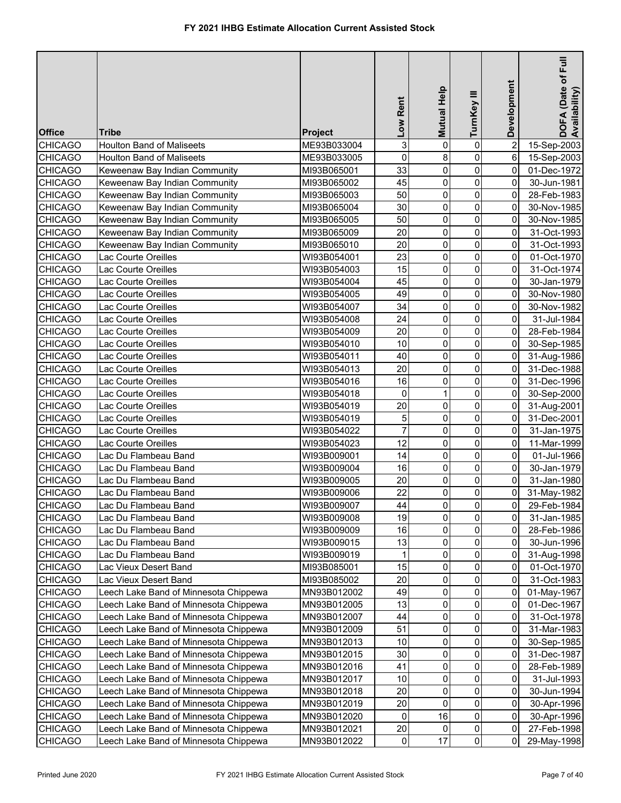| <b>Office</b>  | Tribe                                 | <b>Project</b> | Low Rent       | Mutual Help    | TurnKey III         | Development             | Full<br>DOFA (Date of F<br>Availability) |
|----------------|---------------------------------------|----------------|----------------|----------------|---------------------|-------------------------|------------------------------------------|
| <b>CHICAGO</b> | <b>Houlton Band of Maliseets</b>      | ME93B033004    | 3              | 0              | $\pmb{0}$           | $\overline{\mathbf{c}}$ | 15-Sep-2003                              |
| <b>CHICAGO</b> | <b>Houlton Band of Maliseets</b>      | ME93B033005    | 0              | 8              | $\mathsf{O}\xspace$ | 6                       | 15-Sep-2003                              |
| <b>CHICAGO</b> | Keweenaw Bay Indian Community         | MI93B065001    | 33             | 0              | $\pmb{0}$           | 0                       | 01-Dec-1972                              |
| <b>CHICAGO</b> | Keweenaw Bay Indian Community         | MI93B065002    | 45             | 0              | $\mathsf{O}\xspace$ | 0                       | 30-Jun-1981                              |
| <b>CHICAGO</b> | Keweenaw Bay Indian Community         | MI93B065003    | 50             | 0              | $\mathsf{O}\xspace$ | 0                       | 28-Feb-1983                              |
| <b>CHICAGO</b> | Keweenaw Bay Indian Community         | MI93B065004    | 30             | 0              | $\mathsf{O}\xspace$ | 0                       | 30-Nov-1985                              |
| <b>CHICAGO</b> | Keweenaw Bay Indian Community         | MI93B065005    | 50             | 0              | $\pmb{0}$           | 0                       | 30-Nov-1985                              |
| <b>CHICAGO</b> | Keweenaw Bay Indian Community         | MI93B065009    | 20             | 0              | $\mathbf 0$         | 0                       | 31-Oct-1993                              |
| <b>CHICAGO</b> | Keweenaw Bay Indian Community         | MI93B065010    | 20             | 0              | $\pmb{0}$           | 0                       | 31-Oct-1993                              |
| <b>CHICAGO</b> | Lac Courte Oreilles                   | WI93B054001    | 23             | 0              | $\mathsf{O}\xspace$ | 0                       | 01-Oct-1970                              |
| <b>CHICAGO</b> | Lac Courte Oreilles                   | WI93B054003    | 15             | 0              | $\mathbf 0$         | 0                       | 31-Oct-1974                              |
| <b>CHICAGO</b> | Lac Courte Oreilles                   | WI93B054004    | 45             | 0              | $\pmb{0}$           | 0                       | 30-Jan-1979                              |
| <b>CHICAGO</b> | Lac Courte Oreilles                   | WI93B054005    | 49             | 0              | $\pmb{0}$           | 0                       | 30-Nov-1980                              |
| <b>CHICAGO</b> | Lac Courte Oreilles                   | WI93B054007    | 34             | 0              | 0                   | 0                       | 30-Nov-1982                              |
| <b>CHICAGO</b> | Lac Courte Oreilles                   | WI93B054008    | 24             | 0              | $\pmb{0}$           | 0                       | 31-Jul-1984                              |
| <b>CHICAGO</b> | Lac Courte Oreilles                   | WI93B054009    | 20             | 0              | $\mathsf{O}\xspace$ | 0                       | 28-Feb-1984                              |
| <b>CHICAGO</b> | Lac Courte Oreilles                   | WI93B054010    | 10             | 0              | $\mathsf{O}\xspace$ | 0                       | 30-Sep-1985                              |
| <b>CHICAGO</b> | Lac Courte Oreilles                   | WI93B054011    | 40             | 0              | 0                   | 0                       | 31-Aug-1986                              |
| <b>CHICAGO</b> | Lac Courte Oreilles                   | WI93B054013    | 20             | 0              | 0                   | 0                       | 31-Dec-1988                              |
| <b>CHICAGO</b> | Lac Courte Oreilles                   | WI93B054016    | 16             | 0              | 0                   | 0                       | 31-Dec-1996                              |
| <b>CHICAGO</b> | Lac Courte Oreilles                   | WI93B054018    | 0              | 1              | 0                   | 0                       | 30-Sep-2000                              |
| <b>CHICAGO</b> | Lac Courte Oreilles                   | WI93B054019    | 20             | 0              | $\mathbf 0$         | 0                       | 31-Aug-2001                              |
| <b>CHICAGO</b> | Lac Courte Oreilles                   | WI93B054019    | 5              | 0              | $\pmb{0}$           | 0                       | 31-Dec-2001                              |
| <b>CHICAGO</b> | Lac Courte Oreilles                   | WI93B054022    | $\overline{7}$ | 0              | $\pmb{0}$           | 0                       | 31-Jan-1975                              |
| <b>CHICAGO</b> | Lac Courte Oreilles                   | WI93B054023    | 12             | 0              | $\mathsf{O}\xspace$ | 0                       | 11-Mar-1999                              |
| <b>CHICAGO</b> | Lac Du Flambeau Band                  | WI93B009001    | 14             | 0              | $\mathbf 0$         | 0                       | 01-Jul-1966                              |
| <b>CHICAGO</b> | Lac Du Flambeau Band                  | WI93B009004    | 16             | 0              | $\mathsf{O}\xspace$ | 0                       | 30-Jan-1979                              |
| <b>CHICAGO</b> | Lac Du Flambeau Band                  | WI93B009005    | 20             | 0              | $\pmb{0}$           | 0                       | 31-Jan-1980                              |
| <b>CHICAGO</b> | Lac Du Flambeau Band                  | WI93B009006    | 22             | 0              | $\overline{0}$      | $\overline{0}$          | 31-May-1982                              |
| <b>CHICAGO</b> | Lac Du Flambeau Band                  | WI93B009007    | 44             | $\overline{0}$ | $\overline{0}$      | $\overline{0}$          | 29-Feb-1984                              |
| <b>CHICAGO</b> | Lac Du Flambeau Band                  | WI93B009008    | 19             | 0              | $\overline{0}$      | 0                       | 31-Jan-1985                              |
| <b>CHICAGO</b> | Lac Du Flambeau Band                  | WI93B009009    | 16             | 0              | $\mathsf{O}\xspace$ | 0                       | 28-Feb-1986                              |
| <b>CHICAGO</b> | Lac Du Flambeau Band                  | WI93B009015    | 13             | 0              | $\mathsf{O}\xspace$ | 0                       | 30-Jun-1996                              |
| <b>CHICAGO</b> | Lac Du Flambeau Band                  | WI93B009019    | 1              | 0              | 0                   | 0                       | 31-Aug-1998                              |
| <b>CHICAGO</b> | Lac Vieux Desert Band                 | MI93B085001    | 15             | 0              | 0                   | 0                       | 01-Oct-1970                              |
| <b>CHICAGO</b> | Lac Vieux Desert Band                 | MI93B085002    | 20             | 0              | $\pmb{0}$           | 0                       | 31-Oct-1983                              |
| <b>CHICAGO</b> | Leech Lake Band of Minnesota Chippewa | MN93B012002    | 49             | 0              | 0                   | 0                       | 01-May-1967                              |
| <b>CHICAGO</b> | eech Lake Band of Minnesota Chippewa  | MN93B012005    | 13             | 0              | 0                   | 0                       | 01-Dec-1967                              |
| <b>CHICAGO</b> | eech Lake Band of Minnesota Chippewa  | MN93B012007    | 44             | 0              | 0                   | 0                       | 31-Oct-1978                              |
| <b>CHICAGO</b> | eech Lake Band of Minnesota Chippewa  | MN93B012009    | 51             | 0              | 0                   | 0                       | 31-Mar-1983                              |
| <b>CHICAGO</b> | Leech Lake Band of Minnesota Chippewa | MN93B012013    | 10             | 0              | 0                   | 0                       | 30-Sep-1985                              |
| <b>CHICAGO</b> | Leech Lake Band of Minnesota Chippewa | MN93B012015    | 30             | 0              | $\overline{0}$      | 0                       | 31-Dec-1987                              |
| <b>CHICAGO</b> | Leech Lake Band of Minnesota Chippewa | MN93B012016    | 41             | 0              | 0                   | 0                       | 28-Feb-1989                              |
| <b>CHICAGO</b> | Leech Lake Band of Minnesota Chippewa | MN93B012017    | 10             | 0              | 0                   | 0                       | 31-Jul-1993                              |
| <b>CHICAGO</b> | Leech Lake Band of Minnesota Chippewa | MN93B012018    | 20             | 0              | 0                   | 0                       | 30-Jun-1994                              |
| <b>CHICAGO</b> | Leech Lake Band of Minnesota Chippewa | MN93B012019    | 20             | 0              | 0                   | 0                       | 30-Apr-1996                              |
| <b>CHICAGO</b> | Leech Lake Band of Minnesota Chippewa | MN93B012020    | 0              | 16             | $\mathsf{O}\xspace$ | 0                       | 30-Apr-1996                              |
| <b>CHICAGO</b> | Leech Lake Band of Minnesota Chippewa | MN93B012021    | 20             | 0              | $\overline{0}$      | $\overline{0}$          | 27-Feb-1998                              |
| <b>CHICAGO</b> | Leech Lake Band of Minnesota Chippewa | MN93B012022    | 0              | 17             | $\overline{0}$      | $\overline{0}$          | 29-May-1998                              |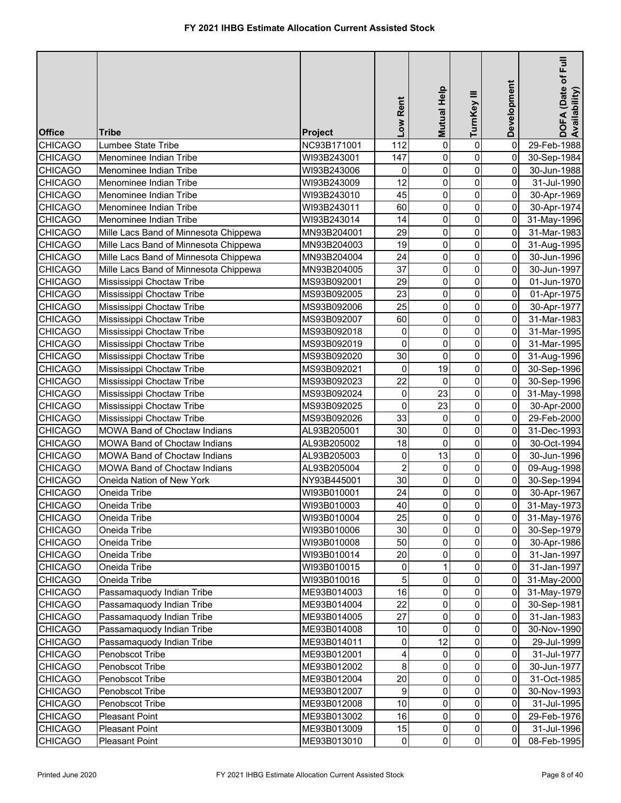|                |                                       |                | Low Rent                | Mutual Help    | TurnKey III             | Development    | DOFA (Date of Full<br>Availability) |
|----------------|---------------------------------------|----------------|-------------------------|----------------|-------------------------|----------------|-------------------------------------|
| <b>Office</b>  | Tribe                                 | <b>Project</b> |                         |                |                         |                |                                     |
| <b>CHICAGO</b> | Lumbee State Tribe                    | NC93B171001    | 112                     | 0              | $\pmb{0}$               | 0              | 29-Feb-1988                         |
| <b>CHICAGO</b> | Menominee Indian Tribe                | WI93B243001    | 147                     | 0              | $\pmb{0}$               | 0              | 30-Sep-1984                         |
| <b>CHICAGO</b> | Menominee Indian Tribe                | WI93B243006    | 0                       | 0              | $\mathbf 0$             | 0              | 30-Jun-1988                         |
| <b>CHICAGO</b> | Menominee Indian Tribe                | WI93B243009    | 12                      | 0              | $\pmb{0}$               | 0              | 31-Jul-1990                         |
| <b>CHICAGO</b> | Menominee Indian Tribe                | WI93B243010    | 45                      | 0              | $\mathsf{O}\xspace$     | 0              | 30-Apr-1969                         |
| <b>CHICAGO</b> | Menominee Indian Tribe                | WI93B243011    | 60                      | 0              | $\mathsf{O}\xspace$     | 0              | 30-Apr-1974                         |
| <b>CHICAGO</b> | Menominee Indian Tribe                | WI93B243014    | 14                      | 0              | $\mathsf{O}\xspace$     | $\overline{0}$ | 31-May-1996                         |
| <b>CHICAGO</b> | Mille Lacs Band of Minnesota Chippewa | MN93B204001    | 29                      | 0              | $\mathbf 0$             | 0              | 31-Mar-1983                         |
| <b>CHICAGO</b> | Mille Lacs Band of Minnesota Chippewa | MN93B204003    | 19                      | 0              | $\mathsf{O}\xspace$     | 0              | 31-Aug-1995                         |
| <b>CHICAGO</b> | Mille Lacs Band of Minnesota Chippewa | MN93B204004    | 24                      | 0              | $\mathbf 0$             | 0              | 30-Jun-1996                         |
| <b>CHICAGO</b> | Mille Lacs Band of Minnesota Chippewa | MN93B204005    | 37                      | 0              | $\pmb{0}$               | 0              | 30-Jun-1997                         |
| <b>CHICAGO</b> | Mississippi Choctaw Tribe             | MS93B092001    | 29                      | 0              | $\mathsf{O}\xspace$     | 0              | 01-Jun-1970                         |
| <b>CHICAGO</b> | Mississippi Choctaw Tribe             | MS93B092005    | 23                      | 0              | $\mathbf 0$             | 0              | 01-Apr-1975                         |
| <b>CHICAGO</b> | Mississippi Choctaw Tribe             | MS93B092006    | 25                      | 0              | $\mathbf 0$             | 0              | 30-Apr-1977                         |
| <b>CHICAGO</b> | Mississippi Choctaw Tribe             | MS93B092007    | 60                      | 0              | $\mathbf 0$             | 0              | 31-Mar-1983                         |
| <b>CHICAGO</b> | Mississippi Choctaw Tribe             | MS93B092018    | 0                       | 0              | $\mathbf 0$             | 0              | 31-Mar-1995                         |
| <b>CHICAGO</b> | Mississippi Choctaw Tribe             | MS93B092019    | 0                       | 0              | $\mathsf{O}\xspace$     | 0              | 31-Mar-1995                         |
| <b>CHICAGO</b> | Mississippi Choctaw Tribe             | MS93B092020    | 30                      | 0              | $\mathbf 0$             | 0              | 31-Aug-1996                         |
| <b>CHICAGO</b> | Mississippi Choctaw Tribe             | MS93B092021    | 0                       | 19             | $\mathbf 0$             | 0              | 30-Sep-1996                         |
| <b>CHICAGO</b> | Mississippi Choctaw Tribe             | MS93B092023    | 22                      | 0              | 0                       | 0              | 30-Sep-1996                         |
| <b>CHICAGO</b> | Mississippi Choctaw Tribe             | MS93B092024    | 0                       | 23             | 0                       | 0              | 31-May-1998                         |
| <b>CHICAGO</b> | Mississippi Choctaw Tribe             | MS93B092025    | 0                       | 23             | 0                       | 0              | 30-Apr-2000                         |
| <b>CHICAGO</b> | Mississippi Choctaw Tribe             | MS93B092026    | 33                      | 0              | 0                       | 0              | 29-Feb-2000                         |
| <b>CHICAGO</b> | MOWA Band of Choctaw Indians          | AL93B205001    | 30                      | 0              | $\mathsf{O}\xspace$     | 0              | 31-Dec-1993                         |
| <b>CHICAGO</b> | MOWA Band of Choctaw Indians          | AL93B205002    | 18                      | 0              | $\mathbf 0$             | 0              | 30-Oct-1994                         |
| <b>CHICAGO</b> | MOWA Band of Choctaw Indians          | AL93B205003    | 0                       | 13             | $\mathbf 0$             | 0              | 30-Jun-1996                         |
| <b>CHICAGO</b> | <b>MOWA Band of Choctaw Indians</b>   | AL93B205004    | $\overline{\mathbf{c}}$ | 0              | $\pmb{0}$               | $\overline{0}$ | 09-Aug-1998                         |
| <b>CHICAGO</b> | Oneida Nation of New York             | NY93B445001    | 30                      | 0              | $\mathbf 0$             | $\overline{0}$ | 30-Sep-1994                         |
| <b>CHICAGO</b> | Oneida Tribe                          | WI93B010001    | 24                      | 0              | $\pmb{0}$               | $\overline{0}$ | 30-Apr-1967                         |
| <b>CHICAGO</b> | Oneida Tribe                          | WI93B010003    | $40\,$                  | $\overline{0}$ | $\overline{\mathbf{0}}$ | $\overline{0}$ | 31-May-1973                         |
| <b>CHICAGO</b> | Oneida Tribe                          | WI93B010004    | 25                      | $\overline{0}$ | $\overline{0}$          | $\overline{0}$ | 31-May-1976                         |
| <b>CHICAGO</b> | Oneida Tribe                          | WI93B010006    | 30                      | 0              | $\overline{0}$          | $\overline{0}$ | 30-Sep-1979                         |
| <b>CHICAGO</b> | Oneida Tribe                          | WI93B010008    | 50                      | 0              | $\overline{0}$          | 0              | 30-Apr-1986                         |
| <b>CHICAGO</b> | Oneida Tribe                          | WI93B010014    | 20                      | 0              | $\overline{0}$          | 0              | 31-Jan-1997                         |
| <b>CHICAGO</b> | Oneida Tribe                          | WI93B010015    | 0                       |                | $\mathbf 0$             | 0              | 31-Jan-1997                         |
| <b>CHICAGO</b> | Oneida Tribe                          | WI93B010016    | 5                       | 0              | $\mathbf{0}$            | 0              | 31-May-2000                         |
| <b>CHICAGO</b> | Passamaquody Indian Tribe             | ME93B014003    | 16                      | 0              | 0                       | 0              | 31-May-1979                         |
| <b>CHICAGO</b> | Passamaquody Indian Tribe             | ME93B014004    | 22                      | 0              | $\overline{0}$          | 0              | 30-Sep-1981                         |
| <b>CHICAGO</b> | Passamaquody Indian Tribe             | ME93B014005    | 27                      | 0              | 0                       | 0              | 31-Jan-1983                         |
| <b>CHICAGO</b> | Passamaquody Indian Tribe             | ME93B014008    | $10$                    | 0              | $\overline{0}$          | 0              | 30-Nov-1990                         |
| <b>CHICAGO</b> | Passamaquody Indian Tribe             | ME93B014011    | 0                       | 12             | $\overline{0}$          | 0              | 29-Jul-1999                         |
| <b>CHICAGO</b> | Penobscot Tribe                       | ME93B012001    | 4                       | 0              | 0                       | 0              | 31-Jul-1977                         |
| <b>CHICAGO</b> | Penobscot Tribe                       | ME93B012002    | 8                       | 0              | $\overline{0}$          | 0              | 30-Jun-1977                         |
| <b>CHICAGO</b> | Penobscot Tribe                       | ME93B012004    | 20                      | 0              | $\mathbf 0$             | 0              | 31-Oct-1985                         |
| <b>CHICAGO</b> | Penobscot Tribe                       | ME93B012007    | 9                       | 0              | 0                       | 0              | 30-Nov-1993                         |
| <b>CHICAGO</b> | Penobscot Tribe                       | ME93B012008    | 10                      | 0              | 0                       | 0              | 31-Jul-1995                         |
| <b>CHICAGO</b> | Pleasant Point                        | ME93B013002    | 16                      | 0              | 0                       | 0              | 29-Feb-1976                         |
| <b>CHICAGO</b> | <b>Pleasant Point</b>                 | ME93B013009    | 15                      | 0              | $\pmb{0}$               | $\overline{0}$ | 31-Jul-1996                         |
| <b>CHICAGO</b> | Pleasant Point                        | ME93B013010    | $\overline{0}$          | $\overline{0}$ | $\overline{0}$          | $\overline{0}$ | 08-Feb-1995                         |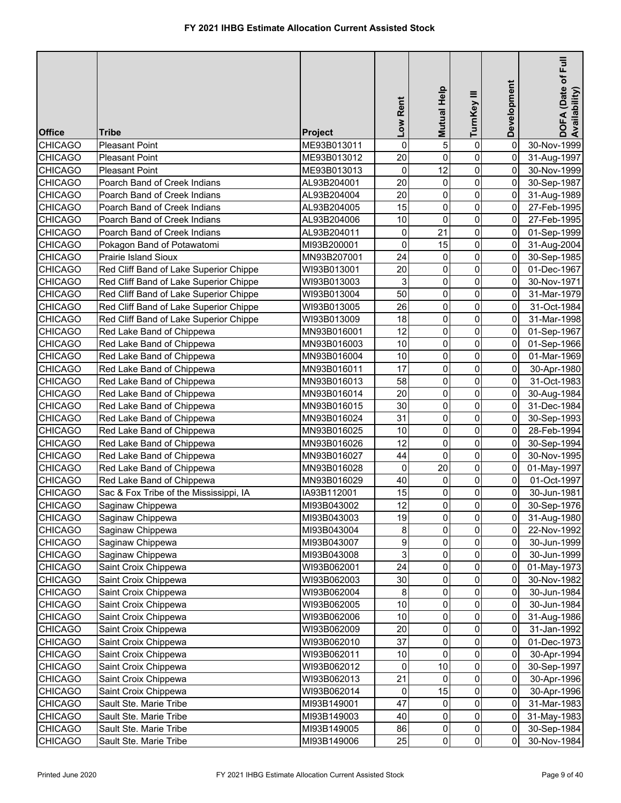| <b>Office</b>  | Tribe                                  | Project     | Low Rent | <b>Mutual Help</b> | TurnKey III             | Development    | $E$ ull<br>DOFA (Date of F<br>Availability) |
|----------------|----------------------------------------|-------------|----------|--------------------|-------------------------|----------------|---------------------------------------------|
| <b>CHICAGO</b> | <b>Pleasant Point</b>                  | ME93B013011 | 0        | 5                  | $\pmb{0}$               | 0              | 30-Nov-1999                                 |
| <b>CHICAGO</b> | <b>Pleasant Point</b>                  | ME93B013012 | 20       | 0                  | 0                       | 0              | 31-Aug-1997                                 |
| <b>CHICAGO</b> | <b>Pleasant Point</b>                  | ME93B013013 | 0        | 12                 | 0                       | 0              | 30-Nov-1999                                 |
| <b>CHICAGO</b> | Poarch Band of Creek Indians           | AL93B204001 | 20       | 0                  | 0                       | 0              | 30-Sep-1987                                 |
| <b>CHICAGO</b> | Poarch Band of Creek Indians           | AL93B204004 | 20       | 0                  | 0                       | 0              | 31-Aug-1989                                 |
| <b>CHICAGO</b> | Poarch Band of Creek Indians           | AL93B204005 | 15       | $\mathsf 0$        | 0                       | 0              | 27-Feb-1995                                 |
| <b>CHICAGO</b> | Poarch Band of Creek Indians           | AL93B204006 | 10       | 0                  | 0                       | 0              | 27-Feb-1995                                 |
| <b>CHICAGO</b> | Poarch Band of Creek Indians           | AL93B204011 | 0        | 21                 | $\mathbf 0$             | 0              | 01-Sep-1999                                 |
| <b>CHICAGO</b> | Pokagon Band of Potawatomi             | MI93B200001 | 0        | 15                 | $\overline{0}$          | 0              | 31-Aug-2004                                 |
| <b>CHICAGO</b> | Prairie Island Sioux                   | MN93B207001 | 24       | 0                  | 0                       | 0              | 30-Sep-1985                                 |
| <b>CHICAGO</b> | Red Cliff Band of Lake Superior Chippe | WI93B013001 | 20       | 0                  | 0                       | 0              | 01-Dec-1967                                 |
| <b>CHICAGO</b> | Red Cliff Band of Lake Superior Chippe | WI93B013003 | 3        | 0                  | 0                       | 0              | 30-Nov-1971                                 |
| <b>CHICAGO</b> | Red Cliff Band of Lake Superior Chippe | WI93B013004 | 50       | 0                  | 0                       | 0              | 31-Mar-1979                                 |
| <b>CHICAGO</b> | Red Cliff Band of Lake Superior Chippe | WI93B013005 | 26       | 0                  | 0                       | 0              | 31-Oct-1984                                 |
| <b>CHICAGO</b> | Red Cliff Band of Lake Superior Chippe | WI93B013009 | 18       | 0                  | 0                       | 0              | 31-Mar-1998                                 |
|                |                                        |             | 12       | 0                  | 0                       | 0              |                                             |
| <b>CHICAGO</b> | Red Lake Band of Chippewa              | MN93B016001 | 10       | 0                  | 0                       | 0              | 01-Sep-1967                                 |
| <b>CHICAGO</b> | Red Lake Band of Chippewa              | MN93B016003 | 10       |                    | $\mathbf 0$             |                | 01-Sep-1966                                 |
| <b>CHICAGO</b> | Red Lake Band of Chippewa              | MN93B016004 |          | 0                  |                         | 0              | 01-Mar-1969                                 |
| <b>CHICAGO</b> | Red Lake Band of Chippewa              | MN93B016011 | 17       | 0                  | $\pmb{0}$               | 0              | 30-Apr-1980                                 |
| <b>CHICAGO</b> | Red Lake Band of Chippewa              | MN93B016013 | 58       | 0                  | 0                       | 0              | 31-Oct-1983                                 |
| <b>CHICAGO</b> | Red Lake Band of Chippewa              | MN93B016014 | 20       | 0                  | 0                       | 0              | 30-Aug-1984                                 |
| <b>CHICAGO</b> | Red Lake Band of Chippewa              | MN93B016015 | 30       | 0                  | 0                       | 0              | 31-Dec-1984                                 |
| <b>CHICAGO</b> | Red Lake Band of Chippewa              | MN93B016024 | 31       | 0                  | 0                       | 0              | 30-Sep-1993                                 |
| <b>CHICAGO</b> | Red Lake Band of Chippewa              | MN93B016025 | 10       | 0                  | 0                       | 0              | 28-Feb-1994                                 |
| <b>CHICAGO</b> | Red Lake Band of Chippewa              | MN93B016026 | 12       | $\mathsf 0$        | $\mathbf 0$             | 0              | 30-Sep-1994                                 |
| <b>CHICAGO</b> | Red Lake Band of Chippewa              | MN93B016027 | 44       | 0                  | 0                       | 0              | 30-Nov-1995                                 |
| <b>CHICAGO</b> | Red Lake Band of Chippewa              | MN93B016028 | 0        | 20                 | 0                       | 0              | 01-May-1997                                 |
| <b>CHICAGO</b> | Red Lake Band of Chippewa              | MN93B016029 | 40       | 0                  | 0                       | 0              | 01-Oct-1997                                 |
| <b>CHICAGO</b> | Sac & Fox Tribe of the Mississippi, IA | IA93B112001 | 15       | 0                  | 0                       | 0              | 30-Jun-1981                                 |
| <b>CHICAGO</b> | Saginaw Chippewa                       | MI93B043002 | 12       | $\overline{0}$     | $\overline{\mathbf{0}}$ | $\pmb{0}$      | 30-Sep-1976                                 |
| <b>CHICAGO</b> | Saginaw Chippewa                       | MI93B043003 | 19       | 0                  | $\mathbf 0$             | $\mathbf 0$    | 31-Aug-1980                                 |
| <b>CHICAGO</b> | Saginaw Chippewa                       | MI93B043004 | $\bf 8$  | 0                  | 0                       | 0              | 22-Nov-1992                                 |
| <b>CHICAGO</b> | Saginaw Chippewa                       | MI93B043007 | 9        | 0                  | 0                       | 0              | 30-Jun-1999                                 |
| <b>CHICAGO</b> | Saginaw Chippewa                       | MI93B043008 | 3        | 0                  | 0                       | 0              | 30-Jun-1999                                 |
| <b>CHICAGO</b> | Saint Croix Chippewa                   | WI93B062001 | 24       | 0                  | 0                       | 0              | 01-May-1973                                 |
| <b>CHICAGO</b> | Saint Croix Chippewa                   | WI93B062003 | 30       | 0                  | $\overline{0}$          | 0              | 30-Nov-1982                                 |
| <b>CHICAGO</b> | Saint Croix Chippewa                   | WI93B062004 | $\bf 8$  | 0                  | 0                       | 0              | 30-Jun-1984                                 |
| <b>CHICAGO</b> | Saint Croix Chippewa                   | WI93B062005 | $10$     | 0                  | 0                       | 0              | 30-Jun-1984                                 |
| <b>CHICAGO</b> | Saint Croix Chippewa                   | WI93B062006 | $10$     | 0                  | 0                       | 0              | 31-Aug-1986                                 |
| <b>CHICAGO</b> | Saint Croix Chippewa                   | WI93B062009 | 20       | 0                  | 0                       | 0              | 31-Jan-1992                                 |
| <b>CHICAGO</b> | Saint Croix Chippewa                   | WI93B062010 | 37       | 0                  | 0                       | 0              | 01-Dec-1973                                 |
| <b>CHICAGO</b> | Saint Croix Chippewa                   | WI93B062011 | $10$     | 0                  | 0                       | 0              | 30-Apr-1994                                 |
| <b>CHICAGO</b> | Saint Croix Chippewa                   | WI93B062012 | 0        | 10                 | 0                       | 0              | 30-Sep-1997                                 |
| <b>CHICAGO</b> | Saint Croix Chippewa                   | WI93B062013 | 21       | 0                  | 0                       | 0              | 30-Apr-1996                                 |
| <b>CHICAGO</b> | Saint Croix Chippewa                   | WI93B062014 | 0        | 15                 | 0                       | 0              | 30-Apr-1996                                 |
| <b>CHICAGO</b> | Sault Ste. Marie Tribe                 | MI93B149001 | 47       | 0                  | 0                       | 0              | 31-Mar-1983                                 |
| <b>CHICAGO</b> | Sault Ste. Marie Tribe                 | MI93B149003 | 40       | 0                  | 0                       | 0              | 31-May-1983                                 |
| <b>CHICAGO</b> | Sault Ste. Marie Tribe                 | MI93B149005 | 86       | 0                  | $\overline{0}$          | $\mathbf 0$    | 30-Sep-1984                                 |
| <b>CHICAGO</b> | Sault Ste. Marie Tribe                 | MI93B149006 | 25       | 0                  | $\overline{0}$          | $\overline{0}$ | 30-Nov-1984                                 |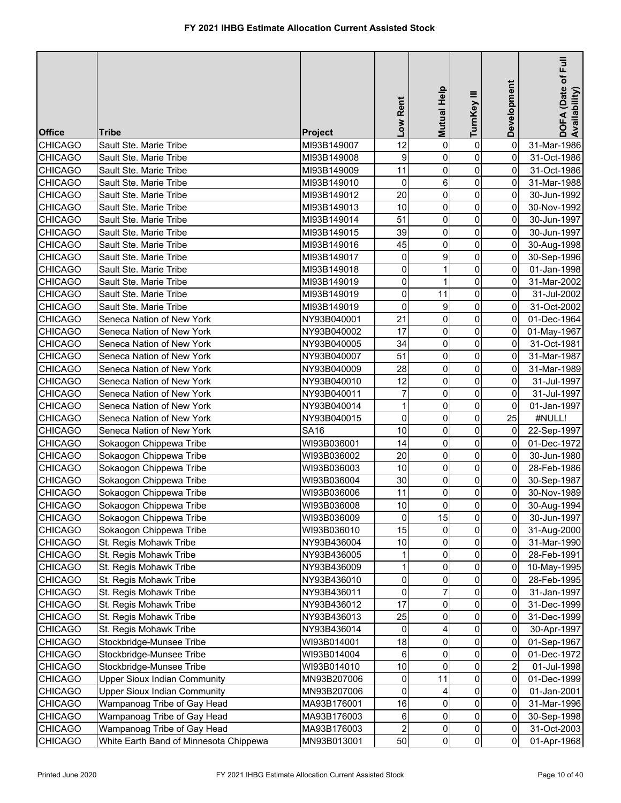| <b>Office</b>  | Tribe                                  | Project     | Low Rent       | Mutual Help    | TurnKey III    | Development             | E<br>DOFA (Date of F<br>Availability) |
|----------------|----------------------------------------|-------------|----------------|----------------|----------------|-------------------------|---------------------------------------|
| <b>CHICAGO</b> | Sault Ste. Marie Tribe                 | MI93B149007 | 12             | 0              | $\pmb{0}$      | 0                       | 31-Mar-1986                           |
| <b>CHICAGO</b> | Sault Ste. Marie Tribe                 | MI93B149008 | 9              | 0              | 0              | 0                       | 31-Oct-1986                           |
| <b>CHICAGO</b> | Sault Ste. Marie Tribe                 | MI93B149009 | 11             | 0              | 0              | 0                       | 31-Oct-1986                           |
| <b>CHICAGO</b> | Sault Ste. Marie Tribe                 | MI93B149010 | 0              | 6              | $\mathbf 0$    | 0                       | 31-Mar-1988                           |
| <b>CHICAGO</b> | Sault Ste. Marie Tribe                 | MI93B149012 | 20             | 0              | 0              | 0                       | 30-Jun-1992                           |
| <b>CHICAGO</b> | Sault Ste. Marie Tribe                 | MI93B149013 | 10             | 0              | $\mathbf 0$    | 0                       | 30-Nov-1992                           |
| <b>CHICAGO</b> | Sault Ste. Marie Tribe                 | MI93B149014 | 51             | 0              | $\overline{0}$ | 0                       | 30-Jun-1997                           |
| <b>CHICAGO</b> | Sault Ste. Marie Tribe                 | MI93B149015 | 39             | 0              | 0              | 0                       | 30-Jun-1997                           |
| <b>CHICAGO</b> | Sault Ste. Marie Tribe                 | MI93B149016 | 45             | 0              | 0              | $\mathbf 0$             | 30-Aug-1998                           |
| <b>CHICAGO</b> | Sault Ste. Marie Tribe                 | MI93B149017 | 0              | 9              | $\overline{0}$ | 0                       | 30-Sep-1996                           |
| <b>CHICAGO</b> | Sault Ste. Marie Tribe                 | MI93B149018 | 0              |                | $\mathbf 0$    | 0                       | 01-Jan-1998                           |
| <b>CHICAGO</b> | Sault Ste. Marie Tribe                 | MI93B149019 | 0              | 1              | 0              | 0                       | 31-Mar-2002                           |
| <b>CHICAGO</b> | Sault Ste. Marie Tribe                 | MI93B149019 | 0              | 11             | 0              | 0                       | 31-Jul-2002                           |
| <b>CHICAGO</b> | Sault Ste. Marie Tribe                 | MI93B149019 | 0              | 9              | 0              | 0                       | 31-Oct-2002                           |
| <b>CHICAGO</b> | Seneca Nation of New York              | NY93B040001 | 21             | 0              | 0              | 0                       | 01-Dec-1964                           |
| <b>CHICAGO</b> | Seneca Nation of New York              | NY93B040002 | 17             | 0              | 0              | 0                       | 01-May-1967                           |
| <b>CHICAGO</b> | Seneca Nation of New York              | NY93B040005 | 34             | 0              | $\mathbf 0$    | 0                       | 31-Oct-1981                           |
| <b>CHICAGO</b> | Seneca Nation of New York              | NY93B040007 | 51             | 0              | 0              | 0                       | 31-Mar-1987                           |
| <b>CHICAGO</b> | Seneca Nation of New York              | NY93B040009 | 28             | 0              | 0              | 0                       | 31-Mar-1989                           |
| <b>CHICAGO</b> | Seneca Nation of New York              | NY93B040010 | 12             | 0              | 0              | 0                       | 31-Jul-1997                           |
| <b>CHICAGO</b> | Seneca Nation of New York              | NY93B040011 | 7              | 0              | 0              | 0                       | 31-Jul-1997                           |
| <b>CHICAGO</b> | Seneca Nation of New York              | NY93B040014 | $\mathbf{1}$   | 0              | 0              | 0                       | 01-Jan-1997                           |
| <b>CHICAGO</b> | Seneca Nation of New York              | NY93B040015 | 0              | 0              | $\mathbf 0$    | 25                      | #NULL!                                |
| <b>CHICAGO</b> | Seneca Nation of New York              | <b>SA16</b> | 10             | 0              | 0              | 0                       | 22-Sep-1997                           |
| <b>CHICAGO</b> | Sokaogon Chippewa Tribe                | WI93B036001 | 14             | 0              | 0              | 0                       | 01-Dec-1972                           |
| <b>CHICAGO</b> | Sokaogon Chippewa Tribe                | WI93B036002 | 20             | 0              | 0              | 0                       | 30-Jun-1980                           |
| <b>CHICAGO</b> | Sokaogon Chippewa Tribe                | WI93B036003 | 10             | 0              | 0              | 0                       | 28-Feb-1986                           |
| <b>CHICAGO</b> | Sokaogon Chippewa Tribe                | WI93B036004 | 30             | 0              | 0              | $\overline{0}$          | 30-Sep-1987                           |
| <b>CHICAGO</b> | Sokaogon Chippewa Tribe                | WI93B036006 | 11             | 0              | 0              | $\mathbf 0$             | 30-Nov-1989                           |
| <b>CHICAGO</b> | Sokaogon Chippewa Tribe                | WI93B036008 | 10             | $\overline{0}$ | $\overline{0}$ | $\overline{0}$          | 30-Aug-1994                           |
| <b>CHICAGO</b> | Sokaogon Chippewa Tribe                | WI93B036009 | $\Omega$       | 15             | $\overline{0}$ | 0                       | 30-Jun-1997                           |
| <b>CHICAGO</b> | Sokaogon Chippewa Tribe                | WI93B036010 | 15             | 0              | $\overline{0}$ | 0                       | 31-Aug-2000                           |
| <b>CHICAGO</b> | St. Regis Mohawk Tribe                 | NY93B436004 | $10$           | 0              | 0              | 0                       | 31-Mar-1990                           |
| <b>CHICAGO</b> | St. Regis Mohawk Tribe                 | NY93B436005 | 1              | 0              | $\overline{0}$ | 0                       | 28-Feb-1991                           |
| <b>CHICAGO</b> | St. Regis Mohawk Tribe                 | NY93B436009 | $\mathbf{1}$   | 0              | $\overline{0}$ | 0                       | 10-May-1995                           |
| <b>CHICAGO</b> | St. Regis Mohawk Tribe                 | NY93B436010 | $\pmb{0}$      | 0              | 0              | 0                       | 28-Feb-1995                           |
| <b>CHICAGO</b> | St. Regis Mohawk Tribe                 | NY93B436011 | 0              | 7              | 0              | 0                       | 31-Jan-1997                           |
| <b>CHICAGO</b> | St. Regis Mohawk Tribe                 | NY93B436012 | 17             | 0              | 0              | 0                       | 31-Dec-1999                           |
| <b>CHICAGO</b> | St. Regis Mohawk Tribe                 | NY93B436013 | 25             | 0              | 0              | 0                       | 31-Dec-1999                           |
| <b>CHICAGO</b> | St. Regis Mohawk Tribe                 | NY93B436014 | 0              | 4              | 0              | 0                       | 30-Apr-1997                           |
| <b>CHICAGO</b> | Stockbridge-Munsee Tribe               | WI93B014001 | 18             | 0              | 0              | 0                       | 01-Sep-1967                           |
| <b>CHICAGO</b> | Stockbridge-Munsee Tribe               | WI93B014004 | 6              | 0              | 0              | 0                       | 01-Dec-1972                           |
| <b>CHICAGO</b> | Stockbridge-Munsee Tribe               | WI93B014010 | $10$           | 0              | 0              | $\overline{\mathbf{c}}$ | 01-Jul-1998                           |
| <b>CHICAGO</b> | <b>Upper Sioux Indian Community</b>    | MN93B207006 | 0              | 11             | 0              | 0                       | 01-Dec-1999                           |
| <b>CHICAGO</b> | <b>Upper Sioux Indian Community</b>    | MN93B207006 | 0              | 4              | 0              | 0                       | 01-Jan-2001                           |
| <b>CHICAGO</b> | Wampanoag Tribe of Gay Head            | MA93B176001 | 16             | 0              | 0              | 0                       | 31-Mar-1996                           |
| <b>CHICAGO</b> | Wampanoag Tribe of Gay Head            | MA93B176003 | 6              | 0              | 0              | 0                       | 30-Sep-1998                           |
| <b>CHICAGO</b> | Wampanoag Tribe of Gay Head            | MA93B176003 | $\overline{2}$ | 0              | $\overline{0}$ | $\pmb{0}$               | 31-Oct-2003                           |
| <b>CHICAGO</b> | White Earth Band of Minnesota Chippewa | MN93B013001 | 50             | 0              | $\overline{0}$ | $\overline{0}$          | 01-Apr-1968                           |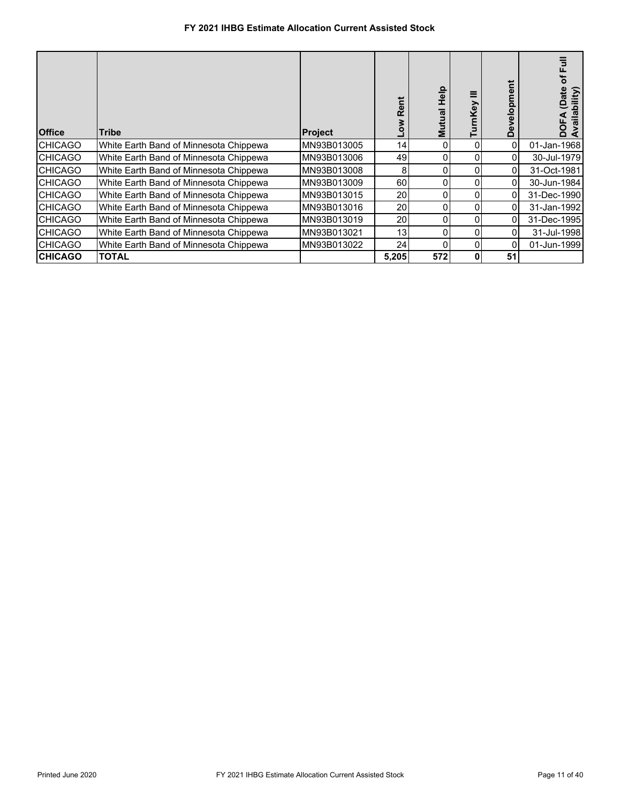| <b>Office</b>  | <b>Tribe</b>                           | Project     | œ     | 음<br>모<br>ಸ<br>Σ | Key      | elopme<br>$\mathbf{Q}$<br>Ŏ | 3<br>ቴ<br>ate<br>bility) |
|----------------|----------------------------------------|-------------|-------|------------------|----------|-----------------------------|--------------------------|
| <b>CHICAGO</b> | White Earth Band of Minnesota Chippewa | MN93B013005 | 14    | 0                | 0        | 0                           | 01-Jan-1968              |
| <b>CHICAGO</b> | White Earth Band of Minnesota Chippewa | MN93B013006 | 49    |                  | 0        |                             | 30-Jul-1979              |
| <b>CHICAGO</b> | White Earth Band of Minnesota Chippewa | MN93B013008 | 8     |                  | 0        | 0                           | 31-Oct-1981              |
| <b>CHICAGO</b> | White Earth Band of Minnesota Chippewa | MN93B013009 | 60    | 0                | $\Omega$ | 0                           | 30-Jun-1984              |
| <b>CHICAGO</b> | White Earth Band of Minnesota Chippewa | MN93B013015 | 20    |                  | 0        |                             | 31-Dec-1990              |
| <b>CHICAGO</b> | White Earth Band of Minnesota Chippewa | MN93B013016 | 20    |                  | 0        | 0                           | 31-Jan-1992              |
| <b>CHICAGO</b> | White Earth Band of Minnesota Chippewa | MN93B013019 | 20    |                  | 0        | 0                           | 31-Dec-1995              |
| <b>CHICAGO</b> | White Earth Band of Minnesota Chippewa | MN93B013021 | 13    |                  | 0        |                             | 31-Jul-1998              |
| <b>CHICAGO</b> | White Earth Band of Minnesota Chippewa | MN93B013022 | 24    | 0                | 0        | 0                           | 01-Jun-1999              |
| <b>CHICAGO</b> | <b>TOTAL</b>                           |             | 5,205 | 572              | 0        | 51                          |                          |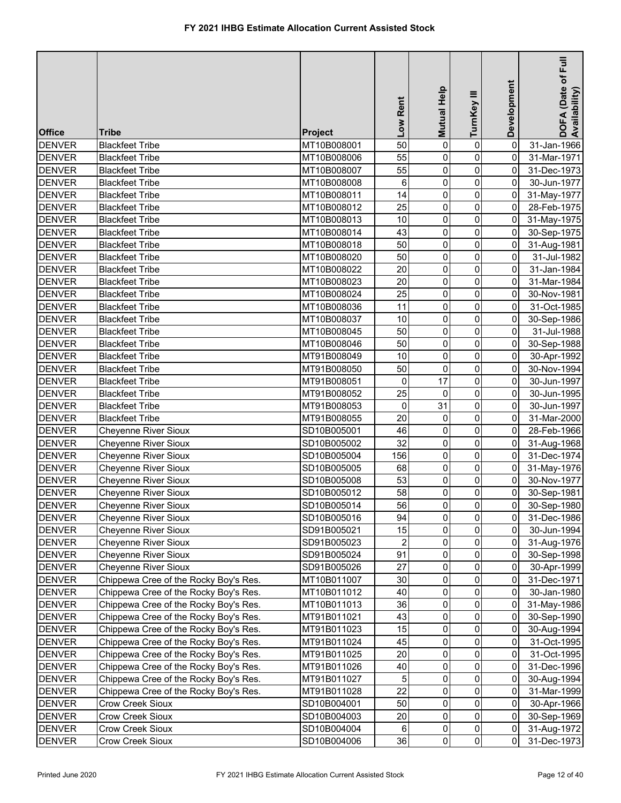| <b>Office</b> | <b>Tribe</b>                          | <b>Project</b> | Low Rent                | Mutual Help    | TurnKey III             | Development         | $E$ uil<br>DOFA (Date of F<br>Availability) |
|---------------|---------------------------------------|----------------|-------------------------|----------------|-------------------------|---------------------|---------------------------------------------|
| <b>DENVER</b> | <b>Blackfeet Tribe</b>                | MT10B008001    | 50                      | $\mathbf 0$    | $\mathbf 0$             | $\mathbf 0$         | 31-Jan-1966                                 |
| <b>DENVER</b> | <b>Blackfeet Tribe</b>                | MT10B008006    | 55                      | 0              | 0                       | $\mathbf 0$         | 31-Mar-1971                                 |
| <b>DENVER</b> | <b>Blackfeet Tribe</b>                | MT10B008007    | 55                      | 0              | $\pmb{0}$               | $\mathbf 0$         | 31-Dec-1973                                 |
| <b>DENVER</b> | <b>Blackfeet Tribe</b>                | MT10B008008    | 6                       | 0              | $\pmb{0}$               | 0                   | 30-Jun-1977                                 |
| <b>DENVER</b> | <b>Blackfeet Tribe</b>                | MT10B008011    | 14                      | 0              | $\pmb{0}$               | $\mathsf{O}\xspace$ | 31-May-1977                                 |
| <b>DENVER</b> | <b>Blackfeet Tribe</b>                | MT10B008012    | 25                      | 0              | $\pmb{0}$               | 0                   | 28-Feb-1975                                 |
| <b>DENVER</b> | <b>Blackfeet Tribe</b>                | MT10B008013    | 10                      | 0              | $\pmb{0}$               | 0                   | 31-May-1975                                 |
| <b>DENVER</b> | <b>Blackfeet Tribe</b>                | MT10B008014    | 43                      | 0              | 0                       | 0                   | 30-Sep-1975                                 |
| <b>DENVER</b> | <b>Blackfeet Tribe</b>                | MT10B008018    | 50                      | 0              | 0                       | $\overline{0}$      | 31-Aug-1981                                 |
| <b>DENVER</b> | <b>Blackfeet Tribe</b>                | MT10B008020    | 50                      | 0              | $\pmb{0}$               | 0                   | 31-Jul-1982                                 |
| <b>DENVER</b> | <b>Blackfeet Tribe</b>                | MT10B008022    | 20                      | 0              | $\pmb{0}$               | 0                   | 31-Jan-1984                                 |
| <b>DENVER</b> | <b>Blackfeet Tribe</b>                | MT10B008023    | 20                      | 0              | $\mathbf 0$             | 0                   | 31-Mar-1984                                 |
| <b>DENVER</b> | <b>Blackfeet Tribe</b>                | MT10B008024    | 25                      | 0              | 0                       | 0                   | 30-Nov-1981                                 |
| <b>DENVER</b> | <b>Blackfeet Tribe</b>                | MT10B008036    | 11                      | 0              | $\mathbf 0$             | 0                   | 31-Oct-1985                                 |
| <b>DENVER</b> | <b>Blackfeet Tribe</b>                | MT10B008037    | 10                      | 0              | $\mathbf 0$             | 0                   | 30-Sep-1986                                 |
| <b>DENVER</b> | <b>Blackfeet Tribe</b>                | MT10B008045    | 50                      | 0              | $\pmb{0}$               | 0                   | 31-Jul-1988                                 |
| <b>DENVER</b> | <b>Blackfeet Tribe</b>                | MT10B008046    | 50                      | 0              | $\mathbf 0$             | 0                   | 30-Sep-1988                                 |
| <b>DENVER</b> | <b>Blackfeet Tribe</b>                | MT91B008049    | 10                      | 0              | 0                       | $\mathsf{O}\xspace$ | 30-Apr-1992                                 |
| <b>DENVER</b> | <b>Blackfeet Tribe</b>                | MT91B008050    | 50                      | 0              | 0                       | 0                   | 30-Nov-1994                                 |
| <b>DENVER</b> | <b>Blackfeet Tribe</b>                | MT91B008051    | 0                       | 17             | $\mathbf 0$             | 0                   | 30-Jun-1997                                 |
| <b>DENVER</b> | <b>Blackfeet Tribe</b>                | MT91B008052    | 25                      | $\mathbf 0$    | 0                       | $\mathbf 0$         | 30-Jun-1995                                 |
| <b>DENVER</b> | <b>Blackfeet Tribe</b>                | MT91B008053    | 0                       | 31             | $\pmb{0}$               | $\mathbf 0$         | 30-Jun-1997                                 |
| <b>DENVER</b> | <b>Blackfeet Tribe</b>                | MT91B008055    | 20                      | $\mathbf 0$    | $\pmb{0}$               | 0                   | 31-Mar-2000                                 |
| <b>DENVER</b> | <b>Cheyenne River Sioux</b>           | SD10B005001    | 46                      | 0              | 0                       | 0                   | 28-Feb-1966                                 |
| <b>DENVER</b> | <b>Cheyenne River Sioux</b>           | SD10B005002    | 32                      | 0              | 0                       | $\overline{0}$      | 31-Aug-1968                                 |
| <b>DENVER</b> | <b>Cheyenne River Sioux</b>           | SD10B005004    | 156                     | 0              | $\pmb{0}$               | $\overline{0}$      | 31-Dec-1974                                 |
| <b>DENVER</b> | <b>Cheyenne River Sioux</b>           | SD10B005005    | 68                      | 0              | $\pmb{0}$               | $\overline{0}$      | 31-May-1976                                 |
| <b>DENVER</b> | <b>Cheyenne River Sioux</b>           | SD10B005008    | 53                      | 0              | $\pmb{0}$               | $\overline{0}$      | 30-Nov-1977                                 |
| <b>DENVER</b> | <b>Cheyenne River Sioux</b>           | SD10B005012    | 58                      | $\mathsf 0$    | $\pmb{0}$               | $\overline{0}$      | 30-Sep-1981                                 |
| <b>DENVER</b> | Cheyenne River Sioux                  | SD10B005014    | 56                      | $\overline{0}$ | $\overline{0}$          | $\overline{0}$      | 30-Sep-1980                                 |
| <b>DENVER</b> | <b>Cheyenne River Sioux</b>           | SD10B005016    | 94                      | $\Omega$       | $\overline{\mathsf{o}}$ | $\mathbf 0$         | 31-Dec-1986                                 |
| <b>DENVER</b> | <b>Cheyenne River Sioux</b>           | SD91B005021    | 15                      | 0              | 0                       | 0                   | 30-Jun-1994                                 |
| <b>DENVER</b> | Cheyenne River Sioux                  | SD91B005023    | $\overline{\mathbf{c}}$ | 0              | $\mathsf{O}\xspace$     | 0                   | 31-Aug-1976                                 |
| <b>DENVER</b> | <b>Cheyenne River Sioux</b>           | SD91B005024    | 91                      | 0              | $\pmb{0}$               | 0                   | 30-Sep-1998                                 |
| <b>DENVER</b> | <b>Cheyenne River Sioux</b>           | SD91B005026    | 27                      | 0              | $\pmb{0}$               | 0                   | 30-Apr-1999                                 |
| <b>DENVER</b> | Chippewa Cree of the Rocky Boy's Res. | MT10B011007    | 30                      | 0              | $\pmb{0}$               | 0                   | 31-Dec-1971                                 |
| <b>DENVER</b> | Chippewa Cree of the Rocky Boy's Res. | MT10B011012    | 40                      | 0              | $\mathbf 0$             | 0                   | 30-Jan-1980                                 |
| <b>DENVER</b> | Chippewa Cree of the Rocky Boy's Res. | MT10B011013    | 36                      | 0              | $\pmb{0}$               | 0                   | 31-May-1986                                 |
| <b>DENVER</b> | Chippewa Cree of the Rocky Boy's Res. | MT91B011021    | 43                      | 0              | 0                       | 0                   | 30-Sep-1990                                 |
| <b>DENVER</b> | Chippewa Cree of the Rocky Boy's Res. | MT91B011023    | 15                      | 0              | 0                       | 0                   | 30-Aug-1994                                 |
| <b>DENVER</b> | Chippewa Cree of the Rocky Boy's Res. | MT91B011024    | 45                      | 0              | 0                       | 0                   | 31-Oct-1995                                 |
| <b>DENVER</b> | Chippewa Cree of the Rocky Boy's Res. | MT91B011025    | 20                      | 0              | $\mathbf 0$             | 0                   | 31-Oct-1995                                 |
| <b>DENVER</b> | Chippewa Cree of the Rocky Boy's Res. | MT91B011026    | 40                      | 0              | $\mathbf 0$             | 0                   | 31-Dec-1996                                 |
| <b>DENVER</b> | Chippewa Cree of the Rocky Boy's Res. | MT91B011027    | 5                       | 0              | $\mathbf 0$             | 0                   | 30-Aug-1994                                 |
| <b>DENVER</b> | Chippewa Cree of the Rocky Boy's Res. | MT91B011028    | 22                      | 0              | 0                       | 0                   | 31-Mar-1999                                 |
| <b>DENVER</b> | Crow Creek Sioux                      | SD10B004001    | 50                      | 0              | 0                       | $\overline{0}$      | 30-Apr-1966                                 |
| <b>DENVER</b> | Crow Creek Sioux                      | SD10B004003    | 20                      | 0              | 0                       | $\overline{0}$      | 30-Sep-1969                                 |
| <b>DENVER</b> | Crow Creek Sioux                      | SD10B004004    | 6                       | 0              | $\pmb{0}$               | $\overline{0}$      | 31-Aug-1972                                 |
| <b>DENVER</b> | Crow Creek Sioux                      | SD10B004006    | 36                      | $\overline{0}$ | $\overline{0}$          | $\overline{0}$      | 31-Dec-1973                                 |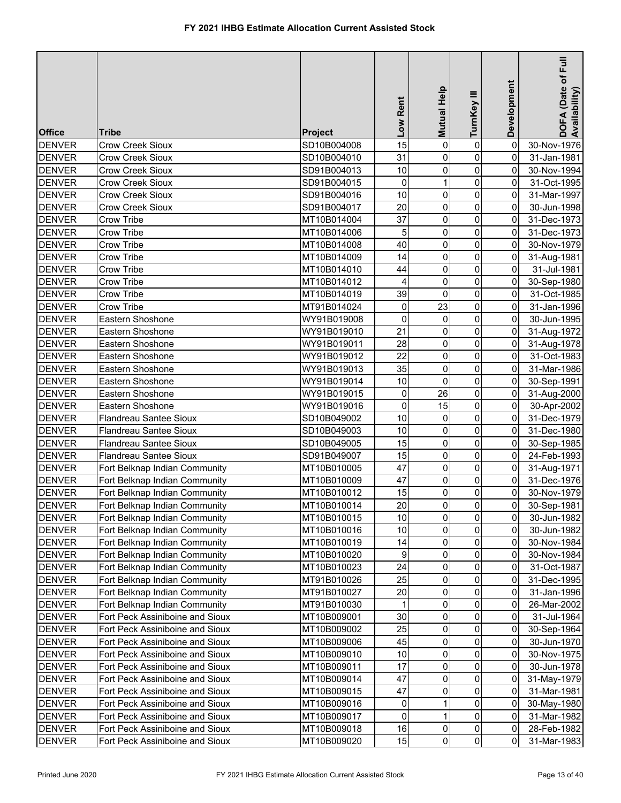|               |                                 |                | Low Rent         | Help<br>Mutual | TurnKey III         | Development    | ー<br>Full<br>DOFA (Date of F<br>Availability) |
|---------------|---------------------------------|----------------|------------------|----------------|---------------------|----------------|-----------------------------------------------|
| <b>Office</b> | Tribe                           | <b>Project</b> |                  |                |                     |                |                                               |
| <b>DENVER</b> | Crow Creek Sioux                | SD10B004008    | 15               | 0              | 0                   | 0              | 30-Nov-1976                                   |
| <b>DENVER</b> | <b>Crow Creek Sioux</b>         | SD10B004010    | 31               | 0              | $\mathbf 0$         | 0              | 31-Jan-1981                                   |
| <b>DENVER</b> | Crow Creek Sioux                | SD91B004013    | 10               | 0              | $\mathbf 0$         | 0              | 30-Nov-1994                                   |
| <b>DENVER</b> | <b>Crow Creek Sioux</b>         | SD91B004015    | 0                | 1              | $\mathbf 0$         | 0              | 31-Oct-1995                                   |
| <b>DENVER</b> | Crow Creek Sioux                | SD91B004016    | 10               | 0              | $\mathbf 0$         | 0              | 31-Mar-1997                                   |
| <b>DENVER</b> | Crow Creek Sioux                | SD91B004017    | 20               | 0              | $\pmb{0}$           | 0              | 30-Jun-1998                                   |
| <b>DENVER</b> | Crow Tribe                      | MT10B014004    | 37               | 0              | $\mathsf{O}\xspace$ | 0              | 31-Dec-1973                                   |
| <b>DENVER</b> | Crow Tribe                      | MT10B014006    | 5                | 0              | $\mathbf 0$         | 0              | 31-Dec-1973                                   |
| <b>DENVER</b> | Crow Tribe                      | MT10B014008    | 40               | 0              | $\mathsf{O}\xspace$ | 0              | 30-Nov-1979                                   |
| <b>DENVER</b> | Crow Tribe                      | MT10B014009    | 14               | 0              | $\mathbf 0$         | 0              | 31-Aug-1981                                   |
| <b>DENVER</b> | Crow Tribe                      | MT10B014010    | 44               | 0              | $\mathbf 0$         | 0              | 31-Jul-1981                                   |
| <b>DENVER</b> | Crow Tribe                      | MT10B014012    | 4                | 0              | $\mathbf 0$         | 0              | 30-Sep-1980                                   |
| <b>DENVER</b> | Crow Tribe                      | MT10B014019    | 39               | $\mathbf{0}$   | $\mathsf{O}\xspace$ | 0              | 31-Oct-1985                                   |
| <b>DENVER</b> | Crow Tribe                      | MT91B014024    | 0                | 23             | $\mathsf{O}\xspace$ | 0              | 31-Jan-1996                                   |
| <b>DENVER</b> | Eastern Shoshone                | WY91B019008    | 0                | 0              | $\mathbf 0$         | 0              | 30-Jun-1995                                   |
| <b>DENVER</b> | Eastern Shoshone                | WY91B019010    | 21               | 0              | 0                   | 0              | 31-Aug-1972                                   |
| <b>DENVER</b> | Eastern Shoshone                | WY91B019011    | 28               | 0              | $\mathbf 0$         | 0              | 31-Aug-1978                                   |
| <b>DENVER</b> | Eastern Shoshone                | WY91B019012    | 22               | 0              | $\pmb{0}$           | 0              | 31-Oct-1983                                   |
| <b>DENVER</b> | Eastern Shoshone                | WY91B019013    | 35               | 0              | $\pmb{0}$           | 0              | 31-Mar-1986                                   |
| <b>DENVER</b> | Eastern Shoshone                | WY91B019014    | 10               | 0              | $\mathbf 0$         | 0              | 30-Sep-1991                                   |
| <b>DENVER</b> | Eastern Shoshone                | WY91B019015    | 0                | 26             | $\mathsf{O}\xspace$ | 0              | 31-Aug-2000                                   |
| <b>DENVER</b> | Eastern Shoshone                | WY91B019016    | 0                | 15             | $\mathbf 0$         | 0              | 30-Apr-2002                                   |
| <b>DENVER</b> | <b>Flandreau Santee Sioux</b>   | SD10B049002    | 10               | 0              | 0                   | 0              | 31-Dec-1979                                   |
| <b>DENVER</b> | Flandreau Santee Sioux          | SD10B049003    | 10               | 0              | 0                   | 0              | 31-Dec-1980                                   |
| <b>DENVER</b> | <b>Flandreau Santee Sioux</b>   | SD10B049005    | 15               | 0              | 0                   | 0              | 30-Sep-1985                                   |
| <b>DENVER</b> | Flandreau Santee Sioux          | SD91B049007    | 15               | 0              | $\mathsf{O}\xspace$ | 0              | 24-Feb-1993                                   |
| <b>DENVER</b> | Fort Belknap Indian Community   | MT10B010005    | 47               | 0              | $\mathsf{O}\xspace$ | $\overline{0}$ | 31-Aug-1971                                   |
| <b>DENVER</b> | Fort Belknap Indian Community   | MT10B010009    | 47               | 0              | $\pmb{0}$           | 0              | 31-Dec-1976                                   |
| <b>DENVER</b> | Fort Belknap Indian Community   | MT10B010012    | 15               | 0              | $\pmb{0}$           | 0              | 30-Nov-1979                                   |
| <b>DENVER</b> | Fort Belknap Indian Community   | MT10B010014    | 20               | $\overline{0}$ | $\overline{0}$      | $\overline{0}$ | 30-Sep-1981                                   |
| <b>DENVER</b> | Fort Belknap Indian Community   | MT10B010015    | 10               | $\overline{0}$ | $\overline{0}$      | 0              | 30-Jun-1982                                   |
| <b>DENVER</b> | Fort Belknap Indian Community   | MT10B010016    | $10$             | 0              | $\pmb{0}$           | 0              | 30-Jun-1982                                   |
| <b>DENVER</b> | Fort Belknap Indian Community   | MT10B010019    | 14               | 0              | $\mathsf{O}\xspace$ | 0              | 30-Nov-1984                                   |
| <b>DENVER</b> | Fort Belknap Indian Community   | MT10B010020    | $\boldsymbol{9}$ | 0              | $\pmb{0}$           | 0              | 30-Nov-1984                                   |
| <b>DENVER</b> | Fort Belknap Indian Community   | MT10B010023    | 24               | 0              | 0                   | 0              | 31-Oct-1987                                   |
| <b>DENVER</b> | Fort Belknap Indian Community   | MT91B010026    | 25               | 0              | 0                   | 0              | 31-Dec-1995                                   |
| <b>DENVER</b> | Fort Belknap Indian Community   | MT91B010027    | 20               | 0              | 0                   | 0              | 31-Jan-1996                                   |
| <b>DENVER</b> | Fort Belknap Indian Community   | MT91B010030    | 1                | 0              | 0                   | 0              | 26-Mar-2002                                   |
| <b>DENVER</b> | Fort Peck Assiniboine and Sioux | MT10B009001    | 30               | 0              | $\pmb{0}$           | 0              | 31-Jul-1964                                   |
| <b>DENVER</b> | Fort Peck Assiniboine and Sioux | MT10B009002    | 25               | 0              | 0                   | 0              | 30-Sep-1964                                   |
| <b>DENVER</b> | Fort Peck Assiniboine and Sioux | MT10B009006    | 45               | 0              | 0                   | 0              | 30-Jun-1970                                   |
| <b>DENVER</b> | Fort Peck Assiniboine and Sioux | MT10B009010    | $10$             | 0              | 0                   | 0              | 30-Nov-1975                                   |
| <b>DENVER</b> | Fort Peck Assiniboine and Sioux | MT10B009011    | 17               | 0              | 0                   | 0              | 30-Jun-1978                                   |
| <b>DENVER</b> | Fort Peck Assiniboine and Sioux | MT10B009014    | 47               | 0              | 0                   | 0              | 31-May-1979                                   |
| <b>DENVER</b> | Fort Peck Assiniboine and Sioux | MT10B009015    | 47               | 0              | $\pmb{0}$           | 0              | 31-Mar-1981                                   |
| <b>DENVER</b> | Fort Peck Assiniboine and Sioux | MT10B009016    | 0                | 1              | $\pmb{0}$           | 0              | 30-May-1980                                   |
| <b>DENVER</b> | Fort Peck Assiniboine and Sioux | MT10B009017    | 0                | 1              | 0                   | 0              | 31-Mar-1982                                   |
| <b>DENVER</b> | Fort Peck Assiniboine and Sioux | MT10B009018    | 16               | 0              | 0                   | 0              | 28-Feb-1982                                   |
| <b>DENVER</b> | Fort Peck Assiniboine and Sioux | MT10B009020    | 15               | $\overline{0}$ | $\overline{0}$      | 0              | 31-Mar-1983                                   |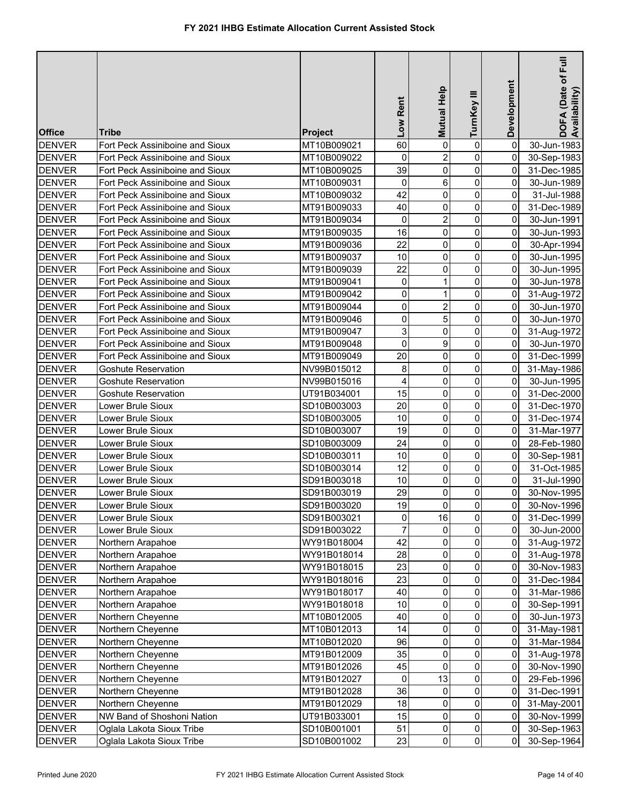| <b>Office</b> | Tribe                                           | <b>Project</b>             | Low Rent            | Mutual Help    | TurnKey III                      | Development    | DOFA (Date of Full<br>Availability) |
|---------------|-------------------------------------------------|----------------------------|---------------------|----------------|----------------------------------|----------------|-------------------------------------|
| <b>DENVER</b> | Fort Peck Assiniboine and Sioux                 | MT10B009021                | 60                  | 0              | 0                                | 0              | 30-Jun-1983                         |
| <b>DENVER</b> | Fort Peck Assiniboine and Sioux                 | MT10B009022                | 0                   | $\overline{2}$ | $\mathbf 0$                      | 0              | 30-Sep-1983                         |
| <b>DENVER</b> | Fort Peck Assiniboine and Sioux                 | MT10B009025                | 39                  | 0              | $\pmb{0}$                        | 0              | 31-Dec-1985                         |
| <b>DENVER</b> | Fort Peck Assiniboine and Sioux                 | MT10B009031                | 0                   | 6              | $\mathsf{O}\xspace$              | 0              | 30-Jun-1989                         |
| <b>DENVER</b> | Fort Peck Assiniboine and Sioux                 | MT10B009032                | 42                  | 0              | $\mathsf{O}\xspace$              | 0              | 31-Jul-1988                         |
| <b>DENVER</b> | Fort Peck Assiniboine and Sioux                 | MT91B009033                | 40                  | 0              | $\mathbf 0$                      | 0              | 31-Dec-1989                         |
| <b>DENVER</b> | Fort Peck Assiniboine and Sioux                 | MT91B009034                | 0                   | $\overline{2}$ | $\mathbf 0$                      | 0              | 30-Jun-1991                         |
| <b>DENVER</b> | Fort Peck Assiniboine and Sioux                 | MT91B009035                | 16                  | 0              | $\mathbf 0$                      | 0              | 30-Jun-1993                         |
| <b>DENVER</b> | Fort Peck Assiniboine and Sioux                 | MT91B009036                | 22                  | 0              | $\pmb{0}$                        | 0              | 30-Apr-1994                         |
| <b>DENVER</b> | Fort Peck Assiniboine and Sioux                 | MT91B009037                | 10                  | 0              | $\mathbf 0$                      | 0              | 30-Jun-1995                         |
| <b>DENVER</b> | Fort Peck Assiniboine and Sioux                 | MT91B009039                | 22                  | 0              | $\mathbf 0$                      | 0              | 30-Jun-1995                         |
| <b>DENVER</b> | Fort Peck Assiniboine and Sioux                 | MT91B009041                | 0                   | 1              | $\mathbf 0$                      | 0              | 30-Jun-1978                         |
| <b>DENVER</b> | Fort Peck Assiniboine and Sioux                 | MT91B009042                | 0                   | 1              | $\mathbf 0$                      | 0              | 31-Aug-1972                         |
| <b>DENVER</b> | Fort Peck Assiniboine and Sioux                 | MT91B009044                | 0                   | $\overline{c}$ | $\overline{0}$                   | 0              | 30-Jun-1970                         |
| <b>DENVER</b> | Fort Peck Assiniboine and Sioux                 | MT91B009046                | 0                   | 5              | $\pmb{0}$                        | 0              | 30-Jun-1970                         |
| <b>DENVER</b> | Fort Peck Assiniboine and Sioux                 | MT91B009047                | 3                   | 0              | $\pmb{0}$                        | 0              | 31-Aug-1972                         |
| <b>DENVER</b> | Fort Peck Assiniboine and Sioux                 | MT91B009048                | 0                   | 9              | $\mathbf 0$                      | 0              | 30-Jun-1970                         |
| <b>DENVER</b> | Fort Peck Assiniboine and Sioux                 |                            | 20                  | 0              | 0                                | 0              |                                     |
| <b>DENVER</b> | <b>Goshute Reservation</b>                      | MT91B009049<br>NV99B015012 | 8                   | 0              | 0                                | 0              | 31-Dec-1999                         |
| <b>DENVER</b> | <b>Goshute Reservation</b>                      |                            | 4                   | 0              | 0                                | 0              | 31-May-1986<br>30-Jun-1995          |
| <b>DENVER</b> |                                                 | NV99B015016                | 15                  | 0              | 0                                | 0              |                                     |
| <b>DENVER</b> | <b>Goshute Reservation</b><br>Lower Brule Sioux | UT91B034001<br>SD10B003003 | 20                  | 0              | $\mathbf 0$                      | 0              | 31-Dec-2000<br>31-Dec-1970          |
| <b>DENVER</b> |                                                 |                            | 10                  | 0              | $\mathbf 0$                      | 0              |                                     |
|               | Lower Brule Sioux                               | SD10B003005                |                     |                |                                  |                | 31-Dec-1974                         |
| <b>DENVER</b> | Lower Brule Sioux                               | SD10B003007                | 19<br>24            | 0              | $\pmb{0}$<br>$\pmb{0}$           | 0<br>0         | 31-Mar-1977                         |
| <b>DENVER</b> | Lower Brule Sioux                               | SD10B003009                |                     | 0              |                                  |                | 28-Feb-1980                         |
| <b>DENVER</b> | Lower Brule Sioux                               | SD10B003011                | 10                  | 0              | $\mathbf 0$                      | 0              | 30-Sep-1981                         |
| <b>DENVER</b> | Lower Brule Sioux                               | SD10B003014                | 12                  | 0              | $\pmb{0}$                        | 0              | 31-Oct-1985                         |
| <b>DENVER</b> | Lower Brule Sioux                               | SD91B003018                | 10                  | 0              | $\pmb{0}$                        | 0              | 31-Jul-1990                         |
| <b>DENVER</b> | Lower Brule Sioux                               | SD91B003019                | 29                  | 0              | $\pmb{0}$                        | 0              | 30-Nov-1995                         |
| <b>DENVER</b> | Lower Brule Sioux                               | SD91B003020                | 19                  | $\overline{0}$ | $\overline{0}$<br>$\overline{0}$ | $\overline{0}$ | 30-Nov-1996                         |
| <b>DENVER</b> | ower Brule Sioux                                | SD91B003021                | $\mathsf{O}\xspace$ | 16             |                                  | 0              | 31-Dec-1999                         |
| <b>DENVER</b> | Lower Brule Sioux                               | SD91B003022                | $\overline{7}$      | 0              | $\pmb{0}$                        | 0              | 30-Jun-2000                         |
| <b>DENVER</b> | Northern Arapahoe                               | WY91B018004                | 42                  | 0              | $\mathsf{O}\xspace$              | 0              | 31-Aug-1972                         |
| <b>DENVER</b> | Northern Arapahoe                               | WY91B018014                | 28                  | 0              | 0                                | 0              | 31-Aug-1978                         |
| <b>DENVER</b> | Northern Arapahoe                               | WY91B018015                | 23                  | 0              | $\pmb{0}$                        | 0              | 30-Nov-1983                         |
| <b>DENVER</b> | Northern Arapahoe                               | WY91B018016                | 23                  | 0              | $\mathsf{O}\xspace$              | 0              | 31-Dec-1984                         |
| <b>DENVER</b> | Northern Arapahoe                               | WY91B018017                | 40                  | 0              | 0                                | 0              | 31-Mar-1986                         |
| <b>DENVER</b> | Northern Arapahoe                               | WY91B018018                | 10                  | 0              | 0                                | 0              | 30-Sep-1991                         |
| <b>DENVER</b> | Northern Cheyenne                               | MT10B012005                | 40                  | 0              | 0                                | 0              | 30-Jun-1973                         |
| <b>DENVER</b> | Northern Cheyenne                               | MT10B012013                | 14                  | 0              | 0                                | 0              | 31-May-1981                         |
| <b>DENVER</b> | Northern Cheyenne                               | MT10B012020                | 96                  | 0              | $\pmb{0}$                        | 0              | 31-Mar-1984                         |
| <b>DENVER</b> | Northern Cheyenne                               | MT91B012009                | 35                  | 0              | $\mathbf 0$                      | 0              | 31-Aug-1978                         |
| <b>DENVER</b> | Northern Cheyenne                               | MT91B012026                | 45                  | 0              | 0                                | 0              | 30-Nov-1990                         |
| <b>DENVER</b> | Northern Cheyenne                               | MT91B012027                | 0                   | 13             | $\mathbf 0$                      | 0              | 29-Feb-1996                         |
| <b>DENVER</b> | Northern Cheyenne                               | MT91B012028                | 36                  | 0              | 0                                | 0              | 31-Dec-1991                         |
| <b>DENVER</b> | Northern Cheyenne                               | MT91B012029                | 18                  | 0              | 0                                | 0              | 31-May-2001                         |
| <b>DENVER</b> | NW Band of Shoshoni Nation                      | UT91B033001                | 15                  | 0              | $\mathsf{O}\xspace$              | $\overline{0}$ | 30-Nov-1999                         |
| <b>DENVER</b> | Oglala Lakota Sioux Tribe                       | SD10B001001                | 51                  | 0              | $\overline{0}$                   | $\overline{0}$ | 30-Sep-1963                         |
| <b>DENVER</b> | Oglala Lakota Sioux Tribe                       | SD10B001002                | 23                  | $\overline{0}$ | $\overline{0}$                   | $\overline{0}$ | 30-Sep-1964                         |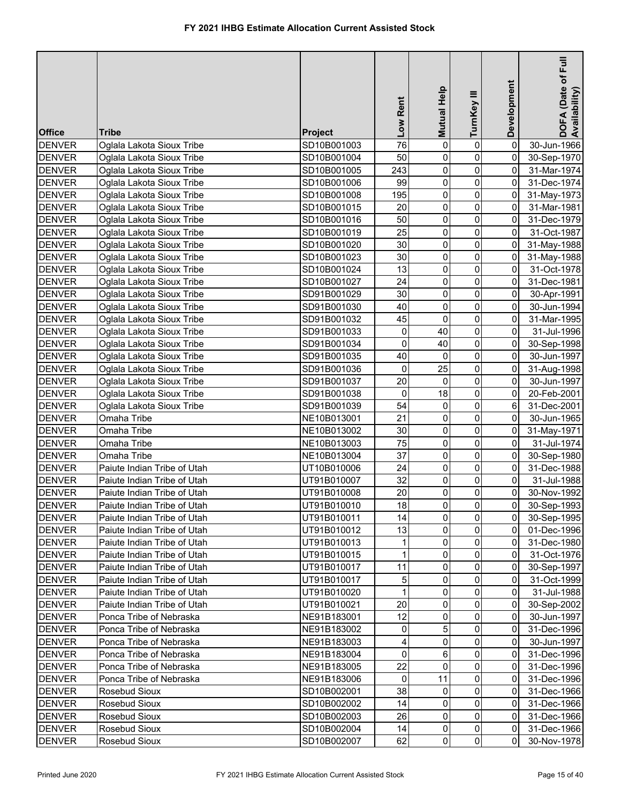| <b>Office</b>                  | Tribe                                                  | Project                    | Low Rent       | Mutual Help    | TurnKey III    | Development         | DOFA (Date of Full<br>Availability) |
|--------------------------------|--------------------------------------------------------|----------------------------|----------------|----------------|----------------|---------------------|-------------------------------------|
| <b>DENVER</b>                  | Oglala Lakota Sioux Tribe                              | SD10B001003                | 76             | 0              | 0              | 0                   | 30-Jun-1966                         |
| <b>DENVER</b>                  | Oglala Lakota Sioux Tribe                              | SD10B001004                | 50             | 0              | 0              | 0                   |                                     |
| <b>DENVER</b>                  | Oglala Lakota Sioux Tribe                              | SD10B001005                | 243            | 0              | 0              | $\mathbf 0$         | 30-Sep-1970<br>31-Mar-1974          |
| <b>DENVER</b>                  | Oglala Lakota Sioux Tribe                              | SD10B001006                | 99             | 0              | 0              | 0                   | 31-Dec-1974                         |
|                                |                                                        |                            | 195            | 0              | 0              | $\overline{0}$      |                                     |
| <b>DENVER</b><br><b>DENVER</b> | Oglala Lakota Sioux Tribe<br>Oglala Lakota Sioux Tribe | SD10B001008<br>SD10B001015 | 20             | 0              | $\mathbf 0$    | 0                   | 31-May-1973<br>31-Mar-1981          |
| <b>DENVER</b>                  | Oglala Lakota Sioux Tribe                              | SD10B001016                | 50             | 0              | 0              | $\mathsf{O}\xspace$ | 31-Dec-1979                         |
| <b>DENVER</b>                  | Oglala Lakota Sioux Tribe                              | SD10B001019                | 25             | 0              | $\mathbf 0$    | 0                   | 31-Oct-1987                         |
| <b>DENVER</b>                  | Oglala Lakota Sioux Tribe                              | SD10B001020                | 30             | 0              | 0              | 0                   | 31-May-1988                         |
| <b>DENVER</b>                  | Oglala Lakota Sioux Tribe                              | SD10B001023                | 30             | 0              | 0              | 0                   |                                     |
| <b>DENVER</b>                  |                                                        | SD10B001024                | 13             | 0              | 0              | 0                   | 31-May-1988                         |
|                                | Oglala Lakota Sioux Tribe                              |                            | 24             | 0              | $\mathbf 0$    | 0                   | 31-Oct-1978                         |
| <b>DENVER</b>                  | Oglala Lakota Sioux Tribe                              | SD10B001027                | 30             |                |                |                     | 31-Dec-1981                         |
| <b>DENVER</b>                  | Oglala Lakota Sioux Tribe                              | SD91B001029                | 40             | 0<br>0         | 0<br>0         | 0<br>0              | 30-Apr-1991                         |
| <b>DENVER</b>                  | Oglala Lakota Sioux Tribe                              | SD91B001030                |                |                |                |                     | 30-Jun-1994                         |
| <b>DENVER</b>                  | Oglala Lakota Sioux Tribe                              | SD91B001032                | 45             | 0<br>40        | 0              | 0                   | 31-Mar-1995                         |
| <b>DENVER</b>                  | Oglala Lakota Sioux Tribe                              | SD91B001033                | 0              |                | 0              | 0                   | 31-Jul-1996                         |
| <b>DENVER</b>                  | Oglala Lakota Sioux Tribe                              | SD91B001034                | 0              | 40             | 0              | 0                   | 30-Sep-1998                         |
| <b>DENVER</b>                  | Oglala Lakota Sioux Tribe                              | SD91B001035                | 40             | 0              | $\mathbf 0$    | 0                   | 30-Jun-1997                         |
| <b>DENVER</b>                  | Oglala Lakota Sioux Tribe                              | SD91B001036                | 0              | 25             | 0              | 0                   | 31-Aug-1998                         |
| <b>DENVER</b>                  | Oglala Lakota Sioux Tribe                              | SD91B001037                | 20             | 0              | 0              | 0                   | 30-Jun-1997                         |
| <b>DENVER</b>                  | Oglala Lakota Sioux Tribe                              | SD91B001038                | 0              | 18             | 0              | 0                   | 20-Feb-2001                         |
| <b>DENVER</b>                  | Oglala Lakota Sioux Tribe                              | SD91B001039                | 54             | 0              | 0              | 6                   | 31-Dec-2001                         |
| <b>DENVER</b>                  | Omaha Tribe                                            | NE10B013001                | 21             | 0              | 0              | $\Omega$            | 30-Jun-1965                         |
| <b>DENVER</b>                  | Omaha Tribe                                            | NE10B013002                | 30             | 0              | 0              | $\overline{0}$      | 31-May-1971                         |
| <b>DENVER</b>                  | Omaha Tribe                                            | NE10B013003                | 75             | 0              | 0              | 0                   | 31-Jul-1974                         |
| <b>DENVER</b>                  | Omaha Tribe                                            | NE10B013004                | 37             | 0              | 0              | $\overline{0}$      | 30-Sep-1980                         |
| <b>DENVER</b>                  | Paiute Indian Tribe of Utah                            | UT10B010006                | 24             | 0              | 0              | $\overline{0}$      | 31-Dec-1988                         |
| <b>DENVER</b>                  | Paiute Indian Tribe of Utah                            | UT91B010007                | 32             | 0              | 0              | $\overline{0}$      | 31-Jul-1988                         |
| <b>DENVER</b>                  | Paiute Indian Tribe of Utah                            | UT91B010008                | 20             | 0              | 0              | 0                   | 30-Nov-1992                         |
| <b>DENVER</b>                  | Paiute Indian Tribe of Utah                            | UT91B010010                | 18             | $\overline{0}$ | $\overline{0}$ | $\overline{0}$      | 30-Sep-1993                         |
| <b>DENVER</b>                  | Paiute Indian Tribe of Utah                            | UT91B010011                | 14             | $\mathbf 0$    | $\overline{0}$ | οI                  | 30-Sep-1995                         |
| <b>DENVER</b>                  | Paiute Indian Tribe of Utah                            | UT91B010012                | 13             | 0              | 0              | Οl                  | 01-Dec-1996                         |
| <b>DENVER</b>                  | Paiute Indian Tribe of Utah                            | UT91B010013                | $\mathbf{1}$   | 0              | 0              | 0                   | 31-Dec-1980                         |
| <b>DENVER</b>                  | Paiute Indian Tribe of Utah                            | UT91B010015                | $\mathbf{1}$   | 0              | 0              | 0                   | 31-Oct-1976                         |
| <b>DENVER</b>                  | Paiute Indian Tribe of Utah                            | UT91B010017                | 11             | 0              | 0              | 0                   | 30-Sep-1997                         |
| <b>DENVER</b>                  | Paiute Indian Tribe of Utah                            | UT91B010017                | 5              | 0              | 0              | 0                   | 31-Oct-1999                         |
| <b>DENVER</b>                  | Paiute Indian Tribe of Utah                            | UT91B010020                | $\mathbf{1}$   | $\Omega$       | 0              | 0                   | 31-Jul-1988                         |
| <b>DENVER</b>                  | Paiute Indian Tribe of Utah                            | UT91B010021                | 20             | 0              | 0              | 0                   | 30-Sep-2002                         |
| <b>DENVER</b>                  | Ponca Tribe of Nebraska                                | NE91B183001                | 12             | 0              | 0              | 0                   | 30-Jun-1997                         |
| <b>DENVER</b>                  | Ponca Tribe of Nebraska                                | NE91B183002                | 0              | 5              | 0              | 0                   | 31-Dec-1996                         |
| <b>DENVER</b>                  | Ponca Tribe of Nebraska                                | NE91B183003                | $\overline{4}$ | 0              | 0              | 0                   | 30-Jun-1997                         |
| <b>DENVER</b>                  | Ponca Tribe of Nebraska                                | NE91B183004                | $\overline{0}$ | 6              | 0              | 0                   | 31-Dec-1996                         |
| <b>DENVER</b>                  | Ponca Tribe of Nebraska                                | NE91B183005                | 22             | 0              | 0              | 0                   | 31-Dec-1996                         |
| <b>DENVER</b>                  | Ponca Tribe of Nebraska                                | NE91B183006                | 0              | 11             | 0              | $\overline{0}$      | 31-Dec-1996                         |
| <b>DENVER</b>                  | Rosebud Sioux                                          | SD10B002001                | 38             | 0              | 0              | $\overline{0}$      | 31-Dec-1966                         |
| <b>DENVER</b>                  | Rosebud Sioux                                          | SD10B002002                | 14             | 0              | 0              | $\overline{0}$      | 31-Dec-1966                         |
| <b>DENVER</b>                  | <b>Rosebud Sioux</b>                                   | SD10B002003                | 26             | 0              | 0              | $\overline{0}$      | 31-Dec-1966                         |
| <b>DENVER</b>                  | Rosebud Sioux                                          | SD10B002004                | 14             | 0              | $\overline{0}$ | $\overline{0}$      | 31-Dec-1966                         |
| <b>DENVER</b>                  | Rosebud Sioux                                          | SD10B002007                | 62             | $\overline{0}$ | $\overline{0}$ | οI                  | 30-Nov-1978                         |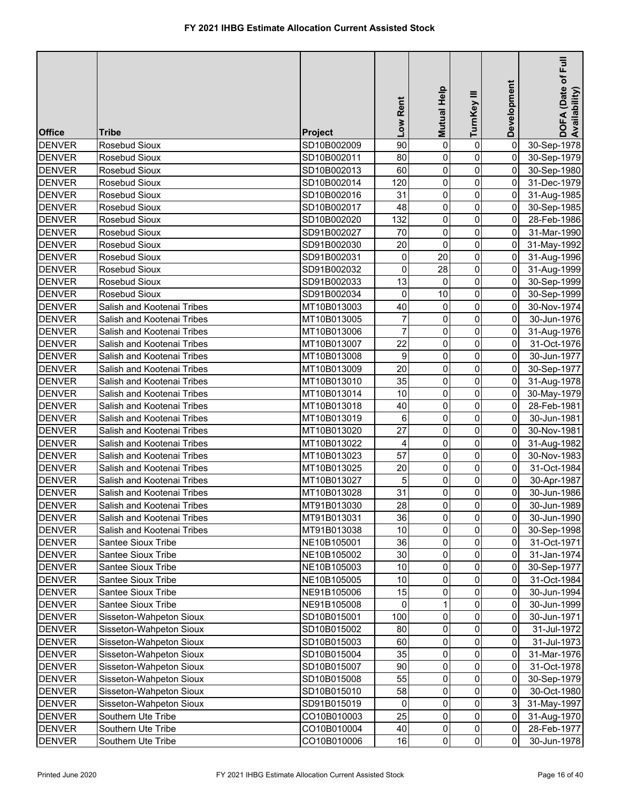| <b>Office</b> | Tribe                      | <b>Project</b> | Low Rent       | Mutual Help    | TurnKey III             | Development         | $E$ ull<br>DOFA (Date of F<br>Availability) |
|---------------|----------------------------|----------------|----------------|----------------|-------------------------|---------------------|---------------------------------------------|
| <b>DENVER</b> | Rosebud Sioux              | SD10B002009    | 90             | $\mathbf 0$    | $\pmb{0}$               | $\pmb{0}$           | 30-Sep-1978                                 |
| <b>DENVER</b> | Rosebud Sioux              | SD10B002011    | 80             | $\mathbf 0$    | $\mathbf 0$             | $\pmb{0}$           | 30-Sep-1979                                 |
| <b>DENVER</b> | Rosebud Sioux              | SD10B002013    | 60             | 0              | 0                       | 0                   | 30-Sep-1980                                 |
| <b>DENVER</b> | Rosebud Sioux              | SD10B002014    | 120            | $\mathsf 0$    | 0                       | 0                   | 31-Dec-1979                                 |
| <b>DENVER</b> | Rosebud Sioux              | SD10B002016    | 31             | $\mathsf 0$    | 0                       | $\mathsf{O}\xspace$ | 31-Aug-1985                                 |
| <b>DENVER</b> | Rosebud Sioux              | SD10B002017    | 48             | $\mathsf 0$    | 0                       | $\mathsf{O}\xspace$ | 30-Sep-1985                                 |
| <b>DENVER</b> | Rosebud Sioux              | SD10B002020    | 132            | 0              | $\pmb{0}$               | 0                   | 28-Feb-1986                                 |
| <b>DENVER</b> | Rosebud Sioux              | SD91B002027    | 70             | 0              | $\mathbf 0$             | 0                   | 31-Mar-1990                                 |
| <b>DENVER</b> | Rosebud Sioux              | SD91B002030    | 20             | $\mathbf 0$    | $\pmb{0}$               | 0                   | 31-May-1992                                 |
| <b>DENVER</b> | Rosebud Sioux              | SD91B002031    | $\pmb{0}$      | 20             | $\pmb{0}$               | 0                   | 31-Aug-1996                                 |
| <b>DENVER</b> | Rosebud Sioux              | SD91B002032    | 0              | 28             | 0                       | $\mathsf{O}\xspace$ | 31-Aug-1999                                 |
| <b>DENVER</b> | Rosebud Sioux              | SD91B002033    | 13             | 0              | $\pmb{0}$               | 0                   | 30-Sep-1999                                 |
| <b>DENVER</b> | Rosebud Sioux              | SD91B002034    | 0              | 10             | 0                       | 0                   | 30-Sep-1999                                 |
| <b>DENVER</b> | Salish and Kootenai Tribes | MT10B013003    | 40             | 0              | 0                       | 0                   | 30-Nov-1974                                 |
| <b>DENVER</b> | Salish and Kootenai Tribes | MT10B013005    | $\overline{7}$ | 0              | 0                       | 0                   | 30-Jun-1976                                 |
| <b>DENVER</b> | Salish and Kootenai Tribes | MT10B013006    | $\overline{7}$ | 0              | 0                       | 0                   | 31-Aug-1976                                 |
| <b>DENVER</b> | Salish and Kootenai Tribes | MT10B013007    | 22             | $\mathbf 0$    | 0                       | $\mathbf 0$         | 31-Oct-1976                                 |
| <b>DENVER</b> | Salish and Kootenai Tribes | MT10B013008    | 9              | 0              | 0                       | 0                   | 30-Jun-1977                                 |
| <b>DENVER</b> | Salish and Kootenai Tribes | MT10B013009    | 20             | 0              | 0                       | $\mathbf 0$         | 30-Sep-1977                                 |
| <b>DENVER</b> | Salish and Kootenai Tribes | MT10B013010    | 35             | 0              | 0                       | 0                   | 31-Aug-1978                                 |
| <b>DENVER</b> | Salish and Kootenai Tribes | MT10B013014    | 10             | 0              | 0                       | $\mathbf 0$         | 30-May-1979                                 |
| <b>DENVER</b> | Salish and Kootenai Tribes | MT10B013018    | 40             | 0              | $\mathbf 0$             | 0                   | 28-Feb-1981                                 |
| <b>DENVER</b> | Salish and Kootenai Tribes | MT10B013019    | $\,6$          | $\mathsf 0$    | $\mathbf 0$             | 0                   | 30-Jun-1981                                 |
| <b>DENVER</b> | Salish and Kootenai Tribes | MT10B013020    | 27             | 0              | 0                       | 0                   | 30-Nov-1981                                 |
| <b>DENVER</b> | Salish and Kootenai Tribes | MT10B013022    | 4              | $\mathbf 0$    | 0                       | 0                   | 31-Aug-1982                                 |
| <b>DENVER</b> | Salish and Kootenai Tribes | MT10B013023    | 57             | $\mathbf 0$    | 0                       | 0                   | 30-Nov-1983                                 |
| <b>DENVER</b> | Salish and Kootenai Tribes | MT10B013025    | 20             | $\mathbf 0$    | 0                       | $\pmb{0}$           | 31-Oct-1984                                 |
| <b>DENVER</b> | Salish and Kootenai Tribes | MT10B013027    | 5              | 0              | 0                       | 0                   | 30-Apr-1987                                 |
| <b>DENVER</b> | Salish and Kootenai Tribes | MT10B013028    | 31             | $\mathbf 0$    | 0                       | 0                   | 30-Jun-1986                                 |
| <b>DENVER</b> | Salish and Kootenai Tribes | MT91B013030    | 28             | $\overline{0}$ | $\overline{\mathbf{0}}$ | $\pmb{0}$           | 30-Jun-1989                                 |
| <b>DENVER</b> | Salish and Kootenai Tribes | MT91B013031    | 36             | $\mathbf 0$    | $\overline{\mathsf{o}}$ | 0                   | 30-Jun-1990                                 |
| <b>DENVER</b> | Salish and Kootenai Tribes | MT91B013038    | 10             | 0              | $\pmb{0}$               | 0                   | 30-Sep-1998                                 |
| <b>DENVER</b> | Santee Sioux Tribe         | NE10B105001    | 36             | 0              | $\pmb{0}$               | 0                   | 31-Oct-1971                                 |
| <b>DENVER</b> | Santee Sioux Tribe         | NE10B105002    | 30             | 0              | $\pmb{0}$               | 0                   | 31-Jan-1974                                 |
| <b>DENVER</b> | Santee Sioux Tribe         | NE10B105003    | $10$           | $\mathbf 0$    | $\pmb{0}$               | 0                   | 30-Sep-1977                                 |
| <b>DENVER</b> | Santee Sioux Tribe         | NE10B105005    | 10             | 0              | $\pmb{0}$               | 0                   | 31-Oct-1984                                 |
| <b>DENVER</b> | Santee Sioux Tribe         | NE91B105006    | 15             | 0              | $\pmb{0}$               | 0                   | 30-Jun-1994                                 |
| <b>DENVER</b> | Santee Sioux Tribe         | NE91B105008    | 0              |                | 0                       | 0                   | 30-Jun-1999                                 |
| <b>DENVER</b> | Sisseton-Wahpeton Sioux    | SD10B015001    | 100            | 0              | 0                       | 0                   | 30-Jun-1971                                 |
| <b>DENVER</b> | Sisseton-Wahpeton Sioux    | SD10B015002    | 80             | 0              | 0                       | 0                   | 31-Jul-1972                                 |
| <b>DENVER</b> | Sisseton-Wahpeton Sioux    | SD10B015003    | 60             | 0              | 0                       | 0                   | 31-Jul-1973                                 |
| <b>DENVER</b> | Sisseton-Wahpeton Sioux    | SD10B015004    | 35             | 0              | 0                       | 0                   | 31-Mar-1976                                 |
| <b>DENVER</b> | Sisseton-Wahpeton Sioux    | SD10B015007    | 90             | 0              | 0                       | $\overline{0}$      | 31-Oct-1978                                 |
| <b>DENVER</b> | Sisseton-Wahpeton Sioux    | SD10B015008    | 55             | 0              | 0                       | 0                   | 30-Sep-1979                                 |
| <b>DENVER</b> | Sisseton-Wahpeton Sioux    | SD10B015010    | 58             | 0              | 0                       | $\overline{0}$      | 30-Oct-1980                                 |
| <b>DENVER</b> | Sisseton-Wahpeton Sioux    | SD91B015019    | 0              | 0              | 0                       | 3 <sup>1</sup>      | 31-May-1997                                 |
| <b>DENVER</b> | Southern Ute Tribe         | CO10B010003    | 25             | $\mathbf 0$    | $\pmb{0}$               | $\overline{0}$      | 31-Aug-1970                                 |
| <b>DENVER</b> | Southern Ute Tribe         | CO10B010004    | 40             | 0              | $\pmb{0}$               | $\overline{0}$      | 28-Feb-1977                                 |
| <b>DENVER</b> | Southern Ute Tribe         | CO10B010006    | 16             | $\mathbf 0$    | $\pmb{0}$               | $\mathbf{0}$        | 30-Jun-1978                                 |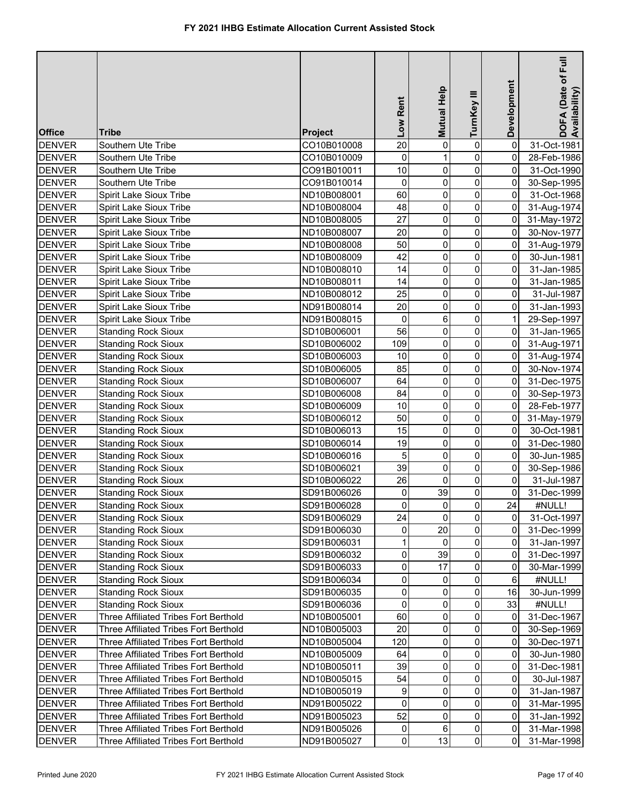| <b>Office</b> | <b>Tribe</b>                          | Project     | Low Rent       | Mutual Help    | TurnKey III             | Development         | DOFA (Date of Full<br>Availability) |
|---------------|---------------------------------------|-------------|----------------|----------------|-------------------------|---------------------|-------------------------------------|
| <b>DENVER</b> | Southern Ute Tribe                    | CO10B010008 | 20             | 0              | $\pmb{0}$               | $\pmb{0}$           | 31-Oct-1981                         |
| <b>DENVER</b> | Southern Ute Tribe                    | CO10B010009 | 0              | $\mathbf{1}$   | $\pmb{0}$               | 0                   | 28-Feb-1986                         |
| <b>DENVER</b> | Southern Ute Tribe                    | CO91B010011 | 10             | 0              | $\pmb{0}$               | $\pmb{0}$           | 31-Oct-1990                         |
| <b>DENVER</b> | Southern Ute Tribe                    | CO91B010014 | 0              | 0              | $\pmb{0}$               | $\mathsf{O}\xspace$ | 30-Sep-1995                         |
| <b>DENVER</b> | Spirit Lake Sioux Tribe               | ND10B008001 | 60             | $\pmb{0}$      | $\pmb{0}$               | $\mathsf{O}\xspace$ | 31-Oct-1968                         |
| <b>DENVER</b> | Spirit Lake Sioux Tribe               | ND10B008004 | 48             | 0              | $\pmb{0}$               | 0                   | 31-Aug-1974                         |
| <b>DENVER</b> | Spirit Lake Sioux Tribe               | ND10B008005 | 27             | 0              | 0                       | 0                   | 31-May-1972                         |
| <b>DENVER</b> | Spirit Lake Sioux Tribe               | ND10B008007 | 20             | 0              | $\pmb{0}$               | $\mathsf{O}\xspace$ | 30-Nov-1977                         |
| <b>DENVER</b> | Spirit Lake Sioux Tribe               | ND10B008008 | 50             | 0              | $\pmb{0}$               | 0                   | 31-Aug-1979                         |
| <b>DENVER</b> | Spirit Lake Sioux Tribe               | ND10B008009 | 42             | 0              | 0                       | 0                   | 30-Jun-1981                         |
| <b>DENVER</b> | Spirit Lake Sioux Tribe               | ND10B008010 | 14             | 0              | $\pmb{0}$               | 0                   | 31-Jan-1985                         |
| <b>DENVER</b> | Spirit Lake Sioux Tribe               | ND10B008011 | 14             | 0              | 0                       | 0                   | 31-Jan-1985                         |
| <b>DENVER</b> | Spirit Lake Sioux Tribe               | ND10B008012 | 25             | 0              | 0                       | 0                   | 31-Jul-1987                         |
| <b>DENVER</b> | Spirit Lake Sioux Tribe               | ND91B008014 | 20             | 0              | $\pmb{0}$               | 0                   | 31-Jan-1993                         |
| <b>DENVER</b> | Spirit Lake Sioux Tribe               | ND91B008015 | 0              | 6              | $\pmb{0}$               | 1                   | 29-Sep-1997                         |
| <b>DENVER</b> | <b>Standing Rock Sioux</b>            | SD10B006001 | 56             | 0              | $\pmb{0}$               | $\mathbf 0$         | 31-Jan-1965                         |
| <b>DENVER</b> | <b>Standing Rock Sioux</b>            | SD10B006002 | 109            | 0              | 0                       | $\mathbf 0$         | 31-Aug-1971                         |
| <b>DENVER</b> | <b>Standing Rock Sioux</b>            | SD10B006003 | 10             | 0              | $\pmb{0}$               | $\overline{0}$      | 31-Aug-1974                         |
| <b>DENVER</b> | <b>Standing Rock Sioux</b>            | SD10B006005 | 85             | 0              | 0                       | $\mathbf 0$         | 30-Nov-1974                         |
| <b>DENVER</b> | <b>Standing Rock Sioux</b>            | SD10B006007 | 64             | $\mathsf 0$    | 0                       | 0                   | 31-Dec-1975                         |
| <b>DENVER</b> | <b>Standing Rock Sioux</b>            | SD10B006008 | 84             | $\mathsf 0$    | $\pmb{0}$               | $\mathsf{O}\xspace$ | 30-Sep-1973                         |
| <b>DENVER</b> | <b>Standing Rock Sioux</b>            | SD10B006009 | 10             | 0              | $\pmb{0}$               | 0                   | 28-Feb-1977                         |
| <b>DENVER</b> | <b>Standing Rock Sioux</b>            | SD10B006012 | 50             | 0              | 0                       | $\overline{0}$      | 31-May-1979                         |
| <b>DENVER</b> | <b>Standing Rock Sioux</b>            | SD10B006013 | 15             | 0              | $\pmb{0}$               | $\overline{0}$      | 30-Oct-1981                         |
| <b>DENVER</b> | <b>Standing Rock Sioux</b>            | SD10B006014 | 19             | $\mathsf 0$    | $\pmb{0}$               | $\mathbf 0$         | 31-Dec-1980                         |
| <b>DENVER</b> | <b>Standing Rock Sioux</b>            | SD10B006016 | 5              | 0              | $\pmb{0}$               | 0                   | 30-Jun-1985                         |
| <b>DENVER</b> | <b>Standing Rock Sioux</b>            | SD10B006021 | 39             | $\pmb{0}$      | $\pmb{0}$               | $\overline{0}$      | 30-Sep-1986                         |
| <b>DENVER</b> | <b>Standing Rock Sioux</b>            | SD10B006022 | 26             | $\Omega$       | $\pmb{0}$               | $\overline{0}$      | 31-Jul-1987                         |
| <b>DENVER</b> | <b>Standing Rock Sioux</b>            | SD91B006026 | 0              | 39             | $\pmb{0}$               | $\mathsf{O}\xspace$ | 31-Dec-1999                         |
| <b>DENVER</b> | <b>Standing Rock Sioux</b>            | SD91B006028 | 0              | $\overline{0}$ | $\overline{\mathbf{0}}$ | 24                  | #NULL!                              |
| <b>DENVER</b> | <b>Standing Rock Sioux</b>            | SD91B006029 | 24             | $\Omega$       | $\mathbf 0$             | 0                   | 31-Oct-1997                         |
| <b>DENVER</b> | <b>Standing Rock Sioux</b>            | SD91B006030 | 0              | 20             | 0                       | 0                   | 31-Dec-1999                         |
| <b>DENVER</b> | <b>Standing Rock Sioux</b>            | SD91B006031 | 1              | $\mathbf{0}$   | $\pmb{0}$               | 0                   | 31-Jan-1997                         |
| <b>DENVER</b> | <b>Standing Rock Sioux</b>            | SD91B006032 | 0              | 39             | $\pmb{0}$               | 0                   | 31-Dec-1997                         |
| <b>DENVER</b> | <b>Standing Rock Sioux</b>            | SD91B006033 | 0              | 17             | 0                       | 0                   | 30-Mar-1999                         |
| <b>DENVER</b> | <b>Standing Rock Sioux</b>            | SD91B006034 | 0              | 0              | $\mathbf 0$             | 6                   | #NULL!                              |
| <b>DENVER</b> | <b>Standing Rock Sioux</b>            | SD91B006035 | 0              | 0              | 0                       | 16                  | 30-Jun-1999                         |
| <b>DENVER</b> | <b>Standing Rock Sioux</b>            | SD91B006036 | 0              | 0              | 0                       | 33                  | #NULL!                              |
| <b>DENVER</b> | Three Affiliated Tribes Fort Berthold | ND10B005001 | 60             | 0              | 0                       | 0                   | 31-Dec-1967                         |
| <b>DENVER</b> | Three Affiliated Tribes Fort Berthold | ND10B005003 | 20             | 0              | 0                       | 0                   | 30-Sep-1969                         |
| <b>DENVER</b> | Three Affiliated Tribes Fort Berthold | ND10B005004 | 120            | 0              | $\mathbf 0$             | 0                   | 30-Dec-1971                         |
| <b>DENVER</b> | Three Affiliated Tribes Fort Berthold | ND10B005009 | 64             | 0              | 0                       | 0                   | 30-Jun-1980                         |
| <b>DENVER</b> | Three Affiliated Tribes Fort Berthold | ND10B005011 | 39             | 0              | 0                       | 0                   | 31-Dec-1981                         |
| <b>DENVER</b> | Three Affiliated Tribes Fort Berthold | ND10B005015 | 54             | 0              | 0                       | $\overline{0}$      | 30-Jul-1987                         |
| <b>DENVER</b> | Three Affiliated Tribes Fort Berthold | ND10B005019 | 9              | 0              | 0                       | $\overline{0}$      | 31-Jan-1987                         |
| <b>DENVER</b> | Three Affiliated Tribes Fort Berthold | ND91B005022 | 0              | 0              | 0                       | $\overline{0}$      | 31-Mar-1995                         |
| <b>DENVER</b> | Three Affiliated Tribes Fort Berthold | ND91B005023 | 52             | 0              | 0                       | $\mathbf 0$         | 31-Jan-1992                         |
| <b>DENVER</b> | Three Affiliated Tribes Fort Berthold | ND91B005026 | 0              | 6              | $\pmb{0}$               | $\mathbf 0$         | 31-Mar-1998                         |
| <b>DENVER</b> | Three Affiliated Tribes Fort Berthold | ND91B005027 | $\overline{0}$ | 13             | $\overline{0}$          | $\overline{0}$      | 31-Mar-1998                         |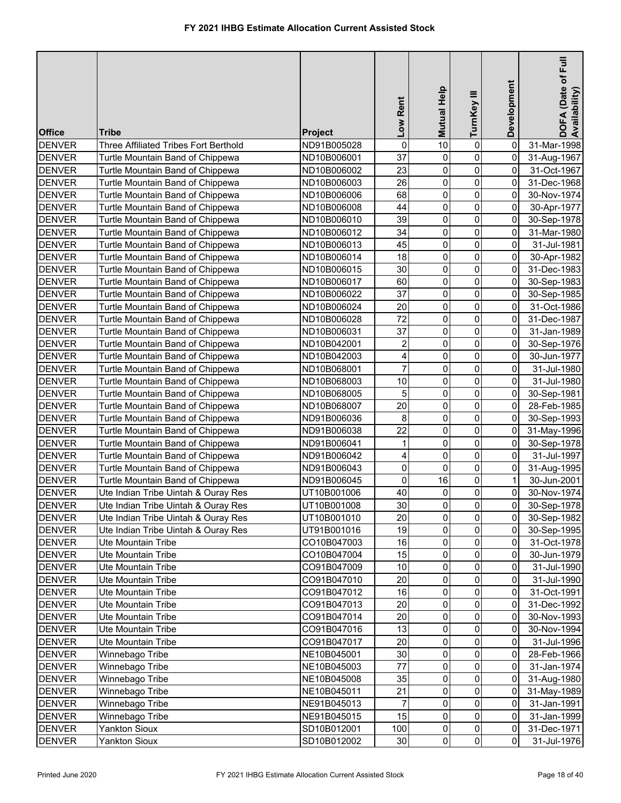|               |                                       |                | Low Rent            | Mutual Help             | TurnKey III    | Development    | DOFA (Date of Full<br>Availability) |
|---------------|---------------------------------------|----------------|---------------------|-------------------------|----------------|----------------|-------------------------------------|
| <b>Office</b> | Tribe                                 | <b>Project</b> |                     |                         |                |                |                                     |
| <b>DENVER</b> | Three Affiliated Tribes Fort Berthold | ND91B005028    | 0                   | 10                      | $\pmb{0}$      | 0              | 31-Mar-1998                         |
| <b>DENVER</b> | Turtle Mountain Band of Chippewa      | ND10B006001    | 37                  | 0                       | 0              | 0              | 31-Aug-1967                         |
| <b>DENVER</b> | Turtle Mountain Band of Chippewa      | ND10B006002    | 23                  | 0                       | 0              | 0              | 31-Oct-1967                         |
| <b>DENVER</b> | Turtle Mountain Band of Chippewa      | ND10B006003    | 26                  | 0                       | 0              | 0              | 31-Dec-1968                         |
| <b>DENVER</b> | Turtle Mountain Band of Chippewa      | ND10B006006    | 68                  | 0                       | 0              | 0              | 30-Nov-1974                         |
| <b>DENVER</b> | Turtle Mountain Band of Chippewa      | ND10B006008    | 44                  | 0                       | $\mathbf 0$    | 0              | 30-Apr-1977                         |
| <b>DENVER</b> | Turtle Mountain Band of Chippewa      | ND10B006010    | 39                  | 0                       | 0              | 0              | 30-Sep-1978                         |
| <b>DENVER</b> | Turtle Mountain Band of Chippewa      | ND10B006012    | 34                  | 0                       | 0              | 0              | 31-Mar-1980                         |
| <b>DENVER</b> | Turtle Mountain Band of Chippewa      | ND10B006013    | 45                  | 0                       | 0              | 0              | 31-Jul-1981                         |
| <b>DENVER</b> | Turtle Mountain Band of Chippewa      | ND10B006014    | 18                  | 0                       | 0              | 0              | 30-Apr-1982                         |
| <b>DENVER</b> | Turtle Mountain Band of Chippewa      | ND10B006015    | 30                  | 0                       | 0              | 0              | 31-Dec-1983                         |
| <b>DENVER</b> | Turtle Mountain Band of Chippewa      | ND10B006017    | 60                  | 0                       | 0              | 0              | 30-Sep-1983                         |
| <b>DENVER</b> | Turtle Mountain Band of Chippewa      | ND10B006022    | 37                  | 0                       | 0              | 0              | 30-Sep-1985                         |
| <b>DENVER</b> | Turtle Mountain Band of Chippewa      | ND10B006024    | 20                  | 0                       | 0              | 0              | 31-Oct-1986                         |
| <b>DENVER</b> | Turtle Mountain Band of Chippewa      | ND10B006028    | 72                  | 0                       | 0              | 0              | 31-Dec-1987                         |
| <b>DENVER</b> | Turtle Mountain Band of Chippewa      | ND10B006031    | 37                  | 0                       | 0              | 0              | 31-Jan-1989                         |
| <b>DENVER</b> | Turtle Mountain Band of Chippewa      | ND10B042001    | 2                   | 0                       | 0              | 0              | 30-Sep-1976                         |
| <b>DENVER</b> | Turtle Mountain Band of Chippewa      | ND10B042003    | 4                   | 0                       | 0              | 0              | 30-Jun-1977                         |
| <b>DENVER</b> | Turtle Mountain Band of Chippewa      | ND10B068001    | $\overline{7}$      | 0                       | 0              | 0              | 31-Jul-1980                         |
| <b>DENVER</b> | Turtle Mountain Band of Chippewa      | ND10B068003    | 10                  | 0                       | 0              | 0              | 31-Jul-1980                         |
| <b>DENVER</b> | Turtle Mountain Band of Chippewa      | ND10B068005    | 5                   | 0                       | 0              | 0              | 30-Sep-1981                         |
| <b>DENVER</b> | Turtle Mountain Band of Chippewa      | ND10B068007    | 20                  | 0                       | 0              | 0              | 28-Feb-1985                         |
| <b>DENVER</b> | Turtle Mountain Band of Chippewa      | ND91B006036    | 8                   | 0                       | 0              | 0              | 30-Sep-1993                         |
| <b>DENVER</b> | Turtle Mountain Band of Chippewa      | ND91B006038    | 22                  | 0                       | 0              | 0              | 31-May-1996                         |
| <b>DENVER</b> | Turtle Mountain Band of Chippewa      | ND91B006041    | $\mathbf 1$         | 0                       | $\mathbf 0$    | 0              | 30-Sep-1978                         |
| <b>DENVER</b> | Turtle Mountain Band of Chippewa      | ND91B006042    | 4                   | 0                       | 0              | $\mathbf 0$    | 31-Jul-1997                         |
| <b>DENVER</b> | Turtle Mountain Band of Chippewa      | ND91B006043    | $\mathsf{O}\xspace$ | 0                       | 0              | 0              | 31-Aug-1995                         |
| <b>DENVER</b> | Turtle Mountain Band of Chippewa      | ND91B006045    | 0                   | 16                      | 0              | $\mathbf{1}$   | 30-Jun-2001                         |
| <b>DENVER</b> | Ute Indian Tribe Uintah & Ouray Res   | UT10B001006    | 40                  | 0                       | 0              | 0              | 30-Nov-1974                         |
| <b>DENVER</b> | Ute Indian Tribe Uintah & Ouray Res   | UT10B001008    | 30 <sup>2</sup>     | $\overline{\mathbf{o}}$ | $\overline{0}$ | $\overline{0}$ | 30-Sep-1978                         |
| <b>DENVER</b> | Ute Indian Tribe Uintah & Ouray Res   | UT10B001010    | 20                  | $\mathbf 0$             | $\overline{0}$ | $\overline{0}$ | 30-Sep-1982                         |
| <b>DENVER</b> | Ute Indian Tribe Uintah & Ouray Res   | UT91B001016    | 19                  | 0                       | 0              | 0              | 30-Sep-1995                         |
| <b>DENVER</b> | Ute Mountain Tribe                    | CO10B047003    | 16                  | 0                       | 0              | 0              | 31-Oct-1978                         |
| <b>DENVER</b> | Ute Mountain Tribe                    | CO10B047004    | 15                  | 0                       | 0              | 0              | 30-Jun-1979                         |
| <b>DENVER</b> | Ute Mountain Tribe                    | CO91B047009    | 10                  | 0                       | 0              | 0              | 31-Jul-1990                         |
| <b>DENVER</b> | Ute Mountain Tribe                    | CO91B047010    | 20                  | 0                       | 0              | 0              | 31-Jul-1990                         |
| <b>DENVER</b> | Ute Mountain Tribe                    | CO91B047012    | 16                  | 0                       | 0              | 0              | 31-Oct-1991                         |
| <b>DENVER</b> | Ute Mountain Tribe                    | CO91B047013    | 20                  | 0                       | 0              | 0              | 31-Dec-1992                         |
| <b>DENVER</b> | Ute Mountain Tribe                    | CO91B047014    | 20                  | 0                       | 0              | 0              | 30-Nov-1993                         |
| <b>DENVER</b> | Ute Mountain Tribe                    | CO91B047016    | 13                  | 0                       | 0              | 0              | 30-Nov-1994                         |
| <b>DENVER</b> | Ute Mountain Tribe                    | CO91B047017    | 20                  | 0                       | 0              | 0              | 31-Jul-1996                         |
| <b>DENVER</b> | Winnebago Tribe                       | NE10B045001    | 30                  | 0                       | 0              | 0              | 28-Feb-1966                         |
| <b>DENVER</b> | Winnebago Tribe                       | NE10B045003    | 77                  | 0                       | 0              | 0              | 31-Jan-1974                         |
| <b>DENVER</b> | Winnebago Tribe                       | NE10B045008    | 35                  | 0                       | 0              | 0              | 31-Aug-1980                         |
| <b>DENVER</b> | Winnebago Tribe                       | NE10B045011    | 21                  | 0                       | 0              | 0              | 31-May-1989                         |
| <b>DENVER</b> | Winnebago Tribe                       | NE91B045013    | 7                   | 0                       | 0              | $\overline{0}$ | 31-Jan-1991                         |
| <b>DENVER</b> | Winnebago Tribe                       | NE91B045015    | 15                  | 0                       | 0              | $\mathbf 0$    | 31-Jan-1999                         |
| <b>DENVER</b> | <b>Yankton Sioux</b>                  | SD10B012001    | 100                 | 0                       | $\overline{0}$ | $\overline{0}$ | 31-Dec-1971                         |
| <b>DENVER</b> | <b>Yankton Sioux</b>                  | SD10B012002    | 30                  | $\overline{0}$          | $\overline{0}$ | $\overline{0}$ | 31-Jul-1976                         |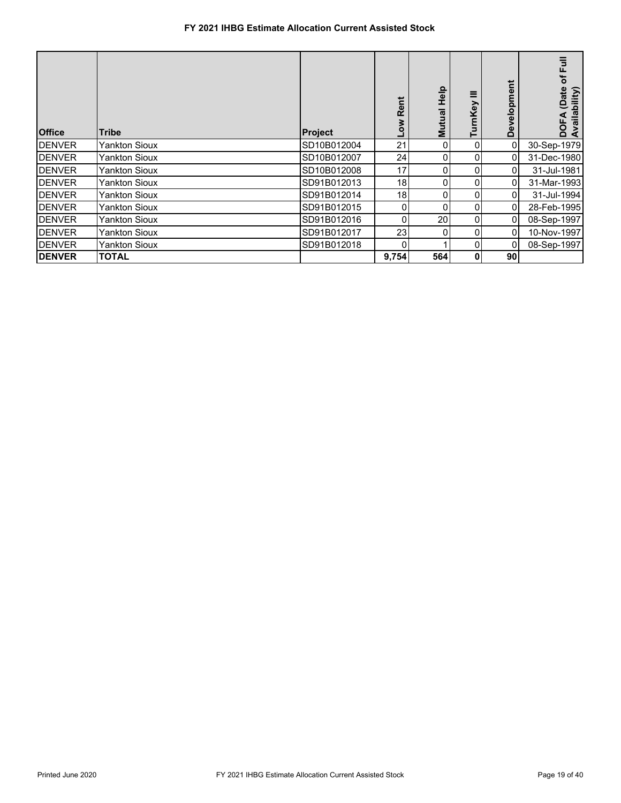| <b>Office</b> | <b>Tribe</b>  | Project     | Ĕ<br><b>Rei</b><br>š | <b>Help</b><br>Mutual | Ξ<br>nKey      | velopment<br>قا | of Full<br>(Date<br>bility)<br>Availal<br>ō<br>0 |
|---------------|---------------|-------------|----------------------|-----------------------|----------------|-----------------|--------------------------------------------------|
| <b>DENVER</b> | Yankton Sioux | SD10B012004 | 21                   | 01                    | $\overline{0}$ | 0               | 30-Sep-1979                                      |
| <b>DENVER</b> | Yankton Sioux | SD10B012007 | 24                   | 01                    | $\overline{0}$ | 01              | 31-Dec-1980                                      |
| <b>DENVER</b> | Yankton Sioux | SD10B012008 | 17                   | 0                     | $\overline{0}$ | 0               | 31-Jul-1981                                      |
| <b>DENVER</b> | Yankton Sioux | SD91B012013 | 18 <sub>l</sub>      | 01                    | 0              | 0               | 31-Mar-1993                                      |
| <b>DENVER</b> | Yankton Sioux | SD91B012014 | 18                   | 0                     | 0              | 0               | 31-Jul-1994                                      |
| <b>DENVER</b> | Yankton Sioux | SD91B012015 | 0                    | 0                     | 0              |                 | 28-Feb-1995                                      |
| <b>DENVER</b> | Yankton Sioux | SD91B012016 | 0                    | 20                    | $\overline{0}$ | 01              | 08-Sep-1997                                      |
| <b>DENVER</b> | Yankton Sioux | SD91B012017 | 23                   | 0                     | $\overline{0}$ | 0               | 10-Nov-1997                                      |
| <b>DENVER</b> | Yankton Sioux | SD91B012018 | 0                    |                       | $\overline{0}$ |                 | 08-Sep-1997                                      |
| <b>DENVER</b> | TOTAL         |             | 9,754                | 564                   | 0              | 90 <sub>1</sub> |                                                  |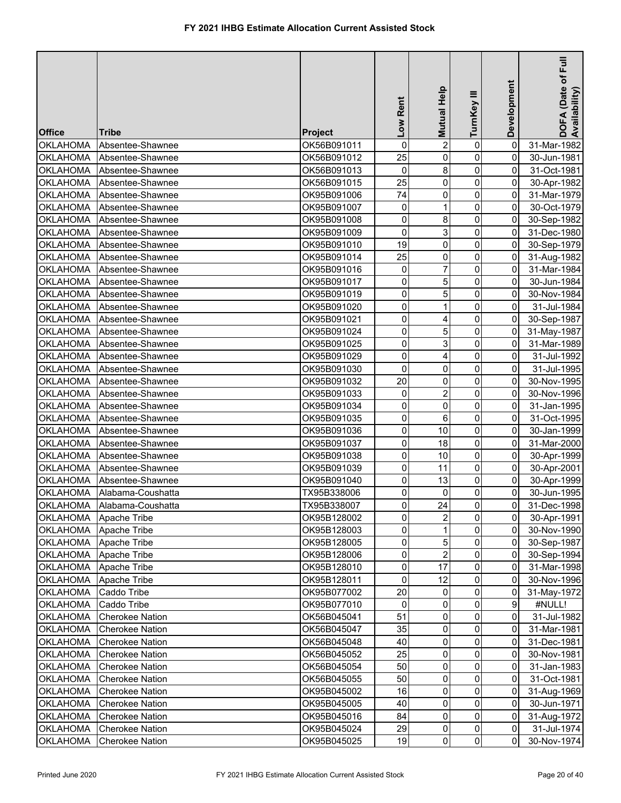| <b>Office</b>         | Tribe                      |                | Low Rent            | Mutual Help     | TurnKey III            | Development    | DOFA (Date of Full<br>Availability) |
|-----------------------|----------------------------|----------------|---------------------|-----------------|------------------------|----------------|-------------------------------------|
| <b>OKLAHOMA</b>       |                            | <b>Project</b> | 0                   | $\overline{2}$  | $\pmb{0}$              |                |                                     |
|                       | Absentee-Shawnee           | OK56B091011    |                     |                 |                        | 0              | 31-Mar-1982                         |
| <b>OKLAHOMA</b>       | Absentee-Shawnee           | OK56B091012    | 25<br>0             | 0               | $\pmb{0}$<br>$\pmb{0}$ | 0<br>0         | 30-Jun-1981<br>31-Oct-1981          |
| <b>OKLAHOMA</b>       | Absentee-Shawnee           | OK56B091013    |                     | 8               |                        |                |                                     |
| <b>OKLAHOMA</b>       | Absentee-Shawnee           | OK56B091015    | 25                  | 0               | $\pmb{0}$              | 0              | 30-Apr-1982                         |
| <b>OKLAHOMA</b>       | Absentee-Shawnee           | OK95B091006    | 74                  | 0               | $\mathsf{O}\xspace$    | 0              | 31-Mar-1979                         |
| <b>OKLAHOMA</b>       | Absentee-Shawnee           | OK95B091007    | 0                   | $\mathbf{1}$    | $\mathsf{O}\xspace$    | 0              | 30-Oct-1979                         |
| <b>OKLAHOMA</b>       | Absentee-Shawnee           | OK95B091008    | 0                   | 8               | $\mathsf{O}\xspace$    | 0              | 30-Sep-1982                         |
| <b>OKLAHOMA</b>       | Absentee-Shawnee           | OK95B091009    | 0                   | 3               | $\mathsf{O}\xspace$    | 0              | 31-Dec-1980                         |
| <b>OKLAHOMA</b>       | Absentee-Shawnee           | OK95B091010    | 19                  | 0               | $\mathsf{O}\xspace$    | 0              | 30-Sep-1979                         |
| <b>OKLAHOMA</b>       | Absentee-Shawnee           | OK95B091014    | 25                  | 0               | $\mathbf 0$            | 0              | 31-Aug-1982                         |
| <b>OKLAHOMA</b>       | Absentee-Shawnee           | OK95B091016    | 0                   | 7               | $\pmb{0}$              | 0              | 31-Mar-1984                         |
| <b>OKLAHOMA</b>       | Absentee-Shawnee           | OK95B091017    | 0                   | 5               | $\mathsf{O}\xspace$    | 0              | 30-Jun-1984                         |
| <b>OKLAHOMA</b>       | Absentee-Shawnee           | OK95B091019    | 0                   | 5               | $\pmb{0}$              | 0              | 30-Nov-1984                         |
| <b>OKLAHOMA</b>       | Absentee-Shawnee           | OK95B091020    | 0                   | 1               | $\pmb{0}$              | 0              | 31-Jul-1984                         |
| <b>OKLAHOMA</b>       | Absentee-Shawnee           | OK95B091021    | 0                   | 4               | $\overline{0}$         | 0              | 30-Sep-1987                         |
| <b>OKLAHOMA</b>       | Absentee-Shawnee           | OK95B091024    | 0                   | 5               | $\mathbf 0$            | 0              | 31-May-1987                         |
| <b>OKLAHOMA</b>       | Absentee-Shawnee           | OK95B091025    | 0                   | 3               | $\pmb{0}$              | 0              | 31-Mar-1989                         |
| <b>OKLAHOMA</b>       | Absentee-Shawnee           | OK95B091029    | 0                   | 4               | $\pmb{0}$              | 0              | 31-Jul-1992                         |
| <b>OKLAHOMA</b>       | Absentee-Shawnee           | OK95B091030    | 0                   | 0               | $\mathbf 0$            | 0              | 31-Jul-1995                         |
| <b>OKLAHOMA</b>       | Absentee-Shawnee           | OK95B091032    | 20                  | 0               | $\mathbf 0$            | 0              | 30-Nov-1995                         |
| <b>OKLAHOMA</b>       | Absentee-Shawnee           | OK95B091033    | 0                   | 2               | $\mathsf{O}\xspace$    | 0              | 30-Nov-1996                         |
| <b>OKLAHOMA</b>       | Absentee-Shawnee           | OK95B091034    | 0                   | 0               | $\pmb{0}$              | 0              | 31-Jan-1995                         |
| <b>OKLAHOMA</b>       | Absentee-Shawnee           | OK95B091035    | 0                   | 6               | 0                      | 0              | 31-Oct-1995                         |
| <b>OKLAHOMA</b>       | Absentee-Shawnee           | OK95B091036    | $\mathsf{O}\xspace$ | 10              | $\mathsf{O}\xspace$    | 0              | 30-Jan-1999                         |
| <b>OKLAHOMA</b>       | Absentee-Shawnee           | OK95B091037    | 0                   | 18              | $\mathsf{O}\xspace$    | 0              | 31-Mar-2000                         |
| <b>OKLAHOMA</b>       | Absentee-Shawnee           | OK95B091038    | 0                   | 10              | $\pmb{0}$              | 0              | 30-Apr-1999                         |
| <b>OKLAHOMA</b>       | Absentee-Shawnee           | OK95B091039    | 0                   | 11              | $\overline{0}$         | 0              | 30-Apr-2001                         |
| <b>OKLAHOMA</b>       | Absentee-Shawnee           | OK95B091040    | 0                   | 13              | $\pmb{0}$              | 0              | 30-Apr-1999                         |
| <b>OKLAHOMA</b>       | Alabama-Coushatta          | TX95B338006    | 0                   | 0               | 0                      | 0              | 30-Jun-1995                         |
|                       | OKLAHOMA Alabama-Coushatta | TX95B338007    | $\overline{0}$      | $\overline{24}$ | $\overline{0}$         | $\overline{0}$ | 31-Dec-1998                         |
| OKLAHOMA Apache Tribe |                            | OK95B128002    | $\mathbf 0$         | $\overline{2}$  | $\overline{0}$         | $\overline{0}$ | 30-Apr-1991                         |
| OKLAHOMA              | Apache Tribe               | OK95B128003    | 0                   |                 | $\overline{0}$         | $\overline{0}$ | 30-Nov-1990                         |
| OKLAHOMA              | Apache Tribe               | OK95B128005    | 0                   | 5               | $\overline{0}$         | 0              | 30-Sep-1987                         |
| OKLAHOMA Apache Tribe |                            | OK95B128006    | 0                   | 2               | $\overline{0}$         | $\overline{0}$ | 30-Sep-1994                         |
| OKLAHOMA              | Apache Tribe               | OK95B128010    | 0                   | 17              | $\mathbf 0$            | 0              | 31-Mar-1998                         |
| <b>OKLAHOMA</b>       | Apache Tribe               | OK95B128011    | 0                   | 12              | $\mathbf{0}$           | $\overline{0}$ | 30-Nov-1996                         |
| <b>OKLAHOMA</b>       | Caddo Tribe                | OK95B077002    | 20                  | 0               | 0                      | $\overline{0}$ | 31-May-1972                         |
| <b>OKLAHOMA</b>       | Caddo Tribe                | OK95B077010    | 0                   | 0               | $\overline{0}$         | $\overline{9}$ | #NULL!                              |
| <b>OKLAHOMA</b>       | <b>Cherokee Nation</b>     | OK56B045041    | 51                  | 0               | 0                      | 0              | 31-Jul-1982                         |
| OKLAHOMA              | <b>Cherokee Nation</b>     | OK56B045047    | 35                  | 0               | $\overline{0}$         | 0              | 31-Mar-1981                         |
| OKLAHOMA              | <b>Cherokee Nation</b>     | OK56B045048    | 40                  | 0               | $\overline{0}$         | 0              | 31-Dec-1981                         |
| OKLAHOMA              | <b>Cherokee Nation</b>     | OK56B045052    | 25                  | 0               | 0                      | 0              | 30-Nov-1981                         |
| OKLAHOMA              | <b>Cherokee Nation</b>     | OK56B045054    | 50                  | 0               | $\overline{0}$         | 0              | 31-Jan-1983                         |
| <b>OKLAHOMA</b>       | <b>Cherokee Nation</b>     | OK56B045055    | 50                  | 0               | $\mathbf 0$            | 0              | 31-Oct-1981                         |
| OKLAHOMA              | <b>Cherokee Nation</b>     | OK95B045002    | 16                  | 0               | $\mathbf 0$            | 0              | 31-Aug-1969                         |
| <b>OKLAHOMA</b>       | <b>Cherokee Nation</b>     | OK95B045005    | 40                  | 0               | 0                      | 0              | 30-Jun-1971                         |
| OKLAHOMA              | <b>Cherokee Nation</b>     | OK95B045016    | 84                  | 0               | 0                      | $\overline{0}$ | 31-Aug-1972                         |
| <b>OKLAHOMA</b>       | <b>Cherokee Nation</b>     | OK95B045024    | 29                  | 0               | $\overline{0}$         | $\overline{0}$ | 31-Jul-1974                         |
| <b>OKLAHOMA</b>       | <b>Cherokee Nation</b>     | OK95B045025    | 19                  | $\overline{0}$  | $\overline{0}$         | $\overline{0}$ | 30-Nov-1974                         |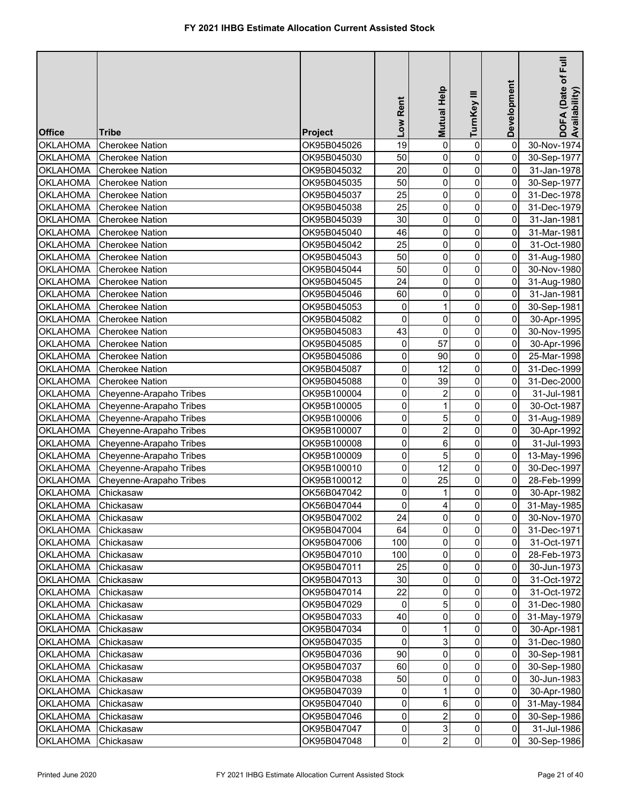|                                    |                         |                            | Low Rent       | <b>Mutual Help</b>      | TurnKey III         | Development         | E<br>DOFA (Date of F<br>Availability) |
|------------------------------------|-------------------------|----------------------------|----------------|-------------------------|---------------------|---------------------|---------------------------------------|
| <b>Office</b>                      | <b>Tribe</b>            | <b>Project</b>             |                |                         |                     |                     |                                       |
| <b>OKLAHOMA</b>                    | <b>Cherokee Nation</b>  | OK95B045026                | 19             | $\overline{0}$          | 0                   | 0                   | 30-Nov-1974                           |
| <b>OKLAHOMA</b>                    | <b>Cherokee Nation</b>  | OK95B045030                | 50             | 0                       | $\pmb{0}$           | 0                   | 30-Sep-1977                           |
| <b>OKLAHOMA</b>                    | <b>Cherokee Nation</b>  | OK95B045032                | 20             | $\pmb{0}$               | $\pmb{0}$           | 0                   | 31-Jan-1978                           |
| <b>OKLAHOMA</b>                    | <b>Cherokee Nation</b>  | OK95B045035                | 50             | 0                       | $\mathsf{O}\xspace$ | 0                   | 30-Sep-1977                           |
| <b>OKLAHOMA</b>                    | <b>Cherokee Nation</b>  | OK95B045037                | 25             | $\pmb{0}$               | $\pmb{0}$           | 0                   | 31-Dec-1978                           |
| <b>OKLAHOMA</b>                    | <b>Cherokee Nation</b>  | OK95B045038                | 25             | 0                       | $\pmb{0}$           | 0                   | 31-Dec-1979                           |
| <b>OKLAHOMA</b>                    | <b>Cherokee Nation</b>  | OK95B045039                | 30             | 0                       | $\mathbf 0$         | 0                   | 31-Jan-1981                           |
| <b>OKLAHOMA</b>                    | <b>Cherokee Nation</b>  | OK95B045040                | 46             | $\pmb{0}$               | $\mathsf{O}\xspace$ | 0                   | 31-Mar-1981                           |
| <b>OKLAHOMA</b>                    | <b>Cherokee Nation</b>  | OK95B045042                | 25             | 0                       | 0                   | 0                   | 31-Oct-1980                           |
| <b>OKLAHOMA</b>                    | <b>Cherokee Nation</b>  | OK95B045043                | 50             | 0                       | $\pmb{0}$           | 0                   | 31-Aug-1980                           |
| <b>OKLAHOMA</b>                    | <b>Cherokee Nation</b>  | OK95B045044                | 50             | 0                       | $\mathsf{O}\xspace$ | 0                   | 30-Nov-1980                           |
| <b>OKLAHOMA</b>                    | <b>Cherokee Nation</b>  | OK95B045045                | 24             | 0                       | $\mathsf{O}\xspace$ | $\overline{0}$      | 31-Aug-1980                           |
| <b>OKLAHOMA</b>                    | <b>Cherokee Nation</b>  | OK95B045046                | 60             | 0                       | $\pmb{0}$           | 0                   | 31-Jan-1981                           |
| <b>OKLAHOMA</b>                    | <b>Cherokee Nation</b>  | OK95B045053                | 0              | $\mathbf{1}$            | $\mathbf 0$         | 0                   | 30-Sep-1981                           |
| <b>OKLAHOMA</b>                    | <b>Cherokee Nation</b>  | OK95B045082                | 0              | 0                       | 0                   | 0                   | 30-Apr-1995                           |
| <b>OKLAHOMA</b>                    | <b>Cherokee Nation</b>  | OK95B045083                | 43             | 0                       | 0                   | 0                   | 30-Nov-1995                           |
| OKLAHOMA                           | <b>Cherokee Nation</b>  | OK95B045085                | 0              | 57                      | $\mathbf 0$         | 0                   | 30-Apr-1996                           |
| <b>OKLAHOMA</b>                    | <b>Cherokee Nation</b>  | OK95B045086                | 0              | 90                      | 0                   | 0                   | 25-Mar-1998                           |
| <b>OKLAHOMA</b>                    | <b>Cherokee Nation</b>  | OK95B045087                | 0              | 12                      | 0                   | 0                   | 31-Dec-1999                           |
| <b>OKLAHOMA</b>                    | <b>Cherokee Nation</b>  | OK95B045088                | 0              | 39                      | 0                   | 0                   | 31-Dec-2000                           |
| <b>OKLAHOMA</b>                    | Cheyenne-Arapaho Tribes | OK95B100004                | 0              | $\overline{2}$          | 0                   | 0                   | 31-Jul-1981                           |
| <b>OKLAHOMA</b>                    | Cheyenne-Arapaho Tribes | OK95B100005                | 0              | 1                       | 0                   | 0                   | 30-Oct-1987                           |
| <b>OKLAHOMA</b>                    | Cheyenne-Arapaho Tribes | OK95B100006                | 0              | 5                       | 0                   | 0                   | 31-Aug-1989                           |
| <b>OKLAHOMA</b>                    | Cheyenne-Arapaho Tribes | OK95B100007                | 0              | $\overline{\mathbf{c}}$ | $\mathbf 0$         | $\overline{0}$      | 30-Apr-1992                           |
| <b>OKLAHOMA</b>                    | Cheyenne-Arapaho Tribes | OK95B100008                | 0              | 6                       | $\mathbf 0$         | $\overline{0}$      | 31-Jul-1993                           |
| <b>OKLAHOMA</b>                    | Cheyenne-Arapaho Tribes | OK95B100009                | 0              | 5                       | $\mathbf 0$         | $\overline{0}$      | 13-May-1996                           |
| <b>OKLAHOMA</b>                    | Cheyenne-Arapaho Tribes | OK95B100010                | 0              | 12                      | $\pmb{0}$           | $\overline{0}$      | 30-Dec-1997                           |
| <b>OKLAHOMA</b>                    | Cheyenne-Arapaho Tribes | OK95B100012                | 0              | 25                      | $\mathbf 0$         | 0                   | 28-Feb-1999                           |
| <b>OKLAHOMA</b>                    | Chickasaw               | OK56B047042                | 0              | $\mathbf{1}$            | 0                   | $\overline{0}$      | 30-Apr-1982                           |
| OKLAHOMA Chickasaw                 |                         | OK56B047044                | $\overline{0}$ | $\overline{4}$          | $\overline{0}$      | 0                   | 31-May-1985                           |
| OKLAHOMA                           | Chickasaw               | OK95B047002                | 24             | $\overline{0}$          | $\overline{0}$      | 01                  | 30-Nov-1970                           |
| <b>OKLAHOMA</b>                    | Chickasaw               | OK95B047004                | 64             | $\overline{0}$          | $\Omega$            | 01                  | 31-Dec-1971                           |
| <b>OKLAHOMA</b>                    | Chickasaw               | OK95B047006                | 100            | 0                       | 0                   | 01                  | 31-Oct-1971                           |
| <b>OKLAHOMA</b>                    | Chickasaw               | OK95B047010                | 100            | $\overline{0}$          | 0                   | 01                  | 28-Feb-1973                           |
| <b>OKLAHOMA</b>                    | Chickasaw               | OK95B047011                | 25             | 0                       | 0                   | 0                   | 30-Jun-1973                           |
| <b>OKLAHOMA</b>                    | Chickasaw               | OK95B047013                | 30             | $\overline{0}$          | 0                   | 01                  | 31-Oct-1972                           |
| <b>OKLAHOMA</b>                    | Chickasaw               | OK95B047014                | 22             | 0                       | $\mathbf{0}$        | 01                  | 31-Oct-1972                           |
| <b>OKLAHOMA</b>                    | Chickasaw               | OK95B047029                | 0              | 5                       | 0                   | 01                  | 31-Dec-1980                           |
| <b>OKLAHOMA</b>                    | Chickasaw               | OK95B047033                | 40             | 0                       | $\overline{0}$      | 01                  | 31-May-1979                           |
| <b>OKLAHOMA</b>                    | Chickasaw               | OK95B047034                | 0              |                         | $\overline{0}$      | 01                  | 30-Apr-1981                           |
| <b>OKLAHOMA</b>                    | Chickasaw               | OK95B047035                | 0<br>90        | 3                       | 0                   | 0                   | 31-Dec-1980                           |
| OKLAHOMA                           | Chickasaw               | OK95B047036                |                | 0                       | 0                   | 01                  | 30-Sep-1981                           |
| OKLAHOMA                           | Chickasaw               | OK95B047037                | 60             | 0                       | 0                   | 01                  | 30-Sep-1980                           |
| <b>OKLAHOMA</b>                    | Chickasaw               | OK95B047038                | 50             | 0<br>$\mathbf{1}$       | 0<br>$\overline{0}$ | 0<br>$\overline{0}$ | 30-Jun-1983                           |
| <b>OKLAHOMA</b>                    | Chickasaw               | OK95B047039                | 0              |                         |                     | Οl                  | 30-Apr-1980                           |
| <b>OKLAHOMA</b>                    | Chickasaw               | OK95B047040                | 0<br>0         | 6<br>$\overline{2}$     | 0<br>$\Omega$       | $\overline{0}$      | 31-May-1984                           |
| <b>OKLAHOMA</b><br><b>OKLAHOMA</b> | Chickasaw<br>Chickasaw  | OK95B047046<br>OK95B047047 | 0              | 3 <sup>1</sup>          | $\overline{0}$      | 0I                  | 30-Sep-1986                           |
| <b>OKLAHOMA</b>                    | Chickasaw               | OK95B047048                | $\overline{0}$ | 2 <sup>1</sup>          | $\overline{0}$      | $\overline{0}$      | 31-Jul-1986<br>30-Sep-1986            |
|                                    |                         |                            |                |                         |                     |                     |                                       |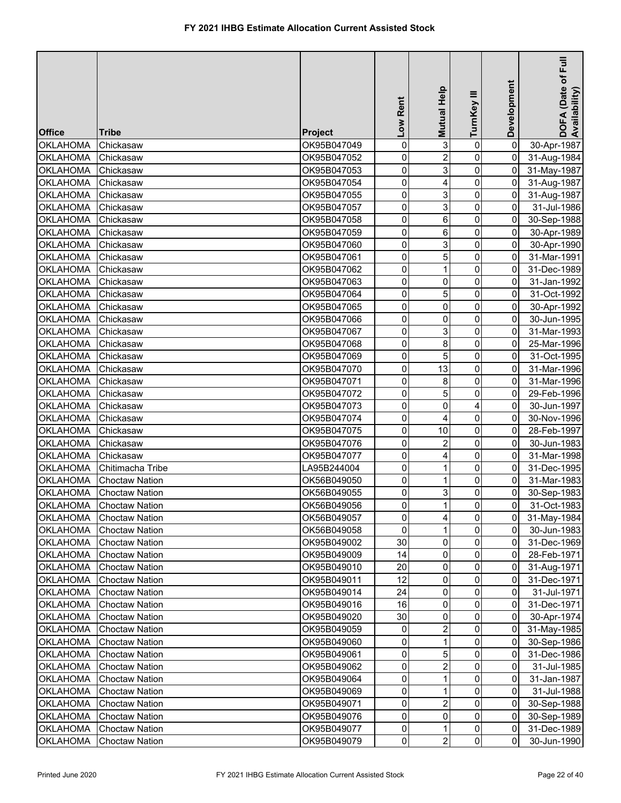| <b>Office</b>   | <b>Tribe</b>            | <b>Project</b> | Low Rent            | Mutual Help    | ≡<br>TurnKey   | Development    | E<br>DOFA (Date of I<br>Availability) |
|-----------------|-------------------------|----------------|---------------------|----------------|----------------|----------------|---------------------------------------|
| <b>OKLAHOMA</b> | Chickasaw               | OK95B047049    | 0                   | 3              | $\pmb{0}$      | 0              | 30-Apr-1987                           |
| <b>OKLAHOMA</b> | Chickasaw               | OK95B047052    | 0                   | $\overline{2}$ | 0              | $\mathbf 0$    | 31-Aug-1984                           |
| <b>OKLAHOMA</b> | Chickasaw               | OK95B047053    | 0                   | 3              | 0              | $\mathbf 0$    | 31-May-1987                           |
| <b>OKLAHOMA</b> | Chickasaw               | OK95B047054    | 0                   | 4              | 0              | $\mathbf 0$    | 31-Aug-1987                           |
| <b>OKLAHOMA</b> | Chickasaw               | OK95B047055    | 0                   | 3              | 0              | 0              | 31-Aug-1987                           |
| <b>OKLAHOMA</b> | Chickasaw               | OK95B047057    | 0                   | 3              | $\mathbf 0$    | 0              | 31-Jul-1986                           |
| <b>OKLAHOMA</b> | Chickasaw               | OK95B047058    | 0                   | 6              | $\overline{0}$ | 0              | 30-Sep-1988                           |
| <b>OKLAHOMA</b> | Chickasaw               | OK95B047059    | 0                   | 6              | 0              | 0              | 30-Apr-1989                           |
| <b>OKLAHOMA</b> | Chickasaw               | OK95B047060    | 0                   | 3              | 0              | 0              | 30-Apr-1990                           |
| <b>OKLAHOMA</b> | Chickasaw               | OK95B047061    | $\pmb{0}$           | 5              | $\overline{0}$ | 0              | 31-Mar-1991                           |
| <b>OKLAHOMA</b> | Chickasaw               | OK95B047062    | 0                   |                | 0              | 0              | 31-Dec-1989                           |
| <b>OKLAHOMA</b> | Chickasaw               | OK95B047063    | 0                   | 0              | 0              | 0              | 31-Jan-1992                           |
| <b>OKLAHOMA</b> | Chickasaw               | OK95B047064    | 0                   | 5              | 0              | 0              | 31-Oct-1992                           |
| <b>OKLAHOMA</b> | Chickasaw               | OK95B047065    | 0                   | 0              | 0              | 0              | 30-Apr-1992                           |
| <b>OKLAHOMA</b> | Chickasaw               | OK95B047066    | 0                   | 0              | 0              | 0              | 30-Jun-1995                           |
| <b>OKLAHOMA</b> | Chickasaw               | OK95B047067    | 0                   | 3              | $\pmb{0}$      | 0              | 31-Mar-1993                           |
| <b>OKLAHOMA</b> | Chickasaw               | OK95B047068    | 0                   | 8              | 0              | 0              | 25-Mar-1996                           |
| <b>OKLAHOMA</b> | Chickasaw               | OK95B047069    | 0                   | 5              | 0              | 0              | 31-Oct-1995                           |
| <b>OKLAHOMA</b> | Chickasaw               | OK95B047070    | 0                   | 13             | 0              | 0              | 31-Mar-1996                           |
| <b>OKLAHOMA</b> | Chickasaw               | OK95B047071    | 0                   | 8              | 0              | 0              | 31-Mar-1996                           |
| <b>OKLAHOMA</b> | Chickasaw               | OK95B047072    | 0                   | 5              | 0              | 0              | 29-Feb-1996                           |
| <b>OKLAHOMA</b> | Chickasaw               | OK95B047073    | $\mathsf{O}\xspace$ | 0              | 4              | 0              | 30-Jun-1997                           |
| <b>OKLAHOMA</b> | Chickasaw               | OK95B047074    | 0                   | 4              | 0              | 0              | 30-Nov-1996                           |
| <b>OKLAHOMA</b> | Chickasaw               | OK95B047075    | 0                   | 10             | 0              | 0              | 28-Feb-1997                           |
| <b>OKLAHOMA</b> | Chickasaw               | OK95B047076    | $\mathsf{O}\xspace$ | $\overline{2}$ | 0              | 0              | 30-Jun-1983                           |
| <b>OKLAHOMA</b> | Chickasaw               | OK95B047077    | 0                   | 4              | 0              | 0              | 31-Mar-1998                           |
| <b>OKLAHOMA</b> | Chitimacha Tribe        | LA95B244004    | 0                   | 1              | 0              | 0              | 31-Dec-1995                           |
| <b>OKLAHOMA</b> | <b>Choctaw Nation</b>   | OK56B049050    | 0                   |                | 0              | 0              | 31-Mar-1983                           |
| <b>OKLAHOMA</b> | <b>Choctaw Nation</b>   | OK56B049055    | 0                   | 3              | 0              | 0              | 30-Sep-1983                           |
|                 | OKLAHOMA Choctaw Nation | OK56B049056    | $\overline{0}$      | $\mathbf 1$    | $\overline{0}$ | $\overline{0}$ | 31-Oct-1983                           |
| <b>OKLAHOMA</b> | <b>Choctaw Nation</b>   | OK56B049057    | $\mathbf 0$         | 4              | $\overline{0}$ | $\overline{0}$ | 31-May-1984                           |
| <b>OKLAHOMA</b> | <b>Choctaw Nation</b>   | OK56B049058    | $\overline{0}$      |                | $\overline{0}$ | 0              | 30-Jun-1983                           |
| <b>OKLAHOMA</b> | <b>Choctaw Nation</b>   | OK95B049002    | 30                  | 0              | $\overline{0}$ | 0              | 31-Dec-1969                           |
| <b>OKLAHOMA</b> | <b>Choctaw Nation</b>   | OK95B049009    | 14                  | 0              | $\Omega$       | 0              | 28-Feb-1971                           |
| <b>OKLAHOMA</b> | <b>Choctaw Nation</b>   | OK95B049010    | 20                  | 0              | $\overline{0}$ | $\overline{0}$ | 31-Aug-1971                           |
| <b>OKLAHOMA</b> | <b>Choctaw Nation</b>   | OK95B049011    | 12                  | 0              | 0              | $\mathbf 0$    | 31-Dec-1971                           |
| <b>OKLAHOMA</b> | <b>Choctaw Nation</b>   | OK95B049014    | 24                  | 0              | $\Omega$       | $\overline{0}$ | 31-Jul-1971                           |
| <b>OKLAHOMA</b> | <b>Choctaw Nation</b>   | OK95B049016    | 16                  | 0              | 0              | 0              | 31-Dec-1971                           |
| <b>OKLAHOMA</b> | <b>Choctaw Nation</b>   | OK95B049020    | 30                  | 0              | 0              | $\mathbf 0$    | 30-Apr-1974                           |
| <b>OKLAHOMA</b> | <b>Choctaw Nation</b>   | OK95B049059    | 0                   | 2              | 0              | $\overline{0}$ | 31-May-1985                           |
| <b>OKLAHOMA</b> | <b>Choctaw Nation</b>   | OK95B049060    | 0                   |                | 0              | $\mathbf 0$    | 30-Sep-1986                           |
| <b>OKLAHOMA</b> | <b>Choctaw Nation</b>   | OK95B049061    | 0                   | 5              | 0              | $\mathbf 0$    | 31-Dec-1986                           |
| <b>OKLAHOMA</b> | <b>Choctaw Nation</b>   | OK95B049062    | 0                   | 2              | 0              | 0              | 31-Jul-1985                           |
| <b>OKLAHOMA</b> | <b>Choctaw Nation</b>   | OK95B049064    | 0                   |                | 0              | $\overline{0}$ | 31-Jan-1987                           |
| <b>OKLAHOMA</b> | <b>Choctaw Nation</b>   | OK95B049069    | 0                   |                | 0              | $\overline{0}$ | 31-Jul-1988                           |
| <b>OKLAHOMA</b> | <b>Choctaw Nation</b>   | OK95B049071    | $\mathbf 0$         | $\overline{2}$ | 0              | $\overline{0}$ | 30-Sep-1988                           |
| <b>OKLAHOMA</b> | <b>Choctaw Nation</b>   | OK95B049076    | $\overline{0}$      | 0              | $\overline{0}$ | $\overline{0}$ | 30-Sep-1989                           |
| <b>OKLAHOMA</b> | <b>Choctaw Nation</b>   | OK95B049077    | $\overline{0}$      |                | $\overline{0}$ | $\overline{0}$ | 31-Dec-1989                           |
| <b>OKLAHOMA</b> | <b>Choctaw Nation</b>   | OK95B049079    | $\overline{0}$      | $\overline{c}$ | $\overline{0}$ | $\overline{0}$ | 30-Jun-1990                           |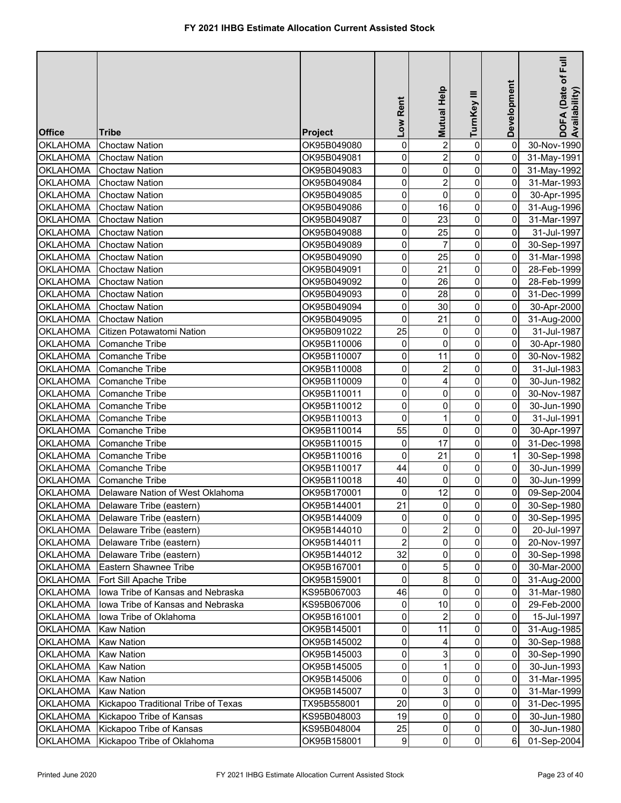| <b>Office</b>                      | <b>Tribe</b>                                                               | <b>Project</b>             | Low Rent        | Mutual Help    | TurnKey III         | Development    | DOFA (Date of Full<br>Availability) |
|------------------------------------|----------------------------------------------------------------------------|----------------------------|-----------------|----------------|---------------------|----------------|-------------------------------------|
| <b>OKLAHOMA</b>                    | <b>Choctaw Nation</b>                                                      | OK95B049080                | 0               | $\overline{2}$ | 0                   | $\overline{0}$ | 30-Nov-1990                         |
| <b>OKLAHOMA</b>                    | <b>Choctaw Nation</b>                                                      | OK95B049081                | 0               | $\overline{2}$ | $\mathsf{O}\xspace$ | $\overline{0}$ | 31-May-1991                         |
| <b>OKLAHOMA</b>                    | <b>Choctaw Nation</b>                                                      | OK95B049083                | 0               | 0              | $\pmb{0}$           | $\overline{0}$ | 31-May-1992                         |
| <b>OKLAHOMA</b>                    | <b>Choctaw Nation</b>                                                      | OK95B049084                | 0               | $\overline{2}$ | $\mathsf{O}\xspace$ | 0              | 31-Mar-1993                         |
| <b>OKLAHOMA</b>                    | <b>Choctaw Nation</b>                                                      | OK95B049085                | 0               | $\mathsf 0$    | $\pmb{0}$           | 0              | 30-Apr-1995                         |
| <b>OKLAHOMA</b>                    | <b>Choctaw Nation</b>                                                      | OK95B049086                | 0               | 16             | $\pmb{0}$           | $\overline{0}$ | 31-Aug-1996                         |
| <b>OKLAHOMA</b>                    | <b>Choctaw Nation</b>                                                      | OK95B049087                | 0               | 23             | $\mathsf{O}\xspace$ | 0              | 31-Mar-1997                         |
| <b>OKLAHOMA</b>                    | <b>Choctaw Nation</b>                                                      | OK95B049088                | 0               | 25             | $\mathsf{O}\xspace$ | $\overline{0}$ | 31-Jul-1997                         |
| <b>OKLAHOMA</b>                    | <b>Choctaw Nation</b>                                                      | OK95B049089                | 0               | 7              | 0                   | 0              | 30-Sep-1997                         |
| <b>OKLAHOMA</b>                    | <b>Choctaw Nation</b>                                                      | OK95B049090                | 0               | 25             | $\pmb{0}$           | 0              | 31-Mar-1998                         |
| <b>OKLAHOMA</b>                    | <b>Choctaw Nation</b>                                                      | OK95B049091                | 0               | 21             | $\mathsf{O}\xspace$ | 0              | 28-Feb-1999                         |
| <b>OKLAHOMA</b>                    | <b>Choctaw Nation</b>                                                      | OK95B049092                | 0               | 26             | $\mathsf{O}\xspace$ | 0              | 28-Feb-1999                         |
| <b>OKLAHOMA</b>                    | <b>Choctaw Nation</b>                                                      | OK95B049093                | 0               | 28             | $\pmb{0}$           | 0              | 31-Dec-1999                         |
| <b>OKLAHOMA</b>                    | <b>Choctaw Nation</b>                                                      | OK95B049094                | 0               | 30             | $\mathbf 0$         | 0              | 30-Apr-2000                         |
| <b>OKLAHOMA</b>                    | <b>Choctaw Nation</b>                                                      | OK95B049095                | 0               | 21             | 0                   | 0              | 31-Aug-2000                         |
| <b>OKLAHOMA</b>                    | Citizen Potawatomi Nation                                                  | OK95B091022                | 25              | 0              | 0                   | 0              | 31-Jul-1987                         |
| <b>OKLAHOMA</b>                    | <b>Comanche Tribe</b>                                                      | OK95B110006                | 0               | 0              | $\mathbf 0$         | 0              | 30-Apr-1980                         |
| <b>OKLAHOMA</b>                    | Comanche Tribe                                                             | OK95B110007                | 0               | 11             | $\pmb{0}$           | 0              | 30-Nov-1982                         |
| <b>OKLAHOMA</b>                    | Comanche Tribe                                                             | OK95B110008                | 0               | $\overline{c}$ | 0                   | 0              | 31-Jul-1983                         |
| <b>OKLAHOMA</b>                    | Comanche Tribe                                                             | OK95B110009                | 0               | 4              | 0                   | 0              | 30-Jun-1982                         |
| <b>OKLAHOMA</b>                    | Comanche Tribe                                                             | OK95B110011                | 0               | 0              | 0                   | 0              | 30-Nov-1987                         |
| <b>OKLAHOMA</b>                    | Comanche Tribe                                                             | OK95B110012                | 0               | 0              | 0                   | 0              | 30-Jun-1990                         |
| <b>OKLAHOMA</b>                    | Comanche Tribe                                                             | OK95B110013                | 0               | 1              | $\mathbf 0$         | 0              | 31-Jul-1991                         |
| <b>OKLAHOMA</b>                    | Comanche Tribe                                                             | OK95B110014                | 55              | 0              | $\mathbf 0$         | 0              | 30-Apr-1997                         |
| <b>OKLAHOMA</b>                    | Comanche Tribe                                                             | OK95B110015                | 0               | 17             | $\mathbf 0$         | $\overline{0}$ | 31-Dec-1998                         |
| <b>OKLAHOMA</b>                    | Comanche Tribe                                                             | OK95B110016                | 0               | 21             | $\mathbf 0$         | $\mathbf{1}$   | 30-Sep-1998                         |
| <b>OKLAHOMA</b>                    | Comanche Tribe                                                             | OK95B110017                | 44              | 0              | $\pmb{0}$           | 0              | 30-Jun-1999                         |
| <b>OKLAHOMA</b>                    | <b>Comanche Tribe</b>                                                      | OK95B110018                | 40              | 0              | $\mathbf 0$         | 0              | 30-Jun-1999                         |
|                                    | OKLAHOMA   Delaware Nation of West Oklahoma                                | OK95B170001                | 0               | 12             | 0                   | $\overline{0}$ | 09-Sep-2004                         |
|                                    | OKLAHOMA Delaware Tribe (eastern)                                          | OK95B144001                | $\overline{21}$ | $\overline{0}$ | $\overline{0}$      | $\overline{0}$ | 30-Sep-1980                         |
|                                    | OKLAHOMA   Delaware Tribe (eastern)                                        | OK95B144009                | 0               | $\overline{0}$ | $\mathbf 0$         | $\overline{0}$ | 30-Sep-1995                         |
|                                    | Delaware Tribe (eastern)                                                   |                            | 0               | $\overline{2}$ | $\overline{0}$      | $\overline{0}$ |                                     |
| <b>OKLAHOMA</b><br><b>OKLAHOMA</b> | Delaware Tribe (eastern)                                                   | OK95B144010<br>OK95B144011 | $\overline{2}$  | 0              | 0                   | 0              | 20-Jul-1997                         |
| OKLAHOMA                           | Delaware Tribe (eastern)                                                   | OK95B144012                | 32              | 0              | 0                   | 0              | 20-Nov-1997<br>30-Sep-1998          |
| <b>OKLAHOMA</b>                    | Eastern Shawnee Tribe                                                      | OK95B167001                | 0               | 5              | 0                   | 0              | 30-Mar-2000                         |
| <b>OKLAHOMA</b>                    | Fort Sill Apache Tribe                                                     | OK95B159001                | 0               | 8              | 0                   | $\overline{0}$ | 31-Aug-2000                         |
| <b>OKLAHOMA</b>                    | Iowa Tribe of Kansas and Nebraska                                          | KS95B067003                | 46              | 0              | 0                   | 0              | 31-Mar-1980                         |
| <b>OKLAHOMA</b>                    | Iowa Tribe of Kansas and Nebraska                                          | KS95B067006                | 0               | 10             | $\mathbf{0}$        | 0              | 29-Feb-2000                         |
| <b>OKLAHOMA</b>                    | Iowa Tribe of Oklahoma                                                     | OK95B161001                | 0               | 2              | $\mathbf{0}$        | 0              | 15-Jul-1997                         |
| <b>OKLAHOMA</b>                    | <b>Kaw Nation</b>                                                          | OK95B145001                | 0               | 11             | $\overline{0}$      | 0              | 31-Aug-1985                         |
| <b>OKLAHOMA</b>                    | <b>Kaw Nation</b>                                                          | OK95B145002                | 0               | 4              | 0                   | 0              | 30-Sep-1988                         |
| OKLAHOMA                           | <b>Kaw Nation</b>                                                          | OK95B145003                | 0               | 3              | 0                   | 0              |                                     |
|                                    |                                                                            |                            |                 |                | 0                   | 0              | 30-Sep-1990                         |
| <b>OKLAHOMA</b>                    | <b>Kaw Nation</b><br><b>Kaw Nation</b>                                     | OK95B145005                | 0<br>0          | 0              | 0                   | 0              | 30-Jun-1993                         |
| <b>OKLAHOMA</b>                    | <b>Kaw Nation</b>                                                          | OK95B145006                | 0               | 3              | 0                   | 0              | 31-Mar-1995                         |
| <b>OKLAHOMA</b>                    |                                                                            | OK95B145007                |                 |                | 0                   |                | 31-Mar-1999                         |
| <b>OKLAHOMA</b>                    | Kickapoo Traditional Tribe of Texas<br>OKLAHOMA   Kickapoo Tribe of Kansas | TX95B558001                | 20<br>19        | 0<br>0         | 0                   | 0<br>0         | 31-Dec-1995                         |
| <b>OKLAHOMA</b>                    | Kickapoo Tribe of Kansas                                                   | KS95B048003<br>KS95B048004 | 25              | 0              | $\mathsf{O}\xspace$ | $\overline{0}$ | 30-Jun-1980<br>30-Jun-1980          |
| <b>OKLAHOMA</b>                    | Kickapoo Tribe of Oklahoma                                                 | OK95B158001                | $\vert$         | $\overline{0}$ | $\overline{0}$      | $6\vert$       | 01-Sep-2004                         |
|                                    |                                                                            |                            |                 |                |                     |                |                                     |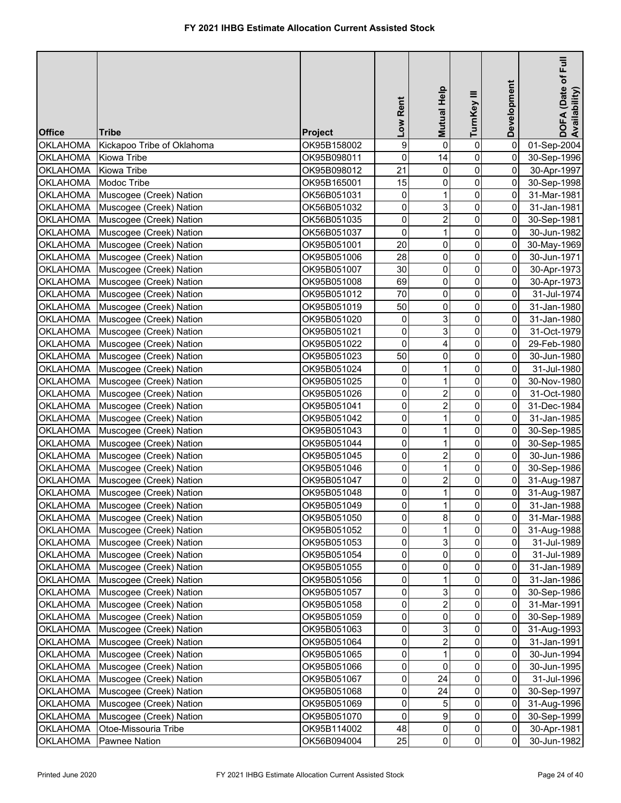| <b>Office</b>                      | <b>Tribe</b>                                       | Project                    | Low Rent       | Mutual Help             | TurnKey III         | Development         | Full<br>DOFA (Date of F<br>Availability) |
|------------------------------------|----------------------------------------------------|----------------------------|----------------|-------------------------|---------------------|---------------------|------------------------------------------|
| <b>OKLAHOMA</b>                    | Kickapoo Tribe of Oklahoma                         | OK95B158002                | 9              | $\mathbf 0$             | $\pmb{0}$           | $\overline{0}$      | 01-Sep-2004                              |
| <b>OKLAHOMA</b>                    | Kiowa Tribe                                        | OK95B098011                | 0              | 14                      | $\mathbf 0$         | $\overline{0}$      | 30-Sep-1996                              |
| <b>OKLAHOMA</b>                    | <b>Kiowa Tribe</b>                                 | OK95B098012                | 21             | $\mathbf 0$             | $\pmb{0}$           | $\overline{0}$      | 30-Apr-1997                              |
| <b>OKLAHOMA</b>                    | Modoc Tribe                                        | OK95B165001                | 15             | 0                       | $\pmb{0}$           | $\overline{0}$      | 30-Sep-1998                              |
| <b>OKLAHOMA</b>                    | Muscogee (Creek) Nation                            | OK56B051031                | 0              | $\mathbf{1}$            | $\mathbf 0$         | 0                   | 31-Mar-1981                              |
| OKLAHOMA                           | Muscogee (Creek) Nation                            | OK56B051032                | 0              | 3                       | $\mathsf{O}\xspace$ | 0                   | 31-Jan-1981                              |
| <b>OKLAHOMA</b>                    | Muscogee (Creek) Nation                            | OK56B051035                | 0              | $\overline{2}$          | 0                   | 0                   | 30-Sep-1981                              |
| OKLAHOMA                           | Muscogee (Creek) Nation                            | OK56B051037                | 0              | $\mathbf{1}$            | $\pmb{0}$           | $\overline{0}$      | 30-Jun-1982                              |
| <b>OKLAHOMA</b>                    | Muscogee (Creek) Nation                            | OK95B051001                | 20             | 0                       | $\mathsf{O}\xspace$ | $\overline{0}$      | 30-May-1969                              |
| <b>OKLAHOMA</b>                    | Muscogee (Creek) Nation                            | OK95B051006                | 28             | 0                       | $\mathsf{O}\xspace$ | $\overline{0}$      | 30-Jun-1971                              |
| <b>OKLAHOMA</b>                    | Muscogee (Creek) Nation                            | OK95B051007                | 30             | 0                       | $\mathsf{O}\xspace$ | 0                   | 30-Apr-1973                              |
| <b>OKLAHOMA</b>                    | Muscogee (Creek) Nation                            | OK95B051008                | 69             | 0                       | $\mathbf 0$         | $\overline{0}$      | 30-Apr-1973                              |
| <b>OKLAHOMA</b>                    | Muscogee (Creek) Nation                            | OK95B051012                | 70             | $\pmb{0}$               | $\pmb{0}$           | 0                   | 31-Jul-1974                              |
| <b>OKLAHOMA</b>                    | Muscogee (Creek) Nation                            | OK95B051019                | 50             | 0                       | $\mathbf 0$         | 0                   | 31-Jan-1980                              |
| <b>OKLAHOMA</b>                    | Muscogee (Creek) Nation                            | OK95B051020                | 0              | 3                       | $\mathbf 0$         | 0                   | 31-Jan-1980                              |
| OKLAHOMA                           | Muscogee (Creek) Nation                            | OK95B051021                | 0              | 3                       | $\pmb{0}$           | 0                   | 31-Oct-1979                              |
| OKLAHOMA                           | Muscogee (Creek) Nation                            | OK95B051022                | 0              | 4                       | $\mathbf 0$         | 0                   | 29-Feb-1980                              |
| <b>OKLAHOMA</b>                    | Muscogee (Creek) Nation                            | OK95B051023                | 50             | 0                       | $\mathbf 0$         | 0                   | 30-Jun-1980                              |
| <b>OKLAHOMA</b>                    | Muscogee (Creek) Nation                            | OK95B051024                | 0              | 1                       | 0                   | 0                   | 31-Jul-1980                              |
| <b>OKLAHOMA</b>                    | Muscogee (Creek) Nation                            | OK95B051025                | 0              | 1                       | 0                   | 0                   | 30-Nov-1980                              |
| <b>OKLAHOMA</b>                    | Muscogee (Creek) Nation                            | OK95B051026                | 0              | $\overline{\mathbf{c}}$ | $\mathbf 0$         | 0                   | 31-Oct-1980                              |
| <b>OKLAHOMA</b>                    | Muscogee (Creek) Nation                            | OK95B051041                | 0              | $\overline{2}$          | $\mathbf 0$         | 0                   | 31-Dec-1984                              |
| <b>OKLAHOMA</b>                    | Muscogee (Creek) Nation                            | OK95B051042                | 0              | 1                       | 0                   | $\overline{0}$      | 31-Jan-1985                              |
| <b>OKLAHOMA</b>                    | Muscogee (Creek) Nation                            | OK95B051043                | 0              | $\mathbf{1}$            | $\pmb{0}$           | $\overline{0}$      | 30-Sep-1985                              |
| <b>OKLAHOMA</b>                    | Muscogee (Creek) Nation                            | OK95B051044                | 0              | 1                       | $\pmb{0}$           | $\overline{0}$      | 30-Sep-1985                              |
| <b>OKLAHOMA</b>                    | Muscogee (Creek) Nation                            | OK95B051045                | 0              | $\overline{2}$          | $\pmb{0}$           | 0                   | 30-Jun-1986                              |
|                                    | OKLAHOMA Muscogee (Creek) Nation                   | OK95B051046                | 0              | 1                       | $\pmb{0}$           | $\overline{0}$      | 30-Sep-1986                              |
|                                    | OKLAHOMA Muscogee (Creek) Nation                   | OK95B051047                | 0              | $\overline{2}$          | $\pmb{0}$           | $\overline{0}$      | 31-Aug-1987                              |
|                                    | OKLAHOMA Muscogee (Creek) Nation                   | OK95B051048                | 0              | $\mathbf{1}$            | $\overline{0}$      | $\overline{0}$      | 31-Aug-1987                              |
|                                    | OKLAHOMA Muscogee (Creek) Nation                   | OK95B051049                | $\overline{0}$ | 1                       | $\mathbf 0$         | $\overline{0}$      | 31-Jan-1988                              |
|                                    | OKLAHOMA Muscogee (Creek) Nation                   | OK95B051050                | 0              | 8                       | $\overline{0}$      | 0                   | 31-Mar-1988                              |
|                                    | OKLAHOMA Muscogee (Creek) Nation                   |                            | 0              | $\mathbf{1}$            | 0                   | $\overline{0}$      | 31-Aug-1988                              |
| <b>OKLAHOMA</b>                    |                                                    | OK95B051052                | 0              | 3                       | $\mathbf 0$         |                     |                                          |
| <b>OKLAHOMA</b>                    | Muscogee (Creek) Nation<br>Muscogee (Creek) Nation | OK95B051053<br>OK95B051054 | 0              | $\overline{0}$          | 0                   | 0<br>$\overline{0}$ | 31-Jul-1989<br>31-Jul-1989               |
| OKLAHOMA                           | Muscogee (Creek) Nation                            |                            | 0              | 0                       | 0                   | 0                   |                                          |
| OKLAHOMA                           | Muscogee (Creek) Nation                            | OK95B051055<br>OK95B051056 | 0              |                         | $\overline{0}$      | 0                   | 31-Jan-1989<br>31-Jan-1986               |
| <b>OKLAHOMA</b>                    |                                                    |                            | 0              | 3                       | $\mathbf{0}$        | 0                   |                                          |
|                                    | Muscogee (Creek) Nation<br>Muscogee (Creek) Nation | OK95B051057<br>OK95B051058 | 0              | $\overline{2}$          | 0                   |                     | 30-Sep-1986                              |
| OKLAHOMA                           |                                                    |                            | 0              | 0                       | 0                   | 0<br>0              | 31-Mar-1991<br>30-Sep-1989               |
| OKLAHOMA                           | Muscogee (Creek) Nation                            | OK95B051059                |                |                         |                     |                     |                                          |
| OKLAHOMA                           | Muscogee (Creek) Nation                            | OK95B051063                | 0<br>0         | 3<br>$\overline{2}$     | 0                   | 0                   | 31-Aug-1993                              |
| OKLAHOMA                           | Muscogee (Creek) Nation                            | OK95B051064                | 0              | 1                       | 0<br>0              | 0<br>0              | 31-Jan-1991                              |
| OKLAHOMA                           | Muscogee (Creek) Nation                            | OK95B051065                | 0              |                         | 0                   |                     | 30-Jun-1994                              |
| OKLAHOMA                           | Muscogee (Creek) Nation                            | OK95B051066                |                | 0                       | 0                   | 0                   | 30-Jun-1995                              |
| <b>OKLAHOMA</b><br>OKLAHOMA        | Muscogee (Creek) Nation                            | OK95B051067                | 0<br>0         | 24<br>24                | 0                   | 0<br>0              | 31-Jul-1996                              |
|                                    | Muscogee (Creek) Nation                            | OK95B051068                | 0              |                         | $\mathbf 0$         |                     | 30-Sep-1997                              |
| <b>OKLAHOMA</b><br><b>OKLAHOMA</b> | Muscogee (Creek) Nation                            | OK95B051069<br>OK95B051070 | 0              | 5<br>9                  | $\mathsf{O}\xspace$ | 0<br>0              | 31-Aug-1996                              |
| <b>OKLAHOMA</b>                    | Muscogee (Creek) Nation<br>Otoe-Missouria Tribe    | OK95B114002                | 48             | 0                       | $\overline{0}$      | $\overline{0}$      | 30-Sep-1999<br>30-Apr-1981               |
| <b>OKLAHOMA</b>                    | <b>Pawnee Nation</b>                               | OK56B094004                | 25             | $\overline{0}$          | $\overline{0}$      | $\overline{0}$      | 30-Jun-1982                              |
|                                    |                                                    |                            |                |                         |                     |                     |                                          |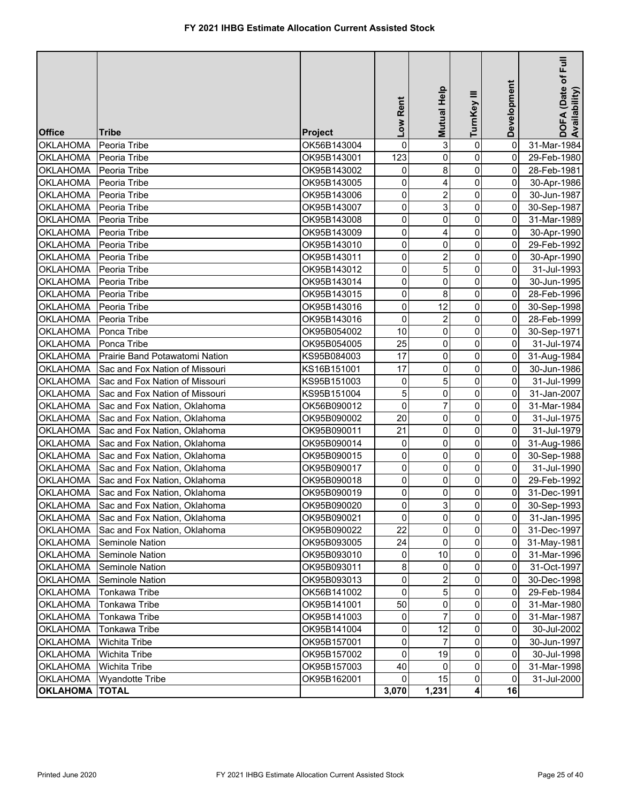| <b>Office</b>         | Tribe                                 | <b>Project</b> | Low Rent       | Mutual Help             | Ξ<br>TurnKey | Development    | Ē<br>DOFA (Date of F<br>Availability) |
|-----------------------|---------------------------------------|----------------|----------------|-------------------------|--------------|----------------|---------------------------------------|
| <b>OKLAHOMA</b>       | Peoria Tribe                          | OK56B143004    | 0              | 3                       | $\mathbf 0$  | 0              | 31-Mar-1984                           |
| <b>OKLAHOMA</b>       | Peoria Tribe                          | OK95B143001    | 123            | $\mathbf 0$             | 0            | $\mathbf 0$    | 29-Feb-1980                           |
| <b>OKLAHOMA</b>       | Peoria Tribe                          | OK95B143002    | 0              | 8                       | 0            | $\overline{0}$ | 28-Feb-1981                           |
| <b>OKLAHOMA</b>       | Peoria Tribe                          | OK95B143005    | 0              | 4                       | 0            | $\mathbf 0$    | 30-Apr-1986                           |
| <b>OKLAHOMA</b>       | Peoria Tribe                          | OK95B143006    | 0              | $\overline{\mathbf{c}}$ | 0            | $\overline{0}$ | 30-Jun-1987                           |
| <b>OKLAHOMA</b>       | Peoria Tribe                          | OK95B143007    | 0              | 3                       | 0            | $\overline{0}$ | 30-Sep-1987                           |
| <b>OKLAHOMA</b>       | Peoria Tribe                          | OK95B143008    | 0              | $\mathbf 0$             | 0            | 0              | 31-Mar-1989                           |
| <b>OKLAHOMA</b>       | Peoria Tribe                          | OK95B143009    | 0              | 4                       | 0            | $\pmb{0}$      | 30-Apr-1990                           |
| <b>OKLAHOMA</b>       | Peoria Tribe                          | OK95B143010    | 0              | $\mathbf 0$             | 0            | $\pmb{0}$      | 29-Feb-1992                           |
| <b>OKLAHOMA</b>       | Peoria Tribe                          | OK95B143011    | 0              | $\overline{2}$          | 0            | $\pmb{0}$      | 30-Apr-1990                           |
| <b>OKLAHOMA</b>       | Peoria Tribe                          | OK95B143012    | 0              | 5                       | 0            | 0              | 31-Jul-1993                           |
| <b>OKLAHOMA</b>       | Peoria Tribe                          | OK95B143014    | 0              | $\mathbf 0$             | $\mathbf 0$  | 0              | 30-Jun-1995                           |
| <b>OKLAHOMA</b>       | Peoria Tribe                          | OK95B143015    | 0              | 8                       | 0            | 0              | 28-Feb-1996                           |
| <b>OKLAHOMA</b>       | Peoria Tribe                          | OK95B143016    | 0              | 12                      | 0            | 0              | 30-Sep-1998                           |
| <b>OKLAHOMA</b>       | Peoria Tribe                          | OK95B143016    | $\pmb{0}$      | $\overline{2}$          | 0            | 0              | 28-Feb-1999                           |
| <b>OKLAHOMA</b>       | Ponca Tribe                           | OK95B054002    | 10             | 0                       | 0            | 0              | 30-Sep-1971                           |
| <b>OKLAHOMA</b>       | Ponca Tribe                           | OK95B054005    | 25             | 0                       | 0            | $\overline{0}$ | 31-Jul-1974                           |
| <b>OKLAHOMA</b>       | Prairie Band Potawatomi Nation        | KS95B084003    | 17             | 0                       | 0            | 0              | 31-Aug-1984                           |
| <b>OKLAHOMA</b>       | Sac and Fox Nation of Missouri        | KS16B151001    | 17             | $\mathbf 0$             | 0            | 0              | 30-Jun-1986                           |
| OKLAHOMA              | Sac and Fox Nation of Missouri        | KS95B151003    | 0              | 5                       | $\mathbf 0$  | 0              | 31-Jul-1999                           |
| OKLAHOMA              | Sac and Fox Nation of Missouri        | KS95B151004    | 5              | $\mathbf 0$             | $\mathbf 0$  | 0              | 31-Jan-2007                           |
| OKLAHOMA              | Sac and Fox Nation, Oklahoma          | OK56B090012    | $\mathsf 0$    | 7                       | 0            | 0              | 31-Mar-1984                           |
| <b>OKLAHOMA</b>       | Sac and Fox Nation, Oklahoma          | OK95B090002    | 20             | 0                       | 0            | $\overline{0}$ | 31-Jul-1975                           |
| <b>OKLAHOMA</b>       | Sac and Fox Nation, Oklahoma          | OK95B090011    | 21             | 0                       | 0            | 0              | 31-Jul-1979                           |
| <b>OKLAHOMA</b>       | Sac and Fox Nation, Oklahoma          | OK95B090014    | 0              | $\mathbf 0$             | 0            | 0              | 31-Aug-1986                           |
| <b>OKLAHOMA</b>       | Sac and Fox Nation, Oklahoma          | OK95B090015    | 0              | $\mathbf 0$             | 0            | $\overline{0}$ | 30-Sep-1988                           |
| <b>OKLAHOMA</b>       | Sac and Fox Nation, Oklahoma          | OK95B090017    | 0              | $\mathbf 0$             | 0            | $\overline{0}$ | 31-Jul-1990                           |
| <b>OKLAHOMA</b>       | Sac and Fox Nation, Oklahoma          | OK95B090018    | 0              | $\mathbf 0$             | 0            | $\overline{0}$ | 29-Feb-1992                           |
| <b>OKLAHOMA</b>       | Sac and Fox Nation, Oklahoma          | OK95B090019    | $\pmb{0}$      | 0                       | 0            | $\overline{0}$ | 31-Dec-1991                           |
|                       | OKLAHOMA Sac and Fox Nation, Oklahoma | OK95B090020    | $\overline{0}$ | $\mathbf{3}$            | $\pmb{0}$    | $\overline{0}$ | 30-Sep-1993                           |
|                       | OKLAHOMA Sac and Fox Nation, Oklahoma | OK95B090021    | 0              | 0                       | 0            | $\overline{0}$ | 31-Jan-1995                           |
| OKLAHOMA              | Sac and Fox Nation, Oklahoma          | OK95B090022    | 22             | 0                       | 0            | $\overline{0}$ | 31-Dec-1997                           |
| OKLAHOMA              | Seminole Nation                       | OK95B093005    | 24             | $\mathbf 0$             | 0            | $\overline{0}$ | 31-May-1981                           |
| <b>OKLAHOMA</b>       | Seminole Nation                       | OK95B093010    | 0              | 10                      | 0            | $\Omega$       | 31-Mar-1996                           |
| <b>OKLAHOMA</b>       | Seminole Nation                       | OK95B093011    | 8              | 0                       | 0            | $\overline{0}$ | 31-Oct-1997                           |
| <b>OKLAHOMA</b>       | Seminole Nation                       | OK95B093013    | 0              | 2                       | 0            | $\overline{0}$ | 30-Dec-1998                           |
| <b>OKLAHOMA</b>       | Tonkawa Tribe                         | OK56B141002    | 0              | 5                       | 0            | 0              | 29-Feb-1984                           |
| <b>OKLAHOMA</b>       | Tonkawa Tribe                         | OK95B141001    | 50             | 0                       | 0            | 0              | 31-Mar-1980                           |
| <b>OKLAHOMA</b>       | Tonkawa Tribe                         | OK95B141003    | 0              |                         | 0            | 0              | 31-Mar-1987                           |
| <b>OKLAHOMA</b>       | Tonkawa Tribe                         | OK95B141004    | 0              | 12                      | 0            | 0              | 30-Jul-2002                           |
| <b>OKLAHOMA</b>       | <b>Wichita Tribe</b>                  | OK95B157001    | 0              |                         | 0            | 0              | 30-Jun-1997                           |
| <b>OKLAHOMA</b>       | <b>Wichita Tribe</b>                  | OK95B157002    | 0              | 19                      | 0            | $\overline{0}$ | 30-Jul-1998                           |
| <b>OKLAHOMA</b>       | <b>Wichita Tribe</b>                  | OK95B157003    | 40             | 0                       | 0            | 0              | 31-Mar-1998                           |
| <b>OKLAHOMA</b>       | <b>Wyandotte Tribe</b>                | OK95B162001    | 0              | 15                      | 0            | 0              | 31-Jul-2000                           |
| <b>OKLAHOMA TOTAL</b> |                                       |                | 3,070          | 1,231                   | 4            | 16             |                                       |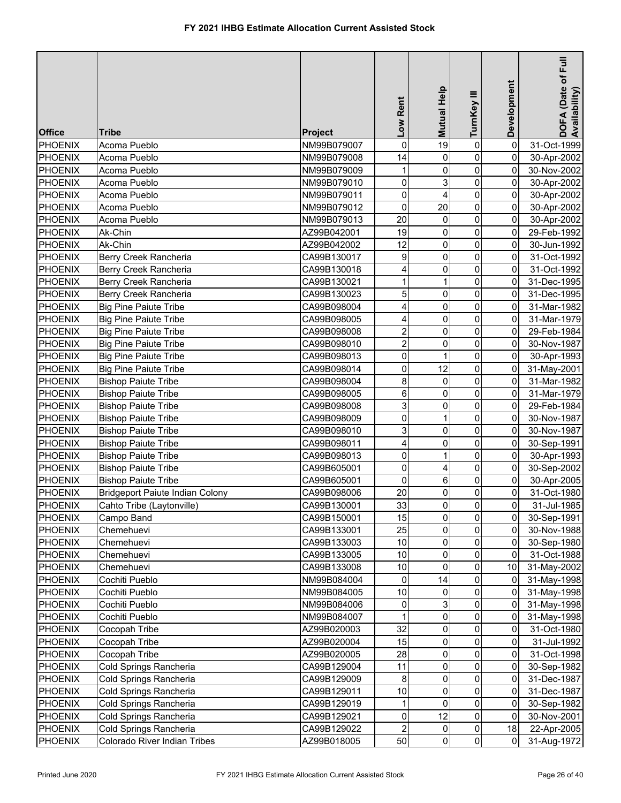|                |                                        |                | Low Rent                | <b>Mutual Help</b> | TurnKey III         | Development    | E<br>DOFA (Date of F<br>Availability) |
|----------------|----------------------------------------|----------------|-------------------------|--------------------|---------------------|----------------|---------------------------------------|
| <b>Office</b>  | Tribe                                  | <b>Project</b> |                         |                    |                     |                |                                       |
| PHOENIX        | Acoma Pueblo                           | NM99B079007    | 0                       | 19                 | $\pmb{0}$           | $\overline{0}$ | 31-Oct-1999                           |
| PHOENIX        | Acoma Pueblo                           | NM99B079008    | 14                      | 0                  | $\pmb{0}$           | 0              | 30-Apr-2002                           |
| PHOENIX        | Acoma Pueblo                           | NM99B079009    | 1                       | 0                  | $\mathbf 0$         | 0              | 30-Nov-2002                           |
| PHOENIX        | Acoma Pueblo                           | NM99B079010    | 0                       | 3                  | $\pmb{0}$           | 0              | 30-Apr-2002                           |
| PHOENIX        | Acoma Pueblo                           | NM99B079011    | 0                       | 4                  | $\mathsf{O}\xspace$ | 0              | 30-Apr-2002                           |
| <b>PHOENIX</b> | Acoma Pueblo                           | NM99B079012    | $\mathbf 0$             | 20                 | $\overline{0}$      | 0              | 30-Apr-2002                           |
| <b>PHOENIX</b> | Acoma Pueblo                           | NM99B079013    | 20                      | 0                  | $\mathsf{O}\xspace$ | 0              | 30-Apr-2002                           |
| <b>PHOENIX</b> | Ak-Chin                                | AZ99B042001    | 19                      | 0                  | $\mathsf{O}\xspace$ | 0              | 29-Feb-1992                           |
| <b>PHOENIX</b> | Ak-Chin                                | AZ99B042002    | 12                      | 0                  | $\pmb{0}$           | 0              | 30-Jun-1992                           |
| <b>PHOENIX</b> | Berry Creek Rancheria                  | CA99B130017    | 9                       | 0                  | $\mathbf 0$         | 0              | 31-Oct-1992                           |
| <b>PHOENIX</b> | Berry Creek Rancheria                  | CA99B130018    | 4                       | 0                  | $\pmb{0}$           | 0              | 31-Oct-1992                           |
| <b>PHOENIX</b> | Berry Creek Rancheria                  | CA99B130021    | 1                       | $\mathbf{1}$       | $\mathsf{O}\xspace$ | 0              | 31-Dec-1995                           |
| <b>PHOENIX</b> | Berry Creek Rancheria                  | CA99B130023    | 5                       | 0                  | $\mathbf 0$         | 0              | 31-Dec-1995                           |
| <b>PHOENIX</b> | <b>Big Pine Paiute Tribe</b>           | CA99B098004    | 4                       | 0                  | $\pmb{0}$           | 0              | 31-Mar-1982                           |
| <b>PHOENIX</b> | <b>Big Pine Paiute Tribe</b>           | CA99B098005    | 4                       | 0                  | $\overline{0}$      | 0              | 31-Mar-1979                           |
| <b>PHOENIX</b> | <b>Big Pine Paiute Tribe</b>           | CA99B098008    | $\overline{\mathbf{c}}$ | 0                  | $\mathbf 0$         | 0              | 29-Feb-1984                           |
| <b>PHOENIX</b> | <b>Big Pine Paiute Tribe</b>           | CA99B098010    | $\overline{\mathbf{c}}$ | 0                  | $\pmb{0}$           | 0              | 30-Nov-1987                           |
| <b>PHOENIX</b> | <b>Big Pine Paiute Tribe</b>           | CA99B098013    | 0                       | 1                  | $\mathbf 0$         | 0              | 30-Apr-1993                           |
| <b>PHOENIX</b> | <b>Big Pine Paiute Tribe</b>           | CA99B098014    | 0                       | 12                 | $\mathbf 0$         | $\overline{0}$ | 31-May-2001                           |
| <b>PHOENIX</b> | <b>Bishop Paiute Tribe</b>             | CA99B098004    | 8                       | 0                  | $\mathbf 0$         | 0              | 31-Mar-1982                           |
| <b>PHOENIX</b> | <b>Bishop Paiute Tribe</b>             | CA99B098005    | 6                       | 0                  | $\mathbf 0$         | 0              | 31-Mar-1979                           |
| <b>PHOENIX</b> | <b>Bishop Paiute Tribe</b>             | CA99B098008    | 3                       | 0                  | 0                   | 0              | 29-Feb-1984                           |
| PHOENIX        | <b>Bishop Paiute Tribe</b>             | CA99B098009    | 0                       | $\mathbf{1}$       | 0                   | 0              | 30-Nov-1987                           |
| <b>PHOENIX</b> | <b>Bishop Paiute Tribe</b>             | CA99B098010    | 3                       | 0                  | $\mathsf{O}\xspace$ | $\overline{0}$ | 30-Nov-1987                           |
| <b>PHOENIX</b> | <b>Bishop Paiute Tribe</b>             | CA99B098011    | 4                       | 0                  | $\mathsf{O}\xspace$ | $\overline{0}$ | 30-Sep-1991                           |
| <b>PHOENIX</b> | <b>Bishop Paiute Tribe</b>             | CA99B098013    | 0                       | 1                  | $\pmb{0}$           | $\overline{0}$ | 30-Apr-1993                           |
| <b>PHOENIX</b> | <b>Bishop Paiute Tribe</b>             | CA99B605001    | 0                       | 4                  | $\overline{0}$      | $\overline{0}$ | 30-Sep-2002                           |
| PHOENIX        | <b>Bishop Paiute Tribe</b>             | CA99B605001    | 0                       | 6                  | $\mathbf 0$         | $\overline{0}$ | 30-Apr-2005                           |
| PHOENIX        | <b>Bridgeport Paiute Indian Colony</b> | CA99B098006    | 20                      | 0                  | $\overline{0}$      | $\overline{0}$ | 31-Oct-1980                           |
| <b>PHOENIX</b> | Cahto Tribe (Laytonville)              | CA99B130001    | 33                      | $\overline{0}$     | $\overline{0}$      | $\overline{0}$ | 31-Jul-1985                           |
| PHOENIX        | Campo Band                             | CA99B150001    | 15                      | $\overline{0}$     | $\overline{0}$      | 0              | 30-Sep-1991                           |
| PHOENIX        | Chemehuevi                             | CA99B133001    | 25                      | 0                  | 0                   | $\overline{0}$ | 30-Nov-1988                           |
| PHOENIX        | Chemehuevi                             | CA99B133003    | $10$                    | 0                  | $\overline{0}$      | 0              | 30-Sep-1980                           |
| PHOENIX        | Chemehuevi                             | CA99B133005    | $10$                    | 0                  | 0                   | 0              | 31-Oct-1988                           |
| PHOENIX        | Chemehuevi                             | CA99B133008    | $10$                    | $\mathbf{0}$       | $\pmb{0}$           | 10             | 31-May-2002                           |
| PHOENIX        | Cochiti Pueblo                         | NM99B084004    | 0                       | 14                 | $\mathbf{0}$        | $\overline{0}$ | 31-May-1998                           |
| <b>PHOENIX</b> | Cochiti Pueblo                         | NM99B084005    | $10$                    | 0                  | 0                   | 0              | 31-May-1998                           |
| <b>PHOENIX</b> | Cochiti Pueblo                         | NM99B084006    | 0                       | 3                  | 0                   | 0              | 31-May-1998                           |
| <b>PHOENIX</b> | Cochiti Pueblo                         | NM99B084007    | 1                       | 0                  | 0                   | 0              | 31-May-1998                           |
| <b>PHOENIX</b> | Cocopah Tribe                          | AZ99B020003    | 32                      | 0                  | 0                   | 0              | 31-Oct-1980                           |
| <b>PHOENIX</b> | Cocopah Tribe                          | AZ99B020004    | 15                      | 0                  | $\overline{0}$      | 0              | 31-Jul-1992                           |
| <b>PHOENIX</b> | Cocopah Tribe                          | AZ99B020005    | 28                      | 0                  | 0                   | 0              | 31-Oct-1998                           |
| <b>PHOENIX</b> | Cold Springs Rancheria                 | CA99B129004    | 11                      | 0                  | 0                   | 0              | 30-Sep-1982                           |
| PHOENIX        | Cold Springs Rancheria                 | CA99B129009    | 8                       | 0                  | $\mathbf 0$         | 0              | 31-Dec-1987                           |
| <b>PHOENIX</b> | Cold Springs Rancheria                 | CA99B129011    | $10$                    | 0                  | 0                   | 0              | 31-Dec-1987                           |
| <b>PHOENIX</b> | Cold Springs Rancheria                 | CA99B129019    | 1                       | 0                  | 0                   | 0              | 30-Sep-1982                           |
| <b>PHOENIX</b> | Cold Springs Rancheria                 | CA99B129021    | 0                       | 12                 | $\mathsf{O}\xspace$ | 0              | 30-Nov-2001                           |
| <b>PHOENIX</b> | Cold Springs Rancheria                 | CA99B129022    | $\overline{c}$          | 0                  | $\overline{0}$      | 18             | 22-Apr-2005                           |
| PHOENIX        | Colorado River Indian Tribes           | AZ99B018005    | 50                      | $\overline{0}$     | $\overline{0}$      | $\overline{0}$ | 31-Aug-1972                           |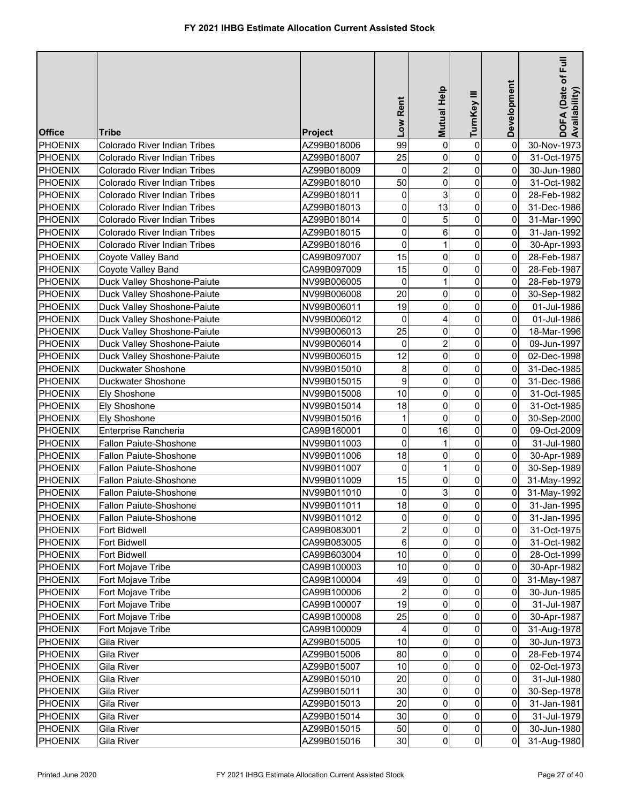| <b>Office</b>      | Tribe                        | <b>Project</b>             | Low Rent                | Mutual Help    | TurnKey III         | Development    | DOFA (Date of Full<br>Availability) |
|--------------------|------------------------------|----------------------------|-------------------------|----------------|---------------------|----------------|-------------------------------------|
| PHOENIX            | Colorado River Indian Tribes | AZ99B018006                | 99                      | 0              | $\pmb{0}$           | 0              | 30-Nov-1973                         |
| PHOENIX            | Colorado River Indian Tribes | AZ99B018007                | 25                      | 0              | $\pmb{0}$           | 0              | 31-Oct-1975                         |
| PHOENIX            | Colorado River Indian Tribes | AZ99B018009                | 0                       | $\overline{2}$ | $\mathbf 0$         | 0              | 30-Jun-1980                         |
| <b>PHOENIX</b>     | Colorado River Indian Tribes | AZ99B018010                | 50                      | 0              | $\pmb{0}$           | 0              | 31-Oct-1982                         |
| <b>PHOENIX</b>     | Colorado River Indian Tribes | AZ99B018011                | 0                       | 3              | $\mathsf{O}\xspace$ | 0              | 28-Feb-1982                         |
| <b>PHOENIX</b>     | Colorado River Indian Tribes | AZ99B018013                | 0                       | 13             | $\mathsf{O}\xspace$ | 0              | 31-Dec-1986                         |
| <b>PHOENIX</b>     | Colorado River Indian Tribes | AZ99B018014                | 0                       | 5              | $\mathsf{O}\xspace$ | 0              | 31-Mar-1990                         |
| <b>PHOENIX</b>     | Colorado River Indian Tribes | AZ99B018015                | 0                       | 6              | $\mathbf 0$         | 0              | 31-Jan-1992                         |
| <b>PHOENIX</b>     | Colorado River Indian Tribes | AZ99B018016                | 0                       | $\mathbf{1}$   | $\mathsf{O}\xspace$ | 0              | 30-Apr-1993                         |
| <b>PHOENIX</b>     | Coyote Valley Band           | CA99B097007                | 15                      | 0              | $\mathbf 0$         | 0              | 28-Feb-1987                         |
| <b>PHOENIX</b>     | Coyote Valley Band           | CA99B097009                | 15                      | 0              | $\pmb{0}$           | 0              | 28-Feb-1987                         |
| <b>PHOENIX</b>     | Duck Valley Shoshone-Paiute  | NV99B006005                | 0                       | $\mathbf{1}$   | $\mathsf{O}\xspace$ | 0              | 28-Feb-1979                         |
| PHOENIX            | Duck Valley Shoshone-Paiute  | NV99B006008                | 20                      | 0              | $\mathbf 0$         | 0              | 30-Sep-1982                         |
| PHOENIX            | Duck Valley Shoshone-Paiute  | NV99B006011                | 19                      | 0              | $\mathbf 0$         | 0              | 01-Jul-1986                         |
| <b>PHOENIX</b>     | Duck Valley Shoshone-Paiute  | NV99B006012                | 0                       | 4              | $\mathbf 0$         | 0              | 01-Jul-1986                         |
| <b>PHOENIX</b>     | Duck Valley Shoshone-Paiute  | NV99B006013                | 25                      | 0              | $\mathbf 0$         | 0              | 18-Mar-1996                         |
| <b>PHOENIX</b>     | Duck Valley Shoshone-Paiute  | NV99B006014                | 0                       | $\overline{2}$ | $\mathbf 0$         | 0              | 09-Jun-1997                         |
| <b>PHOENIX</b>     | Duck Valley Shoshone-Paiute  | NV99B006015                | 12                      | 0              | $\mathbf 0$         | 0              | 02-Dec-1998                         |
| <b>PHOENIX</b>     | Duckwater Shoshone           | NV99B015010                | 8                       | 0              | $\mathbf 0$         | 0              | 31-Dec-1985                         |
| <b>PHOENIX</b>     | Duckwater Shoshone           | NV99B015015                | 9                       | 0              | 0                   | 0              | 31-Dec-1986                         |
| PHOENIX            | Ely Shoshone                 | NV99B015008                | 10                      | 0              | 0                   | 0              | 31-Oct-1985                         |
| <b>PHOENIX</b>     | Ely Shoshone                 | NV99B015014                | 18                      | 0              | $\mathbf 0$         | 0              | 31-Oct-1985                         |
| <b>PHOENIX</b>     | Ely Shoshone                 | NV99B015016                | 1                       | $\mathbf{0}$   | 0                   | 0              | 30-Sep-2000                         |
| <b>PHOENIX</b>     | Enterprise Rancheria         | CA99B160001                | 0                       | 16             | $\mathsf{O}\xspace$ | $\overline{0}$ | 09-Oct-2009                         |
| <b>PHOENIX</b>     | Fallon Paiute-Shoshone       | NV99B011003                | 0                       | 1              | $\mathbf 0$         | 0              | 31-Jul-1980                         |
| <b>PHOENIX</b>     | Fallon Paiute-Shoshone       | NV99B011006                | 18                      | 0              | $\mathbf 0$         | 0              | 30-Apr-1989                         |
| PHOENIX            | Fallon Paiute-Shoshone       | NV99B011007                | 0                       | $\mathbf{1}$   | $\pmb{0}$           | $\overline{0}$ | 30-Sep-1989                         |
| PHOENIX            | Fallon Paiute-Shoshone       | NV99B011009                | 15                      | 0              | $\mathbf 0$         | $\overline{0}$ | 31-May-1992                         |
| <b>PHOENIX</b>     | Fallon Paiute-Shoshone       | NV99B011010                | 0                       | 3              | $\pmb{0}$           | $\overline{0}$ | 31-May-1992                         |
| <b>PHOENIX</b>     | Fallon Paiute-Shoshone       | NV99B011011                | 18                      | $\overline{0}$ | $\overline{0}$      | $\overline{0}$ | 31-Jan-1995                         |
| <b>PHOENIX</b>     | Fallon Paiute-Shoshone       | NV99B011012                | 0                       | $\overline{0}$ | $\overline{0}$      | 0              | 31-Jan-1995                         |
| <b>PHOENIX</b>     |                              |                            | $\overline{\mathbf{c}}$ | 0              | $\overline{0}$      | 0              |                                     |
| PHOENIX            | Fort Bidwell                 | CA99B083001<br>CA99B083005 | 6                       | 0              | 0                   | 0              | 31-Oct-1975                         |
| PHOENIX            | Fort Bidwell<br>Fort Bidwell | CA99B603004                | $10$                    | 0              | $\overline{0}$      | 0              | 31-Oct-1982<br>28-Oct-1999          |
| <b>PHOENIX</b>     | Fort Mojave Tribe            | CA99B100003                | 10                      | 0              | $\mathbf 0$         | 0              | 30-Apr-1982                         |
| PHOENIX            | Fort Mojave Tribe            | CA99B100004                | 49                      | 0              | $\mathbf{0}$        | 0              | 31-May-1987                         |
| PHOENIX            | Fort Mojave Tribe            | CA99B100006                | $\overline{\mathbf{c}}$ | 0              | $\pmb{0}$           | 0              | 30-Jun-1985                         |
| PHOENIX            | Fort Mojave Tribe            | CA99B100007                | 19                      | 0              | $\overline{0}$      | 0              |                                     |
| PHOENIX            | Fort Mojave Tribe            | CA99B100008                | 25                      | 0              | 0                   | 0              | 31-Jul-1987<br>30-Apr-1987          |
| <b>PHOENIX</b>     | Fort Mojave Tribe            | CA99B100009                | 4                       | 0              | $\mathbf{0}$        | 0              | 31-Aug-1978                         |
| <b>PHOENIX</b>     | Gila River                   | AZ99B015005                | 10                      | 0              | $\overline{0}$      | 0              | 30-Jun-1973                         |
| <b>PHOENIX</b>     | Gila River                   | AZ99B015006                | 80                      | 0              | 0                   | 0              |                                     |
| <b>PHOENIX</b>     | Gila River                   | AZ99B015007                | 10                      | 0              | 0                   | 0              | 28-Feb-1974<br>02-Oct-1973          |
|                    |                              | AZ99B015010                | 20                      | 0              | $\mathbf 0$         | 0              |                                     |
| PHOENIX<br>PHOENIX | Gila River<br>Gila River     | AZ99B015011                | 30                      | 0              | 0                   | 0              | 31-Jul-1980<br>30-Sep-1978          |
| PHOENIX            | Gila River                   | AZ99B015013                | 20                      | 0              | $\mathbf 0$         | 0              | 31-Jan-1981                         |
| PHOENIX            | Gila River                   | AZ99B015014                | 30                      | 0              | $\pmb{0}$           | $\overline{0}$ | 31-Jul-1979                         |
| PHOENIX            | Gila River                   | AZ99B015015                | 50                      | 0              | $\overline{0}$      | $\overline{0}$ | 30-Jun-1980                         |
| PHOENIX            | Gila River                   | AZ99B015016                | 30                      | $\overline{0}$ | $\overline{0}$      | $\overline{0}$ | 31-Aug-1980                         |
|                    |                              |                            |                         |                |                     |                |                                     |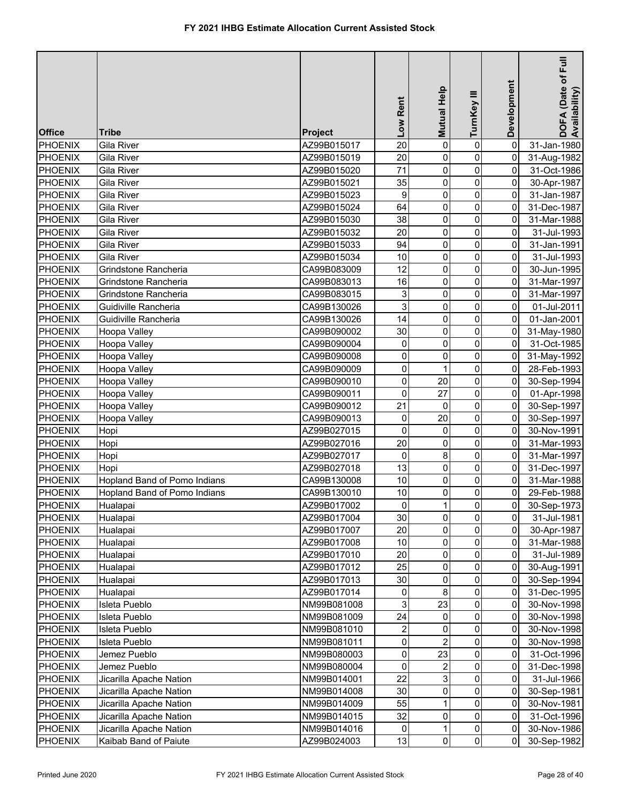|                |                              |             |                         |              |                |                | E                                |
|----------------|------------------------------|-------------|-------------------------|--------------|----------------|----------------|----------------------------------|
|                |                              |             |                         |              |                |                | DOFA (Date of I<br>Availability) |
|                |                              |             |                         | Mutual Help  | TurnKey III    | Development    |                                  |
|                |                              |             | Low Rent                |              |                |                |                                  |
| <b>Office</b>  | Tribe                        | Project     |                         |              |                |                |                                  |
| <b>PHOENIX</b> | <b>Gila River</b>            | AZ99B015017 | 20                      | 0            | $\pmb{0}$      | $\Omega$       | 31-Jan-1980                      |
| PHOENIX        | Gila River                   | AZ99B015019 | 20                      | 0            | $\mathbf 0$    | 0              | 31-Aug-1982                      |
| <b>PHOENIX</b> | Gila River                   | AZ99B015020 | 71                      | 0            | $\mathbf 0$    | 0              | 31-Oct-1986                      |
| <b>PHOENIX</b> | Gila River                   | AZ99B015021 | 35                      | 0            | 0              | 0              | 30-Apr-1987                      |
| <b>PHOENIX</b> | Gila River                   | AZ99B015023 | 9                       | 0            | 0              | 0              | 31-Jan-1987                      |
| PHOENIX        | Gila River                   | AZ99B015024 | 64                      | 0            | 0              | 0              | 31-Dec-1987                      |
| <b>PHOENIX</b> | Gila River                   | AZ99B015030 | 38                      | 0            | 0              | 0              | 31-Mar-1988                      |
| PHOENIX        | Gila River                   | AZ99B015032 | 20                      | 0            | 0              | 0              | 31-Jul-1993                      |
| PHOENIX        | Gila River                   | AZ99B015033 | 94                      | 0            | $\mathsf 0$    | 0              | 31-Jan-1991                      |
| <b>PHOENIX</b> | Gila River                   | AZ99B015034 | 10                      | 0            | $\mathbf 0$    | 0              | 31-Jul-1993                      |
| <b>PHOENIX</b> | Grindstone Rancheria         | CA99B083009 | 12                      | 0            | 0              | 0              | 30-Jun-1995                      |
| <b>PHOENIX</b> | Grindstone Rancheria         | CA99B083013 | 16                      | 0            | 0              | 0              | 31-Mar-1997                      |
| <b>PHOENIX</b> | Grindstone Rancheria         | CA99B083015 | 3                       | 0            | 0              | 0              | 31-Mar-1997                      |
| PHOENIX        | Guidiville Rancheria         | CA99B130026 | 3                       | 0            | 0              | 0              | 01-Jul-2011                      |
| PHOENIX        | Guidiville Rancheria         | CA99B130026 | 14                      | 0            | 0              | 0              | 01-Jan-2001                      |
| <b>PHOENIX</b> | Hoopa Valley                 | CA99B090002 | 30                      | 0            | 0              | 0              | 31-May-1980                      |
| <b>PHOENIX</b> | Hoopa Valley                 | CA99B090004 | 0                       | 0            | 0              | 0              | 31-Oct-1985                      |
| <b>PHOENIX</b> | Hoopa Valley                 | CA99B090008 | 0                       | 0            | 0              | 0              | 31-May-1992                      |
| <b>PHOENIX</b> | Hoopa Valley                 | CA99B090009 | 0                       |              | 0              | 0              | 28-Feb-1993                      |
| <b>PHOENIX</b> | Hoopa Valley                 | CA99B090010 | 0                       | 20           | 0              | 0              | 30-Sep-1994                      |
| PHOENIX        | Hoopa Valley                 | CA99B090011 | $\mathbf 0$             | 27           | 0              | $\mathbf 0$    | 01-Apr-1998                      |
| <b>PHOENIX</b> | Hoopa Valley                 | CA99B090012 | 21                      | $\Omega$     | $\pmb{0}$      | 0              | 30-Sep-1997                      |
| <b>PHOENIX</b> | Hoopa Valley                 | CA99B090013 | 0                       | 20           | 0              | 0              | 30-Sep-1997                      |
| PHOENIX        | Hopi                         | AZ99B027015 | 0                       | 0            | 0              | 0              | 30-Nov-1991                      |
| PHOENIX        | Hopi                         | AZ99B027016 | 20                      | 0            | 0              | 0              | 31-Mar-1993                      |
| <b>PHOENIX</b> | Hopi                         | AZ99B027017 | 0                       | 8            | 0              | $\Omega$       | 31-Mar-1997                      |
| <b>PHOENIX</b> | Hopi                         | AZ99B027018 | 13                      | 0            | 0              | $\overline{0}$ | 31-Dec-1997                      |
| <b>PHOENIX</b> | Hopland Band of Pomo Indians | CA99B130008 | $10$                    | 0            | 0              | $\pmb{0}$      | 31-Mar-1988                      |
| <b>PHOENIX</b> | Hopland Band of Pomo Indians | CA99B130010 | $10$                    | 0            | 0              | 0              | 29-Feb-1988                      |
| <b>PHOENIX</b> | Hualapai                     | AZ99B017002 | $\overline{0}$          | $\mathbf{1}$ | $\mathsf{o}$   | $\overline{0}$ | 30-Sep-1973                      |
| <b>PHOENIX</b> | Hualapai                     | AZ99B017004 | 30                      | 0            | 0              | $\Omega$       | 31-Jul-1981                      |
| <b>PHOENIX</b> | Hualapai                     | AZ99B017007 | 20                      | 0            | 0              | $\overline{0}$ | 30-Apr-1987                      |
| <b>PHOENIX</b> | Hualapai                     | AZ99B017008 | $10$                    | 0            | 0              | 0              | 31-Mar-1988                      |
| <b>PHOENIX</b> | Hualapai                     | AZ99B017010 | 20                      | 0            | 0              | 0              | 31-Jul-1989                      |
| <b>PHOENIX</b> | Hualapai                     | AZ99B017012 | 25                      | 0            | 0              | 0              | 30-Aug-1991                      |
| <b>PHOENIX</b> | Hualapai                     | AZ99B017013 | 30                      | 0            | 0              | 0              | 30-Sep-1994                      |
| PHOENIX        | Hualapai                     | AZ99B017014 | 0                       | 8            | 0              | 0              | 31-Dec-1995                      |
| <b>PHOENIX</b> | Isleta Pueblo                | NM99B081008 | 3                       | 23           | 0              | 0              | 30-Nov-1998                      |
| PHOENIX        | Isleta Pueblo                | NM99B081009 | 24                      | 0            | 0              | 0              | 30-Nov-1998                      |
| <b>PHOENIX</b> | Isleta Pueblo                | NM99B081010 | $\overline{\mathbf{c}}$ | 0            | 0              | 0              | 30-Nov-1998                      |
| <b>PHOENIX</b> | Isleta Pueblo                | NM99B081011 | $\pmb{0}$               | 2            | 0              | 0              | 30-Nov-1998                      |
| <b>PHOENIX</b> | Jemez Pueblo                 | NM99B080003 | 0                       | 23           | 0              | 0              | 31-Oct-1996                      |
| <b>PHOENIX</b> | Jemez Pueblo                 | NM99B080004 | 0                       | 2            | 0              | 0              | 31-Dec-1998                      |
| <b>PHOENIX</b> | Jicarilla Apache Nation      | NM99B014001 | 22                      | 3            | 0              | 0              | 31-Jul-1966                      |
| <b>PHOENIX</b> | Jicarilla Apache Nation      | NM99B014008 | 30                      | 0            | 0              | 0              | 30-Sep-1981                      |
| <b>PHOENIX</b> | Jicarilla Apache Nation      | NM99B014009 | 55                      |              | 0              | 0              | 30-Nov-1981                      |
| <b>PHOENIX</b> | Jicarilla Apache Nation      | NM99B014015 | 32                      | 0            | 0              | 0              | 31-Oct-1996                      |
| <b>PHOENIX</b> | Jicarilla Apache Nation      | NM99B014016 | 0                       | 1            | $\overline{0}$ | 0              | 30-Nov-1986                      |
| PHOENIX        | Kaibab Band of Paiute        | AZ99B024003 | 13                      | $\pmb{0}$    | $\overline{0}$ | $\Omega$       | 30-Sep-1982                      |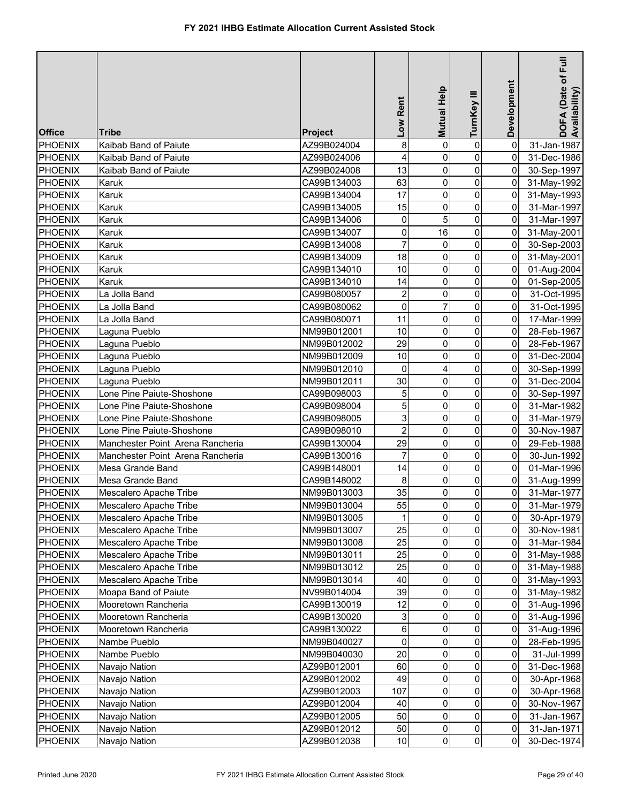| <b>Office</b>  | Tribe                            | <b>Project</b> | Low Rent                | Mutual Help    | TurnKey III         | Development    | DOFA (Date of Full<br>Availability) |
|----------------|----------------------------------|----------------|-------------------------|----------------|---------------------|----------------|-------------------------------------|
| PHOENIX        | Kaibab Band of Paiute            | AZ99B024004    | 8                       | 0              | $\pmb{0}$           | 0              | 31-Jan-1987                         |
| PHOENIX        | Kaibab Band of Paiute            | AZ99B024006    | $\overline{\mathbf{4}}$ | 0              | $\mathsf{O}\xspace$ | 0              | 31-Dec-1986                         |
| <b>PHOENIX</b> | Kaibab Band of Paiute            | AZ99B024008    | 13                      | 0              | $\mathsf{O}\xspace$ | $\overline{0}$ | 30-Sep-1997                         |
| <b>PHOENIX</b> | Karuk                            | CA99B134003    | 63                      | 0              | $\mathsf{O}\xspace$ | $\overline{0}$ | 31-May-1992                         |
| PHOENIX        | Karuk                            | CA99B134004    | 17                      | 0              | $\mathsf{O}\xspace$ | $\overline{0}$ | 31-May-1993                         |
| <b>PHOENIX</b> | Karuk                            | CA99B134005    | 15                      | 0              | $\mathbf 0$         | 0              | 31-Mar-1997                         |
| <b>PHOENIX</b> | Karuk                            | CA99B134006    | 0                       | 5              | $\pmb{0}$           | 0              | 31-Mar-1997                         |
| <b>PHOENIX</b> | Karuk                            | CA99B134007    | 0                       | 16             | $\mathsf{O}\xspace$ | 0              | 31-May-2001                         |
| <b>PHOENIX</b> | Karuk                            | CA99B134008    | $\overline{7}$          | 0              | $\mathbf 0$         | 0              | 30-Sep-2003                         |
| <b>PHOENIX</b> | Karuk                            | CA99B134009    | 18                      | 0              | $\pmb{0}$           | 0              | 31-May-2001                         |
| <b>PHOENIX</b> | Karuk                            | CA99B134010    | 10                      | 0              | $\mathbf 0$         | 0              | 01-Aug-2004                         |
| <b>PHOENIX</b> | Karuk                            | CA99B134010    | 14                      | 0              | $\overline{0}$      | 0              | 01-Sep-2005                         |
| <b>PHOENIX</b> | La Jolla Band                    | CA99B080057    | $\overline{\mathbf{c}}$ | 0              | $\mathbf 0$         | 0              | 31-Oct-1995                         |
| <b>PHOENIX</b> | La Jolla Band                    | CA99B080062    | 0                       | 7              | $\pmb{0}$           | 0              | 31-Oct-1995                         |
| PHOENIX        | La Jolla Band                    | CA99B080071    | 11                      | 0              | $\pmb{0}$           | 0              | 17-Mar-1999                         |
| <b>PHOENIX</b> | Laguna Pueblo                    | NM99B012001    | 10                      | 0              | 0                   | 0              | 28-Feb-1967                         |
| <b>PHOENIX</b> | Laguna Pueblo                    | NM99B012002    | 29                      | 0              | $\mathbf 0$         | 0              | 28-Feb-1967                         |
| <b>PHOENIX</b> | Laguna Pueblo                    | NM99B012009    | 10                      | 0              | $\pmb{0}$           | 0              | 31-Dec-2004                         |
| <b>PHOENIX</b> | Laguna Pueblo                    | NM99B012010    | $\overline{0}$          | 4              | 0                   | 0              | 30-Sep-1999                         |
| <b>PHOENIX</b> | Laguna Pueblo                    | NM99B012011    | 30                      | 0              | $\mathbf 0$         | 0              | 31-Dec-2004                         |
| <b>PHOENIX</b> | Lone Pine Paiute-Shoshone        | CA99B098003    | 5                       | 0              | $\mathbf 0$         | $\overline{0}$ | 30-Sep-1997                         |
| <b>PHOENIX</b> | Lone Pine Paiute-Shoshone        | CA99B098004    | $\overline{5}$          | 0              | $\pmb{0}$           | 0              | 31-Mar-1982                         |
| <b>PHOENIX</b> | Lone Pine Paiute-Shoshone        | CA99B098005    | 3                       | 0              | $\mathbf 0$         | 0              | 31-Mar-1979                         |
| <b>PHOENIX</b> | Lone Pine Paiute-Shoshone        | CA99B098010    | $\overline{2}$          | 0              | $\pmb{0}$           | 0              | 30-Nov-1987                         |
| PHOENIX        | Manchester Point Arena Rancheria | CA99B130004    | 29                      | 0              | $\mathsf{O}\xspace$ | 0              | 29-Feb-1988                         |
| PHOENIX        | Manchester Point Arena Rancheria | CA99B130016    | $\overline{7}$          | 0              | $\mathsf{O}\xspace$ | 0              | 30-Jun-1992                         |
| PHOENIX        | Mesa Grande Band                 | CA99B148001    | 14                      | 0              | $\mathsf{O}\xspace$ | $\overline{0}$ | 01-Mar-1996                         |
| PHOENIX        | Mesa Grande Band                 | CA99B148002    | 8                       | 0              | $\mathsf{O}\xspace$ | $\overline{0}$ | 31-Aug-1999                         |
| PHOENIX        | Mescalero Apache Tribe           | NM99B013003    | 35                      | 0              | $\overline{0}$      | $\overline{0}$ | 31-Mar-1977                         |
| <b>PHOENIX</b> | Mescalero Apache Tribe           | NM99B013004    | 55                      | $\mathbf 0$    | $\overline{0}$      | 0              | 31-Mar-1979                         |
| PHOENIX        | Mescalero Apache Tribe           | NM99B013005    | 1                       | $\Omega$       | $\mathbf 0$         | 0              | 30-Apr-1979                         |
| PHOENIX        | Mescalero Apache Tribe           | NM99B013007    | 25                      | 0              | $\mathbf{0}$        | $\overline{0}$ | 30-Nov-1981                         |
| PHOENIX        | Mescalero Apache Tribe           | NM99B013008    | 25                      | 0              | $\overline{0}$      | $\overline{0}$ | 31-Mar-1984                         |
| <b>PHOENIX</b> | Mescalero Apache Tribe           | NM99B013011    | 25                      | 0              | $\mathsf{O}\xspace$ | 0              | 31-May-1988                         |
| PHOENIX        | Mescalero Apache Tribe           | NM99B013012    | 25                      | 0              | 0                   | 0              | 31-May-1988                         |
| <b>PHOENIX</b> | Mescalero Apache Tribe           | NM99B013014    | 40                      | 0              | 0                   | 0              | 31-May-1993                         |
| <b>PHOENIX</b> | Moapa Band of Paiute             | NV99B014004    | 39                      | 0              | 0                   | 0              | 31-May-1982                         |
| <b>PHOENIX</b> | Mooretown Rancheria              | CA99B130019    | 12                      | 0              | $\overline{0}$      | 0              | 31-Aug-1996                         |
| <b>PHOENIX</b> | Mooretown Rancheria              | CA99B130020    | 3                       | 0              | 0                   | 0              | 31-Aug-1996                         |
| <b>PHOENIX</b> | Mooretown Rancheria              | CA99B130022    | 6                       | 0              | 0                   | 0              | 31-Aug-1996                         |
| <b>PHOENIX</b> | Nambe Pueblo                     | NM99B040027    | 0                       | 0              | $\mathbf 0$         | 0              | 28-Feb-1995                         |
| <b>PHOENIX</b> | Nambe Pueblo                     | NM99B040030    | 20                      | 0              | $\mathsf{O}\xspace$ | 0              | 31-Jul-1999                         |
| <b>PHOENIX</b> | Navajo Nation                    | AZ99B012001    | 60                      | 0              | 0                   | 0              | 31-Dec-1968                         |
| <b>PHOENIX</b> | Navajo Nation                    | AZ99B012002    | 49                      | 0              | 0                   | 0              | 30-Apr-1968                         |
| <b>PHOENIX</b> | Navajo Nation                    | AZ99B012003    | 107                     | 0              | $\mathsf{O}\xspace$ | $\overline{0}$ | 30-Apr-1968                         |
| <b>PHOENIX</b> | Navajo Nation                    | AZ99B012004    | 40                      | 0              | $\mathbf 0$         | 0              | 30-Nov-1967                         |
| <b>PHOENIX</b> | Navajo Nation                    | AZ99B012005    | 50                      | 0              | $\pmb{0}$           | $\overline{0}$ | 31-Jan-1967                         |
| <b>PHOENIX</b> | Navajo Nation                    | AZ99B012012    | 50                      | 0              | $\overline{0}$      | $\overline{0}$ | 31-Jan-1971                         |
| <b>PHOENIX</b> | Navajo Nation                    | AZ99B012038    | 10                      | $\overline{0}$ | $\overline{0}$      | $\overline{0}$ | 30-Dec-1974                         |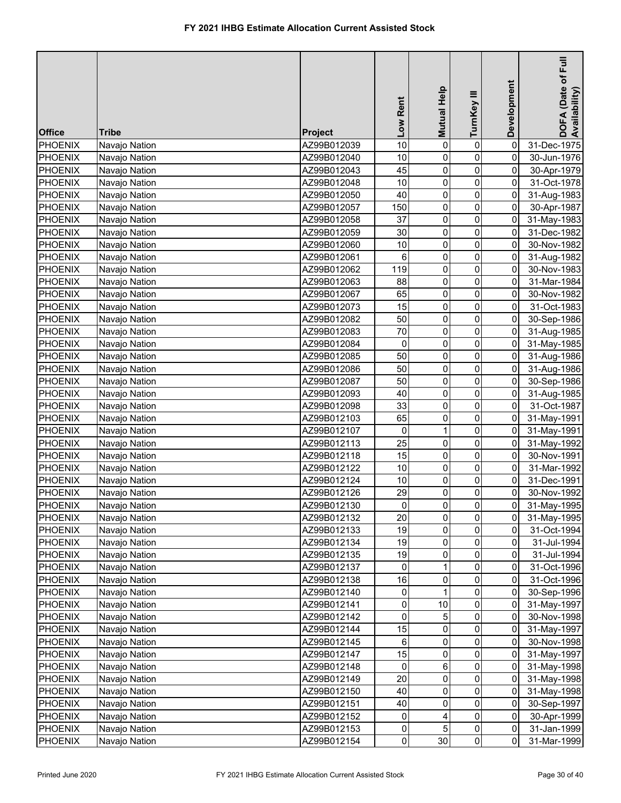| <b>Office</b>  | <b>Tribe</b>  | Project     | Low Rent       | Mutual Help         | TurnKey III    | Development         | E<br>DOFA (Date of F<br>Availability) |
|----------------|---------------|-------------|----------------|---------------------|----------------|---------------------|---------------------------------------|
| PHOENIX        | Navajo Nation | AZ99B012039 | 10             | 0                   | $\pmb{0}$      | 0                   | 31-Dec-1975                           |
| <b>PHOENIX</b> | Navajo Nation | AZ99B012040 | 10             | 0                   | 0              | 0                   | 30-Jun-1976                           |
| <b>PHOENIX</b> | Navajo Nation | AZ99B012043 | 45             | 0                   | 0              | 0                   | 30-Apr-1979                           |
| <b>PHOENIX</b> | Navajo Nation | AZ99B012048 | 10             | 0                   | 0              | $\mathbf 0$         | 31-Oct-1978                           |
| <b>PHOENIX</b> | Navajo Nation | AZ99B012050 | 40             | 0                   | 0              | 0                   | 31-Aug-1983                           |
| <b>PHOENIX</b> | Navajo Nation | AZ99B012057 | 150            | $\mathsf 0$         | $\overline{0}$ | 0                   | 30-Apr-1987                           |
| <b>PHOENIX</b> | Navajo Nation | AZ99B012058 | 37             | 0                   | $\overline{0}$ | 0                   | 31-May-1983                           |
| <b>PHOENIX</b> | Navajo Nation | AZ99B012059 | 30             | 0                   | $\mathbf 0$    | 0                   | 31-Dec-1982                           |
| <b>PHOENIX</b> | Navajo Nation | AZ99B012060 | $10$           | 0                   | $\overline{0}$ | 0                   | 30-Nov-1982                           |
| <b>PHOENIX</b> | Navajo Nation | AZ99B012061 | 6              | 0                   | $\overline{0}$ | 0                   | 31-Aug-1982                           |
| <b>PHOENIX</b> | Navajo Nation | AZ99B012062 | 119            | 0                   | 0              | 0                   | 30-Nov-1983                           |
| <b>PHOENIX</b> | Navajo Nation | AZ99B012063 | 88             | 0                   | 0              | 0                   | 31-Mar-1984                           |
| <b>PHOENIX</b> | Navajo Nation | AZ99B012067 | 65             | 0                   | 0              | 0                   | 30-Nov-1982                           |
| <b>PHOENIX</b> | Navajo Nation | AZ99B012073 | 15             | 0                   | 0              | 0                   | 31-Oct-1983                           |
| <b>PHOENIX</b> | Navajo Nation | AZ99B012082 | 50             | 0                   | 0              | 0                   | 30-Sep-1986                           |
| <b>PHOENIX</b> | Navajo Nation | AZ99B012083 | 70             | 0                   | 0              | 0                   | 31-Aug-1985                           |
| <b>PHOENIX</b> | Navajo Nation | AZ99B012084 | 0              | 0                   | 0              | 0                   | 31-May-1985                           |
| <b>PHOENIX</b> | Navajo Nation | AZ99B012085 | 50             | 0                   | 0              | 0                   | 31-Aug-1986                           |
| <b>PHOENIX</b> | Navajo Nation | AZ99B012086 | 50             | 0                   | 0              | 0                   | 31-Aug-1986                           |
| <b>PHOENIX</b> | Navajo Nation | AZ99B012087 | 50             | 0                   | 0              | 0                   | 30-Sep-1986                           |
| <b>PHOENIX</b> | Navajo Nation | AZ99B012093 | 40             | 0                   | 0              | 0                   | 31-Aug-1985                           |
| <b>PHOENIX</b> | Navajo Nation | AZ99B012098 | 33             | 0                   | 0              | 0                   | 31-Oct-1987                           |
| <b>PHOENIX</b> | Navajo Nation | AZ99B012103 | 65             | 0                   | 0              | $\mathsf{O}\xspace$ | 31-May-1991                           |
| <b>PHOENIX</b> | Navajo Nation | AZ99B012107 | 0              | 1                   | 0              | $\mathsf{O}\xspace$ | 31-May-1991                           |
| <b>PHOENIX</b> | Navajo Nation | AZ99B012113 | 25             | 0                   | 0              | 0                   | 31-May-1992                           |
| <b>PHOENIX</b> | Navajo Nation | AZ99B012118 | 15             | 0                   | 0              | 0                   | 30-Nov-1991                           |
| PHOENIX        | Navajo Nation | AZ99B012122 | 10             | 0                   | 0              | $\pmb{0}$           | 31-Mar-1992                           |
| PHOENIX        | Navajo Nation | AZ99B012124 | 10             | 0                   | 0              | 0                   | 31-Dec-1991                           |
| PHOENIX        | Navajo Nation | AZ99B012126 | 29             | 0                   | 0              | 0                   | 30-Nov-1992                           |
| <b>PHOENIX</b> | Navajo Nation | AZ99B012130 | $\overline{0}$ | $\mathsf{O}\xspace$ | $\overline{0}$ | $\overline{0}$      | 31-May-1995                           |
| <b>PHOENIX</b> | Navajo Nation | AZ99B012132 | 20             | 0                   | $\overline{0}$ | $\mathbf 0$         | 31-May-1995                           |
| <b>PHOENIX</b> | Navajo Nation | AZ99B012133 | 19             | 0                   | $\overline{0}$ | 0                   | 31-Oct-1994                           |
| <b>PHOENIX</b> | Navajo Nation | AZ99B012134 | 19             | 0                   | $\overline{0}$ | 0                   | 31-Jul-1994                           |
| PHOENIX        | Navajo Nation | AZ99B012135 | 19             | 0                   | $\overline{0}$ | 0                   | 31-Jul-1994                           |
| PHOENIX        | Navajo Nation | AZ99B012137 | $\pmb{0}$      |                     | $\overline{0}$ | 0                   | 31-Oct-1996                           |
| <b>PHOENIX</b> | Navajo Nation | AZ99B012138 | 16             | 0                   | $\overline{0}$ | $\mathbf 0$         | 31-Oct-1996                           |
| <b>PHOENIX</b> | Navajo Nation | AZ99B012140 | $\pmb{0}$      |                     | $\Omega$       | 0                   | 30-Sep-1996                           |
| <b>PHOENIX</b> | Navajo Nation | AZ99B012141 | 0              | 10                  | $\overline{0}$ | 0                   | 31-May-1997                           |
| <b>PHOENIX</b> | Navajo Nation | AZ99B012142 | $\mathbf 0$    | 5                   | $\overline{0}$ | $\overline{0}$      | 30-Nov-1998                           |
| <b>PHOENIX</b> | Navajo Nation | AZ99B012144 | 15             | 0                   | 0              | 0                   | 31-May-1997                           |
| <b>PHOENIX</b> | Navajo Nation | AZ99B012145 | 6              | 0                   | 0              | 0                   | 30-Nov-1998                           |
| <b>PHOENIX</b> | Navajo Nation | AZ99B012147 | 15             | 0                   | 0              | 0                   | 31-May-1997                           |
| <b>PHOENIX</b> | Navajo Nation | AZ99B012148 | 0              | 6                   | 0              | 0                   | 31-May-1998                           |
| <b>PHOENIX</b> | Navajo Nation | AZ99B012149 | 20             | 0                   | 0              | 0                   | 31-May-1998                           |
| <b>PHOENIX</b> | Navajo Nation | AZ99B012150 | 40             | 0                   | 0              | 0                   | 31-May-1998                           |
| <b>PHOENIX</b> | Navajo Nation | AZ99B012151 | 40             | 0                   | 0              | $\mathbf 0$         | 30-Sep-1997                           |
| <b>PHOENIX</b> | Navajo Nation | AZ99B012152 | 0              | 4                   | $\overline{0}$ | $\overline{0}$      | 30-Apr-1999                           |
| <b>PHOENIX</b> | Navajo Nation | AZ99B012153 | $\overline{0}$ | 5                   | $\overline{0}$ | $\overline{0}$      | 31-Jan-1999                           |
| <b>PHOENIX</b> | Navajo Nation | AZ99B012154 | $\overline{0}$ | 30                  | $\overline{0}$ | $\overline{0}$      | 31-Mar-1999                           |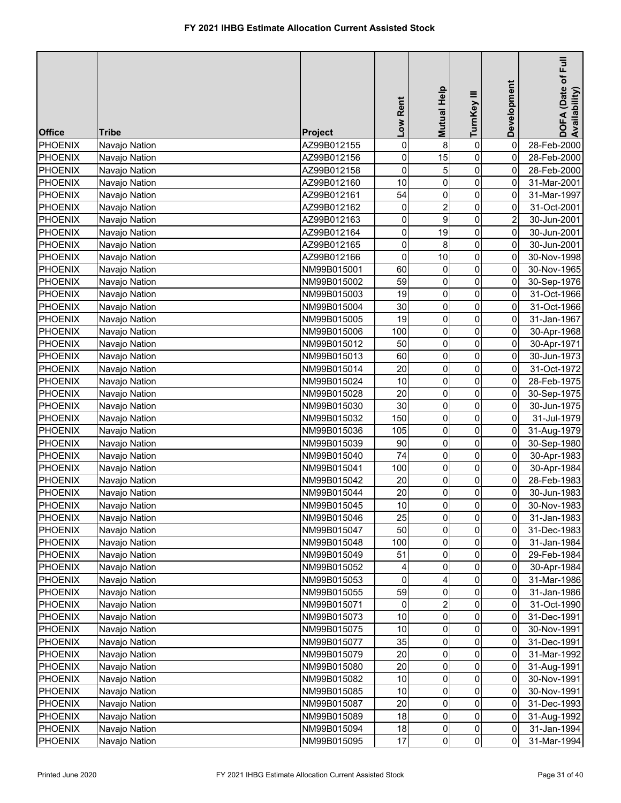| <b>Office</b>  | <b>Tribe</b>  | Project     | Low Rent            | Mutual Help         | TurnKey III    | Development             | E<br>DOFA (Date of F<br>Availability) |
|----------------|---------------|-------------|---------------------|---------------------|----------------|-------------------------|---------------------------------------|
| PHOENIX        | Navajo Nation | AZ99B012155 | 0                   | $\bf 8$             | $\pmb{0}$      | 0                       | 28-Feb-2000                           |
| <b>PHOENIX</b> | Navajo Nation | AZ99B012156 | 0                   | 15                  | 0              | 0                       | 28-Feb-2000                           |
| <b>PHOENIX</b> | Navajo Nation | AZ99B012158 | 0                   | 5                   | 0              | 0                       | 28-Feb-2000                           |
| PHOENIX        | Navajo Nation | AZ99B012160 | 10                  | $\mathbf 0$         | 0              | 0                       | 31-Mar-2001                           |
| <b>PHOENIX</b> | Navajo Nation | AZ99B012161 | 54                  | 0                   | 0              | 0                       | 31-Mar-1997                           |
| <b>PHOENIX</b> | Navajo Nation | AZ99B012162 | 0                   | $\overline{2}$      | 0              | 0                       | 31-Oct-2001                           |
| <b>PHOENIX</b> | Navajo Nation | AZ99B012163 | 0                   | 9                   | $\overline{0}$ | $\overline{\mathbf{c}}$ | 30-Jun-2001                           |
| <b>PHOENIX</b> | Navajo Nation | AZ99B012164 | 0                   | 19                  | 0              | 0                       | 30-Jun-2001                           |
| <b>PHOENIX</b> | Navajo Nation | AZ99B012165 | $\mathsf{O}\xspace$ | 8                   | $\overline{0}$ | 0                       | 30-Jun-2001                           |
| <b>PHOENIX</b> | Navajo Nation | AZ99B012166 | 0                   | 10                  | $\overline{0}$ | 0                       | 30-Nov-1998                           |
| <b>PHOENIX</b> | Navajo Nation | NM99B015001 | 60                  | 0                   | 0              | 0                       | 30-Nov-1965                           |
| <b>PHOENIX</b> | Navajo Nation | NM99B015002 | 59                  | 0                   | 0              | 0                       | 30-Sep-1976                           |
| <b>PHOENIX</b> | Navajo Nation | NM99B015003 | 19                  | 0                   | 0              | 0                       | 31-Oct-1966                           |
| <b>PHOENIX</b> | Navajo Nation | NM99B015004 | 30                  | 0                   | 0              | 0                       | 31-Oct-1966                           |
| <b>PHOENIX</b> | Navajo Nation | NM99B015005 | 19                  | 0                   | 0              | 0                       | 31-Jan-1967                           |
| <b>PHOENIX</b> | Navajo Nation | NM99B015006 | 100                 | 0                   | 0              | 0                       | 30-Apr-1968                           |
| <b>PHOENIX</b> | Navajo Nation | NM99B015012 | 50                  | 0                   | $\mathbf 0$    | 0                       | 30-Apr-1971                           |
| <b>PHOENIX</b> | Navajo Nation | NM99B015013 | 60                  | 0                   | 0              | 0                       | 30-Jun-1973                           |
| <b>PHOENIX</b> | Navajo Nation | NM99B015014 | 20                  | 0                   | 0              | 0                       | 31-Oct-1972                           |
| <b>PHOENIX</b> | Navajo Nation | NM99B015024 | 10                  | 0                   | 0              | 0                       | 28-Feb-1975                           |
| <b>PHOENIX</b> | Navajo Nation | NM99B015028 | 20                  | 0                   | 0              | 0                       | 30-Sep-1975                           |
| <b>PHOENIX</b> | Navajo Nation | NM99B015030 | 30                  | 0                   | 0              | 0                       | 30-Jun-1975                           |
| <b>PHOENIX</b> | Navajo Nation | NM99B015032 | 150                 | 0                   | 0              | 0                       | 31-Jul-1979                           |
| <b>PHOENIX</b> | Navajo Nation | NM99B015036 | 105                 | 0                   | 0              | 0                       | 31-Aug-1979                           |
| <b>PHOENIX</b> | Navajo Nation | NM99B015039 | 90                  | 0                   | 0              | 0                       | 30-Sep-1980                           |
| <b>PHOENIX</b> | Navajo Nation | NM99B015040 | 74                  | 0                   | 0              | 0                       | 30-Apr-1983                           |
| <b>PHOENIX</b> | Navajo Nation | NM99B015041 | 100                 | 0                   | 0              | 0                       | 30-Apr-1984                           |
| PHOENIX        | Navajo Nation | NM99B015042 | 20                  | 0                   | 0              | 0                       | 28-Feb-1983                           |
| <b>PHOENIX</b> | Navajo Nation | NM99B015044 | 20                  | 0                   | 0              | 0                       | 30-Jun-1983                           |
| <b>PHOENIX</b> | Navajo Nation | NM99B015045 | 10                  | $\mathsf{O}\xspace$ | $\overline{0}$ | $\overline{0}$          | 30-Nov-1983                           |
| <b>PHOENIX</b> | Navajo Nation | NM99B015046 | 25                  | 0                   | $\overline{0}$ | 0                       | 31-Jan-1983                           |
| <b>PHOENIX</b> | Navajo Nation | NM99B015047 | 50                  | 0                   | $\overline{0}$ | 0                       | 31-Dec-1983                           |
| PHOENIX        | Navajo Nation | NM99B015048 | 100                 | 0                   | $\overline{0}$ | 0                       | 31-Jan-1984                           |
| PHOENIX        | Navajo Nation | NM99B015049 | 51                  | 0                   | $\overline{0}$ | 0                       | 29-Feb-1984                           |
| <b>PHOENIX</b> | Navajo Nation | NM99B015052 | 4                   | 0                   | $\overline{0}$ | 0                       | 30-Apr-1984                           |
| <b>PHOENIX</b> | Navajo Nation | NM99B015053 | 0                   |                     | $\overline{0}$ | 0                       | 31-Mar-1986                           |
| <b>PHOENIX</b> | Navajo Nation | NM99B015055 | 59                  | 0                   | $\Omega$       | 0                       | 31-Jan-1986                           |
| <b>PHOENIX</b> | Navajo Nation | NM99B015071 | 0                   | 2                   | 0              | 0                       | 31-Oct-1990                           |
| <b>PHOENIX</b> | Navajo Nation | NM99B015073 | $10$                | 0                   | 0              | 0                       | 31-Dec-1991                           |
| <b>PHOENIX</b> | Navajo Nation | NM99B015075 | $10$                | 0                   | 0              | 0                       | 30-Nov-1991                           |
| <b>PHOENIX</b> | Navajo Nation | NM99B015077 | 35                  | 0                   | 0              | 0                       | 31-Dec-1991                           |
| <b>PHOENIX</b> | Navajo Nation | NM99B015079 | 20                  | 0                   | 0              | 0                       | 31-Mar-1992                           |
| <b>PHOENIX</b> | Navajo Nation | NM99B015080 | 20                  | 0                   | 0              | 0                       | 31-Aug-1991                           |
| <b>PHOENIX</b> | Navajo Nation | NM99B015082 | 10                  | 0                   | 0              | 0                       | 30-Nov-1991                           |
| <b>PHOENIX</b> | Navajo Nation | NM99B015085 | 10                  | 0                   | 0              | 0                       | 30-Nov-1991                           |
| <b>PHOENIX</b> | Navajo Nation | NM99B015087 | 20                  | 0                   | 0              | $\overline{0}$          | 31-Dec-1993                           |
| <b>PHOENIX</b> | Navajo Nation | NM99B015089 | 18                  | 0                   | $\overline{0}$ | $\overline{0}$          | 31-Aug-1992                           |
| <b>PHOENIX</b> | Navajo Nation | NM99B015094 | 18                  | 0                   | $\overline{0}$ | $\overline{0}$          | 31-Jan-1994                           |
| <b>PHOENIX</b> | Navajo Nation | NM99B015095 | 17                  | $\pmb{0}$           | $\overline{0}$ | $\overline{0}$          | 31-Mar-1994                           |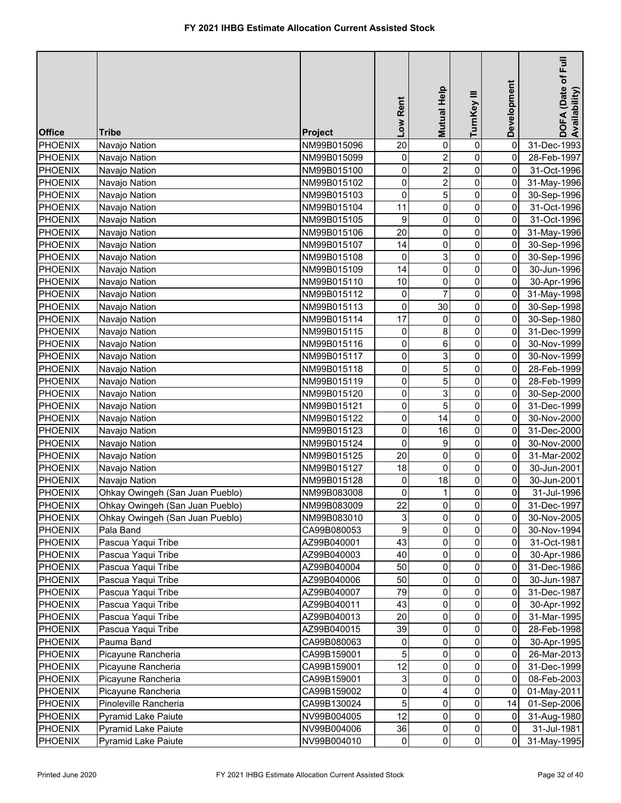| 20<br>0<br><b>PHOENIX</b><br>Navajo Nation<br>0<br>0<br>31-Dec-1993<br>NM99B015096<br>$\overline{\mathbf{c}}$<br>0<br><b>PHOENIX</b><br>NM99B015099<br>0<br>0<br>Navajo Nation<br>28-Feb-1997<br>0<br>$\overline{2}$<br>0<br><b>PHOENIX</b><br>0<br>31-Oct-1996<br>Navajo Nation<br>NM99B015100<br>0<br>0<br>$\overline{\mathbf{c}}$<br>0<br><b>PHOENIX</b><br>NM99B015102<br>31-May-1996<br>Navajo Nation<br>$\pmb{0}$<br>5<br>0<br>0<br>PHOENIX<br>NM99B015103<br>30-Sep-1996<br>Navajo Nation<br>0<br>11<br>0<br>0<br>PHOENIX<br>Navajo Nation<br>NM99B015104<br>31-Oct-1996<br>0<br>9<br>0<br>0<br><b>PHOENIX</b><br>Navajo Nation<br>NM99B015105<br>31-Oct-1996<br>0<br>20<br>0<br>0<br><b>PHOENIX</b><br>Navajo Nation<br>NM99B015106<br>31-May-1996<br>$\overline{0}$<br>14<br>0<br>0<br><b>PHOENIX</b><br>Navajo Nation<br>NM99B015107<br>30-Sep-1996<br>3<br>$\mathbf 0$<br>0<br>PHOENIX<br>0<br>Navajo Nation<br>NM99B015108<br>30-Sep-1996<br>$\overline{0}$<br>14<br>0<br>0<br><b>PHOENIX</b><br>NM99B015109<br>30-Jun-1996<br>Navajo Nation<br>10<br>$\overline{0}$<br>$\mathbf 0$<br><b>PHOENIX</b><br>0<br>Navajo Nation<br>NM99B015110<br>30-Apr-1996<br>$\overline{7}$<br>0<br>0<br>0<br><b>PHOENIX</b><br>Navajo Nation<br>NM99B015112<br>31-May-1998<br>0<br>30<br>0<br>0<br><b>PHOENIX</b><br>Navajo Nation<br>NM99B015113<br>30-Sep-1998<br>17<br>0<br>PHOENIX<br>Navajo Nation<br>NM99B015114<br>0<br>0<br>30-Sep-1980<br>0<br>0<br>8<br>0<br><b>PHOENIX</b><br>Navajo Nation<br>31-Dec-1999<br>NM99B015115<br>0<br>6<br>$\pmb{0}$<br>0<br><b>PHOENIX</b><br>30-Nov-1999<br>Navajo Nation<br>NM99B015116<br>0<br>3<br>$\pmb{0}$<br><b>PHOENIX</b><br>Navajo Nation<br>NM99B015117<br>0<br>30-Nov-1999<br>5<br>0<br>0<br>0<br><b>PHOENIX</b><br>Navajo Nation<br>NM99B015118<br>28-Feb-1999<br>0<br>5<br>0<br>0<br><b>PHOENIX</b><br>Navajo Nation<br>NM99B015119<br>28-Feb-1999<br>0<br>3<br>0<br><b>PHOENIX</b><br>NM99B015120<br>0<br>Navajo Nation<br>30-Sep-2000<br>5<br>0<br>0<br><b>PHOENIX</b><br>0<br>Navajo Nation<br>NM99B015121<br>31-Dec-1999<br>$\mathsf{O}\xspace$<br>0<br><b>PHOENIX</b><br>NM99B015122<br>14<br>0<br>30-Nov-2000<br>Navajo Nation<br>$\mathsf{O}\xspace$<br>0<br>0<br><b>PHOENIX</b><br>16<br>Navajo Nation<br>NM99B015123<br>31-Dec-2000<br>0<br>0<br>9<br>0<br><b>PHOENIX</b><br>30-Nov-2000<br>Navajo Nation<br>NM99B015124<br>20<br>0<br><b>PHOENIX</b><br>NM99B015125<br>0<br>0<br>Navajo Nation<br>31-Mar-2002<br>0<br><b>PHOENIX</b><br>NM99B015127<br>18<br>0<br>0<br>Navajo Nation<br>30-Jun-2001<br>0<br><b>PHOENIX</b><br>Navajo Nation<br>0<br>18<br>0<br>NM99B015128<br>30-Jun-2001<br>Ohkay Owingeh (San Juan Pueblo)<br>0<br>NM99B083008<br>0<br>$\mathbf 0$<br><b>PHOENIX</b><br>31-Jul-1996<br>1<br>22<br>$\overline{\mathbf{0}}$<br><b>PHOENIX</b><br>$\overline{0}$<br>$\overline{0}$<br>Ohkay Owingeh (San Juan Pueblo)<br>31-Dec-1997<br>NM99B083009<br>$\overline{3}$<br>$\overline{0}$<br>$\mathbf{0}$<br>$\overline{0}$<br><b>PHOENIX</b><br>Ohkay Owingeh (San Juan Pueblo)<br>NM99B083010<br>30-Nov-2005<br>$\boldsymbol{9}$<br>0<br>$\overline{0}$<br>0<br><b>PHOENIX</b><br>Pala Band<br>CA99B080053<br>30-Nov-1994<br>Pascua Yaqui Tribe<br>43<br>0<br>0<br>PHOENIX<br>AZ99B040001<br>31-Oct-1981<br>0<br>40<br>$\overline{0}$<br>PHOENIX<br>Pascua Yaqui Tribe<br>AZ99B040003<br>0<br>0<br>30-Apr-1986<br>Pascua Yaqui Tribe<br>50<br>$\overline{0}$<br>PHOENIX<br>0<br>AZ99B040004<br>0<br>31-Dec-1986<br>50<br>$\overline{0}$<br>PHOENIX<br>Pascua Yaqui Tribe<br>0<br>AZ99B040006<br>30-Jun-1987<br>0<br>79<br>$\overline{0}$<br>Pascua Yaqui Tribe<br>0<br>PHOENIX<br>AZ99B040007<br>0<br>31-Dec-1987<br>43<br>0<br><b>PHOENIX</b><br>Pascua Yaqui Tribe<br>0<br>AZ99B040011<br>0<br>30-Apr-1992<br>20<br>$\overline{0}$<br><b>PHOENIX</b><br>Pascua Yaqui Tribe<br>0<br>AZ99B040013<br>0<br>31-Mar-1995<br>39<br>0<br>Pascua Yaqui Tribe<br>0<br><b>PHOENIX</b><br>AZ99B040015<br>0<br>28-Feb-1998<br>0<br>Pauma Band<br>0<br>0<br><b>PHOENIX</b><br>CA99B080063<br>0<br>30-Apr-1995<br>5<br>0<br>0<br><b>PHOENIX</b><br>Picayune Rancheria<br>0<br>26-Mar-2013<br>CA99B159001<br>12<br>0<br>0<br><b>PHOENIX</b><br>Picayune Rancheria<br>CA99B159001<br>0<br>31-Dec-1999<br>$\mathbf{3}$<br>0<br><b>PHOENIX</b><br>Picayune Rancheria<br>0<br>0<br>CA99B159001<br>08-Feb-2003<br>0<br>0<br><b>PHOENIX</b><br>0<br>Picayune Rancheria<br>CA99B159002<br>4<br>01-May-2011<br>5<br>0<br><b>PHOENIX</b><br>Pinoleville Rancheria<br>CA99B130024<br>0<br>14<br>01-Sep-2006<br>12<br>0<br><b>PHOENIX</b><br>Pyramid Lake Paiute<br>NV99B004005<br>0<br>0<br>31-Aug-1980<br>$\overline{0}$<br>36<br>$\overline{0}$<br><b>PHOENIX</b><br>Pyramid Lake Paiute<br>NV99B004006<br>0<br>31-Jul-1981<br>$\overline{0}$<br>$\overline{0}$<br>$\overline{0}$<br>$\overline{0}$<br>PHOENIX<br>Pyramid Lake Paiute<br>NV99B004010<br>31-May-1995 | <b>Office</b> | <b>Tribe</b> | Project | Low Rent | <b>Mutual Help</b> | TurnKey III | Development | Full<br>DOFA (Date of F<br>Availability) |
|---------------------------------------------------------------------------------------------------------------------------------------------------------------------------------------------------------------------------------------------------------------------------------------------------------------------------------------------------------------------------------------------------------------------------------------------------------------------------------------------------------------------------------------------------------------------------------------------------------------------------------------------------------------------------------------------------------------------------------------------------------------------------------------------------------------------------------------------------------------------------------------------------------------------------------------------------------------------------------------------------------------------------------------------------------------------------------------------------------------------------------------------------------------------------------------------------------------------------------------------------------------------------------------------------------------------------------------------------------------------------------------------------------------------------------------------------------------------------------------------------------------------------------------------------------------------------------------------------------------------------------------------------------------------------------------------------------------------------------------------------------------------------------------------------------------------------------------------------------------------------------------------------------------------------------------------------------------------------------------------------------------------------------------------------------------------------------------------------------------------------------------------------------------------------------------------------------------------------------------------------------------------------------------------------------------------------------------------------------------------------------------------------------------------------------------------------------------------------------------------------------------------------------------------------------------------------------------------------------------------------------------------------------------------------------------------------------------------------------------------------------------------------------------------------------------------------------------------------------------------------------------------------------------------------------------------------------------------------------------------------------------------------------------------------------------------------------------------------------------------------------------------------------------------------------------------------------------------------------------------------------------------------------------------------------------------------------------------------------------------------------------------------------------------------------------------------------------------------------------------------------------------------------------------------------------------------------------------------------------------------------------------------------------------------------------------------------------------------------------------------------------------------------------------------------------------------------------------------------------------------------------------------------------------------------------------------------------------------------------------------------------------------------------------------------------------------------------------------------------------------------------------------------------------------------------------------------------------------------------------------------------------------------------------------------------------------------------------------------------------------------------------------------------------------------------------------------------------------------------------------------------------------------------------------------------------------------------------------------------------------------------------------------------------------------------------------------------------------------------------------------------------------------------------------------------------------------------------------------------------------------------------------------------------------|---------------|--------------|---------|----------|--------------------|-------------|-------------|------------------------------------------|
|                                                                                                                                                                                                                                                                                                                                                                                                                                                                                                                                                                                                                                                                                                                                                                                                                                                                                                                                                                                                                                                                                                                                                                                                                                                                                                                                                                                                                                                                                                                                                                                                                                                                                                                                                                                                                                                                                                                                                                                                                                                                                                                                                                                                                                                                                                                                                                                                                                                                                                                                                                                                                                                                                                                                                                                                                                                                                                                                                                                                                                                                                                                                                                                                                                                                                                                                                                                                                                                                                                                                                                                                                                                                                                                                                                                                                                                                                                                                                                                                                                                                                                                                                                                                                                                                                                                                                                                                                                                                                                                                                                                                                                                                                                                                                                                                                                                                                                                           |               |              |         |          |                    |             |             |                                          |
|                                                                                                                                                                                                                                                                                                                                                                                                                                                                                                                                                                                                                                                                                                                                                                                                                                                                                                                                                                                                                                                                                                                                                                                                                                                                                                                                                                                                                                                                                                                                                                                                                                                                                                                                                                                                                                                                                                                                                                                                                                                                                                                                                                                                                                                                                                                                                                                                                                                                                                                                                                                                                                                                                                                                                                                                                                                                                                                                                                                                                                                                                                                                                                                                                                                                                                                                                                                                                                                                                                                                                                                                                                                                                                                                                                                                                                                                                                                                                                                                                                                                                                                                                                                                                                                                                                                                                                                                                                                                                                                                                                                                                                                                                                                                                                                                                                                                                                                           |               |              |         |          |                    |             |             |                                          |
|                                                                                                                                                                                                                                                                                                                                                                                                                                                                                                                                                                                                                                                                                                                                                                                                                                                                                                                                                                                                                                                                                                                                                                                                                                                                                                                                                                                                                                                                                                                                                                                                                                                                                                                                                                                                                                                                                                                                                                                                                                                                                                                                                                                                                                                                                                                                                                                                                                                                                                                                                                                                                                                                                                                                                                                                                                                                                                                                                                                                                                                                                                                                                                                                                                                                                                                                                                                                                                                                                                                                                                                                                                                                                                                                                                                                                                                                                                                                                                                                                                                                                                                                                                                                                                                                                                                                                                                                                                                                                                                                                                                                                                                                                                                                                                                                                                                                                                                           |               |              |         |          |                    |             |             |                                          |
|                                                                                                                                                                                                                                                                                                                                                                                                                                                                                                                                                                                                                                                                                                                                                                                                                                                                                                                                                                                                                                                                                                                                                                                                                                                                                                                                                                                                                                                                                                                                                                                                                                                                                                                                                                                                                                                                                                                                                                                                                                                                                                                                                                                                                                                                                                                                                                                                                                                                                                                                                                                                                                                                                                                                                                                                                                                                                                                                                                                                                                                                                                                                                                                                                                                                                                                                                                                                                                                                                                                                                                                                                                                                                                                                                                                                                                                                                                                                                                                                                                                                                                                                                                                                                                                                                                                                                                                                                                                                                                                                                                                                                                                                                                                                                                                                                                                                                                                           |               |              |         |          |                    |             |             |                                          |
|                                                                                                                                                                                                                                                                                                                                                                                                                                                                                                                                                                                                                                                                                                                                                                                                                                                                                                                                                                                                                                                                                                                                                                                                                                                                                                                                                                                                                                                                                                                                                                                                                                                                                                                                                                                                                                                                                                                                                                                                                                                                                                                                                                                                                                                                                                                                                                                                                                                                                                                                                                                                                                                                                                                                                                                                                                                                                                                                                                                                                                                                                                                                                                                                                                                                                                                                                                                                                                                                                                                                                                                                                                                                                                                                                                                                                                                                                                                                                                                                                                                                                                                                                                                                                                                                                                                                                                                                                                                                                                                                                                                                                                                                                                                                                                                                                                                                                                                           |               |              |         |          |                    |             |             |                                          |
|                                                                                                                                                                                                                                                                                                                                                                                                                                                                                                                                                                                                                                                                                                                                                                                                                                                                                                                                                                                                                                                                                                                                                                                                                                                                                                                                                                                                                                                                                                                                                                                                                                                                                                                                                                                                                                                                                                                                                                                                                                                                                                                                                                                                                                                                                                                                                                                                                                                                                                                                                                                                                                                                                                                                                                                                                                                                                                                                                                                                                                                                                                                                                                                                                                                                                                                                                                                                                                                                                                                                                                                                                                                                                                                                                                                                                                                                                                                                                                                                                                                                                                                                                                                                                                                                                                                                                                                                                                                                                                                                                                                                                                                                                                                                                                                                                                                                                                                           |               |              |         |          |                    |             |             |                                          |
|                                                                                                                                                                                                                                                                                                                                                                                                                                                                                                                                                                                                                                                                                                                                                                                                                                                                                                                                                                                                                                                                                                                                                                                                                                                                                                                                                                                                                                                                                                                                                                                                                                                                                                                                                                                                                                                                                                                                                                                                                                                                                                                                                                                                                                                                                                                                                                                                                                                                                                                                                                                                                                                                                                                                                                                                                                                                                                                                                                                                                                                                                                                                                                                                                                                                                                                                                                                                                                                                                                                                                                                                                                                                                                                                                                                                                                                                                                                                                                                                                                                                                                                                                                                                                                                                                                                                                                                                                                                                                                                                                                                                                                                                                                                                                                                                                                                                                                                           |               |              |         |          |                    |             |             |                                          |
|                                                                                                                                                                                                                                                                                                                                                                                                                                                                                                                                                                                                                                                                                                                                                                                                                                                                                                                                                                                                                                                                                                                                                                                                                                                                                                                                                                                                                                                                                                                                                                                                                                                                                                                                                                                                                                                                                                                                                                                                                                                                                                                                                                                                                                                                                                                                                                                                                                                                                                                                                                                                                                                                                                                                                                                                                                                                                                                                                                                                                                                                                                                                                                                                                                                                                                                                                                                                                                                                                                                                                                                                                                                                                                                                                                                                                                                                                                                                                                                                                                                                                                                                                                                                                                                                                                                                                                                                                                                                                                                                                                                                                                                                                                                                                                                                                                                                                                                           |               |              |         |          |                    |             |             |                                          |
|                                                                                                                                                                                                                                                                                                                                                                                                                                                                                                                                                                                                                                                                                                                                                                                                                                                                                                                                                                                                                                                                                                                                                                                                                                                                                                                                                                                                                                                                                                                                                                                                                                                                                                                                                                                                                                                                                                                                                                                                                                                                                                                                                                                                                                                                                                                                                                                                                                                                                                                                                                                                                                                                                                                                                                                                                                                                                                                                                                                                                                                                                                                                                                                                                                                                                                                                                                                                                                                                                                                                                                                                                                                                                                                                                                                                                                                                                                                                                                                                                                                                                                                                                                                                                                                                                                                                                                                                                                                                                                                                                                                                                                                                                                                                                                                                                                                                                                                           |               |              |         |          |                    |             |             |                                          |
|                                                                                                                                                                                                                                                                                                                                                                                                                                                                                                                                                                                                                                                                                                                                                                                                                                                                                                                                                                                                                                                                                                                                                                                                                                                                                                                                                                                                                                                                                                                                                                                                                                                                                                                                                                                                                                                                                                                                                                                                                                                                                                                                                                                                                                                                                                                                                                                                                                                                                                                                                                                                                                                                                                                                                                                                                                                                                                                                                                                                                                                                                                                                                                                                                                                                                                                                                                                                                                                                                                                                                                                                                                                                                                                                                                                                                                                                                                                                                                                                                                                                                                                                                                                                                                                                                                                                                                                                                                                                                                                                                                                                                                                                                                                                                                                                                                                                                                                           |               |              |         |          |                    |             |             |                                          |
|                                                                                                                                                                                                                                                                                                                                                                                                                                                                                                                                                                                                                                                                                                                                                                                                                                                                                                                                                                                                                                                                                                                                                                                                                                                                                                                                                                                                                                                                                                                                                                                                                                                                                                                                                                                                                                                                                                                                                                                                                                                                                                                                                                                                                                                                                                                                                                                                                                                                                                                                                                                                                                                                                                                                                                                                                                                                                                                                                                                                                                                                                                                                                                                                                                                                                                                                                                                                                                                                                                                                                                                                                                                                                                                                                                                                                                                                                                                                                                                                                                                                                                                                                                                                                                                                                                                                                                                                                                                                                                                                                                                                                                                                                                                                                                                                                                                                                                                           |               |              |         |          |                    |             |             |                                          |
|                                                                                                                                                                                                                                                                                                                                                                                                                                                                                                                                                                                                                                                                                                                                                                                                                                                                                                                                                                                                                                                                                                                                                                                                                                                                                                                                                                                                                                                                                                                                                                                                                                                                                                                                                                                                                                                                                                                                                                                                                                                                                                                                                                                                                                                                                                                                                                                                                                                                                                                                                                                                                                                                                                                                                                                                                                                                                                                                                                                                                                                                                                                                                                                                                                                                                                                                                                                                                                                                                                                                                                                                                                                                                                                                                                                                                                                                                                                                                                                                                                                                                                                                                                                                                                                                                                                                                                                                                                                                                                                                                                                                                                                                                                                                                                                                                                                                                                                           |               |              |         |          |                    |             |             |                                          |
|                                                                                                                                                                                                                                                                                                                                                                                                                                                                                                                                                                                                                                                                                                                                                                                                                                                                                                                                                                                                                                                                                                                                                                                                                                                                                                                                                                                                                                                                                                                                                                                                                                                                                                                                                                                                                                                                                                                                                                                                                                                                                                                                                                                                                                                                                                                                                                                                                                                                                                                                                                                                                                                                                                                                                                                                                                                                                                                                                                                                                                                                                                                                                                                                                                                                                                                                                                                                                                                                                                                                                                                                                                                                                                                                                                                                                                                                                                                                                                                                                                                                                                                                                                                                                                                                                                                                                                                                                                                                                                                                                                                                                                                                                                                                                                                                                                                                                                                           |               |              |         |          |                    |             |             |                                          |
|                                                                                                                                                                                                                                                                                                                                                                                                                                                                                                                                                                                                                                                                                                                                                                                                                                                                                                                                                                                                                                                                                                                                                                                                                                                                                                                                                                                                                                                                                                                                                                                                                                                                                                                                                                                                                                                                                                                                                                                                                                                                                                                                                                                                                                                                                                                                                                                                                                                                                                                                                                                                                                                                                                                                                                                                                                                                                                                                                                                                                                                                                                                                                                                                                                                                                                                                                                                                                                                                                                                                                                                                                                                                                                                                                                                                                                                                                                                                                                                                                                                                                                                                                                                                                                                                                                                                                                                                                                                                                                                                                                                                                                                                                                                                                                                                                                                                                                                           |               |              |         |          |                    |             |             |                                          |
|                                                                                                                                                                                                                                                                                                                                                                                                                                                                                                                                                                                                                                                                                                                                                                                                                                                                                                                                                                                                                                                                                                                                                                                                                                                                                                                                                                                                                                                                                                                                                                                                                                                                                                                                                                                                                                                                                                                                                                                                                                                                                                                                                                                                                                                                                                                                                                                                                                                                                                                                                                                                                                                                                                                                                                                                                                                                                                                                                                                                                                                                                                                                                                                                                                                                                                                                                                                                                                                                                                                                                                                                                                                                                                                                                                                                                                                                                                                                                                                                                                                                                                                                                                                                                                                                                                                                                                                                                                                                                                                                                                                                                                                                                                                                                                                                                                                                                                                           |               |              |         |          |                    |             |             |                                          |
|                                                                                                                                                                                                                                                                                                                                                                                                                                                                                                                                                                                                                                                                                                                                                                                                                                                                                                                                                                                                                                                                                                                                                                                                                                                                                                                                                                                                                                                                                                                                                                                                                                                                                                                                                                                                                                                                                                                                                                                                                                                                                                                                                                                                                                                                                                                                                                                                                                                                                                                                                                                                                                                                                                                                                                                                                                                                                                                                                                                                                                                                                                                                                                                                                                                                                                                                                                                                                                                                                                                                                                                                                                                                                                                                                                                                                                                                                                                                                                                                                                                                                                                                                                                                                                                                                                                                                                                                                                                                                                                                                                                                                                                                                                                                                                                                                                                                                                                           |               |              |         |          |                    |             |             |                                          |
|                                                                                                                                                                                                                                                                                                                                                                                                                                                                                                                                                                                                                                                                                                                                                                                                                                                                                                                                                                                                                                                                                                                                                                                                                                                                                                                                                                                                                                                                                                                                                                                                                                                                                                                                                                                                                                                                                                                                                                                                                                                                                                                                                                                                                                                                                                                                                                                                                                                                                                                                                                                                                                                                                                                                                                                                                                                                                                                                                                                                                                                                                                                                                                                                                                                                                                                                                                                                                                                                                                                                                                                                                                                                                                                                                                                                                                                                                                                                                                                                                                                                                                                                                                                                                                                                                                                                                                                                                                                                                                                                                                                                                                                                                                                                                                                                                                                                                                                           |               |              |         |          |                    |             |             |                                          |
|                                                                                                                                                                                                                                                                                                                                                                                                                                                                                                                                                                                                                                                                                                                                                                                                                                                                                                                                                                                                                                                                                                                                                                                                                                                                                                                                                                                                                                                                                                                                                                                                                                                                                                                                                                                                                                                                                                                                                                                                                                                                                                                                                                                                                                                                                                                                                                                                                                                                                                                                                                                                                                                                                                                                                                                                                                                                                                                                                                                                                                                                                                                                                                                                                                                                                                                                                                                                                                                                                                                                                                                                                                                                                                                                                                                                                                                                                                                                                                                                                                                                                                                                                                                                                                                                                                                                                                                                                                                                                                                                                                                                                                                                                                                                                                                                                                                                                                                           |               |              |         |          |                    |             |             |                                          |
|                                                                                                                                                                                                                                                                                                                                                                                                                                                                                                                                                                                                                                                                                                                                                                                                                                                                                                                                                                                                                                                                                                                                                                                                                                                                                                                                                                                                                                                                                                                                                                                                                                                                                                                                                                                                                                                                                                                                                                                                                                                                                                                                                                                                                                                                                                                                                                                                                                                                                                                                                                                                                                                                                                                                                                                                                                                                                                                                                                                                                                                                                                                                                                                                                                                                                                                                                                                                                                                                                                                                                                                                                                                                                                                                                                                                                                                                                                                                                                                                                                                                                                                                                                                                                                                                                                                                                                                                                                                                                                                                                                                                                                                                                                                                                                                                                                                                                                                           |               |              |         |          |                    |             |             |                                          |
|                                                                                                                                                                                                                                                                                                                                                                                                                                                                                                                                                                                                                                                                                                                                                                                                                                                                                                                                                                                                                                                                                                                                                                                                                                                                                                                                                                                                                                                                                                                                                                                                                                                                                                                                                                                                                                                                                                                                                                                                                                                                                                                                                                                                                                                                                                                                                                                                                                                                                                                                                                                                                                                                                                                                                                                                                                                                                                                                                                                                                                                                                                                                                                                                                                                                                                                                                                                                                                                                                                                                                                                                                                                                                                                                                                                                                                                                                                                                                                                                                                                                                                                                                                                                                                                                                                                                                                                                                                                                                                                                                                                                                                                                                                                                                                                                                                                                                                                           |               |              |         |          |                    |             |             |                                          |
|                                                                                                                                                                                                                                                                                                                                                                                                                                                                                                                                                                                                                                                                                                                                                                                                                                                                                                                                                                                                                                                                                                                                                                                                                                                                                                                                                                                                                                                                                                                                                                                                                                                                                                                                                                                                                                                                                                                                                                                                                                                                                                                                                                                                                                                                                                                                                                                                                                                                                                                                                                                                                                                                                                                                                                                                                                                                                                                                                                                                                                                                                                                                                                                                                                                                                                                                                                                                                                                                                                                                                                                                                                                                                                                                                                                                                                                                                                                                                                                                                                                                                                                                                                                                                                                                                                                                                                                                                                                                                                                                                                                                                                                                                                                                                                                                                                                                                                                           |               |              |         |          |                    |             |             |                                          |
|                                                                                                                                                                                                                                                                                                                                                                                                                                                                                                                                                                                                                                                                                                                                                                                                                                                                                                                                                                                                                                                                                                                                                                                                                                                                                                                                                                                                                                                                                                                                                                                                                                                                                                                                                                                                                                                                                                                                                                                                                                                                                                                                                                                                                                                                                                                                                                                                                                                                                                                                                                                                                                                                                                                                                                                                                                                                                                                                                                                                                                                                                                                                                                                                                                                                                                                                                                                                                                                                                                                                                                                                                                                                                                                                                                                                                                                                                                                                                                                                                                                                                                                                                                                                                                                                                                                                                                                                                                                                                                                                                                                                                                                                                                                                                                                                                                                                                                                           |               |              |         |          |                    |             |             |                                          |
|                                                                                                                                                                                                                                                                                                                                                                                                                                                                                                                                                                                                                                                                                                                                                                                                                                                                                                                                                                                                                                                                                                                                                                                                                                                                                                                                                                                                                                                                                                                                                                                                                                                                                                                                                                                                                                                                                                                                                                                                                                                                                                                                                                                                                                                                                                                                                                                                                                                                                                                                                                                                                                                                                                                                                                                                                                                                                                                                                                                                                                                                                                                                                                                                                                                                                                                                                                                                                                                                                                                                                                                                                                                                                                                                                                                                                                                                                                                                                                                                                                                                                                                                                                                                                                                                                                                                                                                                                                                                                                                                                                                                                                                                                                                                                                                                                                                                                                                           |               |              |         |          |                    |             |             |                                          |
|                                                                                                                                                                                                                                                                                                                                                                                                                                                                                                                                                                                                                                                                                                                                                                                                                                                                                                                                                                                                                                                                                                                                                                                                                                                                                                                                                                                                                                                                                                                                                                                                                                                                                                                                                                                                                                                                                                                                                                                                                                                                                                                                                                                                                                                                                                                                                                                                                                                                                                                                                                                                                                                                                                                                                                                                                                                                                                                                                                                                                                                                                                                                                                                                                                                                                                                                                                                                                                                                                                                                                                                                                                                                                                                                                                                                                                                                                                                                                                                                                                                                                                                                                                                                                                                                                                                                                                                                                                                                                                                                                                                                                                                                                                                                                                                                                                                                                                                           |               |              |         |          |                    |             |             |                                          |
|                                                                                                                                                                                                                                                                                                                                                                                                                                                                                                                                                                                                                                                                                                                                                                                                                                                                                                                                                                                                                                                                                                                                                                                                                                                                                                                                                                                                                                                                                                                                                                                                                                                                                                                                                                                                                                                                                                                                                                                                                                                                                                                                                                                                                                                                                                                                                                                                                                                                                                                                                                                                                                                                                                                                                                                                                                                                                                                                                                                                                                                                                                                                                                                                                                                                                                                                                                                                                                                                                                                                                                                                                                                                                                                                                                                                                                                                                                                                                                                                                                                                                                                                                                                                                                                                                                                                                                                                                                                                                                                                                                                                                                                                                                                                                                                                                                                                                                                           |               |              |         |          |                    |             |             |                                          |
|                                                                                                                                                                                                                                                                                                                                                                                                                                                                                                                                                                                                                                                                                                                                                                                                                                                                                                                                                                                                                                                                                                                                                                                                                                                                                                                                                                                                                                                                                                                                                                                                                                                                                                                                                                                                                                                                                                                                                                                                                                                                                                                                                                                                                                                                                                                                                                                                                                                                                                                                                                                                                                                                                                                                                                                                                                                                                                                                                                                                                                                                                                                                                                                                                                                                                                                                                                                                                                                                                                                                                                                                                                                                                                                                                                                                                                                                                                                                                                                                                                                                                                                                                                                                                                                                                                                                                                                                                                                                                                                                                                                                                                                                                                                                                                                                                                                                                                                           |               |              |         |          |                    |             |             |                                          |
|                                                                                                                                                                                                                                                                                                                                                                                                                                                                                                                                                                                                                                                                                                                                                                                                                                                                                                                                                                                                                                                                                                                                                                                                                                                                                                                                                                                                                                                                                                                                                                                                                                                                                                                                                                                                                                                                                                                                                                                                                                                                                                                                                                                                                                                                                                                                                                                                                                                                                                                                                                                                                                                                                                                                                                                                                                                                                                                                                                                                                                                                                                                                                                                                                                                                                                                                                                                                                                                                                                                                                                                                                                                                                                                                                                                                                                                                                                                                                                                                                                                                                                                                                                                                                                                                                                                                                                                                                                                                                                                                                                                                                                                                                                                                                                                                                                                                                                                           |               |              |         |          |                    |             |             |                                          |
|                                                                                                                                                                                                                                                                                                                                                                                                                                                                                                                                                                                                                                                                                                                                                                                                                                                                                                                                                                                                                                                                                                                                                                                                                                                                                                                                                                                                                                                                                                                                                                                                                                                                                                                                                                                                                                                                                                                                                                                                                                                                                                                                                                                                                                                                                                                                                                                                                                                                                                                                                                                                                                                                                                                                                                                                                                                                                                                                                                                                                                                                                                                                                                                                                                                                                                                                                                                                                                                                                                                                                                                                                                                                                                                                                                                                                                                                                                                                                                                                                                                                                                                                                                                                                                                                                                                                                                                                                                                                                                                                                                                                                                                                                                                                                                                                                                                                                                                           |               |              |         |          |                    |             |             |                                          |
|                                                                                                                                                                                                                                                                                                                                                                                                                                                                                                                                                                                                                                                                                                                                                                                                                                                                                                                                                                                                                                                                                                                                                                                                                                                                                                                                                                                                                                                                                                                                                                                                                                                                                                                                                                                                                                                                                                                                                                                                                                                                                                                                                                                                                                                                                                                                                                                                                                                                                                                                                                                                                                                                                                                                                                                                                                                                                                                                                                                                                                                                                                                                                                                                                                                                                                                                                                                                                                                                                                                                                                                                                                                                                                                                                                                                                                                                                                                                                                                                                                                                                                                                                                                                                                                                                                                                                                                                                                                                                                                                                                                                                                                                                                                                                                                                                                                                                                                           |               |              |         |          |                    |             |             |                                          |
|                                                                                                                                                                                                                                                                                                                                                                                                                                                                                                                                                                                                                                                                                                                                                                                                                                                                                                                                                                                                                                                                                                                                                                                                                                                                                                                                                                                                                                                                                                                                                                                                                                                                                                                                                                                                                                                                                                                                                                                                                                                                                                                                                                                                                                                                                                                                                                                                                                                                                                                                                                                                                                                                                                                                                                                                                                                                                                                                                                                                                                                                                                                                                                                                                                                                                                                                                                                                                                                                                                                                                                                                                                                                                                                                                                                                                                                                                                                                                                                                                                                                                                                                                                                                                                                                                                                                                                                                                                                                                                                                                                                                                                                                                                                                                                                                                                                                                                                           |               |              |         |          |                    |             |             |                                          |
|                                                                                                                                                                                                                                                                                                                                                                                                                                                                                                                                                                                                                                                                                                                                                                                                                                                                                                                                                                                                                                                                                                                                                                                                                                                                                                                                                                                                                                                                                                                                                                                                                                                                                                                                                                                                                                                                                                                                                                                                                                                                                                                                                                                                                                                                                                                                                                                                                                                                                                                                                                                                                                                                                                                                                                                                                                                                                                                                                                                                                                                                                                                                                                                                                                                                                                                                                                                                                                                                                                                                                                                                                                                                                                                                                                                                                                                                                                                                                                                                                                                                                                                                                                                                                                                                                                                                                                                                                                                                                                                                                                                                                                                                                                                                                                                                                                                                                                                           |               |              |         |          |                    |             |             |                                          |
|                                                                                                                                                                                                                                                                                                                                                                                                                                                                                                                                                                                                                                                                                                                                                                                                                                                                                                                                                                                                                                                                                                                                                                                                                                                                                                                                                                                                                                                                                                                                                                                                                                                                                                                                                                                                                                                                                                                                                                                                                                                                                                                                                                                                                                                                                                                                                                                                                                                                                                                                                                                                                                                                                                                                                                                                                                                                                                                                                                                                                                                                                                                                                                                                                                                                                                                                                                                                                                                                                                                                                                                                                                                                                                                                                                                                                                                                                                                                                                                                                                                                                                                                                                                                                                                                                                                                                                                                                                                                                                                                                                                                                                                                                                                                                                                                                                                                                                                           |               |              |         |          |                    |             |             |                                          |
|                                                                                                                                                                                                                                                                                                                                                                                                                                                                                                                                                                                                                                                                                                                                                                                                                                                                                                                                                                                                                                                                                                                                                                                                                                                                                                                                                                                                                                                                                                                                                                                                                                                                                                                                                                                                                                                                                                                                                                                                                                                                                                                                                                                                                                                                                                                                                                                                                                                                                                                                                                                                                                                                                                                                                                                                                                                                                                                                                                                                                                                                                                                                                                                                                                                                                                                                                                                                                                                                                                                                                                                                                                                                                                                                                                                                                                                                                                                                                                                                                                                                                                                                                                                                                                                                                                                                                                                                                                                                                                                                                                                                                                                                                                                                                                                                                                                                                                                           |               |              |         |          |                    |             |             |                                          |
|                                                                                                                                                                                                                                                                                                                                                                                                                                                                                                                                                                                                                                                                                                                                                                                                                                                                                                                                                                                                                                                                                                                                                                                                                                                                                                                                                                                                                                                                                                                                                                                                                                                                                                                                                                                                                                                                                                                                                                                                                                                                                                                                                                                                                                                                                                                                                                                                                                                                                                                                                                                                                                                                                                                                                                                                                                                                                                                                                                                                                                                                                                                                                                                                                                                                                                                                                                                                                                                                                                                                                                                                                                                                                                                                                                                                                                                                                                                                                                                                                                                                                                                                                                                                                                                                                                                                                                                                                                                                                                                                                                                                                                                                                                                                                                                                                                                                                                                           |               |              |         |          |                    |             |             |                                          |
|                                                                                                                                                                                                                                                                                                                                                                                                                                                                                                                                                                                                                                                                                                                                                                                                                                                                                                                                                                                                                                                                                                                                                                                                                                                                                                                                                                                                                                                                                                                                                                                                                                                                                                                                                                                                                                                                                                                                                                                                                                                                                                                                                                                                                                                                                                                                                                                                                                                                                                                                                                                                                                                                                                                                                                                                                                                                                                                                                                                                                                                                                                                                                                                                                                                                                                                                                                                                                                                                                                                                                                                                                                                                                                                                                                                                                                                                                                                                                                                                                                                                                                                                                                                                                                                                                                                                                                                                                                                                                                                                                                                                                                                                                                                                                                                                                                                                                                                           |               |              |         |          |                    |             |             |                                          |
|                                                                                                                                                                                                                                                                                                                                                                                                                                                                                                                                                                                                                                                                                                                                                                                                                                                                                                                                                                                                                                                                                                                                                                                                                                                                                                                                                                                                                                                                                                                                                                                                                                                                                                                                                                                                                                                                                                                                                                                                                                                                                                                                                                                                                                                                                                                                                                                                                                                                                                                                                                                                                                                                                                                                                                                                                                                                                                                                                                                                                                                                                                                                                                                                                                                                                                                                                                                                                                                                                                                                                                                                                                                                                                                                                                                                                                                                                                                                                                                                                                                                                                                                                                                                                                                                                                                                                                                                                                                                                                                                                                                                                                                                                                                                                                                                                                                                                                                           |               |              |         |          |                    |             |             |                                          |
|                                                                                                                                                                                                                                                                                                                                                                                                                                                                                                                                                                                                                                                                                                                                                                                                                                                                                                                                                                                                                                                                                                                                                                                                                                                                                                                                                                                                                                                                                                                                                                                                                                                                                                                                                                                                                                                                                                                                                                                                                                                                                                                                                                                                                                                                                                                                                                                                                                                                                                                                                                                                                                                                                                                                                                                                                                                                                                                                                                                                                                                                                                                                                                                                                                                                                                                                                                                                                                                                                                                                                                                                                                                                                                                                                                                                                                                                                                                                                                                                                                                                                                                                                                                                                                                                                                                                                                                                                                                                                                                                                                                                                                                                                                                                                                                                                                                                                                                           |               |              |         |          |                    |             |             |                                          |
|                                                                                                                                                                                                                                                                                                                                                                                                                                                                                                                                                                                                                                                                                                                                                                                                                                                                                                                                                                                                                                                                                                                                                                                                                                                                                                                                                                                                                                                                                                                                                                                                                                                                                                                                                                                                                                                                                                                                                                                                                                                                                                                                                                                                                                                                                                                                                                                                                                                                                                                                                                                                                                                                                                                                                                                                                                                                                                                                                                                                                                                                                                                                                                                                                                                                                                                                                                                                                                                                                                                                                                                                                                                                                                                                                                                                                                                                                                                                                                                                                                                                                                                                                                                                                                                                                                                                                                                                                                                                                                                                                                                                                                                                                                                                                                                                                                                                                                                           |               |              |         |          |                    |             |             |                                          |
|                                                                                                                                                                                                                                                                                                                                                                                                                                                                                                                                                                                                                                                                                                                                                                                                                                                                                                                                                                                                                                                                                                                                                                                                                                                                                                                                                                                                                                                                                                                                                                                                                                                                                                                                                                                                                                                                                                                                                                                                                                                                                                                                                                                                                                                                                                                                                                                                                                                                                                                                                                                                                                                                                                                                                                                                                                                                                                                                                                                                                                                                                                                                                                                                                                                                                                                                                                                                                                                                                                                                                                                                                                                                                                                                                                                                                                                                                                                                                                                                                                                                                                                                                                                                                                                                                                                                                                                                                                                                                                                                                                                                                                                                                                                                                                                                                                                                                                                           |               |              |         |          |                    |             |             |                                          |
|                                                                                                                                                                                                                                                                                                                                                                                                                                                                                                                                                                                                                                                                                                                                                                                                                                                                                                                                                                                                                                                                                                                                                                                                                                                                                                                                                                                                                                                                                                                                                                                                                                                                                                                                                                                                                                                                                                                                                                                                                                                                                                                                                                                                                                                                                                                                                                                                                                                                                                                                                                                                                                                                                                                                                                                                                                                                                                                                                                                                                                                                                                                                                                                                                                                                                                                                                                                                                                                                                                                                                                                                                                                                                                                                                                                                                                                                                                                                                                                                                                                                                                                                                                                                                                                                                                                                                                                                                                                                                                                                                                                                                                                                                                                                                                                                                                                                                                                           |               |              |         |          |                    |             |             |                                          |
|                                                                                                                                                                                                                                                                                                                                                                                                                                                                                                                                                                                                                                                                                                                                                                                                                                                                                                                                                                                                                                                                                                                                                                                                                                                                                                                                                                                                                                                                                                                                                                                                                                                                                                                                                                                                                                                                                                                                                                                                                                                                                                                                                                                                                                                                                                                                                                                                                                                                                                                                                                                                                                                                                                                                                                                                                                                                                                                                                                                                                                                                                                                                                                                                                                                                                                                                                                                                                                                                                                                                                                                                                                                                                                                                                                                                                                                                                                                                                                                                                                                                                                                                                                                                                                                                                                                                                                                                                                                                                                                                                                                                                                                                                                                                                                                                                                                                                                                           |               |              |         |          |                    |             |             |                                          |
|                                                                                                                                                                                                                                                                                                                                                                                                                                                                                                                                                                                                                                                                                                                                                                                                                                                                                                                                                                                                                                                                                                                                                                                                                                                                                                                                                                                                                                                                                                                                                                                                                                                                                                                                                                                                                                                                                                                                                                                                                                                                                                                                                                                                                                                                                                                                                                                                                                                                                                                                                                                                                                                                                                                                                                                                                                                                                                                                                                                                                                                                                                                                                                                                                                                                                                                                                                                                                                                                                                                                                                                                                                                                                                                                                                                                                                                                                                                                                                                                                                                                                                                                                                                                                                                                                                                                                                                                                                                                                                                                                                                                                                                                                                                                                                                                                                                                                                                           |               |              |         |          |                    |             |             |                                          |
|                                                                                                                                                                                                                                                                                                                                                                                                                                                                                                                                                                                                                                                                                                                                                                                                                                                                                                                                                                                                                                                                                                                                                                                                                                                                                                                                                                                                                                                                                                                                                                                                                                                                                                                                                                                                                                                                                                                                                                                                                                                                                                                                                                                                                                                                                                                                                                                                                                                                                                                                                                                                                                                                                                                                                                                                                                                                                                                                                                                                                                                                                                                                                                                                                                                                                                                                                                                                                                                                                                                                                                                                                                                                                                                                                                                                                                                                                                                                                                                                                                                                                                                                                                                                                                                                                                                                                                                                                                                                                                                                                                                                                                                                                                                                                                                                                                                                                                                           |               |              |         |          |                    |             |             |                                          |
|                                                                                                                                                                                                                                                                                                                                                                                                                                                                                                                                                                                                                                                                                                                                                                                                                                                                                                                                                                                                                                                                                                                                                                                                                                                                                                                                                                                                                                                                                                                                                                                                                                                                                                                                                                                                                                                                                                                                                                                                                                                                                                                                                                                                                                                                                                                                                                                                                                                                                                                                                                                                                                                                                                                                                                                                                                                                                                                                                                                                                                                                                                                                                                                                                                                                                                                                                                                                                                                                                                                                                                                                                                                                                                                                                                                                                                                                                                                                                                                                                                                                                                                                                                                                                                                                                                                                                                                                                                                                                                                                                                                                                                                                                                                                                                                                                                                                                                                           |               |              |         |          |                    |             |             |                                          |
|                                                                                                                                                                                                                                                                                                                                                                                                                                                                                                                                                                                                                                                                                                                                                                                                                                                                                                                                                                                                                                                                                                                                                                                                                                                                                                                                                                                                                                                                                                                                                                                                                                                                                                                                                                                                                                                                                                                                                                                                                                                                                                                                                                                                                                                                                                                                                                                                                                                                                                                                                                                                                                                                                                                                                                                                                                                                                                                                                                                                                                                                                                                                                                                                                                                                                                                                                                                                                                                                                                                                                                                                                                                                                                                                                                                                                                                                                                                                                                                                                                                                                                                                                                                                                                                                                                                                                                                                                                                                                                                                                                                                                                                                                                                                                                                                                                                                                                                           |               |              |         |          |                    |             |             |                                          |
|                                                                                                                                                                                                                                                                                                                                                                                                                                                                                                                                                                                                                                                                                                                                                                                                                                                                                                                                                                                                                                                                                                                                                                                                                                                                                                                                                                                                                                                                                                                                                                                                                                                                                                                                                                                                                                                                                                                                                                                                                                                                                                                                                                                                                                                                                                                                                                                                                                                                                                                                                                                                                                                                                                                                                                                                                                                                                                                                                                                                                                                                                                                                                                                                                                                                                                                                                                                                                                                                                                                                                                                                                                                                                                                                                                                                                                                                                                                                                                                                                                                                                                                                                                                                                                                                                                                                                                                                                                                                                                                                                                                                                                                                                                                                                                                                                                                                                                                           |               |              |         |          |                    |             |             |                                          |
|                                                                                                                                                                                                                                                                                                                                                                                                                                                                                                                                                                                                                                                                                                                                                                                                                                                                                                                                                                                                                                                                                                                                                                                                                                                                                                                                                                                                                                                                                                                                                                                                                                                                                                                                                                                                                                                                                                                                                                                                                                                                                                                                                                                                                                                                                                                                                                                                                                                                                                                                                                                                                                                                                                                                                                                                                                                                                                                                                                                                                                                                                                                                                                                                                                                                                                                                                                                                                                                                                                                                                                                                                                                                                                                                                                                                                                                                                                                                                                                                                                                                                                                                                                                                                                                                                                                                                                                                                                                                                                                                                                                                                                                                                                                                                                                                                                                                                                                           |               |              |         |          |                    |             |             |                                          |
|                                                                                                                                                                                                                                                                                                                                                                                                                                                                                                                                                                                                                                                                                                                                                                                                                                                                                                                                                                                                                                                                                                                                                                                                                                                                                                                                                                                                                                                                                                                                                                                                                                                                                                                                                                                                                                                                                                                                                                                                                                                                                                                                                                                                                                                                                                                                                                                                                                                                                                                                                                                                                                                                                                                                                                                                                                                                                                                                                                                                                                                                                                                                                                                                                                                                                                                                                                                                                                                                                                                                                                                                                                                                                                                                                                                                                                                                                                                                                                                                                                                                                                                                                                                                                                                                                                                                                                                                                                                                                                                                                                                                                                                                                                                                                                                                                                                                                                                           |               |              |         |          |                    |             |             |                                          |
|                                                                                                                                                                                                                                                                                                                                                                                                                                                                                                                                                                                                                                                                                                                                                                                                                                                                                                                                                                                                                                                                                                                                                                                                                                                                                                                                                                                                                                                                                                                                                                                                                                                                                                                                                                                                                                                                                                                                                                                                                                                                                                                                                                                                                                                                                                                                                                                                                                                                                                                                                                                                                                                                                                                                                                                                                                                                                                                                                                                                                                                                                                                                                                                                                                                                                                                                                                                                                                                                                                                                                                                                                                                                                                                                                                                                                                                                                                                                                                                                                                                                                                                                                                                                                                                                                                                                                                                                                                                                                                                                                                                                                                                                                                                                                                                                                                                                                                                           |               |              |         |          |                    |             |             |                                          |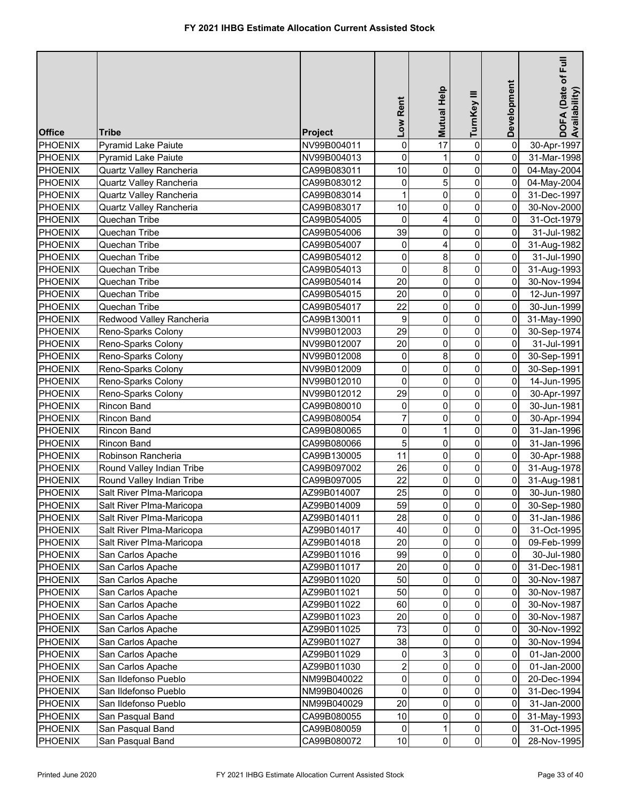| 0<br>$\mathbf 0$<br>0<br>PHOENIX<br>NV99B004011<br>17<br>30-Apr-1997<br><b>Pyramid Lake Paiute</b><br>$\mathbf 0$<br>0<br>0<br><b>PHOENIX</b><br><b>Pyramid Lake Paiute</b><br>NV99B004013<br>1<br>31-Mar-1998<br>$\mathsf{O}\xspace$<br>10<br>$\overline{0}$<br>0<br>04-May-2004<br>PHOENIX<br>Quartz Valley Rancheria<br>CA99B083011<br>5<br>$\mathsf{O}\xspace$<br>$\overline{0}$<br>0<br>Quartz Valley Rancheria<br>PHOENIX<br>CA99B083012<br>04-May-2004<br>$\mathsf{O}\xspace$<br>1<br>$\overline{0}$<br>Quartz Valley Rancheria<br>0<br><b>PHOENIX</b><br>CA99B083014<br>31-Dec-1997<br>$\mathsf{O}\xspace$<br>10<br>0<br>0<br>Quartz Valley Rancheria<br><b>PHOENIX</b><br>CA99B083017<br>30-Nov-2000<br>$\mathsf{O}\xspace$<br>Quechan Tribe<br>0<br>0<br><b>PHOENIX</b><br>CA99B054005<br>4<br>31-Oct-1979<br>$\mathbf 0$<br>39<br><b>PHOENIX</b><br>0<br>31-Jul-1982<br>Quechan Tribe<br>CA99B054006<br>0<br>$\pmb{0}$<br>0<br>$\overline{0}$<br><b>PHOENIX</b><br>Quechan Tribe<br>CA99B054007<br>4<br>31-Aug-1982<br>0<br>$\mathsf{O}\xspace$<br>8<br><b>PHOENIX</b><br>0<br>Quechan Tribe<br>CA99B054012<br>31-Jul-1990<br>$\mathbf 0$<br>$\mathbf 0$<br>8<br>$\overline{0}$<br><b>PHOENIX</b><br>31-Aug-1993<br>Quechan Tribe<br>CA99B054013<br>20<br>$\pmb{0}$<br>0<br>0<br><b>PHOENIX</b><br>Quechan Tribe<br>CA99B054014<br>30-Nov-1994<br>20<br>$\pmb{0}$<br>0<br>0<br><b>PHOENIX</b><br>Quechan Tribe<br>CA99B054015<br>12-Jun-1997<br>22<br>$\pmb{0}$<br>0<br>0<br><b>PHOENIX</b><br>Quechan Tribe<br>CA99B054017<br>30-Jun-1999<br>$\boldsymbol{9}$<br>$\pmb{0}$<br>0<br>0<br><b>PHOENIX</b><br>Redwood Valley Rancheria<br>CA99B130011<br>31-May-1990<br>$\mathsf{O}\xspace$<br>29<br>0<br>0<br><b>PHOENIX</b><br>Reno-Sparks Colony<br>30-Sep-1974<br>NV99B012003<br>20<br>$\mathbf 0$<br>0<br>0<br><b>PHOENIX</b><br>Reno-Sparks Colony<br>NV99B012007<br>31-Jul-1991<br>$\mathbf 0$<br>0<br>8<br>0<br><b>PHOENIX</b><br>Reno-Sparks Colony<br>NV99B012008<br>30-Sep-1991<br>0<br>$\pmb{0}$<br><b>PHOENIX</b><br>Reno-Sparks Colony<br>NV99B012009<br>0<br>0<br>30-Sep-1991<br>0<br>0<br>0<br><b>PHOENIX</b><br>Reno-Sparks Colony<br>NV99B012010<br>0<br>14-Jun-1995<br>29<br>0<br><b>PHOENIX</b><br>NV99B012012<br>0<br>0<br>Reno-Sparks Colony<br>30-Apr-1997<br>$\mathbf 0$<br>0<br><b>PHOENIX</b><br>0<br>0<br>Rincon Band<br>CA99B080010<br>30-Jun-1981<br>$\overline{7}$<br>$\pmb{0}$<br>PHOENIX<br>0<br>0<br>Rincon Band<br>CA99B080054<br>30-Apr-1994<br>$\mathsf{O}\xspace$<br>0<br>0<br><b>PHOENIX</b><br>$\mathbf{1}$<br>Rincon Band<br>CA99B080065<br>31-Jan-1996<br>5<br>$\mathsf{O}\xspace$<br>0<br>0<br><b>PHOENIX</b><br>Rincon Band<br>CA99B080066<br>31-Jan-1996<br>$\mathsf{O}\xspace$<br>0<br>PHOENIX<br>Robinson Rancheria<br>11<br>0<br>CA99B130005<br>30-Apr-1988<br>$\mathsf{O}\xspace$<br>$\overline{0}$<br>0<br>PHOENIX<br>26<br>Round Valley Indian Tribe<br>CA99B097002<br>31-Aug-1978<br>$\overline{0}$<br>22<br>$\pmb{0}$<br>Round Valley Indian Tribe<br>0<br>PHOENIX<br>CA99B097005<br>31-Aug-1981<br>$\overline{0}$<br>PHOENIX<br>0<br>$\overline{0}$<br>Salt River Plma-Maricopa<br>25<br>AZ99B014007<br>30-Jun-1980<br>59<br>$\overline{\mathbf{0}}$<br>PHOENIX<br>$\overline{0}$<br>$\overline{0}$<br>Salt River PIma-Maricopa<br>AZ99B014009<br>30-Sep-1980<br>$\overline{0}$<br>$\overline{0}$<br>28<br>0<br>PHOENIX<br>Salt River PIma-Maricopa<br>AZ99B014011<br>31-Jan-1986<br>40<br>0<br>PHOENIX<br>Salt River Plma-Maricopa<br>AZ99B014017<br>0<br>0<br>31-Oct-1995<br>20<br>$\mathsf{O}\xspace$<br>Salt River Plma-Maricopa<br>0<br><b>PHOENIX</b><br>AZ99B014018<br>0<br>09-Feb-1999<br>99<br>0<br><b>PHOENIX</b><br>San Carlos Apache<br>0<br>AZ99B011016<br>01<br>30-Jul-1980<br>20<br>0<br>0<br><b>PHOENIX</b><br>31-Dec-1981<br>San Carlos Apache<br>AZ99B011017<br>0<br>50<br>$\pmb{0}$<br>0<br><b>PHOENIX</b><br>San Carlos Apache<br>AZ99B011020<br>0<br>30-Nov-1987<br>50<br>0<br><b>PHOENIX</b><br>0<br>San Carlos Apache<br>AZ99B011021<br>0<br>30-Nov-1987<br>60<br>0<br><b>PHOENIX</b><br>0<br>San Carlos Apache<br>AZ99B011022<br>0<br>30-Nov-1987<br>20<br>0<br><b>PHOENIX</b><br>0<br>0<br>San Carlos Apache<br>AZ99B011023<br>30-Nov-1987<br>73<br>0<br>0<br><b>PHOENIX</b><br>San Carlos Apache<br>AZ99B011025<br>0<br>30-Nov-1992<br>38<br>0<br>0<br><b>PHOENIX</b><br>San Carlos Apache<br>AZ99B011027<br>0<br>30-Nov-1994<br>0<br>3<br>$\overline{0}$<br>0<br><b>PHOENIX</b><br>San Carlos Apache<br>AZ99B011029<br>01-Jan-2000<br>$\overline{\mathbf{c}}$<br>0<br><b>PHOENIX</b><br>0<br>0<br>San Carlos Apache<br>AZ99B011030<br>01-Jan-2000<br>0<br>0<br><b>PHOENIX</b><br>San Ildefonso Pueblo<br>NM99B040022<br>0<br>0<br>20-Dec-1994<br>0<br>0<br><b>PHOENIX</b><br>San Ildefonso Pueblo<br>0<br>0<br>NM99B040026<br>31-Dec-1994<br>20<br>0<br>0<br>0<br><b>PHOENIX</b><br>San Ildefonso Pueblo<br>NM99B040029<br>31-Jan-2000<br>$\mathsf{O}\xspace$<br>$10$<br>0<br><b>PHOENIX</b><br>San Pasqual Band<br>CA99B080055<br>$\overline{0}$<br>31-May-1993<br>$\overline{0}$<br>$\overline{0}$<br><b>PHOENIX</b><br>0<br>1<br>San Pasqual Band<br>CA99B080059<br>31-Oct-1995<br>$\overline{0}$<br>$\overline{0}$<br>San Pasqual Band<br>10<br>$\overline{0}$<br>28-Nov-1995<br>PHOENIX<br>CA99B080072 | <b>Office</b> | Tribe | Project | Low Rent | Mutual Help | TurnKey III | Development | Full<br>DOFA (Date of F<br>Availability) |
|-----------------------------------------------------------------------------------------------------------------------------------------------------------------------------------------------------------------------------------------------------------------------------------------------------------------------------------------------------------------------------------------------------------------------------------------------------------------------------------------------------------------------------------------------------------------------------------------------------------------------------------------------------------------------------------------------------------------------------------------------------------------------------------------------------------------------------------------------------------------------------------------------------------------------------------------------------------------------------------------------------------------------------------------------------------------------------------------------------------------------------------------------------------------------------------------------------------------------------------------------------------------------------------------------------------------------------------------------------------------------------------------------------------------------------------------------------------------------------------------------------------------------------------------------------------------------------------------------------------------------------------------------------------------------------------------------------------------------------------------------------------------------------------------------------------------------------------------------------------------------------------------------------------------------------------------------------------------------------------------------------------------------------------------------------------------------------------------------------------------------------------------------------------------------------------------------------------------------------------------------------------------------------------------------------------------------------------------------------------------------------------------------------------------------------------------------------------------------------------------------------------------------------------------------------------------------------------------------------------------------------------------------------------------------------------------------------------------------------------------------------------------------------------------------------------------------------------------------------------------------------------------------------------------------------------------------------------------------------------------------------------------------------------------------------------------------------------------------------------------------------------------------------------------------------------------------------------------------------------------------------------------------------------------------------------------------------------------------------------------------------------------------------------------------------------------------------------------------------------------------------------------------------------------------------------------------------------------------------------------------------------------------------------------------------------------------------------------------------------------------------------------------------------------------------------------------------------------------------------------------------------------------------------------------------------------------------------------------------------------------------------------------------------------------------------------------------------------------------------------------------------------------------------------------------------------------------------------------------------------------------------------------------------------------------------------------------------------------------------------------------------------------------------------------------------------------------------------------------------------------------------------------------------------------------------------------------------------------------------------------------------------------------------------------------------------------------------------------------------------------------------------------------------------------------------------------------------------------------------------------------------------------------------------------------------------------------------------------------------------------------------------------------------------------------------------------------------------------------------------------------------------------------------------------------------------------------------------------------------------------------------------------------------------------------|---------------|-------|---------|----------|-------------|-------------|-------------|------------------------------------------|
|                                                                                                                                                                                                                                                                                                                                                                                                                                                                                                                                                                                                                                                                                                                                                                                                                                                                                                                                                                                                                                                                                                                                                                                                                                                                                                                                                                                                                                                                                                                                                                                                                                                                                                                                                                                                                                                                                                                                                                                                                                                                                                                                                                                                                                                                                                                                                                                                                                                                                                                                                                                                                                                                                                                                                                                                                                                                                                                                                                                                                                                                                                                                                                                                                                                                                                                                                                                                                                                                                                                                                                                                                                                                                                                                                                                                                                                                                                                                                                                                                                                                                                                                                                                                                                                                                                                                                                                                                                                                                                                                                                                                                                                                                                                                                                                                                                                                                                                                                                                                                                                                                                                                                                                                                                                                                                     |               |       |         |          |             |             |             |                                          |
|                                                                                                                                                                                                                                                                                                                                                                                                                                                                                                                                                                                                                                                                                                                                                                                                                                                                                                                                                                                                                                                                                                                                                                                                                                                                                                                                                                                                                                                                                                                                                                                                                                                                                                                                                                                                                                                                                                                                                                                                                                                                                                                                                                                                                                                                                                                                                                                                                                                                                                                                                                                                                                                                                                                                                                                                                                                                                                                                                                                                                                                                                                                                                                                                                                                                                                                                                                                                                                                                                                                                                                                                                                                                                                                                                                                                                                                                                                                                                                                                                                                                                                                                                                                                                                                                                                                                                                                                                                                                                                                                                                                                                                                                                                                                                                                                                                                                                                                                                                                                                                                                                                                                                                                                                                                                                                     |               |       |         |          |             |             |             |                                          |
|                                                                                                                                                                                                                                                                                                                                                                                                                                                                                                                                                                                                                                                                                                                                                                                                                                                                                                                                                                                                                                                                                                                                                                                                                                                                                                                                                                                                                                                                                                                                                                                                                                                                                                                                                                                                                                                                                                                                                                                                                                                                                                                                                                                                                                                                                                                                                                                                                                                                                                                                                                                                                                                                                                                                                                                                                                                                                                                                                                                                                                                                                                                                                                                                                                                                                                                                                                                                                                                                                                                                                                                                                                                                                                                                                                                                                                                                                                                                                                                                                                                                                                                                                                                                                                                                                                                                                                                                                                                                                                                                                                                                                                                                                                                                                                                                                                                                                                                                                                                                                                                                                                                                                                                                                                                                                                     |               |       |         |          |             |             |             |                                          |
|                                                                                                                                                                                                                                                                                                                                                                                                                                                                                                                                                                                                                                                                                                                                                                                                                                                                                                                                                                                                                                                                                                                                                                                                                                                                                                                                                                                                                                                                                                                                                                                                                                                                                                                                                                                                                                                                                                                                                                                                                                                                                                                                                                                                                                                                                                                                                                                                                                                                                                                                                                                                                                                                                                                                                                                                                                                                                                                                                                                                                                                                                                                                                                                                                                                                                                                                                                                                                                                                                                                                                                                                                                                                                                                                                                                                                                                                                                                                                                                                                                                                                                                                                                                                                                                                                                                                                                                                                                                                                                                                                                                                                                                                                                                                                                                                                                                                                                                                                                                                                                                                                                                                                                                                                                                                                                     |               |       |         |          |             |             |             |                                          |
|                                                                                                                                                                                                                                                                                                                                                                                                                                                                                                                                                                                                                                                                                                                                                                                                                                                                                                                                                                                                                                                                                                                                                                                                                                                                                                                                                                                                                                                                                                                                                                                                                                                                                                                                                                                                                                                                                                                                                                                                                                                                                                                                                                                                                                                                                                                                                                                                                                                                                                                                                                                                                                                                                                                                                                                                                                                                                                                                                                                                                                                                                                                                                                                                                                                                                                                                                                                                                                                                                                                                                                                                                                                                                                                                                                                                                                                                                                                                                                                                                                                                                                                                                                                                                                                                                                                                                                                                                                                                                                                                                                                                                                                                                                                                                                                                                                                                                                                                                                                                                                                                                                                                                                                                                                                                                                     |               |       |         |          |             |             |             |                                          |
|                                                                                                                                                                                                                                                                                                                                                                                                                                                                                                                                                                                                                                                                                                                                                                                                                                                                                                                                                                                                                                                                                                                                                                                                                                                                                                                                                                                                                                                                                                                                                                                                                                                                                                                                                                                                                                                                                                                                                                                                                                                                                                                                                                                                                                                                                                                                                                                                                                                                                                                                                                                                                                                                                                                                                                                                                                                                                                                                                                                                                                                                                                                                                                                                                                                                                                                                                                                                                                                                                                                                                                                                                                                                                                                                                                                                                                                                                                                                                                                                                                                                                                                                                                                                                                                                                                                                                                                                                                                                                                                                                                                                                                                                                                                                                                                                                                                                                                                                                                                                                                                                                                                                                                                                                                                                                                     |               |       |         |          |             |             |             |                                          |
|                                                                                                                                                                                                                                                                                                                                                                                                                                                                                                                                                                                                                                                                                                                                                                                                                                                                                                                                                                                                                                                                                                                                                                                                                                                                                                                                                                                                                                                                                                                                                                                                                                                                                                                                                                                                                                                                                                                                                                                                                                                                                                                                                                                                                                                                                                                                                                                                                                                                                                                                                                                                                                                                                                                                                                                                                                                                                                                                                                                                                                                                                                                                                                                                                                                                                                                                                                                                                                                                                                                                                                                                                                                                                                                                                                                                                                                                                                                                                                                                                                                                                                                                                                                                                                                                                                                                                                                                                                                                                                                                                                                                                                                                                                                                                                                                                                                                                                                                                                                                                                                                                                                                                                                                                                                                                                     |               |       |         |          |             |             |             |                                          |
|                                                                                                                                                                                                                                                                                                                                                                                                                                                                                                                                                                                                                                                                                                                                                                                                                                                                                                                                                                                                                                                                                                                                                                                                                                                                                                                                                                                                                                                                                                                                                                                                                                                                                                                                                                                                                                                                                                                                                                                                                                                                                                                                                                                                                                                                                                                                                                                                                                                                                                                                                                                                                                                                                                                                                                                                                                                                                                                                                                                                                                                                                                                                                                                                                                                                                                                                                                                                                                                                                                                                                                                                                                                                                                                                                                                                                                                                                                                                                                                                                                                                                                                                                                                                                                                                                                                                                                                                                                                                                                                                                                                                                                                                                                                                                                                                                                                                                                                                                                                                                                                                                                                                                                                                                                                                                                     |               |       |         |          |             |             |             |                                          |
|                                                                                                                                                                                                                                                                                                                                                                                                                                                                                                                                                                                                                                                                                                                                                                                                                                                                                                                                                                                                                                                                                                                                                                                                                                                                                                                                                                                                                                                                                                                                                                                                                                                                                                                                                                                                                                                                                                                                                                                                                                                                                                                                                                                                                                                                                                                                                                                                                                                                                                                                                                                                                                                                                                                                                                                                                                                                                                                                                                                                                                                                                                                                                                                                                                                                                                                                                                                                                                                                                                                                                                                                                                                                                                                                                                                                                                                                                                                                                                                                                                                                                                                                                                                                                                                                                                                                                                                                                                                                                                                                                                                                                                                                                                                                                                                                                                                                                                                                                                                                                                                                                                                                                                                                                                                                                                     |               |       |         |          |             |             |             |                                          |
|                                                                                                                                                                                                                                                                                                                                                                                                                                                                                                                                                                                                                                                                                                                                                                                                                                                                                                                                                                                                                                                                                                                                                                                                                                                                                                                                                                                                                                                                                                                                                                                                                                                                                                                                                                                                                                                                                                                                                                                                                                                                                                                                                                                                                                                                                                                                                                                                                                                                                                                                                                                                                                                                                                                                                                                                                                                                                                                                                                                                                                                                                                                                                                                                                                                                                                                                                                                                                                                                                                                                                                                                                                                                                                                                                                                                                                                                                                                                                                                                                                                                                                                                                                                                                                                                                                                                                                                                                                                                                                                                                                                                                                                                                                                                                                                                                                                                                                                                                                                                                                                                                                                                                                                                                                                                                                     |               |       |         |          |             |             |             |                                          |
|                                                                                                                                                                                                                                                                                                                                                                                                                                                                                                                                                                                                                                                                                                                                                                                                                                                                                                                                                                                                                                                                                                                                                                                                                                                                                                                                                                                                                                                                                                                                                                                                                                                                                                                                                                                                                                                                                                                                                                                                                                                                                                                                                                                                                                                                                                                                                                                                                                                                                                                                                                                                                                                                                                                                                                                                                                                                                                                                                                                                                                                                                                                                                                                                                                                                                                                                                                                                                                                                                                                                                                                                                                                                                                                                                                                                                                                                                                                                                                                                                                                                                                                                                                                                                                                                                                                                                                                                                                                                                                                                                                                                                                                                                                                                                                                                                                                                                                                                                                                                                                                                                                                                                                                                                                                                                                     |               |       |         |          |             |             |             |                                          |
|                                                                                                                                                                                                                                                                                                                                                                                                                                                                                                                                                                                                                                                                                                                                                                                                                                                                                                                                                                                                                                                                                                                                                                                                                                                                                                                                                                                                                                                                                                                                                                                                                                                                                                                                                                                                                                                                                                                                                                                                                                                                                                                                                                                                                                                                                                                                                                                                                                                                                                                                                                                                                                                                                                                                                                                                                                                                                                                                                                                                                                                                                                                                                                                                                                                                                                                                                                                                                                                                                                                                                                                                                                                                                                                                                                                                                                                                                                                                                                                                                                                                                                                                                                                                                                                                                                                                                                                                                                                                                                                                                                                                                                                                                                                                                                                                                                                                                                                                                                                                                                                                                                                                                                                                                                                                                                     |               |       |         |          |             |             |             |                                          |
|                                                                                                                                                                                                                                                                                                                                                                                                                                                                                                                                                                                                                                                                                                                                                                                                                                                                                                                                                                                                                                                                                                                                                                                                                                                                                                                                                                                                                                                                                                                                                                                                                                                                                                                                                                                                                                                                                                                                                                                                                                                                                                                                                                                                                                                                                                                                                                                                                                                                                                                                                                                                                                                                                                                                                                                                                                                                                                                                                                                                                                                                                                                                                                                                                                                                                                                                                                                                                                                                                                                                                                                                                                                                                                                                                                                                                                                                                                                                                                                                                                                                                                                                                                                                                                                                                                                                                                                                                                                                                                                                                                                                                                                                                                                                                                                                                                                                                                                                                                                                                                                                                                                                                                                                                                                                                                     |               |       |         |          |             |             |             |                                          |
|                                                                                                                                                                                                                                                                                                                                                                                                                                                                                                                                                                                                                                                                                                                                                                                                                                                                                                                                                                                                                                                                                                                                                                                                                                                                                                                                                                                                                                                                                                                                                                                                                                                                                                                                                                                                                                                                                                                                                                                                                                                                                                                                                                                                                                                                                                                                                                                                                                                                                                                                                                                                                                                                                                                                                                                                                                                                                                                                                                                                                                                                                                                                                                                                                                                                                                                                                                                                                                                                                                                                                                                                                                                                                                                                                                                                                                                                                                                                                                                                                                                                                                                                                                                                                                                                                                                                                                                                                                                                                                                                                                                                                                                                                                                                                                                                                                                                                                                                                                                                                                                                                                                                                                                                                                                                                                     |               |       |         |          |             |             |             |                                          |
|                                                                                                                                                                                                                                                                                                                                                                                                                                                                                                                                                                                                                                                                                                                                                                                                                                                                                                                                                                                                                                                                                                                                                                                                                                                                                                                                                                                                                                                                                                                                                                                                                                                                                                                                                                                                                                                                                                                                                                                                                                                                                                                                                                                                                                                                                                                                                                                                                                                                                                                                                                                                                                                                                                                                                                                                                                                                                                                                                                                                                                                                                                                                                                                                                                                                                                                                                                                                                                                                                                                                                                                                                                                                                                                                                                                                                                                                                                                                                                                                                                                                                                                                                                                                                                                                                                                                                                                                                                                                                                                                                                                                                                                                                                                                                                                                                                                                                                                                                                                                                                                                                                                                                                                                                                                                                                     |               |       |         |          |             |             |             |                                          |
|                                                                                                                                                                                                                                                                                                                                                                                                                                                                                                                                                                                                                                                                                                                                                                                                                                                                                                                                                                                                                                                                                                                                                                                                                                                                                                                                                                                                                                                                                                                                                                                                                                                                                                                                                                                                                                                                                                                                                                                                                                                                                                                                                                                                                                                                                                                                                                                                                                                                                                                                                                                                                                                                                                                                                                                                                                                                                                                                                                                                                                                                                                                                                                                                                                                                                                                                                                                                                                                                                                                                                                                                                                                                                                                                                                                                                                                                                                                                                                                                                                                                                                                                                                                                                                                                                                                                                                                                                                                                                                                                                                                                                                                                                                                                                                                                                                                                                                                                                                                                                                                                                                                                                                                                                                                                                                     |               |       |         |          |             |             |             |                                          |
|                                                                                                                                                                                                                                                                                                                                                                                                                                                                                                                                                                                                                                                                                                                                                                                                                                                                                                                                                                                                                                                                                                                                                                                                                                                                                                                                                                                                                                                                                                                                                                                                                                                                                                                                                                                                                                                                                                                                                                                                                                                                                                                                                                                                                                                                                                                                                                                                                                                                                                                                                                                                                                                                                                                                                                                                                                                                                                                                                                                                                                                                                                                                                                                                                                                                                                                                                                                                                                                                                                                                                                                                                                                                                                                                                                                                                                                                                                                                                                                                                                                                                                                                                                                                                                                                                                                                                                                                                                                                                                                                                                                                                                                                                                                                                                                                                                                                                                                                                                                                                                                                                                                                                                                                                                                                                                     |               |       |         |          |             |             |             |                                          |
|                                                                                                                                                                                                                                                                                                                                                                                                                                                                                                                                                                                                                                                                                                                                                                                                                                                                                                                                                                                                                                                                                                                                                                                                                                                                                                                                                                                                                                                                                                                                                                                                                                                                                                                                                                                                                                                                                                                                                                                                                                                                                                                                                                                                                                                                                                                                                                                                                                                                                                                                                                                                                                                                                                                                                                                                                                                                                                                                                                                                                                                                                                                                                                                                                                                                                                                                                                                                                                                                                                                                                                                                                                                                                                                                                                                                                                                                                                                                                                                                                                                                                                                                                                                                                                                                                                                                                                                                                                                                                                                                                                                                                                                                                                                                                                                                                                                                                                                                                                                                                                                                                                                                                                                                                                                                                                     |               |       |         |          |             |             |             |                                          |
|                                                                                                                                                                                                                                                                                                                                                                                                                                                                                                                                                                                                                                                                                                                                                                                                                                                                                                                                                                                                                                                                                                                                                                                                                                                                                                                                                                                                                                                                                                                                                                                                                                                                                                                                                                                                                                                                                                                                                                                                                                                                                                                                                                                                                                                                                                                                                                                                                                                                                                                                                                                                                                                                                                                                                                                                                                                                                                                                                                                                                                                                                                                                                                                                                                                                                                                                                                                                                                                                                                                                                                                                                                                                                                                                                                                                                                                                                                                                                                                                                                                                                                                                                                                                                                                                                                                                                                                                                                                                                                                                                                                                                                                                                                                                                                                                                                                                                                                                                                                                                                                                                                                                                                                                                                                                                                     |               |       |         |          |             |             |             |                                          |
|                                                                                                                                                                                                                                                                                                                                                                                                                                                                                                                                                                                                                                                                                                                                                                                                                                                                                                                                                                                                                                                                                                                                                                                                                                                                                                                                                                                                                                                                                                                                                                                                                                                                                                                                                                                                                                                                                                                                                                                                                                                                                                                                                                                                                                                                                                                                                                                                                                                                                                                                                                                                                                                                                                                                                                                                                                                                                                                                                                                                                                                                                                                                                                                                                                                                                                                                                                                                                                                                                                                                                                                                                                                                                                                                                                                                                                                                                                                                                                                                                                                                                                                                                                                                                                                                                                                                                                                                                                                                                                                                                                                                                                                                                                                                                                                                                                                                                                                                                                                                                                                                                                                                                                                                                                                                                                     |               |       |         |          |             |             |             |                                          |
|                                                                                                                                                                                                                                                                                                                                                                                                                                                                                                                                                                                                                                                                                                                                                                                                                                                                                                                                                                                                                                                                                                                                                                                                                                                                                                                                                                                                                                                                                                                                                                                                                                                                                                                                                                                                                                                                                                                                                                                                                                                                                                                                                                                                                                                                                                                                                                                                                                                                                                                                                                                                                                                                                                                                                                                                                                                                                                                                                                                                                                                                                                                                                                                                                                                                                                                                                                                                                                                                                                                                                                                                                                                                                                                                                                                                                                                                                                                                                                                                                                                                                                                                                                                                                                                                                                                                                                                                                                                                                                                                                                                                                                                                                                                                                                                                                                                                                                                                                                                                                                                                                                                                                                                                                                                                                                     |               |       |         |          |             |             |             |                                          |
|                                                                                                                                                                                                                                                                                                                                                                                                                                                                                                                                                                                                                                                                                                                                                                                                                                                                                                                                                                                                                                                                                                                                                                                                                                                                                                                                                                                                                                                                                                                                                                                                                                                                                                                                                                                                                                                                                                                                                                                                                                                                                                                                                                                                                                                                                                                                                                                                                                                                                                                                                                                                                                                                                                                                                                                                                                                                                                                                                                                                                                                                                                                                                                                                                                                                                                                                                                                                                                                                                                                                                                                                                                                                                                                                                                                                                                                                                                                                                                                                                                                                                                                                                                                                                                                                                                                                                                                                                                                                                                                                                                                                                                                                                                                                                                                                                                                                                                                                                                                                                                                                                                                                                                                                                                                                                                     |               |       |         |          |             |             |             |                                          |
|                                                                                                                                                                                                                                                                                                                                                                                                                                                                                                                                                                                                                                                                                                                                                                                                                                                                                                                                                                                                                                                                                                                                                                                                                                                                                                                                                                                                                                                                                                                                                                                                                                                                                                                                                                                                                                                                                                                                                                                                                                                                                                                                                                                                                                                                                                                                                                                                                                                                                                                                                                                                                                                                                                                                                                                                                                                                                                                                                                                                                                                                                                                                                                                                                                                                                                                                                                                                                                                                                                                                                                                                                                                                                                                                                                                                                                                                                                                                                                                                                                                                                                                                                                                                                                                                                                                                                                                                                                                                                                                                                                                                                                                                                                                                                                                                                                                                                                                                                                                                                                                                                                                                                                                                                                                                                                     |               |       |         |          |             |             |             |                                          |
|                                                                                                                                                                                                                                                                                                                                                                                                                                                                                                                                                                                                                                                                                                                                                                                                                                                                                                                                                                                                                                                                                                                                                                                                                                                                                                                                                                                                                                                                                                                                                                                                                                                                                                                                                                                                                                                                                                                                                                                                                                                                                                                                                                                                                                                                                                                                                                                                                                                                                                                                                                                                                                                                                                                                                                                                                                                                                                                                                                                                                                                                                                                                                                                                                                                                                                                                                                                                                                                                                                                                                                                                                                                                                                                                                                                                                                                                                                                                                                                                                                                                                                                                                                                                                                                                                                                                                                                                                                                                                                                                                                                                                                                                                                                                                                                                                                                                                                                                                                                                                                                                                                                                                                                                                                                                                                     |               |       |         |          |             |             |             |                                          |
|                                                                                                                                                                                                                                                                                                                                                                                                                                                                                                                                                                                                                                                                                                                                                                                                                                                                                                                                                                                                                                                                                                                                                                                                                                                                                                                                                                                                                                                                                                                                                                                                                                                                                                                                                                                                                                                                                                                                                                                                                                                                                                                                                                                                                                                                                                                                                                                                                                                                                                                                                                                                                                                                                                                                                                                                                                                                                                                                                                                                                                                                                                                                                                                                                                                                                                                                                                                                                                                                                                                                                                                                                                                                                                                                                                                                                                                                                                                                                                                                                                                                                                                                                                                                                                                                                                                                                                                                                                                                                                                                                                                                                                                                                                                                                                                                                                                                                                                                                                                                                                                                                                                                                                                                                                                                                                     |               |       |         |          |             |             |             |                                          |
|                                                                                                                                                                                                                                                                                                                                                                                                                                                                                                                                                                                                                                                                                                                                                                                                                                                                                                                                                                                                                                                                                                                                                                                                                                                                                                                                                                                                                                                                                                                                                                                                                                                                                                                                                                                                                                                                                                                                                                                                                                                                                                                                                                                                                                                                                                                                                                                                                                                                                                                                                                                                                                                                                                                                                                                                                                                                                                                                                                                                                                                                                                                                                                                                                                                                                                                                                                                                                                                                                                                                                                                                                                                                                                                                                                                                                                                                                                                                                                                                                                                                                                                                                                                                                                                                                                                                                                                                                                                                                                                                                                                                                                                                                                                                                                                                                                                                                                                                                                                                                                                                                                                                                                                                                                                                                                     |               |       |         |          |             |             |             |                                          |
|                                                                                                                                                                                                                                                                                                                                                                                                                                                                                                                                                                                                                                                                                                                                                                                                                                                                                                                                                                                                                                                                                                                                                                                                                                                                                                                                                                                                                                                                                                                                                                                                                                                                                                                                                                                                                                                                                                                                                                                                                                                                                                                                                                                                                                                                                                                                                                                                                                                                                                                                                                                                                                                                                                                                                                                                                                                                                                                                                                                                                                                                                                                                                                                                                                                                                                                                                                                                                                                                                                                                                                                                                                                                                                                                                                                                                                                                                                                                                                                                                                                                                                                                                                                                                                                                                                                                                                                                                                                                                                                                                                                                                                                                                                                                                                                                                                                                                                                                                                                                                                                                                                                                                                                                                                                                                                     |               |       |         |          |             |             |             |                                          |
|                                                                                                                                                                                                                                                                                                                                                                                                                                                                                                                                                                                                                                                                                                                                                                                                                                                                                                                                                                                                                                                                                                                                                                                                                                                                                                                                                                                                                                                                                                                                                                                                                                                                                                                                                                                                                                                                                                                                                                                                                                                                                                                                                                                                                                                                                                                                                                                                                                                                                                                                                                                                                                                                                                                                                                                                                                                                                                                                                                                                                                                                                                                                                                                                                                                                                                                                                                                                                                                                                                                                                                                                                                                                                                                                                                                                                                                                                                                                                                                                                                                                                                                                                                                                                                                                                                                                                                                                                                                                                                                                                                                                                                                                                                                                                                                                                                                                                                                                                                                                                                                                                                                                                                                                                                                                                                     |               |       |         |          |             |             |             |                                          |
|                                                                                                                                                                                                                                                                                                                                                                                                                                                                                                                                                                                                                                                                                                                                                                                                                                                                                                                                                                                                                                                                                                                                                                                                                                                                                                                                                                                                                                                                                                                                                                                                                                                                                                                                                                                                                                                                                                                                                                                                                                                                                                                                                                                                                                                                                                                                                                                                                                                                                                                                                                                                                                                                                                                                                                                                                                                                                                                                                                                                                                                                                                                                                                                                                                                                                                                                                                                                                                                                                                                                                                                                                                                                                                                                                                                                                                                                                                                                                                                                                                                                                                                                                                                                                                                                                                                                                                                                                                                                                                                                                                                                                                                                                                                                                                                                                                                                                                                                                                                                                                                                                                                                                                                                                                                                                                     |               |       |         |          |             |             |             |                                          |
|                                                                                                                                                                                                                                                                                                                                                                                                                                                                                                                                                                                                                                                                                                                                                                                                                                                                                                                                                                                                                                                                                                                                                                                                                                                                                                                                                                                                                                                                                                                                                                                                                                                                                                                                                                                                                                                                                                                                                                                                                                                                                                                                                                                                                                                                                                                                                                                                                                                                                                                                                                                                                                                                                                                                                                                                                                                                                                                                                                                                                                                                                                                                                                                                                                                                                                                                                                                                                                                                                                                                                                                                                                                                                                                                                                                                                                                                                                                                                                                                                                                                                                                                                                                                                                                                                                                                                                                                                                                                                                                                                                                                                                                                                                                                                                                                                                                                                                                                                                                                                                                                                                                                                                                                                                                                                                     |               |       |         |          |             |             |             |                                          |
|                                                                                                                                                                                                                                                                                                                                                                                                                                                                                                                                                                                                                                                                                                                                                                                                                                                                                                                                                                                                                                                                                                                                                                                                                                                                                                                                                                                                                                                                                                                                                                                                                                                                                                                                                                                                                                                                                                                                                                                                                                                                                                                                                                                                                                                                                                                                                                                                                                                                                                                                                                                                                                                                                                                                                                                                                                                                                                                                                                                                                                                                                                                                                                                                                                                                                                                                                                                                                                                                                                                                                                                                                                                                                                                                                                                                                                                                                                                                                                                                                                                                                                                                                                                                                                                                                                                                                                                                                                                                                                                                                                                                                                                                                                                                                                                                                                                                                                                                                                                                                                                                                                                                                                                                                                                                                                     |               |       |         |          |             |             |             |                                          |
|                                                                                                                                                                                                                                                                                                                                                                                                                                                                                                                                                                                                                                                                                                                                                                                                                                                                                                                                                                                                                                                                                                                                                                                                                                                                                                                                                                                                                                                                                                                                                                                                                                                                                                                                                                                                                                                                                                                                                                                                                                                                                                                                                                                                                                                                                                                                                                                                                                                                                                                                                                                                                                                                                                                                                                                                                                                                                                                                                                                                                                                                                                                                                                                                                                                                                                                                                                                                                                                                                                                                                                                                                                                                                                                                                                                                                                                                                                                                                                                                                                                                                                                                                                                                                                                                                                                                                                                                                                                                                                                                                                                                                                                                                                                                                                                                                                                                                                                                                                                                                                                                                                                                                                                                                                                                                                     |               |       |         |          |             |             |             |                                          |
|                                                                                                                                                                                                                                                                                                                                                                                                                                                                                                                                                                                                                                                                                                                                                                                                                                                                                                                                                                                                                                                                                                                                                                                                                                                                                                                                                                                                                                                                                                                                                                                                                                                                                                                                                                                                                                                                                                                                                                                                                                                                                                                                                                                                                                                                                                                                                                                                                                                                                                                                                                                                                                                                                                                                                                                                                                                                                                                                                                                                                                                                                                                                                                                                                                                                                                                                                                                                                                                                                                                                                                                                                                                                                                                                                                                                                                                                                                                                                                                                                                                                                                                                                                                                                                                                                                                                                                                                                                                                                                                                                                                                                                                                                                                                                                                                                                                                                                                                                                                                                                                                                                                                                                                                                                                                                                     |               |       |         |          |             |             |             |                                          |
|                                                                                                                                                                                                                                                                                                                                                                                                                                                                                                                                                                                                                                                                                                                                                                                                                                                                                                                                                                                                                                                                                                                                                                                                                                                                                                                                                                                                                                                                                                                                                                                                                                                                                                                                                                                                                                                                                                                                                                                                                                                                                                                                                                                                                                                                                                                                                                                                                                                                                                                                                                                                                                                                                                                                                                                                                                                                                                                                                                                                                                                                                                                                                                                                                                                                                                                                                                                                                                                                                                                                                                                                                                                                                                                                                                                                                                                                                                                                                                                                                                                                                                                                                                                                                                                                                                                                                                                                                                                                                                                                                                                                                                                                                                                                                                                                                                                                                                                                                                                                                                                                                                                                                                                                                                                                                                     |               |       |         |          |             |             |             |                                          |
|                                                                                                                                                                                                                                                                                                                                                                                                                                                                                                                                                                                                                                                                                                                                                                                                                                                                                                                                                                                                                                                                                                                                                                                                                                                                                                                                                                                                                                                                                                                                                                                                                                                                                                                                                                                                                                                                                                                                                                                                                                                                                                                                                                                                                                                                                                                                                                                                                                                                                                                                                                                                                                                                                                                                                                                                                                                                                                                                                                                                                                                                                                                                                                                                                                                                                                                                                                                                                                                                                                                                                                                                                                                                                                                                                                                                                                                                                                                                                                                                                                                                                                                                                                                                                                                                                                                                                                                                                                                                                                                                                                                                                                                                                                                                                                                                                                                                                                                                                                                                                                                                                                                                                                                                                                                                                                     |               |       |         |          |             |             |             |                                          |
|                                                                                                                                                                                                                                                                                                                                                                                                                                                                                                                                                                                                                                                                                                                                                                                                                                                                                                                                                                                                                                                                                                                                                                                                                                                                                                                                                                                                                                                                                                                                                                                                                                                                                                                                                                                                                                                                                                                                                                                                                                                                                                                                                                                                                                                                                                                                                                                                                                                                                                                                                                                                                                                                                                                                                                                                                                                                                                                                                                                                                                                                                                                                                                                                                                                                                                                                                                                                                                                                                                                                                                                                                                                                                                                                                                                                                                                                                                                                                                                                                                                                                                                                                                                                                                                                                                                                                                                                                                                                                                                                                                                                                                                                                                                                                                                                                                                                                                                                                                                                                                                                                                                                                                                                                                                                                                     |               |       |         |          |             |             |             |                                          |
|                                                                                                                                                                                                                                                                                                                                                                                                                                                                                                                                                                                                                                                                                                                                                                                                                                                                                                                                                                                                                                                                                                                                                                                                                                                                                                                                                                                                                                                                                                                                                                                                                                                                                                                                                                                                                                                                                                                                                                                                                                                                                                                                                                                                                                                                                                                                                                                                                                                                                                                                                                                                                                                                                                                                                                                                                                                                                                                                                                                                                                                                                                                                                                                                                                                                                                                                                                                                                                                                                                                                                                                                                                                                                                                                                                                                                                                                                                                                                                                                                                                                                                                                                                                                                                                                                                                                                                                                                                                                                                                                                                                                                                                                                                                                                                                                                                                                                                                                                                                                                                                                                                                                                                                                                                                                                                     |               |       |         |          |             |             |             |                                          |
|                                                                                                                                                                                                                                                                                                                                                                                                                                                                                                                                                                                                                                                                                                                                                                                                                                                                                                                                                                                                                                                                                                                                                                                                                                                                                                                                                                                                                                                                                                                                                                                                                                                                                                                                                                                                                                                                                                                                                                                                                                                                                                                                                                                                                                                                                                                                                                                                                                                                                                                                                                                                                                                                                                                                                                                                                                                                                                                                                                                                                                                                                                                                                                                                                                                                                                                                                                                                                                                                                                                                                                                                                                                                                                                                                                                                                                                                                                                                                                                                                                                                                                                                                                                                                                                                                                                                                                                                                                                                                                                                                                                                                                                                                                                                                                                                                                                                                                                                                                                                                                                                                                                                                                                                                                                                                                     |               |       |         |          |             |             |             |                                          |
|                                                                                                                                                                                                                                                                                                                                                                                                                                                                                                                                                                                                                                                                                                                                                                                                                                                                                                                                                                                                                                                                                                                                                                                                                                                                                                                                                                                                                                                                                                                                                                                                                                                                                                                                                                                                                                                                                                                                                                                                                                                                                                                                                                                                                                                                                                                                                                                                                                                                                                                                                                                                                                                                                                                                                                                                                                                                                                                                                                                                                                                                                                                                                                                                                                                                                                                                                                                                                                                                                                                                                                                                                                                                                                                                                                                                                                                                                                                                                                                                                                                                                                                                                                                                                                                                                                                                                                                                                                                                                                                                                                                                                                                                                                                                                                                                                                                                                                                                                                                                                                                                                                                                                                                                                                                                                                     |               |       |         |          |             |             |             |                                          |
|                                                                                                                                                                                                                                                                                                                                                                                                                                                                                                                                                                                                                                                                                                                                                                                                                                                                                                                                                                                                                                                                                                                                                                                                                                                                                                                                                                                                                                                                                                                                                                                                                                                                                                                                                                                                                                                                                                                                                                                                                                                                                                                                                                                                                                                                                                                                                                                                                                                                                                                                                                                                                                                                                                                                                                                                                                                                                                                                                                                                                                                                                                                                                                                                                                                                                                                                                                                                                                                                                                                                                                                                                                                                                                                                                                                                                                                                                                                                                                                                                                                                                                                                                                                                                                                                                                                                                                                                                                                                                                                                                                                                                                                                                                                                                                                                                                                                                                                                                                                                                                                                                                                                                                                                                                                                                                     |               |       |         |          |             |             |             |                                          |
|                                                                                                                                                                                                                                                                                                                                                                                                                                                                                                                                                                                                                                                                                                                                                                                                                                                                                                                                                                                                                                                                                                                                                                                                                                                                                                                                                                                                                                                                                                                                                                                                                                                                                                                                                                                                                                                                                                                                                                                                                                                                                                                                                                                                                                                                                                                                                                                                                                                                                                                                                                                                                                                                                                                                                                                                                                                                                                                                                                                                                                                                                                                                                                                                                                                                                                                                                                                                                                                                                                                                                                                                                                                                                                                                                                                                                                                                                                                                                                                                                                                                                                                                                                                                                                                                                                                                                                                                                                                                                                                                                                                                                                                                                                                                                                                                                                                                                                                                                                                                                                                                                                                                                                                                                                                                                                     |               |       |         |          |             |             |             |                                          |
|                                                                                                                                                                                                                                                                                                                                                                                                                                                                                                                                                                                                                                                                                                                                                                                                                                                                                                                                                                                                                                                                                                                                                                                                                                                                                                                                                                                                                                                                                                                                                                                                                                                                                                                                                                                                                                                                                                                                                                                                                                                                                                                                                                                                                                                                                                                                                                                                                                                                                                                                                                                                                                                                                                                                                                                                                                                                                                                                                                                                                                                                                                                                                                                                                                                                                                                                                                                                                                                                                                                                                                                                                                                                                                                                                                                                                                                                                                                                                                                                                                                                                                                                                                                                                                                                                                                                                                                                                                                                                                                                                                                                                                                                                                                                                                                                                                                                                                                                                                                                                                                                                                                                                                                                                                                                                                     |               |       |         |          |             |             |             |                                          |
|                                                                                                                                                                                                                                                                                                                                                                                                                                                                                                                                                                                                                                                                                                                                                                                                                                                                                                                                                                                                                                                                                                                                                                                                                                                                                                                                                                                                                                                                                                                                                                                                                                                                                                                                                                                                                                                                                                                                                                                                                                                                                                                                                                                                                                                                                                                                                                                                                                                                                                                                                                                                                                                                                                                                                                                                                                                                                                                                                                                                                                                                                                                                                                                                                                                                                                                                                                                                                                                                                                                                                                                                                                                                                                                                                                                                                                                                                                                                                                                                                                                                                                                                                                                                                                                                                                                                                                                                                                                                                                                                                                                                                                                                                                                                                                                                                                                                                                                                                                                                                                                                                                                                                                                                                                                                                                     |               |       |         |          |             |             |             |                                          |
|                                                                                                                                                                                                                                                                                                                                                                                                                                                                                                                                                                                                                                                                                                                                                                                                                                                                                                                                                                                                                                                                                                                                                                                                                                                                                                                                                                                                                                                                                                                                                                                                                                                                                                                                                                                                                                                                                                                                                                                                                                                                                                                                                                                                                                                                                                                                                                                                                                                                                                                                                                                                                                                                                                                                                                                                                                                                                                                                                                                                                                                                                                                                                                                                                                                                                                                                                                                                                                                                                                                                                                                                                                                                                                                                                                                                                                                                                                                                                                                                                                                                                                                                                                                                                                                                                                                                                                                                                                                                                                                                                                                                                                                                                                                                                                                                                                                                                                                                                                                                                                                                                                                                                                                                                                                                                                     |               |       |         |          |             |             |             |                                          |
|                                                                                                                                                                                                                                                                                                                                                                                                                                                                                                                                                                                                                                                                                                                                                                                                                                                                                                                                                                                                                                                                                                                                                                                                                                                                                                                                                                                                                                                                                                                                                                                                                                                                                                                                                                                                                                                                                                                                                                                                                                                                                                                                                                                                                                                                                                                                                                                                                                                                                                                                                                                                                                                                                                                                                                                                                                                                                                                                                                                                                                                                                                                                                                                                                                                                                                                                                                                                                                                                                                                                                                                                                                                                                                                                                                                                                                                                                                                                                                                                                                                                                                                                                                                                                                                                                                                                                                                                                                                                                                                                                                                                                                                                                                                                                                                                                                                                                                                                                                                                                                                                                                                                                                                                                                                                                                     |               |       |         |          |             |             |             |                                          |
|                                                                                                                                                                                                                                                                                                                                                                                                                                                                                                                                                                                                                                                                                                                                                                                                                                                                                                                                                                                                                                                                                                                                                                                                                                                                                                                                                                                                                                                                                                                                                                                                                                                                                                                                                                                                                                                                                                                                                                                                                                                                                                                                                                                                                                                                                                                                                                                                                                                                                                                                                                                                                                                                                                                                                                                                                                                                                                                                                                                                                                                                                                                                                                                                                                                                                                                                                                                                                                                                                                                                                                                                                                                                                                                                                                                                                                                                                                                                                                                                                                                                                                                                                                                                                                                                                                                                                                                                                                                                                                                                                                                                                                                                                                                                                                                                                                                                                                                                                                                                                                                                                                                                                                                                                                                                                                     |               |       |         |          |             |             |             |                                          |
|                                                                                                                                                                                                                                                                                                                                                                                                                                                                                                                                                                                                                                                                                                                                                                                                                                                                                                                                                                                                                                                                                                                                                                                                                                                                                                                                                                                                                                                                                                                                                                                                                                                                                                                                                                                                                                                                                                                                                                                                                                                                                                                                                                                                                                                                                                                                                                                                                                                                                                                                                                                                                                                                                                                                                                                                                                                                                                                                                                                                                                                                                                                                                                                                                                                                                                                                                                                                                                                                                                                                                                                                                                                                                                                                                                                                                                                                                                                                                                                                                                                                                                                                                                                                                                                                                                                                                                                                                                                                                                                                                                                                                                                                                                                                                                                                                                                                                                                                                                                                                                                                                                                                                                                                                                                                                                     |               |       |         |          |             |             |             |                                          |
|                                                                                                                                                                                                                                                                                                                                                                                                                                                                                                                                                                                                                                                                                                                                                                                                                                                                                                                                                                                                                                                                                                                                                                                                                                                                                                                                                                                                                                                                                                                                                                                                                                                                                                                                                                                                                                                                                                                                                                                                                                                                                                                                                                                                                                                                                                                                                                                                                                                                                                                                                                                                                                                                                                                                                                                                                                                                                                                                                                                                                                                                                                                                                                                                                                                                                                                                                                                                                                                                                                                                                                                                                                                                                                                                                                                                                                                                                                                                                                                                                                                                                                                                                                                                                                                                                                                                                                                                                                                                                                                                                                                                                                                                                                                                                                                                                                                                                                                                                                                                                                                                                                                                                                                                                                                                                                     |               |       |         |          |             |             |             |                                          |
|                                                                                                                                                                                                                                                                                                                                                                                                                                                                                                                                                                                                                                                                                                                                                                                                                                                                                                                                                                                                                                                                                                                                                                                                                                                                                                                                                                                                                                                                                                                                                                                                                                                                                                                                                                                                                                                                                                                                                                                                                                                                                                                                                                                                                                                                                                                                                                                                                                                                                                                                                                                                                                                                                                                                                                                                                                                                                                                                                                                                                                                                                                                                                                                                                                                                                                                                                                                                                                                                                                                                                                                                                                                                                                                                                                                                                                                                                                                                                                                                                                                                                                                                                                                                                                                                                                                                                                                                                                                                                                                                                                                                                                                                                                                                                                                                                                                                                                                                                                                                                                                                                                                                                                                                                                                                                                     |               |       |         |          |             |             |             |                                          |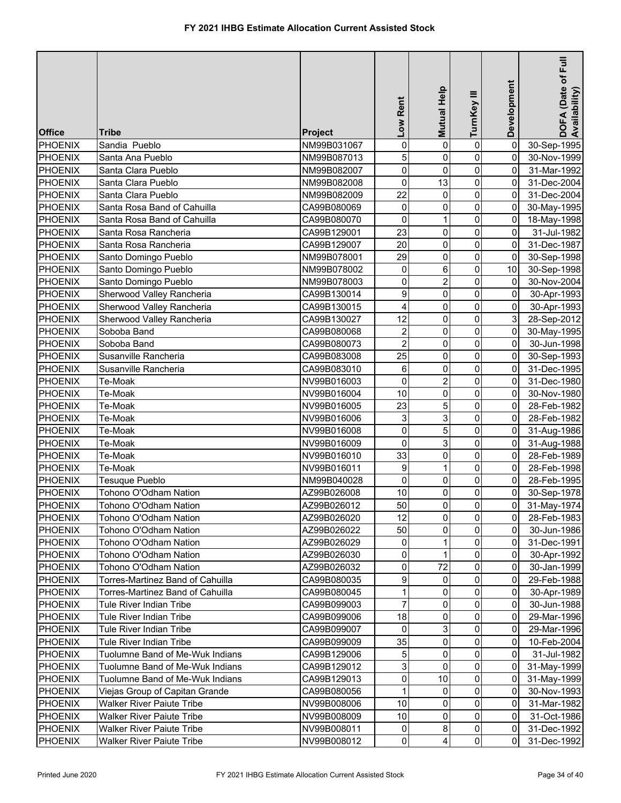|                |                                  |                | Low Rent                | <b>Mutual Help</b> | TurnKey III         | Development    | DOFA (Date of Full<br>Availability) |
|----------------|----------------------------------|----------------|-------------------------|--------------------|---------------------|----------------|-------------------------------------|
| <b>Office</b>  | Tribe                            | <b>Project</b> |                         |                    |                     |                |                                     |
| PHOENIX        | Sandia Pueblo                    | NM99B031067    | 0                       | 0                  | $\pmb{0}$           | $\overline{0}$ | 30-Sep-1995                         |
| <b>PHOENIX</b> | Santa Ana Pueblo                 | NM99B087013    | 5                       | 0                  | $\mathsf{O}\xspace$ | 0              | 30-Nov-1999                         |
| PHOENIX        | Santa Clara Pueblo               | NM99B082007    | 0                       | 0                  | $\mathbf 0$         | 0              | 31-Mar-1992                         |
| <b>PHOENIX</b> | Santa Clara Pueblo               | NM99B082008    | 0                       | 13                 | $\mathsf{O}\xspace$ | 0              | 31-Dec-2004                         |
| <b>PHOENIX</b> | Santa Clara Pueblo               | NM99B082009    | 22                      | 0                  | $\mathsf{O}\xspace$ | 0              | 31-Dec-2004                         |
| <b>PHOENIX</b> | Santa Rosa Band of Cahuilla      | CA99B080069    | 0                       | 0                  | $\mathsf{O}\xspace$ | $\overline{0}$ | 30-May-1995                         |
| <b>PHOENIX</b> | Santa Rosa Band of Cahuilla      | CA99B080070    | 0                       | $\mathbf{1}$       | $\mathsf{O}\xspace$ | $\overline{0}$ | 18-May-1998                         |
| <b>PHOENIX</b> | Santa Rosa Rancheria             | CA99B129001    | 23                      | 0                  | $\mathbf 0$         | 0              | 31-Jul-1982                         |
| <b>PHOENIX</b> | Santa Rosa Rancheria             | CA99B129007    | 20                      | 0                  | $\mathsf{O}\xspace$ | 0              | 31-Dec-1987                         |
| <b>PHOENIX</b> | Santo Domingo Pueblo             | NM99B078001    | 29                      | 0                  | $\mathbf 0$         | 0              | 30-Sep-1998                         |
| <b>PHOENIX</b> | Santo Domingo Pueblo             | NM99B078002    | 0                       | 6                  | $\pmb{0}$           | 10             | 30-Sep-1998                         |
| <b>PHOENIX</b> | Santo Domingo Pueblo             | NM99B078003    | 0                       | $\overline{2}$     | $\mathsf{O}\xspace$ | 0              | 30-Nov-2004                         |
| <b>PHOENIX</b> | Sherwood Valley Rancheria        | CA99B130014    | 9                       | 0                  | $\mathbf 0$         | 0              | 30-Apr-1993                         |
| <b>PHOENIX</b> | Sherwood Valley Rancheria        | CA99B130015    | 4                       | 0                  | $\pmb{0}$           | 0              | 30-Apr-1993                         |
| <b>PHOENIX</b> | Sherwood Valley Rancheria        | CA99B130027    | 12                      | 0                  | $\mathbf 0$         | 3              | 28-Sep-2012                         |
| <b>PHOENIX</b> | Soboba Band                      | CA99B080068    | $\overline{\mathbf{c}}$ | 0                  | $\mathbf 0$         | 0              | 30-May-1995                         |
| <b>PHOENIX</b> | Soboba Band                      | CA99B080073    | $\overline{c}$          | 0                  | $\pmb{0}$           | 0              | 30-Jun-1998                         |
| <b>PHOENIX</b> | Susanville Rancheria             | CA99B083008    | 25                      | 0                  | $\mathsf{O}\xspace$ | 0              | 30-Sep-1993                         |
| <b>PHOENIX</b> | Susanville Rancheria             | CA99B083010    | 6                       | 0                  | $\mathbf 0$         | 0              | 31-Dec-1995                         |
| <b>PHOENIX</b> | Te-Moak                          | NV99B016003    | 0                       | $\overline{2}$     | 0                   | 0              | 31-Dec-1980                         |
| <b>PHOENIX</b> | Te-Moak                          | NV99B016004    | 10                      | 0                  | 0                   | 0              | 30-Nov-1980                         |
| <b>PHOENIX</b> | Te-Moak                          | NV99B016005    | 23                      | 5                  | $\mathbf 0$         | 0              | 28-Feb-1982                         |
| <b>PHOENIX</b> | Te-Moak                          | NV99B016006    | 3                       | 3                  | 0                   | 0              | 28-Feb-1982                         |
| <b>PHOENIX</b> | Te-Moak                          | NV99B016008    | 0                       | 5                  | $\mathsf{O}\xspace$ | $\overline{0}$ | 31-Aug-1986                         |
| <b>PHOENIX</b> | Te-Moak                          | NV99B016009    | 0                       | 3                  | $\pmb{0}$           | $\overline{0}$ | 31-Aug-1988                         |
| <b>PHOENIX</b> | Te-Moak                          | NV99B016010    | 33                      | 0                  | $\mathsf{O}\xspace$ | 0              | 28-Feb-1989                         |
| <b>PHOENIX</b> | Te-Moak                          | NV99B016011    | 9                       | $\mathbf{1}$       | $\mathsf{O}\xspace$ | 0              | 28-Feb-1998                         |
| PHOENIX        | Tesuque Pueblo                   | NM99B040028    | 0                       | 0                  | $\mathbf 0$         | 0              | 28-Feb-1995                         |
| PHOENIX        | Tohono O'Odham Nation            | AZ99B026008    | 10                      | 0                  | $\pmb{0}$           | $\overline{0}$ | 30-Sep-1978                         |
| <b>PHOENIX</b> | Tohono O'Odham Nation            | AZ99B026012    | 50                      | $\overline{0}$     | $\overline{0}$      | $\overline{0}$ | 31-May-1974                         |
| <b>PHOENIX</b> | Tohono O'Odham Nation            | AZ99B026020    | 12                      | $\overline{0}$     | $\overline{0}$      | $\overline{0}$ | 28-Feb-1983                         |
| PHOENIX        | Tohono O'Odham Nation            | AZ99B026022    | 50                      | 0                  | 0                   | 0              | 30-Jun-1986                         |
| PHOENIX        | Tohono O'Odham Nation            | AZ99B026029    | 0                       |                    | $\pmb{0}$           | 0              | 31-Dec-1991                         |
| PHOENIX        | Tohono O'Odham Nation            | AZ99B026030    | 0                       | 1                  | 0                   | 0              | 30-Apr-1992                         |
| PHOENIX        | Tohono O'Odham Nation            | AZ99B026032    | 0                       | 72                 | $\mathbf 0$         | 0              | 30-Jan-1999                         |
| PHOENIX        | Torres-Martinez Band of Cahuilla | CA99B080035    | 9                       | 0                  | 0                   | 0              | 29-Feb-1988                         |
| <b>PHOENIX</b> | Torres-Martinez Band of Cahuilla | CA99B080045    | 1                       | 0                  | $\pmb{0}$           | 0              | 30-Apr-1989                         |
| <b>PHOENIX</b> | Tule River Indian Tribe          | CA99B099003    | 7                       | 0                  | 0                   | 0              | 30-Jun-1988                         |
| <b>PHOENIX</b> | Tule River Indian Tribe          | CA99B099006    | 18                      | 0                  | 0                   | 0              | 29-Mar-1996                         |
| <b>PHOENIX</b> | Tule River Indian Tribe          | CA99B099007    | 0                       | 3                  | $\overline{0}$      | 0              | 29-Mar-1996                         |
| <b>PHOENIX</b> | Tule River Indian Tribe          | CA99B099009    | 35                      | 0                  | $\overline{0}$      | 0              | 10-Feb-2004                         |
| <b>PHOENIX</b> | Tuolumne Band of Me-Wuk Indians  | CA99B129006    | 5                       | 0                  | 0                   | 0              | 31-Jul-1982                         |
| <b>PHOENIX</b> | Tuolumne Band of Me-Wuk Indians  | CA99B129012    | 3                       | 0                  | 0                   | 0              | 31-May-1999                         |
| PHOENIX        | Tuolumne Band of Me-Wuk Indians  | CA99B129013    | 0                       | 10                 | $\overline{0}$      | $\overline{0}$ | 31-May-1999                         |
| <b>PHOENIX</b> | Viejas Group of Capitan Grande   | CA99B080056    | 1                       | 0                  | 0                   | 0              | 30-Nov-1993                         |
| <b>PHOENIX</b> | <b>Walker River Paiute Tribe</b> | NV99B008006    | 10                      | 0                  | 0                   | 0              | 31-Mar-1982                         |
| PHOENIX        | <b>Walker River Paiute Tribe</b> | NV99B008009    | $10$                    | 0                  | $\pmb{0}$           | $\overline{0}$ | 31-Oct-1986                         |
| <b>PHOENIX</b> | <b>Walker River Paiute Tribe</b> | NV99B008011    | 0                       | 8 <sup>1</sup>     | $\overline{0}$      | $\overline{0}$ | 31-Dec-1992                         |
| <b>PHOENIX</b> | <b>Walker River Paiute Tribe</b> | NV99B008012    | $\overline{0}$          | $\vert 4 \vert$    | $\overline{0}$      | $\overline{0}$ | 31-Dec-1992                         |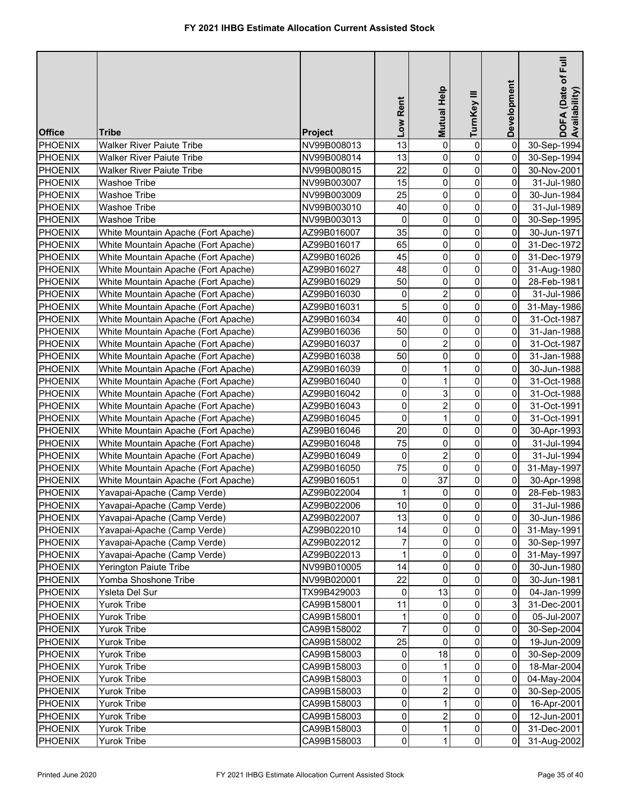| <b>Office</b>  | Tribe                               | <b>Project</b> | Low Rent            | <b>Mutual Help</b> | TurnKey III             | Development    | Full<br>DOFA (Date of F<br>Availability) |
|----------------|-------------------------------------|----------------|---------------------|--------------------|-------------------------|----------------|------------------------------------------|
| PHOENIX        | <b>Walker River Paiute Tribe</b>    | NV99B008013    | 13                  | 0                  | $\pmb{0}$               | 0              | 30-Sep-1994                              |
| PHOENIX        | <b>Walker River Paiute Tribe</b>    | NV99B008014    | 13                  | 0                  | $\pmb{0}$               | 0              | 30-Sep-1994                              |
| PHOENIX        | <b>Walker River Paiute Tribe</b>    | NV99B008015    | 22                  | 0                  | $\pmb{0}$               | 0              | 30-Nov-2001                              |
| <b>PHOENIX</b> | <b>Washoe Tribe</b>                 | NV99B003007    | 15                  | 0                  | $\pmb{0}$               | 0              | 31-Jul-1980                              |
| <b>PHOENIX</b> | <b>Washoe Tribe</b>                 | NV99B003009    | 25                  | 0                  | $\mathsf{O}\xspace$     | 0              | 30-Jun-1984                              |
| <b>PHOENIX</b> | <b>Washoe Tribe</b>                 | NV99B003010    | 40                  | 0                  | $\mathsf{O}\xspace$     | 0              | 31-Jul-1989                              |
| <b>PHOENIX</b> | <b>Washoe Tribe</b>                 | NV99B003013    | 0                   | 0                  | $\mathsf{O}\xspace$     | 0              | 30-Sep-1995                              |
| <b>PHOENIX</b> | White Mountain Apache (Fort Apache) | AZ99B016007    | 35                  | 0                  | $\mathsf{O}\xspace$     | 0              | 30-Jun-1971                              |
| <b>PHOENIX</b> | White Mountain Apache (Fort Apache) | AZ99B016017    | 65                  | 0                  | $\mathsf{O}\xspace$     | 0              | 31-Dec-1972                              |
| <b>PHOENIX</b> | White Mountain Apache (Fort Apache) | AZ99B016026    | 45                  | 0                  | $\mathbf 0$             | 0              | 31-Dec-1979                              |
| <b>PHOENIX</b> | White Mountain Apache (Fort Apache) | AZ99B016027    | 48                  | 0                  | $\pmb{0}$               | $\overline{0}$ | 31-Aug-1980                              |
| <b>PHOENIX</b> | White Mountain Apache (Fort Apache) | AZ99B016029    | 50                  | 0                  | $\mathsf{O}\xspace$     | 0              | 28-Feb-1981                              |
| <b>PHOENIX</b> | White Mountain Apache (Fort Apache) | AZ99B016030    | 0                   | $\overline{2}$     | $\mathbf 0$             | 0              | 31-Jul-1986                              |
| <b>PHOENIX</b> | White Mountain Apache (Fort Apache) | AZ99B016031    | 5                   | 0                  | $\mathbf 0$             | 0              | 31-May-1986                              |
| <b>PHOENIX</b> | White Mountain Apache (Fort Apache) | AZ99B016034    | 40                  | 0                  | $\mathbf 0$             | 0              | 31-Oct-1987                              |
| <b>PHOENIX</b> | White Mountain Apache (Fort Apache) | AZ99B016036    | 50                  | 0                  | $\mathbf 0$             | 0              | 31-Jan-1988                              |
| <b>PHOENIX</b> | White Mountain Apache (Fort Apache) | AZ99B016037    | 0                   | $\overline{c}$     | $\pmb{0}$               | 0              | 31-Oct-1987                              |
| <b>PHOENIX</b> | White Mountain Apache (Fort Apache) | AZ99B016038    | 50                  | 0                  | $\mathbf 0$             | 0              | 31-Jan-1988                              |
| <b>PHOENIX</b> | White Mountain Apache (Fort Apache) | AZ99B016039    | 0                   | 1                  | $\mathbf 0$             | 0              | 30-Jun-1988                              |
| <b>PHOENIX</b> | White Mountain Apache (Fort Apache) | AZ99B016040    | 0                   | 1                  | 0                       | 0              | 31-Oct-1988                              |
| <b>PHOENIX</b> | White Mountain Apache (Fort Apache) | AZ99B016042    | 0                   | 3                  | 0                       | 0              | 31-Oct-1988                              |
| <b>PHOENIX</b> | White Mountain Apache (Fort Apache) | AZ99B016043    | 0                   | $\overline{2}$     | $\mathbf 0$             | 0              | 31-Oct-1991                              |
| PHOENIX        | White Mountain Apache (Fort Apache) | AZ99B016045    | 0                   | $\mathbf{1}$       | 0                       | 0              | 31-Oct-1991                              |
| <b>PHOENIX</b> | White Mountain Apache (Fort Apache) | AZ99B016046    | 20                  | 0                  | $\mathsf{O}\xspace$     | $\overline{0}$ | 30-Apr-1993                              |
| <b>PHOENIX</b> | White Mountain Apache (Fort Apache) | AZ99B016048    | 75                  | 0                  | $\mathsf{O}\xspace$     | 0              | 31-Jul-1994                              |
| <b>PHOENIX</b> | White Mountain Apache (Fort Apache) | AZ99B016049    | 0                   | $\overline{2}$     | $\pmb{0}$               | 0              | 31-Jul-1994                              |
| <b>PHOENIX</b> | White Mountain Apache (Fort Apache) | AZ99B016050    | 75                  | 0                  | $\pmb{0}$               | $\overline{0}$ | 31-May-1997                              |
| PHOENIX        | White Mountain Apache (Fort Apache) | AZ99B016051    | 0                   | 37                 | $\pmb{0}$               | $\overline{0}$ | 30-Apr-1998                              |
| PHOENIX        | Yavapai-Apache (Camp Verde)         | AZ99B022004    | 1                   | 0                  | $\pmb{0}$               | $\overline{0}$ | 28-Feb-1983                              |
| <b>PHOENIX</b> | Yavapai-Apache (Camp Verde)         | AZ99B022006    | 10                  | 0                  | $\overline{\mathbf{0}}$ | $\overline{0}$ | 31-Jul-1986                              |
| <b>PHOENIX</b> | Yavapai-Apache (Camp Verde)         | AZ99B022007    | 13                  | $\overline{0}$     | $\overline{0}$          | $\overline{0}$ | 30-Jun-1986                              |
| PHOENIX        | Yavapai-Apache (Camp Verde)         | AZ99B022010    | 14                  | 0                  | $\overline{0}$          | $\overline{0}$ | 31-May-1991                              |
| PHOENIX        | Yavapai-Apache (Camp Verde)         | AZ99B022012    | $\overline{7}$      | 0                  | $\overline{0}$          | 0              | 30-Sep-1997                              |
| PHOENIX        | Yavapai-Apache (Camp Verde)         | AZ99B022013    | 1                   | 0                  | $\overline{0}$          | 0              | 31-May-1997                              |
| PHOENIX        | Yerington Paiute Tribe              | NV99B010005    | 14                  | 0                  | $\mathbf 0$             | 0              | 30-Jun-1980                              |
| PHOENIX        | Yomba Shoshone Tribe                | NV99B020001    | 22                  | 0                  | $\mathbf{0}$            | 0              | 30-Jun-1981                              |
| <b>PHOENIX</b> | Ysleta Del Sur                      | TX99B429003    | 0                   | 13                 | 0                       | 0              | 04-Jan-1999                              |
| <b>PHOENIX</b> | Yurok Tribe                         | CA99B158001    | 11                  | 0                  | $\overline{0}$          | 3              | 31-Dec-2001                              |
| <b>PHOENIX</b> | Yurok Tribe                         | CA99B158001    | 1                   | 0                  | 0                       | 0              | 05-Jul-2007                              |
| <b>PHOENIX</b> | Yurok Tribe                         | CA99B158002    | 7                   | 0                  | $\mathbf{0}$            | 0              | 30-Sep-2004                              |
| <b>PHOENIX</b> | Yurok Tribe                         | CA99B158002    | 25                  | 0                  | $\overline{0}$          | 0              | 19-Jun-2009                              |
| <b>PHOENIX</b> | Yurok Tribe                         | CA99B158003    | 0                   | 18                 | 0                       | 0              | 30-Sep-2009                              |
| <b>PHOENIX</b> | Yurok Tribe                         | CA99B158003    | 0                   |                    | 0                       | 0              | 18-Mar-2004                              |
| PHOENIX        | Yurok Tribe                         | CA99B158003    | 0                   |                    | $\mathbf 0$             | 0              | 04-May-2004                              |
| PHOENIX        | Yurok Tribe                         | CA99B158003    | 0                   | 2                  | $\mathbf 0$             | 0              | 30-Sep-2005                              |
| PHOENIX        | Yurok Tribe                         | CA99B158003    | 0                   | 1                  | $\mathbf 0$             | $\overline{0}$ | 16-Apr-2001                              |
| PHOENIX        | Yurok Tribe                         | CA99B158003    | 0                   | 2                  | $\pmb{0}$               | $\overline{0}$ | 12-Jun-2001                              |
| PHOENIX        | <b>Yurok Tribe</b>                  | CA99B158003    | $\mathsf{O}\xspace$ |                    | $\overline{0}$          | $\overline{0}$ | 31-Dec-2001                              |
| PHOENIX        | Yurok Tribe                         | CA99B158003    | $\overline{0}$      | 1                  | $\overline{0}$          | $\overline{0}$ | 31-Aug-2002                              |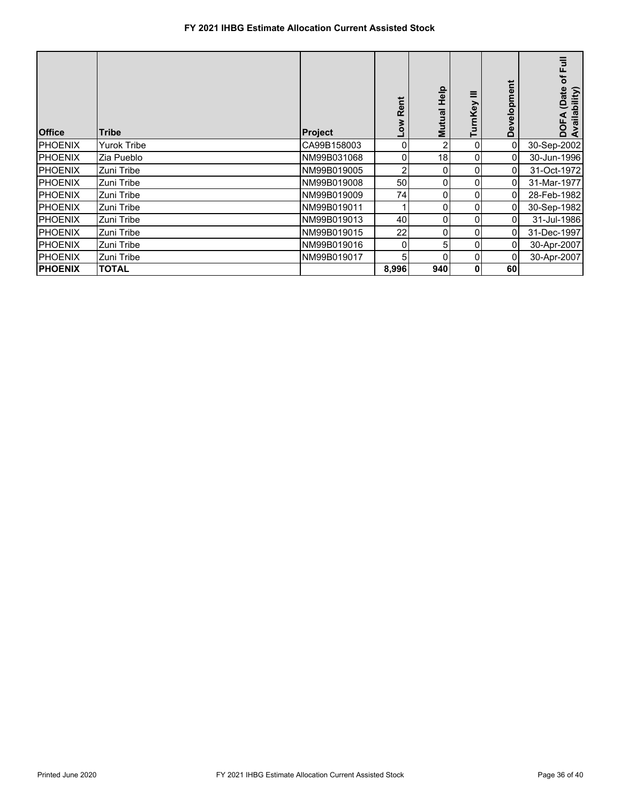## **FY 2021 IHBG Estimate Allocation Current Assisted Stock**

| <b>Office</b>   | <b>Tribe</b>       | Project     | <b>Rei</b><br><b>NOT</b> | <b>Help</b><br>Mutual | ≡<br>Key       | ᄇ<br>velopme<br>ق | of Full<br>(Date<br>vailability)<br>DOF,<br>Avail |
|-----------------|--------------------|-------------|--------------------------|-----------------------|----------------|-------------------|---------------------------------------------------|
| <b>PHOENIX</b>  | <b>Yurok Tribe</b> | CA99B158003 | $\overline{0}$           | 2۱                    | 0              | $\Omega$          | 30-Sep-2002                                       |
| <b>PHOENIX</b>  | Zia Pueblo         | NM99B031068 | $\overline{0}$           | 18                    | 0              | 01                | 30-Jun-1996                                       |
| <b>PHOENIX</b>  | Zuni Tribe         | NM99B019005 | $\overline{2}$           | 0                     | 0              | 0I                | 31-Oct-1972                                       |
| <b>PHOENIX</b>  | Zuni Tribe         | NM99B019008 | 50                       | $\overline{0}$        | 0              | $\overline{0}$    | 31-Mar-1977                                       |
| <b>PHOENIX</b>  | Zuni Tribe         | NM99B019009 | 74                       | 0                     | 0              | $\overline{0}$    | 28-Feb-1982                                       |
| <b>IPHOENIX</b> | Zuni Tribe         | NM99B019011 |                          | 0                     | 0              | $\overline{0}$    | 30-Sep-1982                                       |
| <b>PHOENIX</b>  | Zuni Tribe         | NM99B019013 | 40                       | 0                     | $\overline{0}$ | ΟI                | 31-Jul-1986                                       |
| <b>IPHOENIX</b> | Zuni Tribe         | NM99B019015 | 22                       | $\Omega$              | $\Omega$       | $\Omega$          | 31-Dec-1997                                       |
| <b>IPHOENIX</b> | Zuni Tribe         | NM99B019016 | $\overline{0}$           | 51                    | 0              | $\overline{0}$    | 30-Apr-2007                                       |
| <b>PHOENIX</b>  | Zuni Tribe         | NM99B019017 | 5                        | 0                     | 0              | 0                 | 30-Apr-2007                                       |
| <b>PHOENIX</b>  | <b>TOTAL</b>       |             | 8,996                    | 940                   | 0              | 60                |                                                   |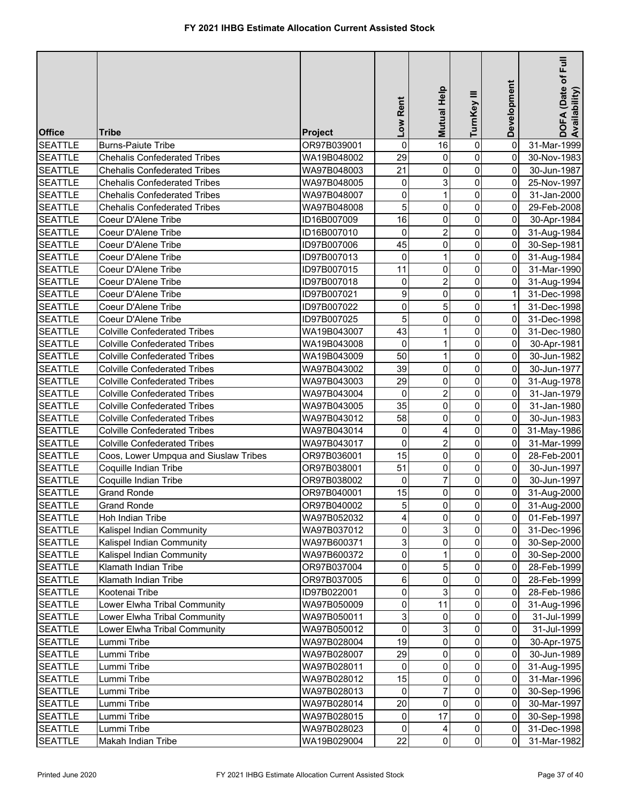| <b>Office</b>  | Tribe                                 | <b>Project</b> | Low Rent        | Mutual Help    | TurnKey III         | Development    | DOFA (Date of Full<br>Availability) |
|----------------|---------------------------------------|----------------|-----------------|----------------|---------------------|----------------|-------------------------------------|
| <b>SEATTLE</b> | <b>Burns-Paiute Tribe</b>             | OR97B039001    | $\mathbf 0$     | 16             | $\pmb{0}$           | $\overline{0}$ | 31-Mar-1999                         |
| <b>SEATTLE</b> | <b>Chehalis Confederated Tribes</b>   | WA19B048002    | 29              | 0              | $\pmb{0}$           | 0              | 30-Nov-1983                         |
| <b>SEATTLE</b> | <b>Chehalis Confederated Tribes</b>   | WA97B048003    | 21              | 0              | $\mathbf 0$         | 0              | 30-Jun-1987                         |
| <b>SEATTLE</b> | <b>Chehalis Confederated Tribes</b>   | WA97B048005    | 0               | 3              | $\pmb{0}$           | 0              | 25-Nov-1997                         |
| <b>SEATTLE</b> | <b>Chehalis Confederated Tribes</b>   | WA97B048007    | 0               | $\mathbf{1}$   | $\mathsf{O}\xspace$ | 0              | 31-Jan-2000                         |
| <b>SEATTLE</b> | <b>Chehalis Confederated Tribes</b>   | WA97B048008    | 5               | 0              | $\mathbf 0$         | 0              | 29-Feb-2008                         |
| <b>SEATTLE</b> | Coeur D'Alene Tribe                   | ID16B007009    | 16              | 0              | $\mathsf{O}\xspace$ | 0              | 30-Apr-1984                         |
| <b>SEATTLE</b> | Coeur D'Alene Tribe                   | ID16B007010    | 0               | $\overline{2}$ | $\mathbf 0$         | $\overline{0}$ | 31-Aug-1984                         |
| <b>SEATTLE</b> | Coeur D'Alene Tribe                   | ID97B007006    | 45              | 0              | $\mathsf{O}\xspace$ | $\overline{0}$ | 30-Sep-1981                         |
| <b>SEATTLE</b> | Coeur D'Alene Tribe                   | ID97B007013    | 0               | 1              | $\mathbf 0$         | $\overline{0}$ | 31-Aug-1984                         |
| <b>SEATTLE</b> | Coeur D'Alene Tribe                   | ID97B007015    | 11              | 0              | $\pmb{0}$           | $\overline{0}$ | 31-Mar-1990                         |
| <b>SEATTLE</b> | Coeur D'Alene Tribe                   | ID97B007018    | 0               | $\overline{2}$ | $\mathsf{O}\xspace$ | $\overline{0}$ | 31-Aug-1994                         |
| <b>SEATTLE</b> | Coeur D'Alene Tribe                   | ID97B007021    | 9               | 0              | $\mathbf 0$         | 1              | 31-Dec-1998                         |
| <b>SEATTLE</b> | Coeur D'Alene Tribe                   | ID97B007022    | 0               | 5              | $\mathbf 0$         | 1              | 31-Dec-1998                         |
| <b>SEATTLE</b> | Coeur D'Alene Tribe                   | ID97B007025    | 5               | 0              | $\mathbf 0$         | 0              | 31-Dec-1998                         |
| <b>SEATTLE</b> | <b>Colville Confederated Tribes</b>   | WA19B043007    | 43              | 1              | $\mathbf 0$         | 0              | 31-Dec-1980                         |
| <b>SEATTLE</b> | <b>Colville Confederated Tribes</b>   | WA19B043008    | 0               | 1              | $\mathbf 0$         | 0              | 30-Apr-1981                         |
| <b>SEATTLE</b> | <b>Colville Confederated Tribes</b>   | WA19B043009    | 50              | 1              | $\mathbf 0$         | 0              | 30-Jun-1982                         |
| <b>SEATTLE</b> | <b>Colville Confederated Tribes</b>   | WA97B043002    | 39              | 0              | $\mathbf 0$         | 0              | 30-Jun-1977                         |
| <b>SEATTLE</b> | <b>Colville Confederated Tribes</b>   | WA97B043003    | 29              | 0              | $\mathbf 0$         | 0              | 31-Aug-1978                         |
| <b>SEATTLE</b> | <b>Colville Confederated Tribes</b>   | WA97B043004    | 0               | 2              | 0                   | 0              | 31-Jan-1979                         |
| <b>SEATTLE</b> | <b>Colville Confederated Tribes</b>   | WA97B043005    | $\overline{35}$ | 0              | $\mathbf 0$         | 0              | 31-Jan-1980                         |
| <b>SEATTLE</b> | <b>Colville Confederated Tribes</b>   | WA97B043012    | 58              | 0              | 0                   | 0              | 30-Jun-1983                         |
| <b>SEATTLE</b> | <b>Colville Confederated Tribes</b>   | WA97B043014    | 0               | 4              | $\mathbf 0$         | $\overline{0}$ | 31-May-1986                         |
| <b>SEATTLE</b> | <b>Colville Confederated Tribes</b>   | WA97B043017    | 0               | $\overline{2}$ | $\mathbf 0$         | $\overline{0}$ | 31-Mar-1999                         |
| <b>SEATTLE</b> | Coos, Lower Umpqua and Siuslaw Tribes | OR97B036001    | 15              | 0              | $\mathbf 0$         | 0              | 28-Feb-2001                         |
| <b>SEATTLE</b> | Coquille Indian Tribe                 | OR97B038001    | 51              | 0              | $\pmb{0}$           | 0              | 30-Jun-1997                         |
| <b>SEATTLE</b> | Coquille Indian Tribe                 | OR97B038002    | 0               | $\overline{7}$ | $\mathbf 0$         | $\overline{0}$ | 30-Jun-1997                         |
| <b>SEATTLE</b> | <b>Grand Ronde</b>                    | OR97B040001    | 15              | 0              | $\pmb{0}$           | $\overline{0}$ | 31-Aug-2000                         |
| <b>SEATTLE</b> | Grand Ronde                           | OR97B040002    | $\overline{5}$  | $\overline{0}$ | $\overline{0}$      | $\overline{0}$ | 31-Aug-2000                         |
| <b>SEATTLE</b> | Hoh Indian Tribe                      | WA97B052032    | $\overline{4}$  | $\overline{0}$ | $\overline{0}$      | $\overline{0}$ | 01-Feb-1997                         |
| <b>SEATTLE</b> | Kalispel Indian Community             | WA97B037012    | 0               | 3              | $\overline{0}$      | $\overline{0}$ | 31-Dec-1996                         |
| <b>SEATTLE</b> | Kalispel Indian Community             | WA97B600371    | 3               | 0              | 0                   | 0              | 30-Sep-2000                         |
| <b>SEATTLE</b> | Kalispel Indian Community             | WA97B600372    | 0               |                | $\overline{0}$      | 0              | 30-Sep-2000                         |
| <b>SEATTLE</b> | Klamath Indian Tribe                  | OR97B037004    | 0               | 5              | $\overline{0}$      | 0              | 28-Feb-1999                         |
| <b>SEATTLE</b> | Klamath Indian Tribe                  | OR97B037005    | 6               | 0              | $\mathbf{0}$        | 0              | 28-Feb-1999                         |
| <b>SEATTLE</b> | Kootenai Tribe                        | ID97B022001    | 0               | 3              | $\pmb{0}$           | 0              | 28-Feb-1986                         |
| <b>SEATTLE</b> | Lower Elwha Tribal Community          | WA97B050009    | 0               | 11             | $\overline{0}$      | 0              | 31-Aug-1996                         |
| <b>SEATTLE</b> | Lower Elwha Tribal Community          | WA97B050011    | 3               | 0              | $\mathbf{0}$        | 0              | 31-Jul-1999                         |
| <b>SEATTLE</b> | Lower Elwha Tribal Community          | WA97B050012    | 0               | 3              | $\overline{0}$      | 0              | 31-Jul-1999                         |
| <b>SEATTLE</b> | Lummi Tribe                           | WA97B028004    | 19              | 0              | $\overline{0}$      | 0              | 30-Apr-1975                         |
| <b>SEATTLE</b> | Lummi Tribe                           | WA97B028007    | 29              | 0              | 0                   | 0              | 30-Jun-1989                         |
| <b>SEATTLE</b> | Lummi Tribe                           | WA97B028011    | 0               | 0              | $\overline{0}$      | 0              | 31-Aug-1995                         |
| <b>SEATTLE</b> | Lummi Tribe                           | WA97B028012    | 15              | 0              | $\overline{0}$      | 0              | 31-Mar-1996                         |
| <b>SEATTLE</b> | Lummi Tribe                           | WA97B028013    | 0               | 7              | 0                   | $\overline{0}$ | 30-Sep-1996                         |
| <b>SEATTLE</b> | Lummi Tribe                           | WA97B028014    | 20              | 0              | 0                   | 0              | 30-Mar-1997                         |
| <b>SEATTLE</b> | Lummi Tribe                           | WA97B028015    | 0               | 17             | $\mathbf 0$         | $\overline{0}$ | 30-Sep-1998                         |
| <b>SEATTLE</b> | Lummi Tribe                           | WA97B028023    | 0               | 4              | $\overline{0}$      | $\overline{0}$ | 31-Dec-1998                         |
| <b>SEATTLE</b> | Makah Indian Tribe                    | WA19B029004    | 22              | $\overline{0}$ | $\overline{0}$      | $\overline{0}$ | 31-Mar-1982                         |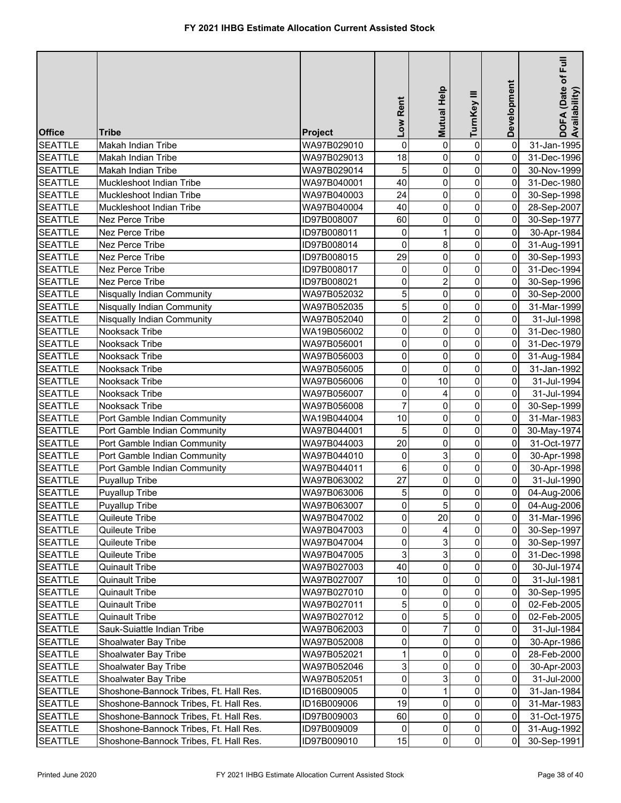| <b>SEATTLE</b><br>$\mathbf 0$<br>$\pmb{0}$<br>WA97B029010<br>0<br>0<br>31-Jan-1995<br>Makah Indian Tribe<br>0<br>18<br><b>SEATTLE</b><br>0<br>0<br>Makah Indian Tribe<br>WA97B029013<br>31-Dec-1996<br>5<br>$\pmb{0}$<br><b>SEATTLE</b><br>0<br>0<br>30-Nov-1999<br>Makah Indian Tribe<br>WA97B029014<br>0<br>40<br>0<br>0<br><b>SEATTLE</b><br>Muckleshoot Indian Tribe<br>WA97B040001<br>31-Dec-1980<br>$\mathsf 0$<br>0<br>0<br>24<br><b>SEATTLE</b><br>Muckleshoot Indian Tribe<br>WA97B040003<br>30-Sep-1998<br>0<br>0<br>$\mathsf 0$<br><b>SEATTLE</b><br>40<br>Muckleshoot Indian Tribe<br>WA97B040004<br>28-Sep-2007<br>$\overline{0}$<br><b>SEATTLE</b><br>Nez Perce Tribe<br>60<br>0<br>0<br>ID97B008007<br>30-Sep-1977<br>$\mathbf 0$<br>0<br><b>SEATTLE</b><br>ID97B008011<br>0<br>Nez Perce Tribe<br>30-Apr-1984<br>8<br>$\overline{0}$<br>$\mathsf{O}\xspace$<br>0<br><b>SEATTLE</b><br>Nez Perce Tribe<br>ID97B008014<br>31-Aug-1991<br>$\overline{0}$<br>29<br><b>SEATTLE</b><br>Nez Perce Tribe<br>0<br>$\pmb{0}$<br>ID97B008015<br>30-Sep-1993<br>$\mathbf 0$<br>0<br><b>SEATTLE</b><br>Nez Perce Tribe<br>0<br>0<br>31-Dec-1994<br>ID97B008017<br>$\overline{\mathbf{c}}$<br>Nez Perce Tribe<br>0<br>0<br><b>SEATTLE</b><br>ID97B008021<br>0<br>30-Sep-1996<br>5<br>0<br>0<br><b>SEATTLE</b><br>Nisqually Indian Community<br>WA97B052032<br>0<br>30-Sep-2000<br>5<br>0<br><b>SEATTLE</b><br>0<br>0<br>Nisqually Indian Community<br>WA97B052035<br>31-Mar-1999<br>0<br>2<br>0<br><b>SEATTLE</b><br>0<br>Nisqually Indian Community<br>WA97B052040<br>31-Jul-1998<br>$\pmb{0}$<br>0<br>$\mathsf 0$<br>Nooksack Tribe<br><b>SEATTLE</b><br>WA19B056002<br>0<br>31-Dec-1980<br>$\mathbf 0$<br>0<br>0<br><b>SEATTLE</b><br>Nooksack Tribe<br>0<br>31-Dec-1979<br>WA97B056001<br>0<br>0<br>0<br>0<br><b>SEATTLE</b><br>Nooksack Tribe<br>WA97B056003<br>31-Aug-1984<br>0<br>0<br><b>SEATTLE</b><br>0<br>$\mathbf 0$<br>Nooksack Tribe<br>WA97B056005<br>31-Jan-1992<br><b>SEATTLE</b><br>0<br>10<br>0<br>Nooksack Tribe<br>WA97B056006<br>0<br>31-Jul-1994<br><b>SEATTLE</b><br>0<br>0<br>Nooksack Tribe<br>WA97B056007<br>$\Omega$<br>31-Jul-1994<br>4<br>$\overline{7}$<br>0<br><b>SEATTLE</b><br>Nooksack Tribe<br>0<br>$\mathbf 0$<br>WA97B056008<br>30-Sep-1999<br>$\mathbf 0$<br><b>SEATTLE</b><br>10<br>0<br>0<br>Port Gamble Indian Community<br>WA19B044004<br>31-Mar-1983<br><b>SEATTLE</b><br>5<br>0<br>0<br>Port Gamble Indian Community<br>WA97B044001<br>0<br>30-May-1974<br>0<br>0<br><b>SEATTLE</b><br>Port Gamble Indian Community<br>20<br>0<br>WA97B044003<br>31-Oct-1977<br>3<br>0<br>0<br><b>SEATTLE</b><br>Port Gamble Indian Community<br>WA97B044010<br>0<br>30-Apr-1998<br>0<br>6<br>0<br>$\pmb{0}$<br><b>SEATTLE</b><br>Port Gamble Indian Community<br>WA97B044011<br>30-Apr-1998<br>27<br>$\pmb{0}$<br>$\overline{0}$<br><b>SEATTLE</b><br>0<br>WA97B063002<br>31-Jul-1990<br><b>Puyallup Tribe</b><br>5<br>0<br>$\mathsf{O}\xspace$<br><b>SEATTLE</b><br>0<br><b>Puyallup Tribe</b><br>WA97B063006<br>04-Aug-2006<br>$\pmb{0}$<br>$\overline{5}$<br>$\overline{0}$<br>$\overline{0}$<br><b>SEATTLE</b><br>Puyallup Tribe<br>WA97B063007<br>04-Aug-2006<br>$\mathbf 0$<br>$\overline{0}$<br>20<br>$\Omega$<br><b>SEATTLE</b><br>Quileute Tribe<br>WA97B047002<br>31-Mar-1996<br>0<br>$\overline{0}$<br><b>SEATTLE</b><br>Quileute Tribe<br>WA97B047003<br>0<br>30-Sep-1997<br>3<br>$\overline{0}$<br>0<br><b>SEATTLE</b><br>Quileute Tribe<br>WA97B047004<br>30-Sep-1997<br>0<br>3<br>3<br>$\overline{0}$<br><b>SEATTLE</b><br>Quileute Tribe<br>WA97B047005<br>0<br>31-Dec-1998<br>40<br>0<br>$\overline{0}$<br><b>SEATTLE</b><br><b>Quinault Tribe</b><br>WA97B027003<br>$\mathbf 0$<br>30-Jul-1974<br>10<br>0<br>0<br><b>SEATTLE</b><br><b>Quinault Tribe</b><br>WA97B027007<br>0<br>31-Jul-1981<br><b>SEATTLE</b><br><b>Quinault Tribe</b><br>WA97B027010<br>0<br>0<br>$\Omega$<br>30-Sep-1995<br>0<br>5<br>0<br><b>SEATTLE</b><br><b>Quinault Tribe</b><br>WA97B027011<br>0<br>0<br>02-Feb-2005<br>$\pmb{0}$<br>5<br>0<br><b>SEATTLE</b><br><b>Quinault Tribe</b><br>WA97B027012<br>0<br>02-Feb-2005<br>0<br>7<br>0<br><b>SEATTLE</b><br>0<br>Sauk-Suiattle Indian Tribe<br>WA97B062003<br>31-Jul-1984<br>0<br>0<br><b>SEATTLE</b><br>Shoalwater Bay Tribe<br>0<br>0<br>WA97B052008<br>30-Apr-1986<br>1<br>0<br><b>SEATTLE</b><br>0<br>0<br>Shoalwater Bay Tribe<br>WA97B052021<br>28-Feb-2000<br>3<br>0<br><b>SEATTLE</b><br>Shoalwater Bay Tribe<br>0<br>0<br>WA97B052046<br>30-Apr-2003<br>0<br>3<br>0<br><b>SEATTLE</b><br>Shoalwater Bay Tribe<br>WA97B052051<br>$\overline{0}$<br>31-Jul-2000<br>0<br>0<br><b>SEATTLE</b><br>Shoshone-Bannock Tribes, Ft. Hall Res.<br>ID16B009005<br>$\overline{0}$<br>31-Jan-1984<br>19<br>0<br><b>SEATTLE</b><br>$\mathbf 0$<br>Shoshone-Bannock Tribes, Ft. Hall Res.<br>ID16B009006<br>0<br>31-Mar-1983<br>$\overline{0}$<br>60<br>0<br>$\overline{0}$<br><b>SEATTLE</b><br>Shoshone-Bannock Tribes, Ft. Hall Res.<br>ID97B009003<br>31-Oct-1975<br>$\overline{0}$<br>$\overline{0}$<br><b>SEATTLE</b><br>Shoshone-Bannock Tribes, Ft. Hall Res.<br>0<br>0<br>ID97B009009<br>31-Aug-1992<br>$\overline{0}$<br>$\mathbf 0$<br><b>SEATTLE</b><br>15<br>0<br>Shoshone-Bannock Tribes, Ft. Hall Res.<br>ID97B009010<br>30-Sep-1991 | <b>Office</b> | Tribe | Project | Low Rent | Mutual Help | TurnKey III | Development | E<br>DOFA (Date of F<br>Availability) |
|---------------------------------------------------------------------------------------------------------------------------------------------------------------------------------------------------------------------------------------------------------------------------------------------------------------------------------------------------------------------------------------------------------------------------------------------------------------------------------------------------------------------------------------------------------------------------------------------------------------------------------------------------------------------------------------------------------------------------------------------------------------------------------------------------------------------------------------------------------------------------------------------------------------------------------------------------------------------------------------------------------------------------------------------------------------------------------------------------------------------------------------------------------------------------------------------------------------------------------------------------------------------------------------------------------------------------------------------------------------------------------------------------------------------------------------------------------------------------------------------------------------------------------------------------------------------------------------------------------------------------------------------------------------------------------------------------------------------------------------------------------------------------------------------------------------------------------------------------------------------------------------------------------------------------------------------------------------------------------------------------------------------------------------------------------------------------------------------------------------------------------------------------------------------------------------------------------------------------------------------------------------------------------------------------------------------------------------------------------------------------------------------------------------------------------------------------------------------------------------------------------------------------------------------------------------------------------------------------------------------------------------------------------------------------------------------------------------------------------------------------------------------------------------------------------------------------------------------------------------------------------------------------------------------------------------------------------------------------------------------------------------------------------------------------------------------------------------------------------------------------------------------------------------------------------------------------------------------------------------------------------------------------------------------------------------------------------------------------------------------------------------------------------------------------------------------------------------------------------------------------------------------------------------------------------------------------------------------------------------------------------------------------------------------------------------------------------------------------------------------------------------------------------------------------------------------------------------------------------------------------------------------------------------------------------------------------------------------------------------------------------------------------------------------------------------------------------------------------------------------------------------------------------------------------------------------------------------------------------------------------------------------------------------------------------------------------------------------------------------------------------------------------------------------------------------------------------------------------------------------------------------------------------------------------------------------------------------------------------------------------------------------------------------------------------------------------------------------------------------------------------------------------------------------------------------------------------------------------------------------------------------------------------------------------------------------------------------------------------------------------------------------------------------------------------------------------------------------------------------------------------------------------------------------------------------------------------------------------------------------------------------------------------------------------------------------------|---------------|-------|---------|----------|-------------|-------------|-------------|---------------------------------------|
|                                                                                                                                                                                                                                                                                                                                                                                                                                                                                                                                                                                                                                                                                                                                                                                                                                                                                                                                                                                                                                                                                                                                                                                                                                                                                                                                                                                                                                                                                                                                                                                                                                                                                                                                                                                                                                                                                                                                                                                                                                                                                                                                                                                                                                                                                                                                                                                                                                                                                                                                                                                                                                                                                                                                                                                                                                                                                                                                                                                                                                                                                                                                                                                                                                                                                                                                                                                                                                                                                                                                                                                                                                                                                                                                                                                                                                                                                                                                                                                                                                                                                                                                                                                                                                                                                                                                                                                                                                                                                                                                                                                                                                                                                                                                                                                                                                                                                                                                                                                                                                                                                                                                                                                                                                                                                                                           |               |       |         |          |             |             |             |                                       |
|                                                                                                                                                                                                                                                                                                                                                                                                                                                                                                                                                                                                                                                                                                                                                                                                                                                                                                                                                                                                                                                                                                                                                                                                                                                                                                                                                                                                                                                                                                                                                                                                                                                                                                                                                                                                                                                                                                                                                                                                                                                                                                                                                                                                                                                                                                                                                                                                                                                                                                                                                                                                                                                                                                                                                                                                                                                                                                                                                                                                                                                                                                                                                                                                                                                                                                                                                                                                                                                                                                                                                                                                                                                                                                                                                                                                                                                                                                                                                                                                                                                                                                                                                                                                                                                                                                                                                                                                                                                                                                                                                                                                                                                                                                                                                                                                                                                                                                                                                                                                                                                                                                                                                                                                                                                                                                                           |               |       |         |          |             |             |             |                                       |
|                                                                                                                                                                                                                                                                                                                                                                                                                                                                                                                                                                                                                                                                                                                                                                                                                                                                                                                                                                                                                                                                                                                                                                                                                                                                                                                                                                                                                                                                                                                                                                                                                                                                                                                                                                                                                                                                                                                                                                                                                                                                                                                                                                                                                                                                                                                                                                                                                                                                                                                                                                                                                                                                                                                                                                                                                                                                                                                                                                                                                                                                                                                                                                                                                                                                                                                                                                                                                                                                                                                                                                                                                                                                                                                                                                                                                                                                                                                                                                                                                                                                                                                                                                                                                                                                                                                                                                                                                                                                                                                                                                                                                                                                                                                                                                                                                                                                                                                                                                                                                                                                                                                                                                                                                                                                                                                           |               |       |         |          |             |             |             |                                       |
|                                                                                                                                                                                                                                                                                                                                                                                                                                                                                                                                                                                                                                                                                                                                                                                                                                                                                                                                                                                                                                                                                                                                                                                                                                                                                                                                                                                                                                                                                                                                                                                                                                                                                                                                                                                                                                                                                                                                                                                                                                                                                                                                                                                                                                                                                                                                                                                                                                                                                                                                                                                                                                                                                                                                                                                                                                                                                                                                                                                                                                                                                                                                                                                                                                                                                                                                                                                                                                                                                                                                                                                                                                                                                                                                                                                                                                                                                                                                                                                                                                                                                                                                                                                                                                                                                                                                                                                                                                                                                                                                                                                                                                                                                                                                                                                                                                                                                                                                                                                                                                                                                                                                                                                                                                                                                                                           |               |       |         |          |             |             |             |                                       |
|                                                                                                                                                                                                                                                                                                                                                                                                                                                                                                                                                                                                                                                                                                                                                                                                                                                                                                                                                                                                                                                                                                                                                                                                                                                                                                                                                                                                                                                                                                                                                                                                                                                                                                                                                                                                                                                                                                                                                                                                                                                                                                                                                                                                                                                                                                                                                                                                                                                                                                                                                                                                                                                                                                                                                                                                                                                                                                                                                                                                                                                                                                                                                                                                                                                                                                                                                                                                                                                                                                                                                                                                                                                                                                                                                                                                                                                                                                                                                                                                                                                                                                                                                                                                                                                                                                                                                                                                                                                                                                                                                                                                                                                                                                                                                                                                                                                                                                                                                                                                                                                                                                                                                                                                                                                                                                                           |               |       |         |          |             |             |             |                                       |
|                                                                                                                                                                                                                                                                                                                                                                                                                                                                                                                                                                                                                                                                                                                                                                                                                                                                                                                                                                                                                                                                                                                                                                                                                                                                                                                                                                                                                                                                                                                                                                                                                                                                                                                                                                                                                                                                                                                                                                                                                                                                                                                                                                                                                                                                                                                                                                                                                                                                                                                                                                                                                                                                                                                                                                                                                                                                                                                                                                                                                                                                                                                                                                                                                                                                                                                                                                                                                                                                                                                                                                                                                                                                                                                                                                                                                                                                                                                                                                                                                                                                                                                                                                                                                                                                                                                                                                                                                                                                                                                                                                                                                                                                                                                                                                                                                                                                                                                                                                                                                                                                                                                                                                                                                                                                                                                           |               |       |         |          |             |             |             |                                       |
|                                                                                                                                                                                                                                                                                                                                                                                                                                                                                                                                                                                                                                                                                                                                                                                                                                                                                                                                                                                                                                                                                                                                                                                                                                                                                                                                                                                                                                                                                                                                                                                                                                                                                                                                                                                                                                                                                                                                                                                                                                                                                                                                                                                                                                                                                                                                                                                                                                                                                                                                                                                                                                                                                                                                                                                                                                                                                                                                                                                                                                                                                                                                                                                                                                                                                                                                                                                                                                                                                                                                                                                                                                                                                                                                                                                                                                                                                                                                                                                                                                                                                                                                                                                                                                                                                                                                                                                                                                                                                                                                                                                                                                                                                                                                                                                                                                                                                                                                                                                                                                                                                                                                                                                                                                                                                                                           |               |       |         |          |             |             |             |                                       |
|                                                                                                                                                                                                                                                                                                                                                                                                                                                                                                                                                                                                                                                                                                                                                                                                                                                                                                                                                                                                                                                                                                                                                                                                                                                                                                                                                                                                                                                                                                                                                                                                                                                                                                                                                                                                                                                                                                                                                                                                                                                                                                                                                                                                                                                                                                                                                                                                                                                                                                                                                                                                                                                                                                                                                                                                                                                                                                                                                                                                                                                                                                                                                                                                                                                                                                                                                                                                                                                                                                                                                                                                                                                                                                                                                                                                                                                                                                                                                                                                                                                                                                                                                                                                                                                                                                                                                                                                                                                                                                                                                                                                                                                                                                                                                                                                                                                                                                                                                                                                                                                                                                                                                                                                                                                                                                                           |               |       |         |          |             |             |             |                                       |
|                                                                                                                                                                                                                                                                                                                                                                                                                                                                                                                                                                                                                                                                                                                                                                                                                                                                                                                                                                                                                                                                                                                                                                                                                                                                                                                                                                                                                                                                                                                                                                                                                                                                                                                                                                                                                                                                                                                                                                                                                                                                                                                                                                                                                                                                                                                                                                                                                                                                                                                                                                                                                                                                                                                                                                                                                                                                                                                                                                                                                                                                                                                                                                                                                                                                                                                                                                                                                                                                                                                                                                                                                                                                                                                                                                                                                                                                                                                                                                                                                                                                                                                                                                                                                                                                                                                                                                                                                                                                                                                                                                                                                                                                                                                                                                                                                                                                                                                                                                                                                                                                                                                                                                                                                                                                                                                           |               |       |         |          |             |             |             |                                       |
|                                                                                                                                                                                                                                                                                                                                                                                                                                                                                                                                                                                                                                                                                                                                                                                                                                                                                                                                                                                                                                                                                                                                                                                                                                                                                                                                                                                                                                                                                                                                                                                                                                                                                                                                                                                                                                                                                                                                                                                                                                                                                                                                                                                                                                                                                                                                                                                                                                                                                                                                                                                                                                                                                                                                                                                                                                                                                                                                                                                                                                                                                                                                                                                                                                                                                                                                                                                                                                                                                                                                                                                                                                                                                                                                                                                                                                                                                                                                                                                                                                                                                                                                                                                                                                                                                                                                                                                                                                                                                                                                                                                                                                                                                                                                                                                                                                                                                                                                                                                                                                                                                                                                                                                                                                                                                                                           |               |       |         |          |             |             |             |                                       |
|                                                                                                                                                                                                                                                                                                                                                                                                                                                                                                                                                                                                                                                                                                                                                                                                                                                                                                                                                                                                                                                                                                                                                                                                                                                                                                                                                                                                                                                                                                                                                                                                                                                                                                                                                                                                                                                                                                                                                                                                                                                                                                                                                                                                                                                                                                                                                                                                                                                                                                                                                                                                                                                                                                                                                                                                                                                                                                                                                                                                                                                                                                                                                                                                                                                                                                                                                                                                                                                                                                                                                                                                                                                                                                                                                                                                                                                                                                                                                                                                                                                                                                                                                                                                                                                                                                                                                                                                                                                                                                                                                                                                                                                                                                                                                                                                                                                                                                                                                                                                                                                                                                                                                                                                                                                                                                                           |               |       |         |          |             |             |             |                                       |
|                                                                                                                                                                                                                                                                                                                                                                                                                                                                                                                                                                                                                                                                                                                                                                                                                                                                                                                                                                                                                                                                                                                                                                                                                                                                                                                                                                                                                                                                                                                                                                                                                                                                                                                                                                                                                                                                                                                                                                                                                                                                                                                                                                                                                                                                                                                                                                                                                                                                                                                                                                                                                                                                                                                                                                                                                                                                                                                                                                                                                                                                                                                                                                                                                                                                                                                                                                                                                                                                                                                                                                                                                                                                                                                                                                                                                                                                                                                                                                                                                                                                                                                                                                                                                                                                                                                                                                                                                                                                                                                                                                                                                                                                                                                                                                                                                                                                                                                                                                                                                                                                                                                                                                                                                                                                                                                           |               |       |         |          |             |             |             |                                       |
|                                                                                                                                                                                                                                                                                                                                                                                                                                                                                                                                                                                                                                                                                                                                                                                                                                                                                                                                                                                                                                                                                                                                                                                                                                                                                                                                                                                                                                                                                                                                                                                                                                                                                                                                                                                                                                                                                                                                                                                                                                                                                                                                                                                                                                                                                                                                                                                                                                                                                                                                                                                                                                                                                                                                                                                                                                                                                                                                                                                                                                                                                                                                                                                                                                                                                                                                                                                                                                                                                                                                                                                                                                                                                                                                                                                                                                                                                                                                                                                                                                                                                                                                                                                                                                                                                                                                                                                                                                                                                                                                                                                                                                                                                                                                                                                                                                                                                                                                                                                                                                                                                                                                                                                                                                                                                                                           |               |       |         |          |             |             |             |                                       |
|                                                                                                                                                                                                                                                                                                                                                                                                                                                                                                                                                                                                                                                                                                                                                                                                                                                                                                                                                                                                                                                                                                                                                                                                                                                                                                                                                                                                                                                                                                                                                                                                                                                                                                                                                                                                                                                                                                                                                                                                                                                                                                                                                                                                                                                                                                                                                                                                                                                                                                                                                                                                                                                                                                                                                                                                                                                                                                                                                                                                                                                                                                                                                                                                                                                                                                                                                                                                                                                                                                                                                                                                                                                                                                                                                                                                                                                                                                                                                                                                                                                                                                                                                                                                                                                                                                                                                                                                                                                                                                                                                                                                                                                                                                                                                                                                                                                                                                                                                                                                                                                                                                                                                                                                                                                                                                                           |               |       |         |          |             |             |             |                                       |
|                                                                                                                                                                                                                                                                                                                                                                                                                                                                                                                                                                                                                                                                                                                                                                                                                                                                                                                                                                                                                                                                                                                                                                                                                                                                                                                                                                                                                                                                                                                                                                                                                                                                                                                                                                                                                                                                                                                                                                                                                                                                                                                                                                                                                                                                                                                                                                                                                                                                                                                                                                                                                                                                                                                                                                                                                                                                                                                                                                                                                                                                                                                                                                                                                                                                                                                                                                                                                                                                                                                                                                                                                                                                                                                                                                                                                                                                                                                                                                                                                                                                                                                                                                                                                                                                                                                                                                                                                                                                                                                                                                                                                                                                                                                                                                                                                                                                                                                                                                                                                                                                                                                                                                                                                                                                                                                           |               |       |         |          |             |             |             |                                       |
|                                                                                                                                                                                                                                                                                                                                                                                                                                                                                                                                                                                                                                                                                                                                                                                                                                                                                                                                                                                                                                                                                                                                                                                                                                                                                                                                                                                                                                                                                                                                                                                                                                                                                                                                                                                                                                                                                                                                                                                                                                                                                                                                                                                                                                                                                                                                                                                                                                                                                                                                                                                                                                                                                                                                                                                                                                                                                                                                                                                                                                                                                                                                                                                                                                                                                                                                                                                                                                                                                                                                                                                                                                                                                                                                                                                                                                                                                                                                                                                                                                                                                                                                                                                                                                                                                                                                                                                                                                                                                                                                                                                                                                                                                                                                                                                                                                                                                                                                                                                                                                                                                                                                                                                                                                                                                                                           |               |       |         |          |             |             |             |                                       |
|                                                                                                                                                                                                                                                                                                                                                                                                                                                                                                                                                                                                                                                                                                                                                                                                                                                                                                                                                                                                                                                                                                                                                                                                                                                                                                                                                                                                                                                                                                                                                                                                                                                                                                                                                                                                                                                                                                                                                                                                                                                                                                                                                                                                                                                                                                                                                                                                                                                                                                                                                                                                                                                                                                                                                                                                                                                                                                                                                                                                                                                                                                                                                                                                                                                                                                                                                                                                                                                                                                                                                                                                                                                                                                                                                                                                                                                                                                                                                                                                                                                                                                                                                                                                                                                                                                                                                                                                                                                                                                                                                                                                                                                                                                                                                                                                                                                                                                                                                                                                                                                                                                                                                                                                                                                                                                                           |               |       |         |          |             |             |             |                                       |
|                                                                                                                                                                                                                                                                                                                                                                                                                                                                                                                                                                                                                                                                                                                                                                                                                                                                                                                                                                                                                                                                                                                                                                                                                                                                                                                                                                                                                                                                                                                                                                                                                                                                                                                                                                                                                                                                                                                                                                                                                                                                                                                                                                                                                                                                                                                                                                                                                                                                                                                                                                                                                                                                                                                                                                                                                                                                                                                                                                                                                                                                                                                                                                                                                                                                                                                                                                                                                                                                                                                                                                                                                                                                                                                                                                                                                                                                                                                                                                                                                                                                                                                                                                                                                                                                                                                                                                                                                                                                                                                                                                                                                                                                                                                                                                                                                                                                                                                                                                                                                                                                                                                                                                                                                                                                                                                           |               |       |         |          |             |             |             |                                       |
|                                                                                                                                                                                                                                                                                                                                                                                                                                                                                                                                                                                                                                                                                                                                                                                                                                                                                                                                                                                                                                                                                                                                                                                                                                                                                                                                                                                                                                                                                                                                                                                                                                                                                                                                                                                                                                                                                                                                                                                                                                                                                                                                                                                                                                                                                                                                                                                                                                                                                                                                                                                                                                                                                                                                                                                                                                                                                                                                                                                                                                                                                                                                                                                                                                                                                                                                                                                                                                                                                                                                                                                                                                                                                                                                                                                                                                                                                                                                                                                                                                                                                                                                                                                                                                                                                                                                                                                                                                                                                                                                                                                                                                                                                                                                                                                                                                                                                                                                                                                                                                                                                                                                                                                                                                                                                                                           |               |       |         |          |             |             |             |                                       |
|                                                                                                                                                                                                                                                                                                                                                                                                                                                                                                                                                                                                                                                                                                                                                                                                                                                                                                                                                                                                                                                                                                                                                                                                                                                                                                                                                                                                                                                                                                                                                                                                                                                                                                                                                                                                                                                                                                                                                                                                                                                                                                                                                                                                                                                                                                                                                                                                                                                                                                                                                                                                                                                                                                                                                                                                                                                                                                                                                                                                                                                                                                                                                                                                                                                                                                                                                                                                                                                                                                                                                                                                                                                                                                                                                                                                                                                                                                                                                                                                                                                                                                                                                                                                                                                                                                                                                                                                                                                                                                                                                                                                                                                                                                                                                                                                                                                                                                                                                                                                                                                                                                                                                                                                                                                                                                                           |               |       |         |          |             |             |             |                                       |
|                                                                                                                                                                                                                                                                                                                                                                                                                                                                                                                                                                                                                                                                                                                                                                                                                                                                                                                                                                                                                                                                                                                                                                                                                                                                                                                                                                                                                                                                                                                                                                                                                                                                                                                                                                                                                                                                                                                                                                                                                                                                                                                                                                                                                                                                                                                                                                                                                                                                                                                                                                                                                                                                                                                                                                                                                                                                                                                                                                                                                                                                                                                                                                                                                                                                                                                                                                                                                                                                                                                                                                                                                                                                                                                                                                                                                                                                                                                                                                                                                                                                                                                                                                                                                                                                                                                                                                                                                                                                                                                                                                                                                                                                                                                                                                                                                                                                                                                                                                                                                                                                                                                                                                                                                                                                                                                           |               |       |         |          |             |             |             |                                       |
|                                                                                                                                                                                                                                                                                                                                                                                                                                                                                                                                                                                                                                                                                                                                                                                                                                                                                                                                                                                                                                                                                                                                                                                                                                                                                                                                                                                                                                                                                                                                                                                                                                                                                                                                                                                                                                                                                                                                                                                                                                                                                                                                                                                                                                                                                                                                                                                                                                                                                                                                                                                                                                                                                                                                                                                                                                                                                                                                                                                                                                                                                                                                                                                                                                                                                                                                                                                                                                                                                                                                                                                                                                                                                                                                                                                                                                                                                                                                                                                                                                                                                                                                                                                                                                                                                                                                                                                                                                                                                                                                                                                                                                                                                                                                                                                                                                                                                                                                                                                                                                                                                                                                                                                                                                                                                                                           |               |       |         |          |             |             |             |                                       |
|                                                                                                                                                                                                                                                                                                                                                                                                                                                                                                                                                                                                                                                                                                                                                                                                                                                                                                                                                                                                                                                                                                                                                                                                                                                                                                                                                                                                                                                                                                                                                                                                                                                                                                                                                                                                                                                                                                                                                                                                                                                                                                                                                                                                                                                                                                                                                                                                                                                                                                                                                                                                                                                                                                                                                                                                                                                                                                                                                                                                                                                                                                                                                                                                                                                                                                                                                                                                                                                                                                                                                                                                                                                                                                                                                                                                                                                                                                                                                                                                                                                                                                                                                                                                                                                                                                                                                                                                                                                                                                                                                                                                                                                                                                                                                                                                                                                                                                                                                                                                                                                                                                                                                                                                                                                                                                                           |               |       |         |          |             |             |             |                                       |
|                                                                                                                                                                                                                                                                                                                                                                                                                                                                                                                                                                                                                                                                                                                                                                                                                                                                                                                                                                                                                                                                                                                                                                                                                                                                                                                                                                                                                                                                                                                                                                                                                                                                                                                                                                                                                                                                                                                                                                                                                                                                                                                                                                                                                                                                                                                                                                                                                                                                                                                                                                                                                                                                                                                                                                                                                                                                                                                                                                                                                                                                                                                                                                                                                                                                                                                                                                                                                                                                                                                                                                                                                                                                                                                                                                                                                                                                                                                                                                                                                                                                                                                                                                                                                                                                                                                                                                                                                                                                                                                                                                                                                                                                                                                                                                                                                                                                                                                                                                                                                                                                                                                                                                                                                                                                                                                           |               |       |         |          |             |             |             |                                       |
|                                                                                                                                                                                                                                                                                                                                                                                                                                                                                                                                                                                                                                                                                                                                                                                                                                                                                                                                                                                                                                                                                                                                                                                                                                                                                                                                                                                                                                                                                                                                                                                                                                                                                                                                                                                                                                                                                                                                                                                                                                                                                                                                                                                                                                                                                                                                                                                                                                                                                                                                                                                                                                                                                                                                                                                                                                                                                                                                                                                                                                                                                                                                                                                                                                                                                                                                                                                                                                                                                                                                                                                                                                                                                                                                                                                                                                                                                                                                                                                                                                                                                                                                                                                                                                                                                                                                                                                                                                                                                                                                                                                                                                                                                                                                                                                                                                                                                                                                                                                                                                                                                                                                                                                                                                                                                                                           |               |       |         |          |             |             |             |                                       |
|                                                                                                                                                                                                                                                                                                                                                                                                                                                                                                                                                                                                                                                                                                                                                                                                                                                                                                                                                                                                                                                                                                                                                                                                                                                                                                                                                                                                                                                                                                                                                                                                                                                                                                                                                                                                                                                                                                                                                                                                                                                                                                                                                                                                                                                                                                                                                                                                                                                                                                                                                                                                                                                                                                                                                                                                                                                                                                                                                                                                                                                                                                                                                                                                                                                                                                                                                                                                                                                                                                                                                                                                                                                                                                                                                                                                                                                                                                                                                                                                                                                                                                                                                                                                                                                                                                                                                                                                                                                                                                                                                                                                                                                                                                                                                                                                                                                                                                                                                                                                                                                                                                                                                                                                                                                                                                                           |               |       |         |          |             |             |             |                                       |
|                                                                                                                                                                                                                                                                                                                                                                                                                                                                                                                                                                                                                                                                                                                                                                                                                                                                                                                                                                                                                                                                                                                                                                                                                                                                                                                                                                                                                                                                                                                                                                                                                                                                                                                                                                                                                                                                                                                                                                                                                                                                                                                                                                                                                                                                                                                                                                                                                                                                                                                                                                                                                                                                                                                                                                                                                                                                                                                                                                                                                                                                                                                                                                                                                                                                                                                                                                                                                                                                                                                                                                                                                                                                                                                                                                                                                                                                                                                                                                                                                                                                                                                                                                                                                                                                                                                                                                                                                                                                                                                                                                                                                                                                                                                                                                                                                                                                                                                                                                                                                                                                                                                                                                                                                                                                                                                           |               |       |         |          |             |             |             |                                       |
|                                                                                                                                                                                                                                                                                                                                                                                                                                                                                                                                                                                                                                                                                                                                                                                                                                                                                                                                                                                                                                                                                                                                                                                                                                                                                                                                                                                                                                                                                                                                                                                                                                                                                                                                                                                                                                                                                                                                                                                                                                                                                                                                                                                                                                                                                                                                                                                                                                                                                                                                                                                                                                                                                                                                                                                                                                                                                                                                                                                                                                                                                                                                                                                                                                                                                                                                                                                                                                                                                                                                                                                                                                                                                                                                                                                                                                                                                                                                                                                                                                                                                                                                                                                                                                                                                                                                                                                                                                                                                                                                                                                                                                                                                                                                                                                                                                                                                                                                                                                                                                                                                                                                                                                                                                                                                                                           |               |       |         |          |             |             |             |                                       |
|                                                                                                                                                                                                                                                                                                                                                                                                                                                                                                                                                                                                                                                                                                                                                                                                                                                                                                                                                                                                                                                                                                                                                                                                                                                                                                                                                                                                                                                                                                                                                                                                                                                                                                                                                                                                                                                                                                                                                                                                                                                                                                                                                                                                                                                                                                                                                                                                                                                                                                                                                                                                                                                                                                                                                                                                                                                                                                                                                                                                                                                                                                                                                                                                                                                                                                                                                                                                                                                                                                                                                                                                                                                                                                                                                                                                                                                                                                                                                                                                                                                                                                                                                                                                                                                                                                                                                                                                                                                                                                                                                                                                                                                                                                                                                                                                                                                                                                                                                                                                                                                                                                                                                                                                                                                                                                                           |               |       |         |          |             |             |             |                                       |
|                                                                                                                                                                                                                                                                                                                                                                                                                                                                                                                                                                                                                                                                                                                                                                                                                                                                                                                                                                                                                                                                                                                                                                                                                                                                                                                                                                                                                                                                                                                                                                                                                                                                                                                                                                                                                                                                                                                                                                                                                                                                                                                                                                                                                                                                                                                                                                                                                                                                                                                                                                                                                                                                                                                                                                                                                                                                                                                                                                                                                                                                                                                                                                                                                                                                                                                                                                                                                                                                                                                                                                                                                                                                                                                                                                                                                                                                                                                                                                                                                                                                                                                                                                                                                                                                                                                                                                                                                                                                                                                                                                                                                                                                                                                                                                                                                                                                                                                                                                                                                                                                                                                                                                                                                                                                                                                           |               |       |         |          |             |             |             |                                       |
|                                                                                                                                                                                                                                                                                                                                                                                                                                                                                                                                                                                                                                                                                                                                                                                                                                                                                                                                                                                                                                                                                                                                                                                                                                                                                                                                                                                                                                                                                                                                                                                                                                                                                                                                                                                                                                                                                                                                                                                                                                                                                                                                                                                                                                                                                                                                                                                                                                                                                                                                                                                                                                                                                                                                                                                                                                                                                                                                                                                                                                                                                                                                                                                                                                                                                                                                                                                                                                                                                                                                                                                                                                                                                                                                                                                                                                                                                                                                                                                                                                                                                                                                                                                                                                                                                                                                                                                                                                                                                                                                                                                                                                                                                                                                                                                                                                                                                                                                                                                                                                                                                                                                                                                                                                                                                                                           |               |       |         |          |             |             |             |                                       |
|                                                                                                                                                                                                                                                                                                                                                                                                                                                                                                                                                                                                                                                                                                                                                                                                                                                                                                                                                                                                                                                                                                                                                                                                                                                                                                                                                                                                                                                                                                                                                                                                                                                                                                                                                                                                                                                                                                                                                                                                                                                                                                                                                                                                                                                                                                                                                                                                                                                                                                                                                                                                                                                                                                                                                                                                                                                                                                                                                                                                                                                                                                                                                                                                                                                                                                                                                                                                                                                                                                                                                                                                                                                                                                                                                                                                                                                                                                                                                                                                                                                                                                                                                                                                                                                                                                                                                                                                                                                                                                                                                                                                                                                                                                                                                                                                                                                                                                                                                                                                                                                                                                                                                                                                                                                                                                                           |               |       |         |          |             |             |             |                                       |
|                                                                                                                                                                                                                                                                                                                                                                                                                                                                                                                                                                                                                                                                                                                                                                                                                                                                                                                                                                                                                                                                                                                                                                                                                                                                                                                                                                                                                                                                                                                                                                                                                                                                                                                                                                                                                                                                                                                                                                                                                                                                                                                                                                                                                                                                                                                                                                                                                                                                                                                                                                                                                                                                                                                                                                                                                                                                                                                                                                                                                                                                                                                                                                                                                                                                                                                                                                                                                                                                                                                                                                                                                                                                                                                                                                                                                                                                                                                                                                                                                                                                                                                                                                                                                                                                                                                                                                                                                                                                                                                                                                                                                                                                                                                                                                                                                                                                                                                                                                                                                                                                                                                                                                                                                                                                                                                           |               |       |         |          |             |             |             |                                       |
|                                                                                                                                                                                                                                                                                                                                                                                                                                                                                                                                                                                                                                                                                                                                                                                                                                                                                                                                                                                                                                                                                                                                                                                                                                                                                                                                                                                                                                                                                                                                                                                                                                                                                                                                                                                                                                                                                                                                                                                                                                                                                                                                                                                                                                                                                                                                                                                                                                                                                                                                                                                                                                                                                                                                                                                                                                                                                                                                                                                                                                                                                                                                                                                                                                                                                                                                                                                                                                                                                                                                                                                                                                                                                                                                                                                                                                                                                                                                                                                                                                                                                                                                                                                                                                                                                                                                                                                                                                                                                                                                                                                                                                                                                                                                                                                                                                                                                                                                                                                                                                                                                                                                                                                                                                                                                                                           |               |       |         |          |             |             |             |                                       |
|                                                                                                                                                                                                                                                                                                                                                                                                                                                                                                                                                                                                                                                                                                                                                                                                                                                                                                                                                                                                                                                                                                                                                                                                                                                                                                                                                                                                                                                                                                                                                                                                                                                                                                                                                                                                                                                                                                                                                                                                                                                                                                                                                                                                                                                                                                                                                                                                                                                                                                                                                                                                                                                                                                                                                                                                                                                                                                                                                                                                                                                                                                                                                                                                                                                                                                                                                                                                                                                                                                                                                                                                                                                                                                                                                                                                                                                                                                                                                                                                                                                                                                                                                                                                                                                                                                                                                                                                                                                                                                                                                                                                                                                                                                                                                                                                                                                                                                                                                                                                                                                                                                                                                                                                                                                                                                                           |               |       |         |          |             |             |             |                                       |
|                                                                                                                                                                                                                                                                                                                                                                                                                                                                                                                                                                                                                                                                                                                                                                                                                                                                                                                                                                                                                                                                                                                                                                                                                                                                                                                                                                                                                                                                                                                                                                                                                                                                                                                                                                                                                                                                                                                                                                                                                                                                                                                                                                                                                                                                                                                                                                                                                                                                                                                                                                                                                                                                                                                                                                                                                                                                                                                                                                                                                                                                                                                                                                                                                                                                                                                                                                                                                                                                                                                                                                                                                                                                                                                                                                                                                                                                                                                                                                                                                                                                                                                                                                                                                                                                                                                                                                                                                                                                                                                                                                                                                                                                                                                                                                                                                                                                                                                                                                                                                                                                                                                                                                                                                                                                                                                           |               |       |         |          |             |             |             |                                       |
|                                                                                                                                                                                                                                                                                                                                                                                                                                                                                                                                                                                                                                                                                                                                                                                                                                                                                                                                                                                                                                                                                                                                                                                                                                                                                                                                                                                                                                                                                                                                                                                                                                                                                                                                                                                                                                                                                                                                                                                                                                                                                                                                                                                                                                                                                                                                                                                                                                                                                                                                                                                                                                                                                                                                                                                                                                                                                                                                                                                                                                                                                                                                                                                                                                                                                                                                                                                                                                                                                                                                                                                                                                                                                                                                                                                                                                                                                                                                                                                                                                                                                                                                                                                                                                                                                                                                                                                                                                                                                                                                                                                                                                                                                                                                                                                                                                                                                                                                                                                                                                                                                                                                                                                                                                                                                                                           |               |       |         |          |             |             |             |                                       |
|                                                                                                                                                                                                                                                                                                                                                                                                                                                                                                                                                                                                                                                                                                                                                                                                                                                                                                                                                                                                                                                                                                                                                                                                                                                                                                                                                                                                                                                                                                                                                                                                                                                                                                                                                                                                                                                                                                                                                                                                                                                                                                                                                                                                                                                                                                                                                                                                                                                                                                                                                                                                                                                                                                                                                                                                                                                                                                                                                                                                                                                                                                                                                                                                                                                                                                                                                                                                                                                                                                                                                                                                                                                                                                                                                                                                                                                                                                                                                                                                                                                                                                                                                                                                                                                                                                                                                                                                                                                                                                                                                                                                                                                                                                                                                                                                                                                                                                                                                                                                                                                                                                                                                                                                                                                                                                                           |               |       |         |          |             |             |             |                                       |
|                                                                                                                                                                                                                                                                                                                                                                                                                                                                                                                                                                                                                                                                                                                                                                                                                                                                                                                                                                                                                                                                                                                                                                                                                                                                                                                                                                                                                                                                                                                                                                                                                                                                                                                                                                                                                                                                                                                                                                                                                                                                                                                                                                                                                                                                                                                                                                                                                                                                                                                                                                                                                                                                                                                                                                                                                                                                                                                                                                                                                                                                                                                                                                                                                                                                                                                                                                                                                                                                                                                                                                                                                                                                                                                                                                                                                                                                                                                                                                                                                                                                                                                                                                                                                                                                                                                                                                                                                                                                                                                                                                                                                                                                                                                                                                                                                                                                                                                                                                                                                                                                                                                                                                                                                                                                                                                           |               |       |         |          |             |             |             |                                       |
|                                                                                                                                                                                                                                                                                                                                                                                                                                                                                                                                                                                                                                                                                                                                                                                                                                                                                                                                                                                                                                                                                                                                                                                                                                                                                                                                                                                                                                                                                                                                                                                                                                                                                                                                                                                                                                                                                                                                                                                                                                                                                                                                                                                                                                                                                                                                                                                                                                                                                                                                                                                                                                                                                                                                                                                                                                                                                                                                                                                                                                                                                                                                                                                                                                                                                                                                                                                                                                                                                                                                                                                                                                                                                                                                                                                                                                                                                                                                                                                                                                                                                                                                                                                                                                                                                                                                                                                                                                                                                                                                                                                                                                                                                                                                                                                                                                                                                                                                                                                                                                                                                                                                                                                                                                                                                                                           |               |       |         |          |             |             |             |                                       |
|                                                                                                                                                                                                                                                                                                                                                                                                                                                                                                                                                                                                                                                                                                                                                                                                                                                                                                                                                                                                                                                                                                                                                                                                                                                                                                                                                                                                                                                                                                                                                                                                                                                                                                                                                                                                                                                                                                                                                                                                                                                                                                                                                                                                                                                                                                                                                                                                                                                                                                                                                                                                                                                                                                                                                                                                                                                                                                                                                                                                                                                                                                                                                                                                                                                                                                                                                                                                                                                                                                                                                                                                                                                                                                                                                                                                                                                                                                                                                                                                                                                                                                                                                                                                                                                                                                                                                                                                                                                                                                                                                                                                                                                                                                                                                                                                                                                                                                                                                                                                                                                                                                                                                                                                                                                                                                                           |               |       |         |          |             |             |             |                                       |
|                                                                                                                                                                                                                                                                                                                                                                                                                                                                                                                                                                                                                                                                                                                                                                                                                                                                                                                                                                                                                                                                                                                                                                                                                                                                                                                                                                                                                                                                                                                                                                                                                                                                                                                                                                                                                                                                                                                                                                                                                                                                                                                                                                                                                                                                                                                                                                                                                                                                                                                                                                                                                                                                                                                                                                                                                                                                                                                                                                                                                                                                                                                                                                                                                                                                                                                                                                                                                                                                                                                                                                                                                                                                                                                                                                                                                                                                                                                                                                                                                                                                                                                                                                                                                                                                                                                                                                                                                                                                                                                                                                                                                                                                                                                                                                                                                                                                                                                                                                                                                                                                                                                                                                                                                                                                                                                           |               |       |         |          |             |             |             |                                       |
|                                                                                                                                                                                                                                                                                                                                                                                                                                                                                                                                                                                                                                                                                                                                                                                                                                                                                                                                                                                                                                                                                                                                                                                                                                                                                                                                                                                                                                                                                                                                                                                                                                                                                                                                                                                                                                                                                                                                                                                                                                                                                                                                                                                                                                                                                                                                                                                                                                                                                                                                                                                                                                                                                                                                                                                                                                                                                                                                                                                                                                                                                                                                                                                                                                                                                                                                                                                                                                                                                                                                                                                                                                                                                                                                                                                                                                                                                                                                                                                                                                                                                                                                                                                                                                                                                                                                                                                                                                                                                                                                                                                                                                                                                                                                                                                                                                                                                                                                                                                                                                                                                                                                                                                                                                                                                                                           |               |       |         |          |             |             |             |                                       |
|                                                                                                                                                                                                                                                                                                                                                                                                                                                                                                                                                                                                                                                                                                                                                                                                                                                                                                                                                                                                                                                                                                                                                                                                                                                                                                                                                                                                                                                                                                                                                                                                                                                                                                                                                                                                                                                                                                                                                                                                                                                                                                                                                                                                                                                                                                                                                                                                                                                                                                                                                                                                                                                                                                                                                                                                                                                                                                                                                                                                                                                                                                                                                                                                                                                                                                                                                                                                                                                                                                                                                                                                                                                                                                                                                                                                                                                                                                                                                                                                                                                                                                                                                                                                                                                                                                                                                                                                                                                                                                                                                                                                                                                                                                                                                                                                                                                                                                                                                                                                                                                                                                                                                                                                                                                                                                                           |               |       |         |          |             |             |             |                                       |
|                                                                                                                                                                                                                                                                                                                                                                                                                                                                                                                                                                                                                                                                                                                                                                                                                                                                                                                                                                                                                                                                                                                                                                                                                                                                                                                                                                                                                                                                                                                                                                                                                                                                                                                                                                                                                                                                                                                                                                                                                                                                                                                                                                                                                                                                                                                                                                                                                                                                                                                                                                                                                                                                                                                                                                                                                                                                                                                                                                                                                                                                                                                                                                                                                                                                                                                                                                                                                                                                                                                                                                                                                                                                                                                                                                                                                                                                                                                                                                                                                                                                                                                                                                                                                                                                                                                                                                                                                                                                                                                                                                                                                                                                                                                                                                                                                                                                                                                                                                                                                                                                                                                                                                                                                                                                                                                           |               |       |         |          |             |             |             |                                       |
|                                                                                                                                                                                                                                                                                                                                                                                                                                                                                                                                                                                                                                                                                                                                                                                                                                                                                                                                                                                                                                                                                                                                                                                                                                                                                                                                                                                                                                                                                                                                                                                                                                                                                                                                                                                                                                                                                                                                                                                                                                                                                                                                                                                                                                                                                                                                                                                                                                                                                                                                                                                                                                                                                                                                                                                                                                                                                                                                                                                                                                                                                                                                                                                                                                                                                                                                                                                                                                                                                                                                                                                                                                                                                                                                                                                                                                                                                                                                                                                                                                                                                                                                                                                                                                                                                                                                                                                                                                                                                                                                                                                                                                                                                                                                                                                                                                                                                                                                                                                                                                                                                                                                                                                                                                                                                                                           |               |       |         |          |             |             |             |                                       |
|                                                                                                                                                                                                                                                                                                                                                                                                                                                                                                                                                                                                                                                                                                                                                                                                                                                                                                                                                                                                                                                                                                                                                                                                                                                                                                                                                                                                                                                                                                                                                                                                                                                                                                                                                                                                                                                                                                                                                                                                                                                                                                                                                                                                                                                                                                                                                                                                                                                                                                                                                                                                                                                                                                                                                                                                                                                                                                                                                                                                                                                                                                                                                                                                                                                                                                                                                                                                                                                                                                                                                                                                                                                                                                                                                                                                                                                                                                                                                                                                                                                                                                                                                                                                                                                                                                                                                                                                                                                                                                                                                                                                                                                                                                                                                                                                                                                                                                                                                                                                                                                                                                                                                                                                                                                                                                                           |               |       |         |          |             |             |             |                                       |
|                                                                                                                                                                                                                                                                                                                                                                                                                                                                                                                                                                                                                                                                                                                                                                                                                                                                                                                                                                                                                                                                                                                                                                                                                                                                                                                                                                                                                                                                                                                                                                                                                                                                                                                                                                                                                                                                                                                                                                                                                                                                                                                                                                                                                                                                                                                                                                                                                                                                                                                                                                                                                                                                                                                                                                                                                                                                                                                                                                                                                                                                                                                                                                                                                                                                                                                                                                                                                                                                                                                                                                                                                                                                                                                                                                                                                                                                                                                                                                                                                                                                                                                                                                                                                                                                                                                                                                                                                                                                                                                                                                                                                                                                                                                                                                                                                                                                                                                                                                                                                                                                                                                                                                                                                                                                                                                           |               |       |         |          |             |             |             |                                       |
|                                                                                                                                                                                                                                                                                                                                                                                                                                                                                                                                                                                                                                                                                                                                                                                                                                                                                                                                                                                                                                                                                                                                                                                                                                                                                                                                                                                                                                                                                                                                                                                                                                                                                                                                                                                                                                                                                                                                                                                                                                                                                                                                                                                                                                                                                                                                                                                                                                                                                                                                                                                                                                                                                                                                                                                                                                                                                                                                                                                                                                                                                                                                                                                                                                                                                                                                                                                                                                                                                                                                                                                                                                                                                                                                                                                                                                                                                                                                                                                                                                                                                                                                                                                                                                                                                                                                                                                                                                                                                                                                                                                                                                                                                                                                                                                                                                                                                                                                                                                                                                                                                                                                                                                                                                                                                                                           |               |       |         |          |             |             |             |                                       |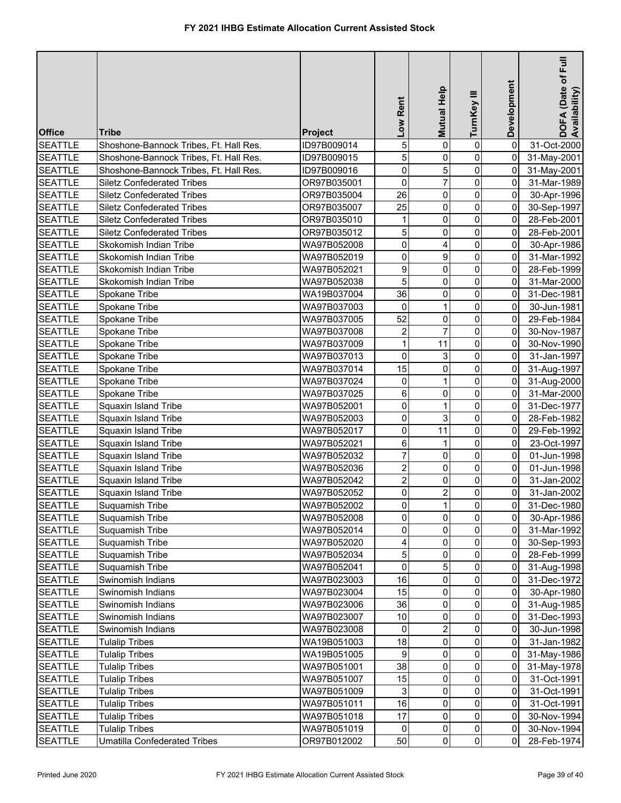| <b>Office</b><br><b>Tribe</b><br><b>Project</b><br>5<br>0<br>31-Oct-2000<br><b>SEATTLE</b><br>Shoshone-Bannock Tribes, Ft. Hall Res.<br>0<br>0<br>ID97B009014<br>5<br>0<br><b>SEATTLE</b><br>Shoshone-Bannock Tribes, Ft. Hall Res.<br>ID97B009015<br>0<br>$\mathbf 0$<br>31-May-2001<br>0<br>5<br>0<br><b>SEATTLE</b><br>$\overline{0}$<br>Shoshone-Bannock Tribes, Ft. Hall Res.<br>ID97B009016<br>31-May-2001<br>$\overline{7}$<br>0<br>0<br>$\pmb{0}$<br><b>SEATTLE</b><br><b>Siletz Confederated Tribes</b><br>OR97B035001<br>31-Mar-1989<br>0<br>26<br>0<br>0<br><b>SEATTLE</b><br><b>Siletz Confederated Tribes</b><br>OR97B035004<br>30-Apr-1996<br>0<br>$\mathbf 0$<br>25<br>0<br><b>SEATTLE</b><br><b>Siletz Confederated Tribes</b><br>OR97B035007<br>30-Sep-1997<br>0<br>0<br>0<br>$\mathbf{1}$<br><b>SEATTLE</b><br><b>Siletz Confederated Tribes</b><br>OR97B035010<br>28-Feb-2001<br>5<br>0<br>0<br>0<br><b>SEATTLE</b><br><b>Siletz Confederated Tribes</b><br>OR97B035012<br>28-Feb-2001<br>$\pmb{0}$<br>$\overline{0}$<br>0<br><b>SEATTLE</b><br>Skokomish Indian Tribe<br>WA97B052008<br>4<br>30-Apr-1986<br>$\mathbf 0$<br>$\mathsf{O}\xspace$<br>9<br>Skokomish Indian Tribe<br>0<br><b>SEATTLE</b><br>WA97B052019<br>31-Mar-1992<br>$\boldsymbol{9}$<br>$\overline{0}$<br>0<br><b>SEATTLE</b><br>Skokomish Indian Tribe<br>WA97B052021<br>0<br>28-Feb-1999<br>5<br>$\overline{0}$<br>0<br>Skokomish Indian Tribe<br>31-Mar-2000<br><b>SEATTLE</b><br>WA97B052038<br>0<br>36<br>0<br>0<br><b>SEATTLE</b><br>Spokane Tribe<br>WA19B037004<br>0<br>31-Dec-1981<br>0<br>0<br><b>SEATTLE</b><br>Spokane Tribe<br>WA97B037003<br>0<br>30-Jun-1981<br>1<br>52<br>0<br><b>SEATTLE</b><br>0<br>Spokane Tribe<br>WA97B037005<br>0<br>29-Feb-1984<br>$\overline{7}$<br>0<br>2<br>0<br><b>SEATTLE</b><br>Spokane Tribe<br>30-Nov-1987<br>WA97B037008<br>$\mathbf{1}$<br>0<br>11<br>0<br><b>SEATTLE</b><br>30-Nov-1990<br>Spokane Tribe<br>WA97B037009<br>0<br>0<br>3<br><b>SEATTLE</b><br>Spokane Tribe<br>WA97B037013<br>0<br>31-Jan-1997<br>15<br>0<br>0<br>$\mathbf 0$<br><b>SEATTLE</b><br>Spokane Tribe<br>WA97B037014<br>31-Aug-1997<br>0<br>0<br>$\mathbf 0$<br><b>SEATTLE</b><br>Spokane Tribe<br>WA97B037024<br>1<br>31-Aug-2000<br>6<br>0<br><b>SEATTLE</b><br>$\mathbf 0$<br>Spokane Tribe<br>WA97B037025<br>0<br>31-Mar-2000<br>0<br>0<br><b>SEATTLE</b><br>0<br>Squaxin Island Tribe<br>WA97B052001<br>1<br>31-Dec-1977<br>$\mathsf{O}\xspace$<br>3<br>0<br><b>SEATTLE</b><br>0<br>Squaxin Island Tribe<br>WA97B052003<br>28-Feb-1982<br>$\mathsf{O}\xspace$<br>0<br><b>SEATTLE</b><br>11<br>$\mathbf 0$<br>Squaxin Island Tribe<br>WA97B052017<br>29-Feb-1992<br>6<br>$\mathbf 0$<br>$\pmb{0}$<br><b>SEATTLE</b><br>Squaxin Island Tribe<br>WA97B052021<br>1<br>23-Oct-1997<br>$\overline{7}$<br>0<br><b>SEATTLE</b><br>0<br>01-Jun-1998<br>Squaxin Island Tribe<br>WA97B052032<br>0<br>$\mathbf{2}$<br>0<br><b>SEATTLE</b><br>0<br>0<br>Squaxin Island Tribe<br>WA97B052036<br>01-Jun-1998<br>$\overline{a}$<br>0<br><b>SEATTLE</b><br>0<br>0<br>Squaxin Island Tribe<br>WA97B052042<br>31-Jan-2002<br>2<br>0<br>0<br><b>SEATTLE</b><br>WA97B052052<br>0<br>Squaxin Island Tribe<br>31-Jan-2002<br>$\overline{0}$<br>$\overline{\phantom{a}}$<br>$\overline{0}$<br><b>SEATTLE</b><br>$\overline{0}$<br>Suquamish Tribe<br>31-Dec-1980<br>WA97B052002<br>$\overline{0}$<br>$\Omega$<br>$\mathbf{0}$<br>$\mathbf{0}$<br><b>SEATTLE</b><br>Suquamish Tribe<br>WA97B052008<br>30-Apr-1986<br>0<br>0<br>$\overline{0}$<br>$\mathbf 0$<br><b>SEATTLE</b><br>Suquamish Tribe<br>WA97B052014<br>31-Mar-1992<br>4<br>0<br>0<br><b>SEATTLE</b><br>Suquamish Tribe<br>WA97B052020<br>0<br>30-Sep-1993<br>5<br>0<br>$\overline{0}$<br><b>SEATTLE</b><br>Suquamish Tribe<br>WA97B052034<br>0<br>28-Feb-1999<br>5<br>$\mathbf 0$<br>$\overline{0}$<br><b>SEATTLE</b><br>Suquamish Tribe<br>WA97B052041<br>0<br>31-Aug-1998<br>16<br>0<br>$\overline{0}$<br><b>SEATTLE</b><br>Swinomish Indians<br>WA97B023003<br>0<br>31-Dec-1972<br>15<br>$\overline{0}$<br>0<br><b>SEATTLE</b><br>Swinomish Indians<br>WA97B023004<br>$\mathbf 0$<br>30-Apr-1980<br>36<br>0<br><b>SEATTLE</b><br>Swinomish Indians<br>WA97B023006<br>0<br>0<br>31-Aug-1985<br>10<br>$\overline{0}$<br><b>SEATTLE</b><br>Swinomish Indians<br>WA97B023007<br>0<br>0<br>31-Dec-1993<br>$\overline{2}$<br>0<br><b>SEATTLE</b><br>Swinomish Indians<br>WA97B023008<br>0<br>0<br>30-Jun-1998<br>18<br>0<br>0<br><b>SEATTLE</b><br>$\mathbf 0$<br><b>Tulalip Tribes</b><br>WA19B051003<br>31-Jan-1982<br>$\boldsymbol{9}$<br>0<br>0<br>$\overline{0}$<br><b>SEATTLE</b><br><b>Tulalip Tribes</b><br>WA19B051005<br>31-May-1986<br>38<br>0<br><b>SEATTLE</b><br>0<br>0<br><b>Tulalip Tribes</b><br>WA97B051001<br>31-May-1978<br>15<br>0<br>0<br>0<br><b>SEATTLE</b><br><b>Tulalip Tribes</b><br>WA97B051007<br>31-Oct-1991<br>3<br>0<br><b>SEATTLE</b><br>WA97B051009<br>0<br>$\overline{0}$<br><b>Tulalip Tribes</b><br>31-Oct-1991<br>16<br>0<br>0<br>$\mathbf 0$<br><b>SEATTLE</b><br><b>Tulalip Tribes</b><br>WA97B051011<br>31-Oct-1991<br>0<br>17<br>0<br>$\mathbf 0$<br><b>SEATTLE</b><br><b>Tulalip Tribes</b><br>WA97B051018<br>30-Nov-1994<br>$\overline{0}$<br><b>SEATTLE</b><br>$\overline{0}$<br><b>Tulalip Tribes</b><br>WA97B051019<br>$\overline{0}$<br>0<br>30-Nov-1994<br>$\overline{0}$ |                |                                     |             | Low Rent | Mutual Help | TurnKey III | Development    | $E$ ull<br>DOFA (Date of F<br>Availability) |
|-----------------------------------------------------------------------------------------------------------------------------------------------------------------------------------------------------------------------------------------------------------------------------------------------------------------------------------------------------------------------------------------------------------------------------------------------------------------------------------------------------------------------------------------------------------------------------------------------------------------------------------------------------------------------------------------------------------------------------------------------------------------------------------------------------------------------------------------------------------------------------------------------------------------------------------------------------------------------------------------------------------------------------------------------------------------------------------------------------------------------------------------------------------------------------------------------------------------------------------------------------------------------------------------------------------------------------------------------------------------------------------------------------------------------------------------------------------------------------------------------------------------------------------------------------------------------------------------------------------------------------------------------------------------------------------------------------------------------------------------------------------------------------------------------------------------------------------------------------------------------------------------------------------------------------------------------------------------------------------------------------------------------------------------------------------------------------------------------------------------------------------------------------------------------------------------------------------------------------------------------------------------------------------------------------------------------------------------------------------------------------------------------------------------------------------------------------------------------------------------------------------------------------------------------------------------------------------------------------------------------------------------------------------------------------------------------------------------------------------------------------------------------------------------------------------------------------------------------------------------------------------------------------------------------------------------------------------------------------------------------------------------------------------------------------------------------------------------------------------------------------------------------------------------------------------------------------------------------------------------------------------------------------------------------------------------------------------------------------------------------------------------------------------------------------------------------------------------------------------------------------------------------------------------------------------------------------------------------------------------------------------------------------------------------------------------------------------------------------------------------------------------------------------------------------------------------------------------------------------------------------------------------------------------------------------------------------------------------------------------------------------------------------------------------------------------------------------------------------------------------------------------------------------------------------------------------------------------------------------------------------------------------------------------------------------------------------------------------------------------------------------------------------------------------------------------------------------------------------------------------------------------------------------------------------------------------------------------------------------------------------------------------------------------------------------------------------------------------------------------------------------------------------------------------------------------------------------------------------------------------------------------------------------------------------------------------------------------------------------------------------------------------------------------------------------------------------------------------------------------------------------------------------------------------------------------------------------------------------------------------------------------------------------------------------------------------------------------------------------------------------------|----------------|-------------------------------------|-------------|----------|-------------|-------------|----------------|---------------------------------------------|
|                                                                                                                                                                                                                                                                                                                                                                                                                                                                                                                                                                                                                                                                                                                                                                                                                                                                                                                                                                                                                                                                                                                                                                                                                                                                                                                                                                                                                                                                                                                                                                                                                                                                                                                                                                                                                                                                                                                                                                                                                                                                                                                                                                                                                                                                                                                                                                                                                                                                                                                                                                                                                                                                                                                                                                                                                                                                                                                                                                                                                                                                                                                                                                                                                                                                                                                                                                                                                                                                                                                                                                                                                                                                                                                                                                                                                                                                                                                                                                                                                                                                                                                                                                                                                                                                                                                                                                                                                                                                                                                                                                                                                                                                                                                                                                                                                                                                                                                                                                                                                                                                                                                                                                                                                                                                                                                                                                                   |                |                                     |             |          |             |             |                |                                             |
|                                                                                                                                                                                                                                                                                                                                                                                                                                                                                                                                                                                                                                                                                                                                                                                                                                                                                                                                                                                                                                                                                                                                                                                                                                                                                                                                                                                                                                                                                                                                                                                                                                                                                                                                                                                                                                                                                                                                                                                                                                                                                                                                                                                                                                                                                                                                                                                                                                                                                                                                                                                                                                                                                                                                                                                                                                                                                                                                                                                                                                                                                                                                                                                                                                                                                                                                                                                                                                                                                                                                                                                                                                                                                                                                                                                                                                                                                                                                                                                                                                                                                                                                                                                                                                                                                                                                                                                                                                                                                                                                                                                                                                                                                                                                                                                                                                                                                                                                                                                                                                                                                                                                                                                                                                                                                                                                                                                   |                |                                     |             |          |             |             |                |                                             |
|                                                                                                                                                                                                                                                                                                                                                                                                                                                                                                                                                                                                                                                                                                                                                                                                                                                                                                                                                                                                                                                                                                                                                                                                                                                                                                                                                                                                                                                                                                                                                                                                                                                                                                                                                                                                                                                                                                                                                                                                                                                                                                                                                                                                                                                                                                                                                                                                                                                                                                                                                                                                                                                                                                                                                                                                                                                                                                                                                                                                                                                                                                                                                                                                                                                                                                                                                                                                                                                                                                                                                                                                                                                                                                                                                                                                                                                                                                                                                                                                                                                                                                                                                                                                                                                                                                                                                                                                                                                                                                                                                                                                                                                                                                                                                                                                                                                                                                                                                                                                                                                                                                                                                                                                                                                                                                                                                                                   |                |                                     |             |          |             |             |                |                                             |
|                                                                                                                                                                                                                                                                                                                                                                                                                                                                                                                                                                                                                                                                                                                                                                                                                                                                                                                                                                                                                                                                                                                                                                                                                                                                                                                                                                                                                                                                                                                                                                                                                                                                                                                                                                                                                                                                                                                                                                                                                                                                                                                                                                                                                                                                                                                                                                                                                                                                                                                                                                                                                                                                                                                                                                                                                                                                                                                                                                                                                                                                                                                                                                                                                                                                                                                                                                                                                                                                                                                                                                                                                                                                                                                                                                                                                                                                                                                                                                                                                                                                                                                                                                                                                                                                                                                                                                                                                                                                                                                                                                                                                                                                                                                                                                                                                                                                                                                                                                                                                                                                                                                                                                                                                                                                                                                                                                                   |                |                                     |             |          |             |             |                |                                             |
|                                                                                                                                                                                                                                                                                                                                                                                                                                                                                                                                                                                                                                                                                                                                                                                                                                                                                                                                                                                                                                                                                                                                                                                                                                                                                                                                                                                                                                                                                                                                                                                                                                                                                                                                                                                                                                                                                                                                                                                                                                                                                                                                                                                                                                                                                                                                                                                                                                                                                                                                                                                                                                                                                                                                                                                                                                                                                                                                                                                                                                                                                                                                                                                                                                                                                                                                                                                                                                                                                                                                                                                                                                                                                                                                                                                                                                                                                                                                                                                                                                                                                                                                                                                                                                                                                                                                                                                                                                                                                                                                                                                                                                                                                                                                                                                                                                                                                                                                                                                                                                                                                                                                                                                                                                                                                                                                                                                   |                |                                     |             |          |             |             |                |                                             |
|                                                                                                                                                                                                                                                                                                                                                                                                                                                                                                                                                                                                                                                                                                                                                                                                                                                                                                                                                                                                                                                                                                                                                                                                                                                                                                                                                                                                                                                                                                                                                                                                                                                                                                                                                                                                                                                                                                                                                                                                                                                                                                                                                                                                                                                                                                                                                                                                                                                                                                                                                                                                                                                                                                                                                                                                                                                                                                                                                                                                                                                                                                                                                                                                                                                                                                                                                                                                                                                                                                                                                                                                                                                                                                                                                                                                                                                                                                                                                                                                                                                                                                                                                                                                                                                                                                                                                                                                                                                                                                                                                                                                                                                                                                                                                                                                                                                                                                                                                                                                                                                                                                                                                                                                                                                                                                                                                                                   |                |                                     |             |          |             |             |                |                                             |
|                                                                                                                                                                                                                                                                                                                                                                                                                                                                                                                                                                                                                                                                                                                                                                                                                                                                                                                                                                                                                                                                                                                                                                                                                                                                                                                                                                                                                                                                                                                                                                                                                                                                                                                                                                                                                                                                                                                                                                                                                                                                                                                                                                                                                                                                                                                                                                                                                                                                                                                                                                                                                                                                                                                                                                                                                                                                                                                                                                                                                                                                                                                                                                                                                                                                                                                                                                                                                                                                                                                                                                                                                                                                                                                                                                                                                                                                                                                                                                                                                                                                                                                                                                                                                                                                                                                                                                                                                                                                                                                                                                                                                                                                                                                                                                                                                                                                                                                                                                                                                                                                                                                                                                                                                                                                                                                                                                                   |                |                                     |             |          |             |             |                |                                             |
|                                                                                                                                                                                                                                                                                                                                                                                                                                                                                                                                                                                                                                                                                                                                                                                                                                                                                                                                                                                                                                                                                                                                                                                                                                                                                                                                                                                                                                                                                                                                                                                                                                                                                                                                                                                                                                                                                                                                                                                                                                                                                                                                                                                                                                                                                                                                                                                                                                                                                                                                                                                                                                                                                                                                                                                                                                                                                                                                                                                                                                                                                                                                                                                                                                                                                                                                                                                                                                                                                                                                                                                                                                                                                                                                                                                                                                                                                                                                                                                                                                                                                                                                                                                                                                                                                                                                                                                                                                                                                                                                                                                                                                                                                                                                                                                                                                                                                                                                                                                                                                                                                                                                                                                                                                                                                                                                                                                   |                |                                     |             |          |             |             |                |                                             |
|                                                                                                                                                                                                                                                                                                                                                                                                                                                                                                                                                                                                                                                                                                                                                                                                                                                                                                                                                                                                                                                                                                                                                                                                                                                                                                                                                                                                                                                                                                                                                                                                                                                                                                                                                                                                                                                                                                                                                                                                                                                                                                                                                                                                                                                                                                                                                                                                                                                                                                                                                                                                                                                                                                                                                                                                                                                                                                                                                                                                                                                                                                                                                                                                                                                                                                                                                                                                                                                                                                                                                                                                                                                                                                                                                                                                                                                                                                                                                                                                                                                                                                                                                                                                                                                                                                                                                                                                                                                                                                                                                                                                                                                                                                                                                                                                                                                                                                                                                                                                                                                                                                                                                                                                                                                                                                                                                                                   |                |                                     |             |          |             |             |                |                                             |
|                                                                                                                                                                                                                                                                                                                                                                                                                                                                                                                                                                                                                                                                                                                                                                                                                                                                                                                                                                                                                                                                                                                                                                                                                                                                                                                                                                                                                                                                                                                                                                                                                                                                                                                                                                                                                                                                                                                                                                                                                                                                                                                                                                                                                                                                                                                                                                                                                                                                                                                                                                                                                                                                                                                                                                                                                                                                                                                                                                                                                                                                                                                                                                                                                                                                                                                                                                                                                                                                                                                                                                                                                                                                                                                                                                                                                                                                                                                                                                                                                                                                                                                                                                                                                                                                                                                                                                                                                                                                                                                                                                                                                                                                                                                                                                                                                                                                                                                                                                                                                                                                                                                                                                                                                                                                                                                                                                                   |                |                                     |             |          |             |             |                |                                             |
|                                                                                                                                                                                                                                                                                                                                                                                                                                                                                                                                                                                                                                                                                                                                                                                                                                                                                                                                                                                                                                                                                                                                                                                                                                                                                                                                                                                                                                                                                                                                                                                                                                                                                                                                                                                                                                                                                                                                                                                                                                                                                                                                                                                                                                                                                                                                                                                                                                                                                                                                                                                                                                                                                                                                                                                                                                                                                                                                                                                                                                                                                                                                                                                                                                                                                                                                                                                                                                                                                                                                                                                                                                                                                                                                                                                                                                                                                                                                                                                                                                                                                                                                                                                                                                                                                                                                                                                                                                                                                                                                                                                                                                                                                                                                                                                                                                                                                                                                                                                                                                                                                                                                                                                                                                                                                                                                                                                   |                |                                     |             |          |             |             |                |                                             |
|                                                                                                                                                                                                                                                                                                                                                                                                                                                                                                                                                                                                                                                                                                                                                                                                                                                                                                                                                                                                                                                                                                                                                                                                                                                                                                                                                                                                                                                                                                                                                                                                                                                                                                                                                                                                                                                                                                                                                                                                                                                                                                                                                                                                                                                                                                                                                                                                                                                                                                                                                                                                                                                                                                                                                                                                                                                                                                                                                                                                                                                                                                                                                                                                                                                                                                                                                                                                                                                                                                                                                                                                                                                                                                                                                                                                                                                                                                                                                                                                                                                                                                                                                                                                                                                                                                                                                                                                                                                                                                                                                                                                                                                                                                                                                                                                                                                                                                                                                                                                                                                                                                                                                                                                                                                                                                                                                                                   |                |                                     |             |          |             |             |                |                                             |
|                                                                                                                                                                                                                                                                                                                                                                                                                                                                                                                                                                                                                                                                                                                                                                                                                                                                                                                                                                                                                                                                                                                                                                                                                                                                                                                                                                                                                                                                                                                                                                                                                                                                                                                                                                                                                                                                                                                                                                                                                                                                                                                                                                                                                                                                                                                                                                                                                                                                                                                                                                                                                                                                                                                                                                                                                                                                                                                                                                                                                                                                                                                                                                                                                                                                                                                                                                                                                                                                                                                                                                                                                                                                                                                                                                                                                                                                                                                                                                                                                                                                                                                                                                                                                                                                                                                                                                                                                                                                                                                                                                                                                                                                                                                                                                                                                                                                                                                                                                                                                                                                                                                                                                                                                                                                                                                                                                                   |                |                                     |             |          |             |             |                |                                             |
|                                                                                                                                                                                                                                                                                                                                                                                                                                                                                                                                                                                                                                                                                                                                                                                                                                                                                                                                                                                                                                                                                                                                                                                                                                                                                                                                                                                                                                                                                                                                                                                                                                                                                                                                                                                                                                                                                                                                                                                                                                                                                                                                                                                                                                                                                                                                                                                                                                                                                                                                                                                                                                                                                                                                                                                                                                                                                                                                                                                                                                                                                                                                                                                                                                                                                                                                                                                                                                                                                                                                                                                                                                                                                                                                                                                                                                                                                                                                                                                                                                                                                                                                                                                                                                                                                                                                                                                                                                                                                                                                                                                                                                                                                                                                                                                                                                                                                                                                                                                                                                                                                                                                                                                                                                                                                                                                                                                   |                |                                     |             |          |             |             |                |                                             |
|                                                                                                                                                                                                                                                                                                                                                                                                                                                                                                                                                                                                                                                                                                                                                                                                                                                                                                                                                                                                                                                                                                                                                                                                                                                                                                                                                                                                                                                                                                                                                                                                                                                                                                                                                                                                                                                                                                                                                                                                                                                                                                                                                                                                                                                                                                                                                                                                                                                                                                                                                                                                                                                                                                                                                                                                                                                                                                                                                                                                                                                                                                                                                                                                                                                                                                                                                                                                                                                                                                                                                                                                                                                                                                                                                                                                                                                                                                                                                                                                                                                                                                                                                                                                                                                                                                                                                                                                                                                                                                                                                                                                                                                                                                                                                                                                                                                                                                                                                                                                                                                                                                                                                                                                                                                                                                                                                                                   |                |                                     |             |          |             |             |                |                                             |
|                                                                                                                                                                                                                                                                                                                                                                                                                                                                                                                                                                                                                                                                                                                                                                                                                                                                                                                                                                                                                                                                                                                                                                                                                                                                                                                                                                                                                                                                                                                                                                                                                                                                                                                                                                                                                                                                                                                                                                                                                                                                                                                                                                                                                                                                                                                                                                                                                                                                                                                                                                                                                                                                                                                                                                                                                                                                                                                                                                                                                                                                                                                                                                                                                                                                                                                                                                                                                                                                                                                                                                                                                                                                                                                                                                                                                                                                                                                                                                                                                                                                                                                                                                                                                                                                                                                                                                                                                                                                                                                                                                                                                                                                                                                                                                                                                                                                                                                                                                                                                                                                                                                                                                                                                                                                                                                                                                                   |                |                                     |             |          |             |             |                |                                             |
|                                                                                                                                                                                                                                                                                                                                                                                                                                                                                                                                                                                                                                                                                                                                                                                                                                                                                                                                                                                                                                                                                                                                                                                                                                                                                                                                                                                                                                                                                                                                                                                                                                                                                                                                                                                                                                                                                                                                                                                                                                                                                                                                                                                                                                                                                                                                                                                                                                                                                                                                                                                                                                                                                                                                                                                                                                                                                                                                                                                                                                                                                                                                                                                                                                                                                                                                                                                                                                                                                                                                                                                                                                                                                                                                                                                                                                                                                                                                                                                                                                                                                                                                                                                                                                                                                                                                                                                                                                                                                                                                                                                                                                                                                                                                                                                                                                                                                                                                                                                                                                                                                                                                                                                                                                                                                                                                                                                   |                |                                     |             |          |             |             |                |                                             |
|                                                                                                                                                                                                                                                                                                                                                                                                                                                                                                                                                                                                                                                                                                                                                                                                                                                                                                                                                                                                                                                                                                                                                                                                                                                                                                                                                                                                                                                                                                                                                                                                                                                                                                                                                                                                                                                                                                                                                                                                                                                                                                                                                                                                                                                                                                                                                                                                                                                                                                                                                                                                                                                                                                                                                                                                                                                                                                                                                                                                                                                                                                                                                                                                                                                                                                                                                                                                                                                                                                                                                                                                                                                                                                                                                                                                                                                                                                                                                                                                                                                                                                                                                                                                                                                                                                                                                                                                                                                                                                                                                                                                                                                                                                                                                                                                                                                                                                                                                                                                                                                                                                                                                                                                                                                                                                                                                                                   |                |                                     |             |          |             |             |                |                                             |
|                                                                                                                                                                                                                                                                                                                                                                                                                                                                                                                                                                                                                                                                                                                                                                                                                                                                                                                                                                                                                                                                                                                                                                                                                                                                                                                                                                                                                                                                                                                                                                                                                                                                                                                                                                                                                                                                                                                                                                                                                                                                                                                                                                                                                                                                                                                                                                                                                                                                                                                                                                                                                                                                                                                                                                                                                                                                                                                                                                                                                                                                                                                                                                                                                                                                                                                                                                                                                                                                                                                                                                                                                                                                                                                                                                                                                                                                                                                                                                                                                                                                                                                                                                                                                                                                                                                                                                                                                                                                                                                                                                                                                                                                                                                                                                                                                                                                                                                                                                                                                                                                                                                                                                                                                                                                                                                                                                                   |                |                                     |             |          |             |             |                |                                             |
|                                                                                                                                                                                                                                                                                                                                                                                                                                                                                                                                                                                                                                                                                                                                                                                                                                                                                                                                                                                                                                                                                                                                                                                                                                                                                                                                                                                                                                                                                                                                                                                                                                                                                                                                                                                                                                                                                                                                                                                                                                                                                                                                                                                                                                                                                                                                                                                                                                                                                                                                                                                                                                                                                                                                                                                                                                                                                                                                                                                                                                                                                                                                                                                                                                                                                                                                                                                                                                                                                                                                                                                                                                                                                                                                                                                                                                                                                                                                                                                                                                                                                                                                                                                                                                                                                                                                                                                                                                                                                                                                                                                                                                                                                                                                                                                                                                                                                                                                                                                                                                                                                                                                                                                                                                                                                                                                                                                   |                |                                     |             |          |             |             |                |                                             |
|                                                                                                                                                                                                                                                                                                                                                                                                                                                                                                                                                                                                                                                                                                                                                                                                                                                                                                                                                                                                                                                                                                                                                                                                                                                                                                                                                                                                                                                                                                                                                                                                                                                                                                                                                                                                                                                                                                                                                                                                                                                                                                                                                                                                                                                                                                                                                                                                                                                                                                                                                                                                                                                                                                                                                                                                                                                                                                                                                                                                                                                                                                                                                                                                                                                                                                                                                                                                                                                                                                                                                                                                                                                                                                                                                                                                                                                                                                                                                                                                                                                                                                                                                                                                                                                                                                                                                                                                                                                                                                                                                                                                                                                                                                                                                                                                                                                                                                                                                                                                                                                                                                                                                                                                                                                                                                                                                                                   |                |                                     |             |          |             |             |                |                                             |
|                                                                                                                                                                                                                                                                                                                                                                                                                                                                                                                                                                                                                                                                                                                                                                                                                                                                                                                                                                                                                                                                                                                                                                                                                                                                                                                                                                                                                                                                                                                                                                                                                                                                                                                                                                                                                                                                                                                                                                                                                                                                                                                                                                                                                                                                                                                                                                                                                                                                                                                                                                                                                                                                                                                                                                                                                                                                                                                                                                                                                                                                                                                                                                                                                                                                                                                                                                                                                                                                                                                                                                                                                                                                                                                                                                                                                                                                                                                                                                                                                                                                                                                                                                                                                                                                                                                                                                                                                                                                                                                                                                                                                                                                                                                                                                                                                                                                                                                                                                                                                                                                                                                                                                                                                                                                                                                                                                                   |                |                                     |             |          |             |             |                |                                             |
|                                                                                                                                                                                                                                                                                                                                                                                                                                                                                                                                                                                                                                                                                                                                                                                                                                                                                                                                                                                                                                                                                                                                                                                                                                                                                                                                                                                                                                                                                                                                                                                                                                                                                                                                                                                                                                                                                                                                                                                                                                                                                                                                                                                                                                                                                                                                                                                                                                                                                                                                                                                                                                                                                                                                                                                                                                                                                                                                                                                                                                                                                                                                                                                                                                                                                                                                                                                                                                                                                                                                                                                                                                                                                                                                                                                                                                                                                                                                                                                                                                                                                                                                                                                                                                                                                                                                                                                                                                                                                                                                                                                                                                                                                                                                                                                                                                                                                                                                                                                                                                                                                                                                                                                                                                                                                                                                                                                   |                |                                     |             |          |             |             |                |                                             |
|                                                                                                                                                                                                                                                                                                                                                                                                                                                                                                                                                                                                                                                                                                                                                                                                                                                                                                                                                                                                                                                                                                                                                                                                                                                                                                                                                                                                                                                                                                                                                                                                                                                                                                                                                                                                                                                                                                                                                                                                                                                                                                                                                                                                                                                                                                                                                                                                                                                                                                                                                                                                                                                                                                                                                                                                                                                                                                                                                                                                                                                                                                                                                                                                                                                                                                                                                                                                                                                                                                                                                                                                                                                                                                                                                                                                                                                                                                                                                                                                                                                                                                                                                                                                                                                                                                                                                                                                                                                                                                                                                                                                                                                                                                                                                                                                                                                                                                                                                                                                                                                                                                                                                                                                                                                                                                                                                                                   |                |                                     |             |          |             |             |                |                                             |
|                                                                                                                                                                                                                                                                                                                                                                                                                                                                                                                                                                                                                                                                                                                                                                                                                                                                                                                                                                                                                                                                                                                                                                                                                                                                                                                                                                                                                                                                                                                                                                                                                                                                                                                                                                                                                                                                                                                                                                                                                                                                                                                                                                                                                                                                                                                                                                                                                                                                                                                                                                                                                                                                                                                                                                                                                                                                                                                                                                                                                                                                                                                                                                                                                                                                                                                                                                                                                                                                                                                                                                                                                                                                                                                                                                                                                                                                                                                                                                                                                                                                                                                                                                                                                                                                                                                                                                                                                                                                                                                                                                                                                                                                                                                                                                                                                                                                                                                                                                                                                                                                                                                                                                                                                                                                                                                                                                                   |                |                                     |             |          |             |             |                |                                             |
|                                                                                                                                                                                                                                                                                                                                                                                                                                                                                                                                                                                                                                                                                                                                                                                                                                                                                                                                                                                                                                                                                                                                                                                                                                                                                                                                                                                                                                                                                                                                                                                                                                                                                                                                                                                                                                                                                                                                                                                                                                                                                                                                                                                                                                                                                                                                                                                                                                                                                                                                                                                                                                                                                                                                                                                                                                                                                                                                                                                                                                                                                                                                                                                                                                                                                                                                                                                                                                                                                                                                                                                                                                                                                                                                                                                                                                                                                                                                                                                                                                                                                                                                                                                                                                                                                                                                                                                                                                                                                                                                                                                                                                                                                                                                                                                                                                                                                                                                                                                                                                                                                                                                                                                                                                                                                                                                                                                   |                |                                     |             |          |             |             |                |                                             |
|                                                                                                                                                                                                                                                                                                                                                                                                                                                                                                                                                                                                                                                                                                                                                                                                                                                                                                                                                                                                                                                                                                                                                                                                                                                                                                                                                                                                                                                                                                                                                                                                                                                                                                                                                                                                                                                                                                                                                                                                                                                                                                                                                                                                                                                                                                                                                                                                                                                                                                                                                                                                                                                                                                                                                                                                                                                                                                                                                                                                                                                                                                                                                                                                                                                                                                                                                                                                                                                                                                                                                                                                                                                                                                                                                                                                                                                                                                                                                                                                                                                                                                                                                                                                                                                                                                                                                                                                                                                                                                                                                                                                                                                                                                                                                                                                                                                                                                                                                                                                                                                                                                                                                                                                                                                                                                                                                                                   |                |                                     |             |          |             |             |                |                                             |
|                                                                                                                                                                                                                                                                                                                                                                                                                                                                                                                                                                                                                                                                                                                                                                                                                                                                                                                                                                                                                                                                                                                                                                                                                                                                                                                                                                                                                                                                                                                                                                                                                                                                                                                                                                                                                                                                                                                                                                                                                                                                                                                                                                                                                                                                                                                                                                                                                                                                                                                                                                                                                                                                                                                                                                                                                                                                                                                                                                                                                                                                                                                                                                                                                                                                                                                                                                                                                                                                                                                                                                                                                                                                                                                                                                                                                                                                                                                                                                                                                                                                                                                                                                                                                                                                                                                                                                                                                                                                                                                                                                                                                                                                                                                                                                                                                                                                                                                                                                                                                                                                                                                                                                                                                                                                                                                                                                                   |                |                                     |             |          |             |             |                |                                             |
|                                                                                                                                                                                                                                                                                                                                                                                                                                                                                                                                                                                                                                                                                                                                                                                                                                                                                                                                                                                                                                                                                                                                                                                                                                                                                                                                                                                                                                                                                                                                                                                                                                                                                                                                                                                                                                                                                                                                                                                                                                                                                                                                                                                                                                                                                                                                                                                                                                                                                                                                                                                                                                                                                                                                                                                                                                                                                                                                                                                                                                                                                                                                                                                                                                                                                                                                                                                                                                                                                                                                                                                                                                                                                                                                                                                                                                                                                                                                                                                                                                                                                                                                                                                                                                                                                                                                                                                                                                                                                                                                                                                                                                                                                                                                                                                                                                                                                                                                                                                                                                                                                                                                                                                                                                                                                                                                                                                   |                |                                     |             |          |             |             |                |                                             |
|                                                                                                                                                                                                                                                                                                                                                                                                                                                                                                                                                                                                                                                                                                                                                                                                                                                                                                                                                                                                                                                                                                                                                                                                                                                                                                                                                                                                                                                                                                                                                                                                                                                                                                                                                                                                                                                                                                                                                                                                                                                                                                                                                                                                                                                                                                                                                                                                                                                                                                                                                                                                                                                                                                                                                                                                                                                                                                                                                                                                                                                                                                                                                                                                                                                                                                                                                                                                                                                                                                                                                                                                                                                                                                                                                                                                                                                                                                                                                                                                                                                                                                                                                                                                                                                                                                                                                                                                                                                                                                                                                                                                                                                                                                                                                                                                                                                                                                                                                                                                                                                                                                                                                                                                                                                                                                                                                                                   |                |                                     |             |          |             |             |                |                                             |
|                                                                                                                                                                                                                                                                                                                                                                                                                                                                                                                                                                                                                                                                                                                                                                                                                                                                                                                                                                                                                                                                                                                                                                                                                                                                                                                                                                                                                                                                                                                                                                                                                                                                                                                                                                                                                                                                                                                                                                                                                                                                                                                                                                                                                                                                                                                                                                                                                                                                                                                                                                                                                                                                                                                                                                                                                                                                                                                                                                                                                                                                                                                                                                                                                                                                                                                                                                                                                                                                                                                                                                                                                                                                                                                                                                                                                                                                                                                                                                                                                                                                                                                                                                                                                                                                                                                                                                                                                                                                                                                                                                                                                                                                                                                                                                                                                                                                                                                                                                                                                                                                                                                                                                                                                                                                                                                                                                                   |                |                                     |             |          |             |             |                |                                             |
|                                                                                                                                                                                                                                                                                                                                                                                                                                                                                                                                                                                                                                                                                                                                                                                                                                                                                                                                                                                                                                                                                                                                                                                                                                                                                                                                                                                                                                                                                                                                                                                                                                                                                                                                                                                                                                                                                                                                                                                                                                                                                                                                                                                                                                                                                                                                                                                                                                                                                                                                                                                                                                                                                                                                                                                                                                                                                                                                                                                                                                                                                                                                                                                                                                                                                                                                                                                                                                                                                                                                                                                                                                                                                                                                                                                                                                                                                                                                                                                                                                                                                                                                                                                                                                                                                                                                                                                                                                                                                                                                                                                                                                                                                                                                                                                                                                                                                                                                                                                                                                                                                                                                                                                                                                                                                                                                                                                   |                |                                     |             |          |             |             |                |                                             |
|                                                                                                                                                                                                                                                                                                                                                                                                                                                                                                                                                                                                                                                                                                                                                                                                                                                                                                                                                                                                                                                                                                                                                                                                                                                                                                                                                                                                                                                                                                                                                                                                                                                                                                                                                                                                                                                                                                                                                                                                                                                                                                                                                                                                                                                                                                                                                                                                                                                                                                                                                                                                                                                                                                                                                                                                                                                                                                                                                                                                                                                                                                                                                                                                                                                                                                                                                                                                                                                                                                                                                                                                                                                                                                                                                                                                                                                                                                                                                                                                                                                                                                                                                                                                                                                                                                                                                                                                                                                                                                                                                                                                                                                                                                                                                                                                                                                                                                                                                                                                                                                                                                                                                                                                                                                                                                                                                                                   |                |                                     |             |          |             |             |                |                                             |
|                                                                                                                                                                                                                                                                                                                                                                                                                                                                                                                                                                                                                                                                                                                                                                                                                                                                                                                                                                                                                                                                                                                                                                                                                                                                                                                                                                                                                                                                                                                                                                                                                                                                                                                                                                                                                                                                                                                                                                                                                                                                                                                                                                                                                                                                                                                                                                                                                                                                                                                                                                                                                                                                                                                                                                                                                                                                                                                                                                                                                                                                                                                                                                                                                                                                                                                                                                                                                                                                                                                                                                                                                                                                                                                                                                                                                                                                                                                                                                                                                                                                                                                                                                                                                                                                                                                                                                                                                                                                                                                                                                                                                                                                                                                                                                                                                                                                                                                                                                                                                                                                                                                                                                                                                                                                                                                                                                                   |                |                                     |             |          |             |             |                |                                             |
|                                                                                                                                                                                                                                                                                                                                                                                                                                                                                                                                                                                                                                                                                                                                                                                                                                                                                                                                                                                                                                                                                                                                                                                                                                                                                                                                                                                                                                                                                                                                                                                                                                                                                                                                                                                                                                                                                                                                                                                                                                                                                                                                                                                                                                                                                                                                                                                                                                                                                                                                                                                                                                                                                                                                                                                                                                                                                                                                                                                                                                                                                                                                                                                                                                                                                                                                                                                                                                                                                                                                                                                                                                                                                                                                                                                                                                                                                                                                                                                                                                                                                                                                                                                                                                                                                                                                                                                                                                                                                                                                                                                                                                                                                                                                                                                                                                                                                                                                                                                                                                                                                                                                                                                                                                                                                                                                                                                   |                |                                     |             |          |             |             |                |                                             |
|                                                                                                                                                                                                                                                                                                                                                                                                                                                                                                                                                                                                                                                                                                                                                                                                                                                                                                                                                                                                                                                                                                                                                                                                                                                                                                                                                                                                                                                                                                                                                                                                                                                                                                                                                                                                                                                                                                                                                                                                                                                                                                                                                                                                                                                                                                                                                                                                                                                                                                                                                                                                                                                                                                                                                                                                                                                                                                                                                                                                                                                                                                                                                                                                                                                                                                                                                                                                                                                                                                                                                                                                                                                                                                                                                                                                                                                                                                                                                                                                                                                                                                                                                                                                                                                                                                                                                                                                                                                                                                                                                                                                                                                                                                                                                                                                                                                                                                                                                                                                                                                                                                                                                                                                                                                                                                                                                                                   |                |                                     |             |          |             |             |                |                                             |
|                                                                                                                                                                                                                                                                                                                                                                                                                                                                                                                                                                                                                                                                                                                                                                                                                                                                                                                                                                                                                                                                                                                                                                                                                                                                                                                                                                                                                                                                                                                                                                                                                                                                                                                                                                                                                                                                                                                                                                                                                                                                                                                                                                                                                                                                                                                                                                                                                                                                                                                                                                                                                                                                                                                                                                                                                                                                                                                                                                                                                                                                                                                                                                                                                                                                                                                                                                                                                                                                                                                                                                                                                                                                                                                                                                                                                                                                                                                                                                                                                                                                                                                                                                                                                                                                                                                                                                                                                                                                                                                                                                                                                                                                                                                                                                                                                                                                                                                                                                                                                                                                                                                                                                                                                                                                                                                                                                                   |                |                                     |             |          |             |             |                |                                             |
|                                                                                                                                                                                                                                                                                                                                                                                                                                                                                                                                                                                                                                                                                                                                                                                                                                                                                                                                                                                                                                                                                                                                                                                                                                                                                                                                                                                                                                                                                                                                                                                                                                                                                                                                                                                                                                                                                                                                                                                                                                                                                                                                                                                                                                                                                                                                                                                                                                                                                                                                                                                                                                                                                                                                                                                                                                                                                                                                                                                                                                                                                                                                                                                                                                                                                                                                                                                                                                                                                                                                                                                                                                                                                                                                                                                                                                                                                                                                                                                                                                                                                                                                                                                                                                                                                                                                                                                                                                                                                                                                                                                                                                                                                                                                                                                                                                                                                                                                                                                                                                                                                                                                                                                                                                                                                                                                                                                   |                |                                     |             |          |             |             |                |                                             |
|                                                                                                                                                                                                                                                                                                                                                                                                                                                                                                                                                                                                                                                                                                                                                                                                                                                                                                                                                                                                                                                                                                                                                                                                                                                                                                                                                                                                                                                                                                                                                                                                                                                                                                                                                                                                                                                                                                                                                                                                                                                                                                                                                                                                                                                                                                                                                                                                                                                                                                                                                                                                                                                                                                                                                                                                                                                                                                                                                                                                                                                                                                                                                                                                                                                                                                                                                                                                                                                                                                                                                                                                                                                                                                                                                                                                                                                                                                                                                                                                                                                                                                                                                                                                                                                                                                                                                                                                                                                                                                                                                                                                                                                                                                                                                                                                                                                                                                                                                                                                                                                                                                                                                                                                                                                                                                                                                                                   |                |                                     |             |          |             |             |                |                                             |
|                                                                                                                                                                                                                                                                                                                                                                                                                                                                                                                                                                                                                                                                                                                                                                                                                                                                                                                                                                                                                                                                                                                                                                                                                                                                                                                                                                                                                                                                                                                                                                                                                                                                                                                                                                                                                                                                                                                                                                                                                                                                                                                                                                                                                                                                                                                                                                                                                                                                                                                                                                                                                                                                                                                                                                                                                                                                                                                                                                                                                                                                                                                                                                                                                                                                                                                                                                                                                                                                                                                                                                                                                                                                                                                                                                                                                                                                                                                                                                                                                                                                                                                                                                                                                                                                                                                                                                                                                                                                                                                                                                                                                                                                                                                                                                                                                                                                                                                                                                                                                                                                                                                                                                                                                                                                                                                                                                                   |                |                                     |             |          |             |             |                |                                             |
|                                                                                                                                                                                                                                                                                                                                                                                                                                                                                                                                                                                                                                                                                                                                                                                                                                                                                                                                                                                                                                                                                                                                                                                                                                                                                                                                                                                                                                                                                                                                                                                                                                                                                                                                                                                                                                                                                                                                                                                                                                                                                                                                                                                                                                                                                                                                                                                                                                                                                                                                                                                                                                                                                                                                                                                                                                                                                                                                                                                                                                                                                                                                                                                                                                                                                                                                                                                                                                                                                                                                                                                                                                                                                                                                                                                                                                                                                                                                                                                                                                                                                                                                                                                                                                                                                                                                                                                                                                                                                                                                                                                                                                                                                                                                                                                                                                                                                                                                                                                                                                                                                                                                                                                                                                                                                                                                                                                   |                |                                     |             |          |             |             |                |                                             |
|                                                                                                                                                                                                                                                                                                                                                                                                                                                                                                                                                                                                                                                                                                                                                                                                                                                                                                                                                                                                                                                                                                                                                                                                                                                                                                                                                                                                                                                                                                                                                                                                                                                                                                                                                                                                                                                                                                                                                                                                                                                                                                                                                                                                                                                                                                                                                                                                                                                                                                                                                                                                                                                                                                                                                                                                                                                                                                                                                                                                                                                                                                                                                                                                                                                                                                                                                                                                                                                                                                                                                                                                                                                                                                                                                                                                                                                                                                                                                                                                                                                                                                                                                                                                                                                                                                                                                                                                                                                                                                                                                                                                                                                                                                                                                                                                                                                                                                                                                                                                                                                                                                                                                                                                                                                                                                                                                                                   |                |                                     |             |          |             |             |                |                                             |
|                                                                                                                                                                                                                                                                                                                                                                                                                                                                                                                                                                                                                                                                                                                                                                                                                                                                                                                                                                                                                                                                                                                                                                                                                                                                                                                                                                                                                                                                                                                                                                                                                                                                                                                                                                                                                                                                                                                                                                                                                                                                                                                                                                                                                                                                                                                                                                                                                                                                                                                                                                                                                                                                                                                                                                                                                                                                                                                                                                                                                                                                                                                                                                                                                                                                                                                                                                                                                                                                                                                                                                                                                                                                                                                                                                                                                                                                                                                                                                                                                                                                                                                                                                                                                                                                                                                                                                                                                                                                                                                                                                                                                                                                                                                                                                                                                                                                                                                                                                                                                                                                                                                                                                                                                                                                                                                                                                                   |                |                                     |             |          |             |             |                |                                             |
|                                                                                                                                                                                                                                                                                                                                                                                                                                                                                                                                                                                                                                                                                                                                                                                                                                                                                                                                                                                                                                                                                                                                                                                                                                                                                                                                                                                                                                                                                                                                                                                                                                                                                                                                                                                                                                                                                                                                                                                                                                                                                                                                                                                                                                                                                                                                                                                                                                                                                                                                                                                                                                                                                                                                                                                                                                                                                                                                                                                                                                                                                                                                                                                                                                                                                                                                                                                                                                                                                                                                                                                                                                                                                                                                                                                                                                                                                                                                                                                                                                                                                                                                                                                                                                                                                                                                                                                                                                                                                                                                                                                                                                                                                                                                                                                                                                                                                                                                                                                                                                                                                                                                                                                                                                                                                                                                                                                   |                |                                     |             |          |             |             |                |                                             |
|                                                                                                                                                                                                                                                                                                                                                                                                                                                                                                                                                                                                                                                                                                                                                                                                                                                                                                                                                                                                                                                                                                                                                                                                                                                                                                                                                                                                                                                                                                                                                                                                                                                                                                                                                                                                                                                                                                                                                                                                                                                                                                                                                                                                                                                                                                                                                                                                                                                                                                                                                                                                                                                                                                                                                                                                                                                                                                                                                                                                                                                                                                                                                                                                                                                                                                                                                                                                                                                                                                                                                                                                                                                                                                                                                                                                                                                                                                                                                                                                                                                                                                                                                                                                                                                                                                                                                                                                                                                                                                                                                                                                                                                                                                                                                                                                                                                                                                                                                                                                                                                                                                                                                                                                                                                                                                                                                                                   |                |                                     |             |          |             |             |                |                                             |
|                                                                                                                                                                                                                                                                                                                                                                                                                                                                                                                                                                                                                                                                                                                                                                                                                                                                                                                                                                                                                                                                                                                                                                                                                                                                                                                                                                                                                                                                                                                                                                                                                                                                                                                                                                                                                                                                                                                                                                                                                                                                                                                                                                                                                                                                                                                                                                                                                                                                                                                                                                                                                                                                                                                                                                                                                                                                                                                                                                                                                                                                                                                                                                                                                                                                                                                                                                                                                                                                                                                                                                                                                                                                                                                                                                                                                                                                                                                                                                                                                                                                                                                                                                                                                                                                                                                                                                                                                                                                                                                                                                                                                                                                                                                                                                                                                                                                                                                                                                                                                                                                                                                                                                                                                                                                                                                                                                                   |                |                                     |             |          |             |             |                |                                             |
|                                                                                                                                                                                                                                                                                                                                                                                                                                                                                                                                                                                                                                                                                                                                                                                                                                                                                                                                                                                                                                                                                                                                                                                                                                                                                                                                                                                                                                                                                                                                                                                                                                                                                                                                                                                                                                                                                                                                                                                                                                                                                                                                                                                                                                                                                                                                                                                                                                                                                                                                                                                                                                                                                                                                                                                                                                                                                                                                                                                                                                                                                                                                                                                                                                                                                                                                                                                                                                                                                                                                                                                                                                                                                                                                                                                                                                                                                                                                                                                                                                                                                                                                                                                                                                                                                                                                                                                                                                                                                                                                                                                                                                                                                                                                                                                                                                                                                                                                                                                                                                                                                                                                                                                                                                                                                                                                                                                   |                |                                     |             |          |             |             |                |                                             |
|                                                                                                                                                                                                                                                                                                                                                                                                                                                                                                                                                                                                                                                                                                                                                                                                                                                                                                                                                                                                                                                                                                                                                                                                                                                                                                                                                                                                                                                                                                                                                                                                                                                                                                                                                                                                                                                                                                                                                                                                                                                                                                                                                                                                                                                                                                                                                                                                                                                                                                                                                                                                                                                                                                                                                                                                                                                                                                                                                                                                                                                                                                                                                                                                                                                                                                                                                                                                                                                                                                                                                                                                                                                                                                                                                                                                                                                                                                                                                                                                                                                                                                                                                                                                                                                                                                                                                                                                                                                                                                                                                                                                                                                                                                                                                                                                                                                                                                                                                                                                                                                                                                                                                                                                                                                                                                                                                                                   |                |                                     |             |          |             |             |                |                                             |
|                                                                                                                                                                                                                                                                                                                                                                                                                                                                                                                                                                                                                                                                                                                                                                                                                                                                                                                                                                                                                                                                                                                                                                                                                                                                                                                                                                                                                                                                                                                                                                                                                                                                                                                                                                                                                                                                                                                                                                                                                                                                                                                                                                                                                                                                                                                                                                                                                                                                                                                                                                                                                                                                                                                                                                                                                                                                                                                                                                                                                                                                                                                                                                                                                                                                                                                                                                                                                                                                                                                                                                                                                                                                                                                                                                                                                                                                                                                                                                                                                                                                                                                                                                                                                                                                                                                                                                                                                                                                                                                                                                                                                                                                                                                                                                                                                                                                                                                                                                                                                                                                                                                                                                                                                                                                                                                                                                                   | <b>SEATTLE</b> | <b>Umatilla Confederated Tribes</b> | OR97B012002 | 50       | $\pmb{0}$   |             | $\overline{0}$ | 28-Feb-1974                                 |